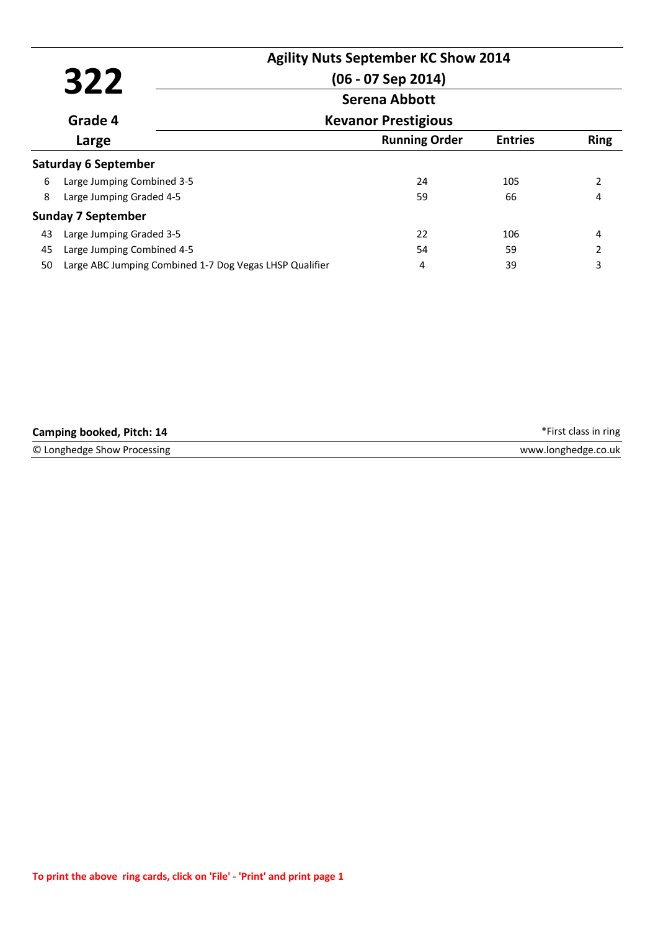|    | 322                                                     | <b>Agility Nuts September KC Show 2014</b><br>$(06 - 07$ Sep 2014) |                      |                |             |
|----|---------------------------------------------------------|--------------------------------------------------------------------|----------------------|----------------|-------------|
|    |                                                         | Serena Abbott                                                      |                      |                |             |
|    | Grade 4                                                 | <b>Kevanor Prestigious</b>                                         |                      |                |             |
|    | Large                                                   |                                                                    | <b>Running Order</b> | <b>Entries</b> | <b>Ring</b> |
|    | <b>Saturday 6 September</b>                             |                                                                    |                      |                |             |
| 6  | Large Jumping Combined 3-5                              |                                                                    | 24                   | 105            | 2           |
| 8  | Large Jumping Graded 4-5                                |                                                                    | 59                   | 66             |             |
|    | <b>Sunday 7 September</b>                               |                                                                    |                      |                |             |
| 43 | Large Jumping Graded 3-5                                |                                                                    | 22                   | 106            | 4           |
| 45 | Large Jumping Combined 4-5                              |                                                                    | 54                   | 59             | 2           |
| 50 | Large ABC Jumping Combined 1-7 Dog Vegas LHSP Qualifier |                                                                    | 4                    | 39             | 3           |

| Camping booked, Pitch: 14   | *First class in ring |
|-----------------------------|----------------------|
| © Longhedge Show Processing | www.longhedge.co.uk  |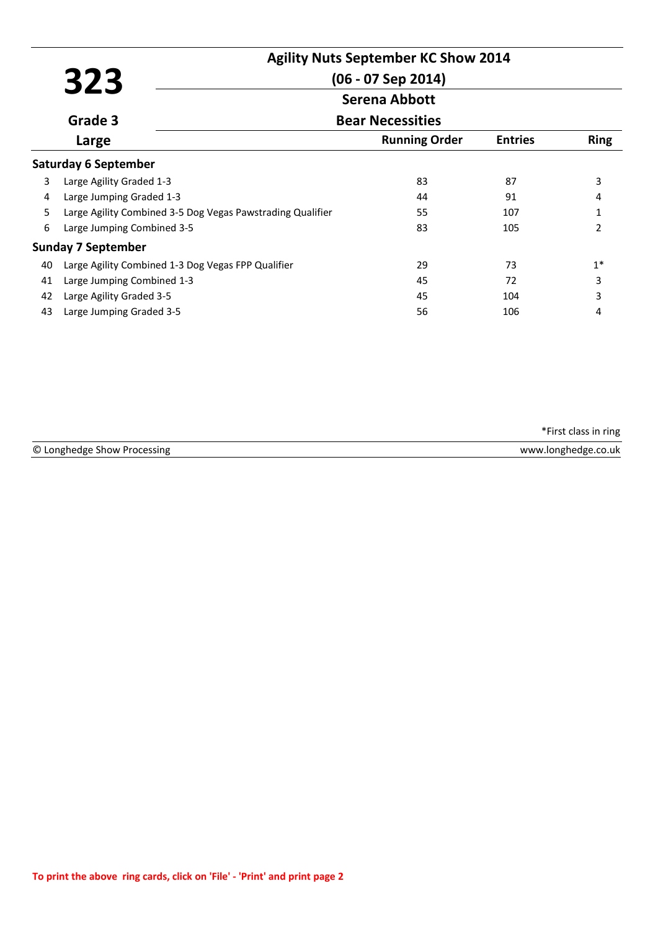|    |                                                            | <b>Agility Nuts September KC Show 2014</b> |                |                |
|----|------------------------------------------------------------|--------------------------------------------|----------------|----------------|
|    | 323                                                        | $(06 - 07$ Sep 2014)                       |                |                |
|    |                                                            | <b>Serena Abbott</b>                       |                |                |
|    | Grade 3                                                    | <b>Bear Necessities</b>                    |                |                |
|    | Large                                                      | <b>Running Order</b>                       | <b>Entries</b> | <b>Ring</b>    |
|    | <b>Saturday 6 September</b>                                |                                            |                |                |
| 3  | Large Agility Graded 1-3                                   | 83                                         | 87             | 3              |
| 4  | Large Jumping Graded 1-3                                   | 44                                         | 91             | 4              |
| 5  | Large Agility Combined 3-5 Dog Vegas Pawstrading Qualifier | 55                                         | 107            | 1              |
| 6  | Large Jumping Combined 3-5                                 | 83                                         | 105            | $\overline{2}$ |
|    | <b>Sunday 7 September</b>                                  |                                            |                |                |
| 40 | Large Agility Combined 1-3 Dog Vegas FPP Qualifier         | 29                                         | 73             | $1*$           |
| 41 | Large Jumping Combined 1-3                                 | 45                                         | 72             | 3              |
| 42 | Large Agility Graded 3-5                                   | 45                                         | 104            | 3              |
| 43 | Large Jumping Graded 3-5                                   | 56                                         | 106            | 4              |

© Longhedge Show Processing www.longhedge.co.uk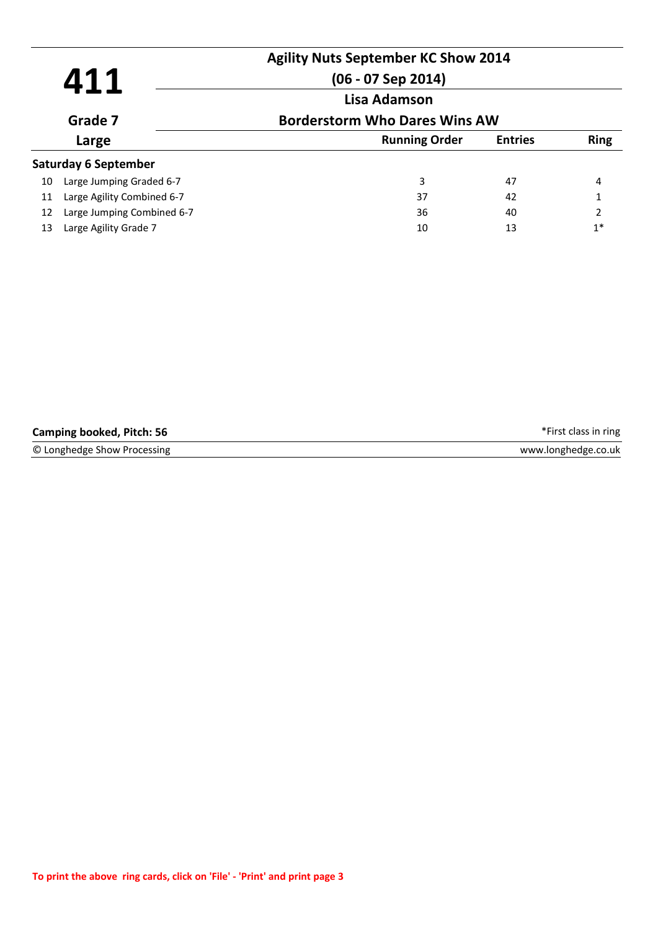|    | 411                         | <b>Agility Nuts September KC Show 2014</b><br>$(06 - 07$ Sep 2014)<br>Lisa Adamson |                |                |
|----|-----------------------------|------------------------------------------------------------------------------------|----------------|----------------|
|    | Grade 7                     | <b>Borderstorm Who Dares Wins AW</b>                                               |                |                |
|    | Large                       | <b>Running Order</b>                                                               | <b>Entries</b> | <b>Ring</b>    |
|    | <b>Saturday 6 September</b> |                                                                                    |                |                |
| 10 | Large Jumping Graded 6-7    | 3                                                                                  | 47             | 4              |
| 11 | Large Agility Combined 6-7  | 37                                                                                 | 42             | 1              |
| 12 | Large Jumping Combined 6-7  | 36                                                                                 | 40             | $\overline{2}$ |
| 13 | Large Agility Grade 7       | 10                                                                                 | 13             | $1*$           |

| <b>Camping booked, Pitch: 56</b> | *First class in ring |
|----------------------------------|----------------------|
| © Longhedge Show Processing      | www.longhedge.co.uk  |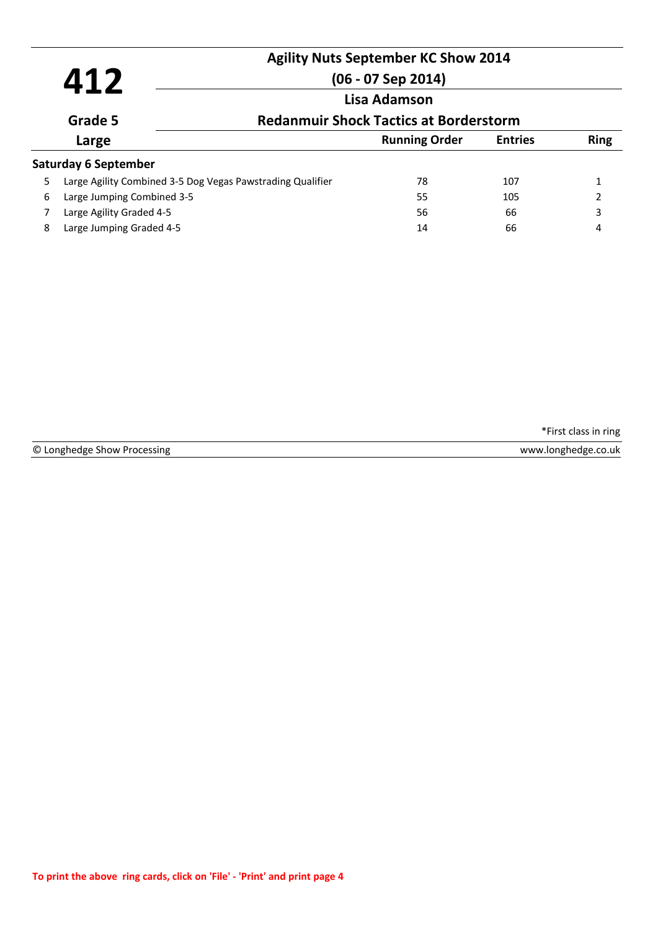# **Agility Nuts September KC Show 2014**

# **412 Lisa Adamson (06 - 07 Sep 2014)**

## **Redanmuir Shock Tactics at Borderstorm**

| Large                                                      | <b>Running Order</b> | <b>Entries</b> | <b>Ring</b> |
|------------------------------------------------------------|----------------------|----------------|-------------|
| Saturday 6 September                                       |                      |                |             |
| Large Agility Combined 3-5 Dog Vegas Pawstrading Qualifier | 78                   | 107            |             |
| Large Jumping Combined 3-5                                 | 55                   | 105            |             |
| Large Agility Graded 4-5                                   | 56                   | 66             | 3           |
| Large Jumping Graded 4-5                                   | 14                   | 66             | 4           |
|                                                            |                      |                |             |

\*First class in ring

© Longhedge Show Processing

**Grade 5**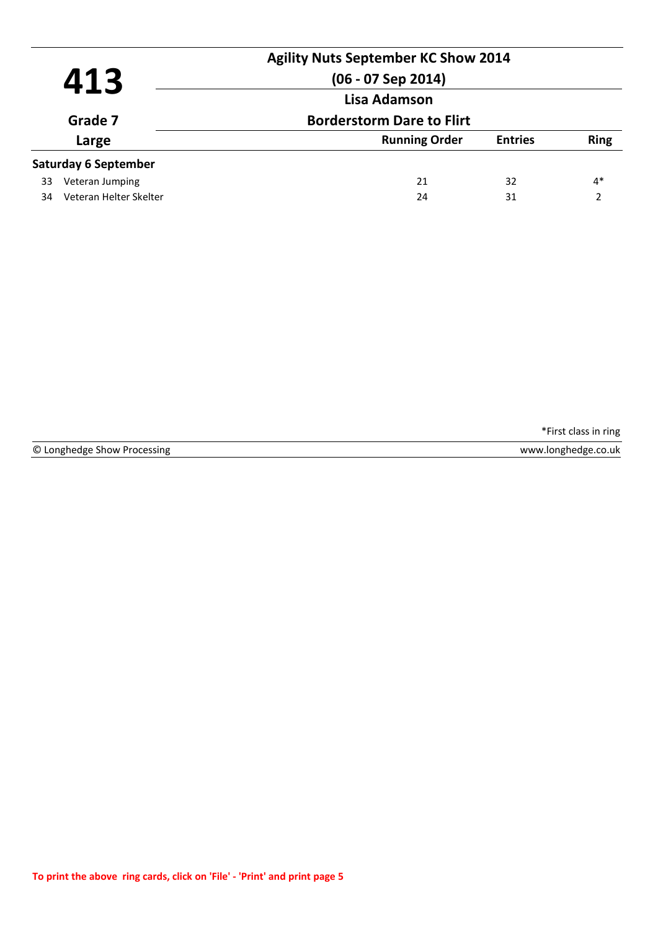|         |                             | <b>Agility Nuts September KC Show 2014</b>       |    |      |
|---------|-----------------------------|--------------------------------------------------|----|------|
|         | 413                         | $(06 - 07$ Sep 2014)                             |    |      |
| Grade 7 |                             | Lisa Adamson<br><b>Borderstorm Dare to Flirt</b> |    |      |
|         |                             |                                                  |    |      |
|         | <b>Saturday 6 September</b> |                                                  |    |      |
| 33      | Veteran Jumping             | 21                                               | 32 | $4*$ |
| 34      | Veteran Helter Skelter      | 24                                               | 31 | າ    |
|         |                             |                                                  |    |      |

© Longhedge Show Processing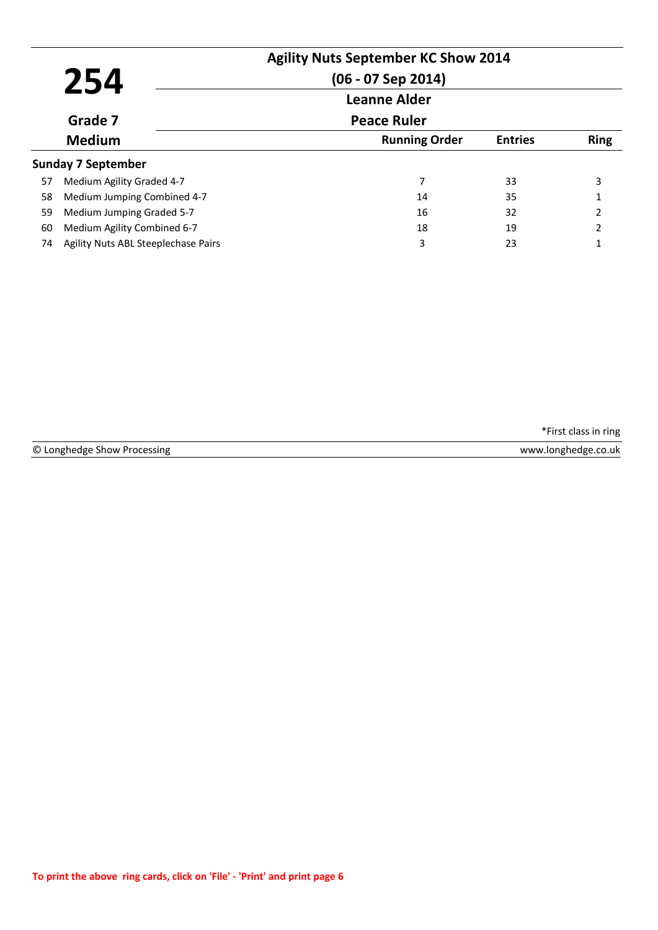|    |                                     | <b>Agility Nuts September KC Show 2014</b> |                |                |
|----|-------------------------------------|--------------------------------------------|----------------|----------------|
|    | 254                                 | $(06 - 07$ Sep 2014)                       |                |                |
|    |                                     | <b>Leanne Alder</b>                        |                |                |
|    | Grade 7                             | <b>Peace Ruler</b>                         |                |                |
|    | <b>Medium</b>                       | <b>Running Order</b>                       | <b>Entries</b> | <b>Ring</b>    |
|    | <b>Sunday 7 September</b>           |                                            |                |                |
| 57 | Medium Agility Graded 4-7           | 7                                          | 33             | 3              |
| 58 | Medium Jumping Combined 4-7         | 14                                         | 35             |                |
| 59 | Medium Jumping Graded 5-7           | 16                                         | 32             | 2              |
| 60 | Medium Agility Combined 6-7         | 18                                         | 19             | $\overline{2}$ |
| 74 | Agility Nuts ABL Steeplechase Pairs | 3                                          | 23             |                |
|    |                                     |                                            |                |                |

© Longhedge Show Processing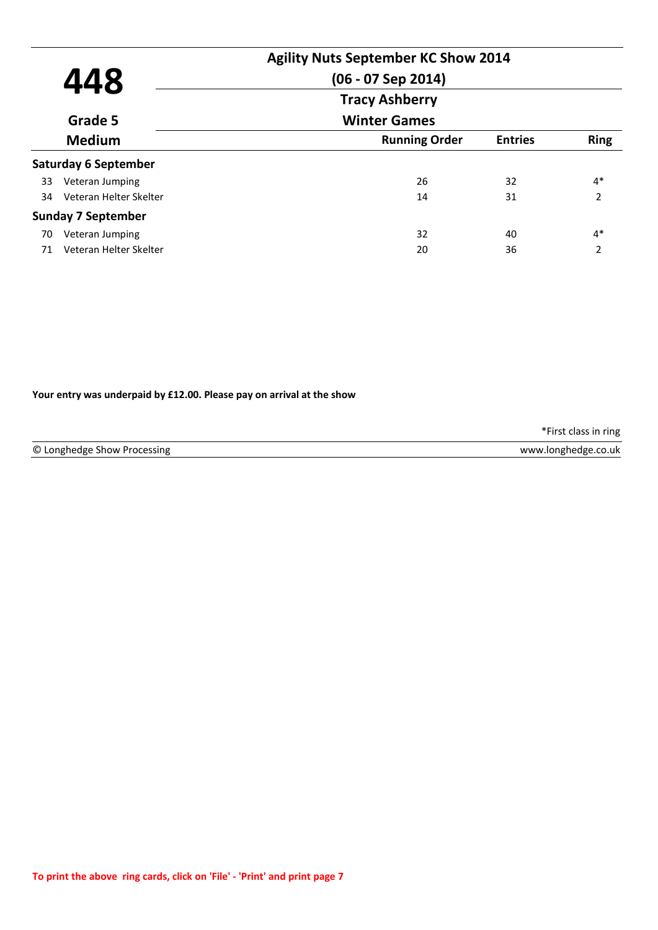| 448 |                             | <b>Agility Nuts September KC Show 2014</b><br>$(06 - 07$ Sep 2014) |                |               |  |  |
|-----|-----------------------------|--------------------------------------------------------------------|----------------|---------------|--|--|
|     |                             | <b>Tracy Ashberry</b>                                              |                |               |  |  |
|     | Grade 5                     | <b>Winter Games</b>                                                |                |               |  |  |
|     | <b>Medium</b>               | <b>Running Order</b>                                               | <b>Entries</b> | <b>Ring</b>   |  |  |
|     | <b>Saturday 6 September</b> |                                                                    |                |               |  |  |
| 33  | Veteran Jumping             | 26                                                                 | 32             | $4*$          |  |  |
| 34  | Veteran Helter Skelter      | 14                                                                 | 31             | $\mathcal{P}$ |  |  |
|     | <b>Sunday 7 September</b>   |                                                                    |                |               |  |  |
| 70  | Veteran Jumping             | 32                                                                 | 40             | $4*$          |  |  |
| 71  | Veteran Helter Skelter      | 20                                                                 | 36             | 2             |  |  |

**Your entry was underpaid by £12.00. Please pay on arrival at the show**

\*First class in ring

© Longhedge Show Processing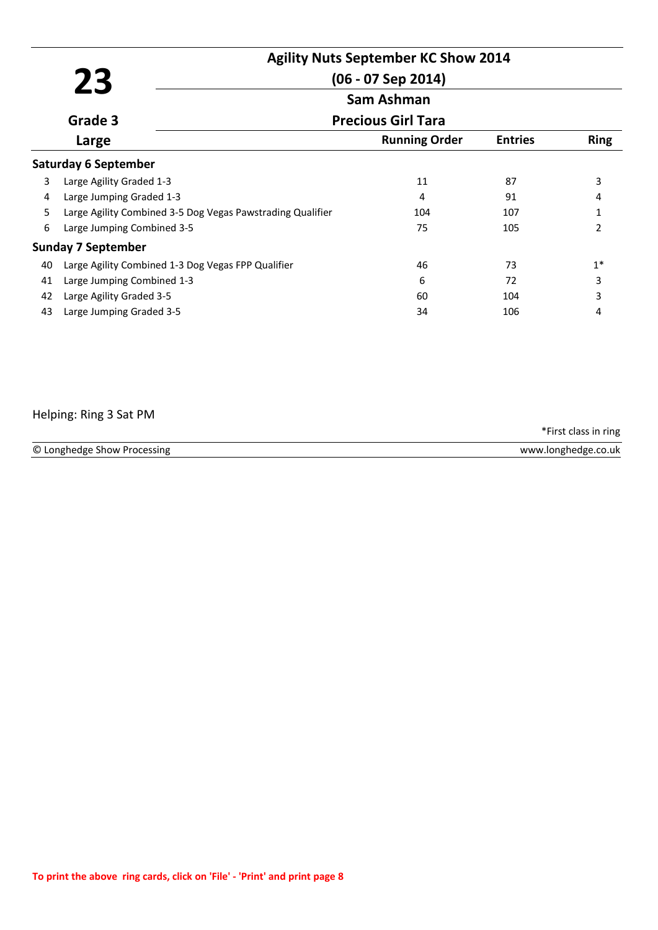|    | 23                                                         | <b>Agility Nuts September KC Show 2014</b><br>$(06 - 07$ Sep 2014) |                |               |
|----|------------------------------------------------------------|--------------------------------------------------------------------|----------------|---------------|
|    |                                                            | <b>Sam Ashman</b>                                                  |                |               |
|    | Grade 3                                                    | <b>Precious Girl Tara</b>                                          |                |               |
|    | Large                                                      | <b>Running Order</b>                                               | <b>Entries</b> | <b>Ring</b>   |
|    | <b>Saturday 6 September</b>                                |                                                                    |                |               |
| 3  | Large Agility Graded 1-3                                   | 11                                                                 | 87             | 3             |
| 4  | Large Jumping Graded 1-3                                   | 4                                                                  | 91             | 4             |
| 5  | Large Agility Combined 3-5 Dog Vegas Pawstrading Qualifier | 104                                                                | 107            | $\mathbf{1}$  |
| 6  | Large Jumping Combined 3-5                                 | 75                                                                 | 105            | $\mathcal{P}$ |
|    | <b>Sunday 7 September</b>                                  |                                                                    |                |               |
| 40 | Large Agility Combined 1-3 Dog Vegas FPP Qualifier         | 46                                                                 | 73             | $1*$          |
| 41 | Large Jumping Combined 1-3                                 | 6                                                                  | 72             | 3             |
| 42 | Large Agility Graded 3-5                                   | 60                                                                 | 104            | 3             |
| 43 | Large Jumping Graded 3-5                                   | 34                                                                 | 106            | 4             |

#### Helping: Ring 3 Sat PM

© Longhedge Show Processing www.longhedge.co.uk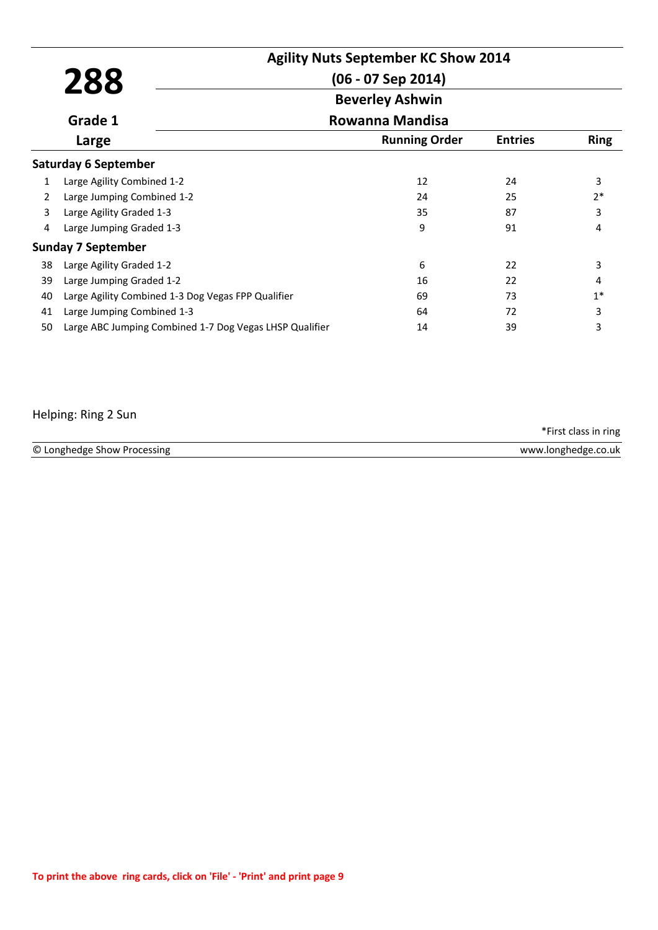|    |                                                         | <b>Agility Nuts September KC Show 2014</b> |                |             |
|----|---------------------------------------------------------|--------------------------------------------|----------------|-------------|
|    | 288                                                     | (06 - 07 Sep 2014)                         |                |             |
|    |                                                         | <b>Beverley Ashwin</b>                     |                |             |
|    | Grade 1                                                 | Rowanna Mandisa                            |                |             |
|    | Large                                                   | <b>Running Order</b>                       | <b>Entries</b> | <b>Ring</b> |
|    | <b>Saturday 6 September</b>                             |                                            |                |             |
| 1  | Large Agility Combined 1-2                              | 12                                         | 24             | 3           |
| 2  | Large Jumping Combined 1-2                              | 24                                         | 25             | $2*$        |
| 3  | Large Agility Graded 1-3                                | 35                                         | 87             | 3           |
| 4  | Large Jumping Graded 1-3                                | 9                                          | 91             | 4           |
|    | <b>Sunday 7 September</b>                               |                                            |                |             |
| 38 | Large Agility Graded 1-2                                | 6                                          | 22             | 3           |
| 39 | Large Jumping Graded 1-2                                | 16                                         | 22             | 4           |
| 40 | Large Agility Combined 1-3 Dog Vegas FPP Qualifier      | 69                                         | 73             | $1*$        |
| 41 | Large Jumping Combined 1-3                              | 64                                         | 72             | 3           |
| 50 | Large ABC Jumping Combined 1-7 Dog Vegas LHSP Qualifier | 14                                         | 39             | 3           |

### Helping: Ring 2 Sun

| © Lo<br>Processing<br>LONghedge<br><b>VANA</b><br>show<br>AUDA<br>inno<br> |        |
|----------------------------------------------------------------------------|--------|
|                                                                            | .co.uk |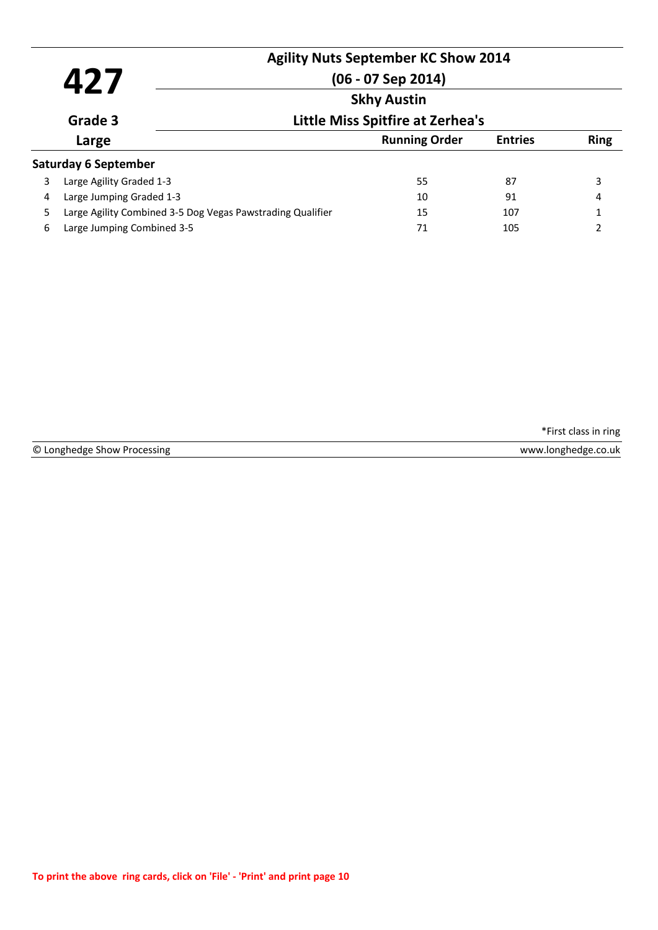|   | 427                                                        | <b>Agility Nuts September KC Show 2014</b><br>$(06 - 07$ Sep 2014) |                |             |
|---|------------------------------------------------------------|--------------------------------------------------------------------|----------------|-------------|
|   |                                                            | <b>Skhy Austin</b><br><b>Little Miss Spitfire at Zerhea's</b>      |                |             |
|   | Grade 3                                                    |                                                                    |                |             |
|   | Large                                                      | <b>Running Order</b>                                               | <b>Entries</b> | <b>Ring</b> |
|   | <b>Saturday 6 September</b>                                |                                                                    |                |             |
| 3 | Large Agility Graded 1-3                                   | 55                                                                 | 87             | 3           |
| 4 | Large Jumping Graded 1-3                                   | 10                                                                 | 91             | 4           |
| 5 | Large Agility Combined 3-5 Dog Vegas Pawstrading Qualifier | 15                                                                 | 107            |             |
| 6 | Large Jumping Combined 3-5                                 | 71                                                                 | 105            | 2           |

© Longhedge Show Processing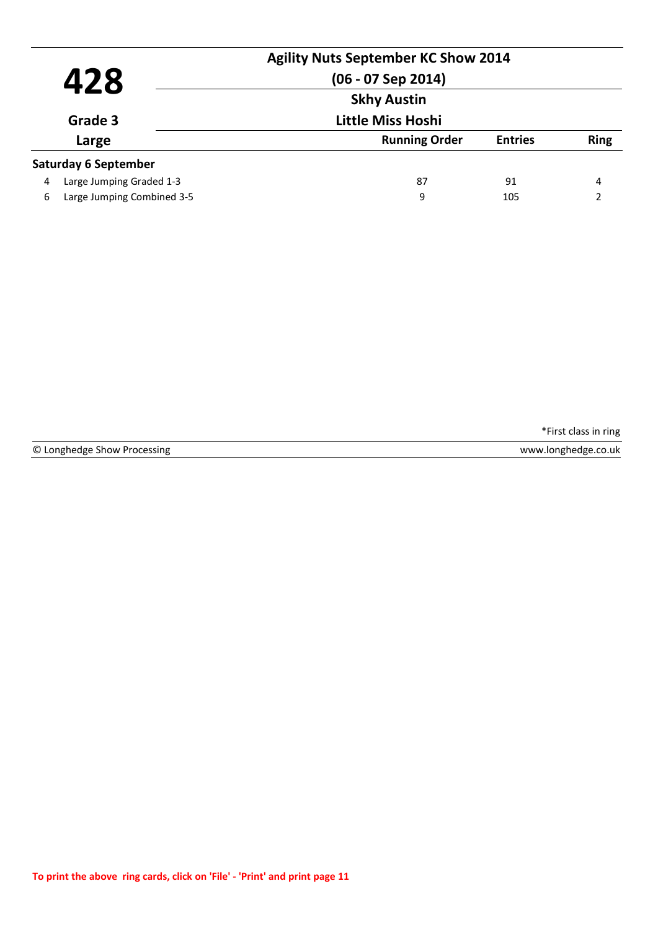|         | 428                        | <b>Agility Nuts September KC Show 2014</b><br>$(06 - 07$ Sep 2014) |                |             |
|---------|----------------------------|--------------------------------------------------------------------|----------------|-------------|
| Grade 3 |                            | <b>Skhy Austin</b><br><b>Little Miss Hoshi</b>                     |                |             |
|         |                            |                                                                    |                |             |
|         | Large                      | <b>Running Order</b>                                               | <b>Entries</b> | <b>Ring</b> |
|         | Saturday 6 September       |                                                                    |                |             |
| 4       | Large Jumping Graded 1-3   | 87                                                                 | 91             | 4           |
| 6       | Large Jumping Combined 3-5 | 9                                                                  | 105            | C           |

© Longhedge Show Processing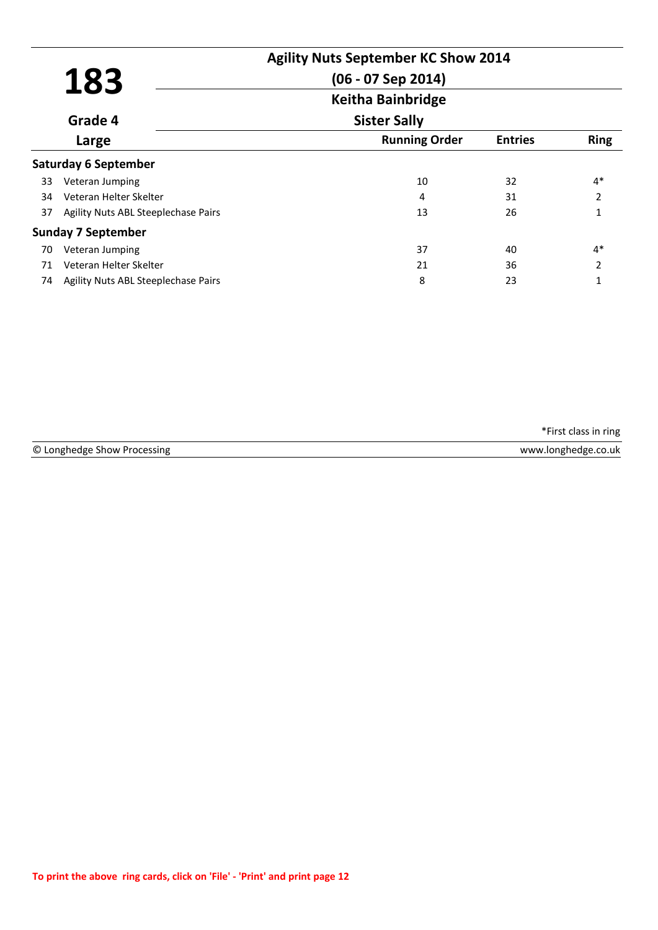|    |                                     | <b>Agility Nuts September KC Show 2014</b> |                |               |
|----|-------------------------------------|--------------------------------------------|----------------|---------------|
|    | 183                                 | $(06 - 07$ Sep 2014)                       |                |               |
|    |                                     | <b>Keitha Bainbridge</b>                   |                |               |
|    | Grade 4                             | <b>Sister Sally</b>                        |                |               |
|    | Large                               | <b>Running Order</b>                       | <b>Entries</b> | <b>Ring</b>   |
|    | <b>Saturday 6 September</b>         |                                            |                |               |
| 33 | Veteran Jumping                     | 10                                         | 32             | $4*$          |
| 34 | Veteran Helter Skelter              | 4                                          | 31             | $\mathcal{P}$ |
| 37 | Agility Nuts ABL Steeplechase Pairs | 13                                         | 26             |               |
|    | <b>Sunday 7 September</b>           |                                            |                |               |
| 70 | Veteran Jumping                     | 37                                         | 40             | $4*$          |
| 71 | Veteran Helter Skelter              | 21                                         | 36             | $\mathcal{P}$ |
| 74 | Agility Nuts ABL Steeplechase Pairs | 8                                          | 23             | 1             |

|                             | *First class in ring |
|-----------------------------|----------------------|
| © Longhedge Show Processing | www.longhedge.co.uk  |
|                             |                      |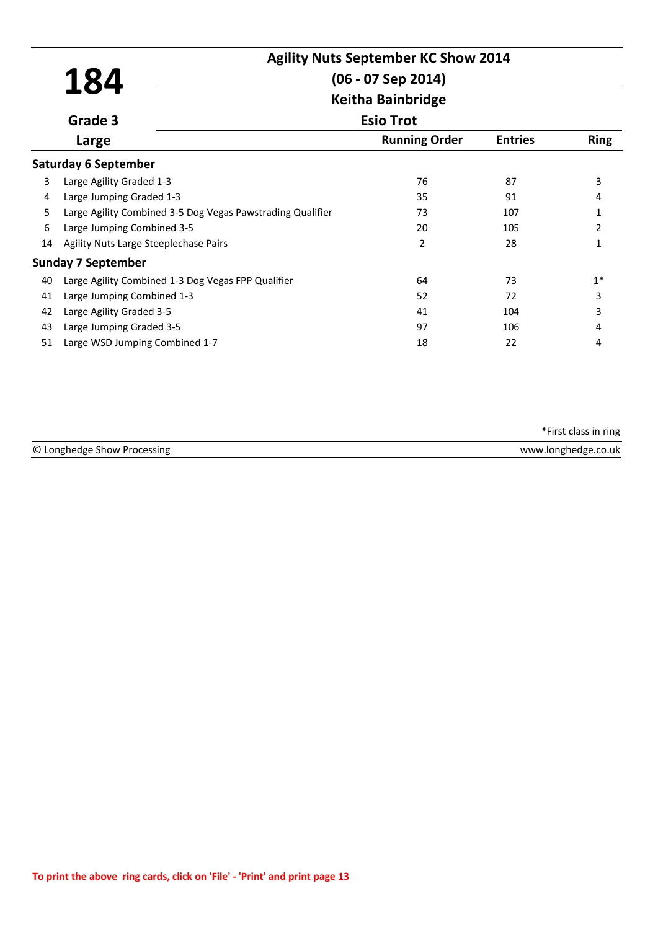|    |                                                            | <b>Agility Nuts September KC Show 2014</b> |                |                |
|----|------------------------------------------------------------|--------------------------------------------|----------------|----------------|
|    | <b>184</b>                                                 | $(06 - 07$ Sep 2014)                       |                |                |
|    |                                                            | <b>Keitha Bainbridge</b>                   |                |                |
|    | Grade 3                                                    | <b>Esio Trot</b>                           |                |                |
|    | Large                                                      | <b>Running Order</b>                       | <b>Entries</b> | <b>Ring</b>    |
|    | <b>Saturday 6 September</b>                                |                                            |                |                |
| 3  | Large Agility Graded 1-3                                   | 76                                         | 87             | 3              |
| 4  | Large Jumping Graded 1-3                                   | 35                                         | 91             | 4              |
| 5  | Large Agility Combined 3-5 Dog Vegas Pawstrading Qualifier | 73                                         | 107            | 1              |
| 6  | Large Jumping Combined 3-5                                 | 20                                         | 105            | $\overline{2}$ |
| 14 | Agility Nuts Large Steeplechase Pairs                      | 2                                          | 28             | 1              |
|    | <b>Sunday 7 September</b>                                  |                                            |                |                |
| 40 | Large Agility Combined 1-3 Dog Vegas FPP Qualifier         | 64                                         | 73             | $1*$           |
| 41 | Large Jumping Combined 1-3                                 | 52                                         | 72             | 3              |
| 42 | Large Agility Graded 3-5                                   | 41                                         | 104            | 3              |
| 43 | Large Jumping Graded 3-5                                   | 97                                         | 106            | 4              |
| 51 | Large WSD Jumping Combined 1-7                             | 18                                         | 22             | 4              |

| © Longhedge<br>ocessine <sup>.</sup><br>$\sim$ show Pr. | ,.uk<br><b>IOD</b> DODG NO |
|---------------------------------------------------------|----------------------------|
|                                                         |                            |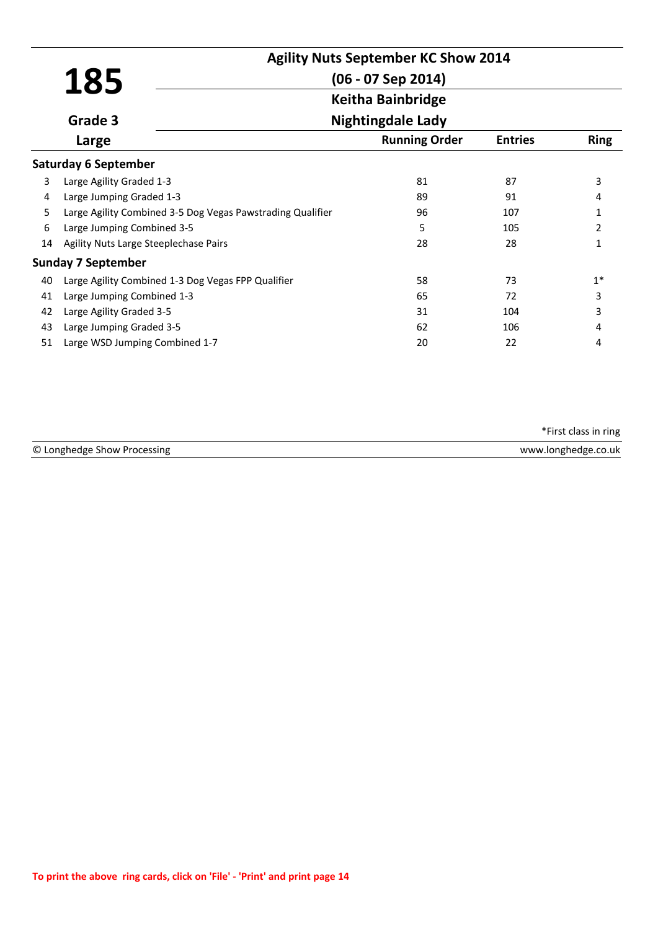|    |                                                            | <b>Agility Nuts September KC Show 2014</b> |                                                  |                |  |
|----|------------------------------------------------------------|--------------------------------------------|--------------------------------------------------|----------------|--|
|    | 185                                                        |                                            | $(06 - 07$ Sep 2014)<br><b>Keitha Bainbridge</b> |                |  |
|    |                                                            |                                            |                                                  |                |  |
|    | Grade 3                                                    | <b>Nightingdale Lady</b>                   |                                                  |                |  |
|    | Large                                                      | <b>Running Order</b>                       | <b>Entries</b>                                   | <b>Ring</b>    |  |
|    | <b>Saturday 6 September</b>                                |                                            |                                                  |                |  |
| 3  | Large Agility Graded 1-3                                   | 81                                         | 87                                               | 3              |  |
| 4  | Large Jumping Graded 1-3                                   | 89                                         | 91                                               | 4              |  |
| 5  | Large Agility Combined 3-5 Dog Vegas Pawstrading Qualifier | 96                                         | 107                                              | 1              |  |
| 6  | Large Jumping Combined 3-5                                 | 5                                          | 105                                              | $\overline{2}$ |  |
| 14 | Agility Nuts Large Steeplechase Pairs                      | 28                                         | 28                                               | 1              |  |
|    | <b>Sunday 7 September</b>                                  |                                            |                                                  |                |  |
| 40 | Large Agility Combined 1-3 Dog Vegas FPP Qualifier         | 58                                         | 73                                               | $1*$           |  |
| 41 | Large Jumping Combined 1-3                                 | 65                                         | 72                                               | 3              |  |
| 42 | Large Agility Graded 3-5                                   | 31                                         | 104                                              | 3              |  |
| 43 | Large Jumping Graded 3-5                                   | 62                                         | 106                                              | 4              |  |
| 51 | Large WSD Jumping Combined 1-7                             | 20                                         | 22                                               | 4              |  |

| © Lo<br>nnøl<br>:ssine<br>snow<br>nr<br>ueuae<br>. . | <b>A/AA/AA</b><br>).uk<br>ınns<br>ישוי |
|------------------------------------------------------|----------------------------------------|
|                                                      |                                        |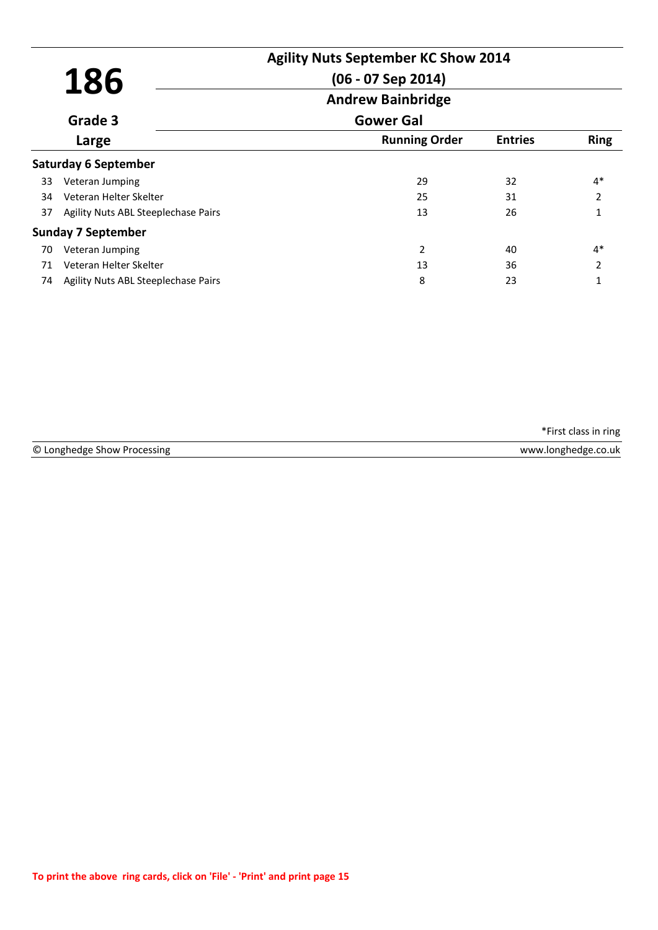|    | 186                                 | $(06 - 07$ Sep 2014)     | <b>Agility Nuts September KC Show 2014</b> |                |
|----|-------------------------------------|--------------------------|--------------------------------------------|----------------|
|    |                                     | <b>Andrew Bainbridge</b> |                                            |                |
|    | Grade 3                             | <b>Gower Gal</b>         |                                            |                |
|    | Large                               | <b>Running Order</b>     | <b>Entries</b>                             | <b>Ring</b>    |
|    | <b>Saturday 6 September</b>         |                          |                                            |                |
| 33 | Veteran Jumping                     | 29                       | 32                                         | $4*$           |
| 34 | Veteran Helter Skelter              | 25                       | 31                                         | $\overline{2}$ |
| 37 | Agility Nuts ABL Steeplechase Pairs | 13                       | 26                                         |                |
|    | <b>Sunday 7 September</b>           |                          |                                            |                |
| 70 | Veteran Jumping                     | $\overline{2}$           | 40                                         | $4*$           |
| 71 | Veteran Helter Skelter              | 13                       | 36                                         | $\overline{2}$ |
| 74 | Agility Nuts ABL Steeplechase Pairs | 8                        | 23                                         |                |

| © Longh | co.uk         |
|---------|---------------|
| ssing   | <b>IOD</b> DD |
| AURA    | Ange -        |
| snow    | _______       |
|         |               |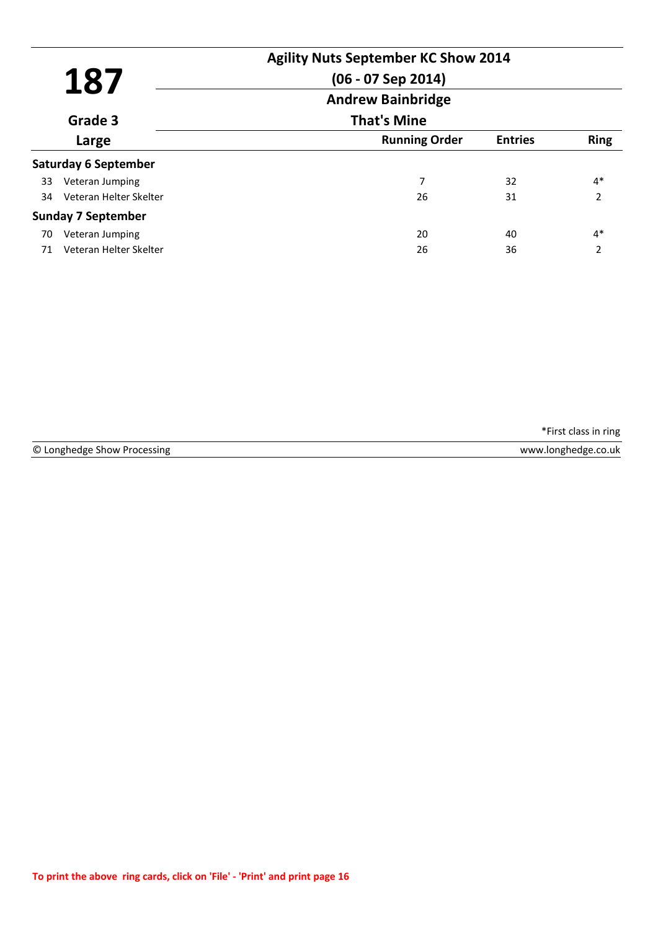|       | 187                         | <b>Agility Nuts September KC Show 2014</b><br>$(06 - 07$ Sep 2014) |                |                          |  |
|-------|-----------------------------|--------------------------------------------------------------------|----------------|--------------------------|--|
|       |                             | <b>Andrew Bainbridge</b>                                           |                |                          |  |
|       | Grade 3                     | <b>That's Mine</b>                                                 |                |                          |  |
| Large |                             | <b>Running Order</b>                                               | <b>Entries</b> | <b>Ring</b>              |  |
|       | <b>Saturday 6 September</b> |                                                                    |                |                          |  |
| 33    | Veteran Jumping             | 7                                                                  | 32             | $4*$                     |  |
| 34    | Veteran Helter Skelter      | 26                                                                 | 31             | $\overline{\phantom{a}}$ |  |
|       | <b>Sunday 7 September</b>   |                                                                    |                |                          |  |
| 70    | Veteran Jumping             | 20                                                                 | 40             | $4*$                     |  |
| 71    | Veteran Helter Skelter      | 26                                                                 | 36             | 2                        |  |

© Longhedge Show Processing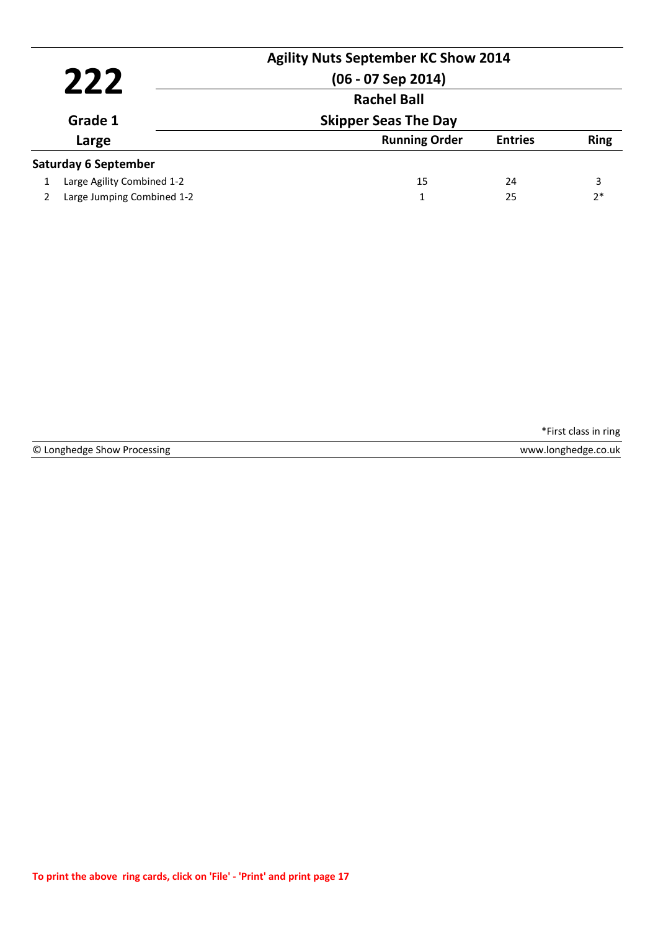|                |                             | <b>Agility Nuts September KC Show 2014</b><br>$(06 - 07$ Sep 2014) |                |             |
|----------------|-----------------------------|--------------------------------------------------------------------|----------------|-------------|
| 222<br>Grade 1 |                             | <b>Rachel Ball</b>                                                 |                |             |
|                |                             | <b>Skipper Seas The Day</b>                                        |                |             |
| Large          |                             | <b>Running Order</b>                                               | <b>Entries</b> | <b>Ring</b> |
|                | <b>Saturday 6 September</b> |                                                                    |                |             |
|                | Large Agility Combined 1-2  | 15                                                                 | 24             | 3           |
|                | Large Jumping Combined 1-2  | 1                                                                  | 25             | $2*$        |

© Longhedge Show Processing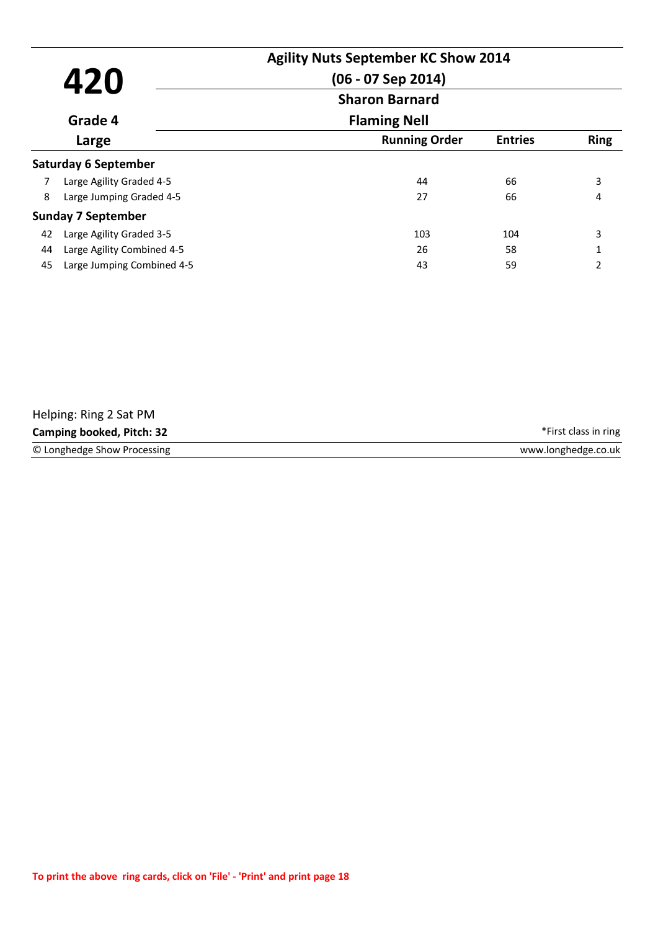| 420<br>Grade 4<br>Large |                             | <b>Agility Nuts September KC Show 2014</b><br>$(06 - 07$ Sep 2014)<br><b>Sharon Barnard</b> |                |                |
|-------------------------|-----------------------------|---------------------------------------------------------------------------------------------|----------------|----------------|
|                         |                             | <b>Flaming Nell</b>                                                                         |                |                |
|                         |                             | <b>Running Order</b>                                                                        | <b>Entries</b> | <b>Ring</b>    |
|                         | <b>Saturday 6 September</b> |                                                                                             |                |                |
|                         | Large Agility Graded 4-5    | 44                                                                                          | 66             | 3              |
| 8                       | Large Jumping Graded 4-5    | 27                                                                                          | 66             | 4              |
|                         | <b>Sunday 7 September</b>   |                                                                                             |                |                |
| 42                      | Large Agility Graded 3-5    | 103                                                                                         | 104            | 3              |
| 44                      | Large Agility Combined 4-5  | 26                                                                                          | 58             | $\mathbf{1}$   |
| 45                      | Large Jumping Combined 4-5  | 43                                                                                          | 59             | $\mathfrak{p}$ |

| Helping: Ring 2 Sat PM           |                      |
|----------------------------------|----------------------|
| <b>Camping booked, Pitch: 32</b> | *First class in ring |
| © Longhedge Show Processing      | www.longhedge.co.uk  |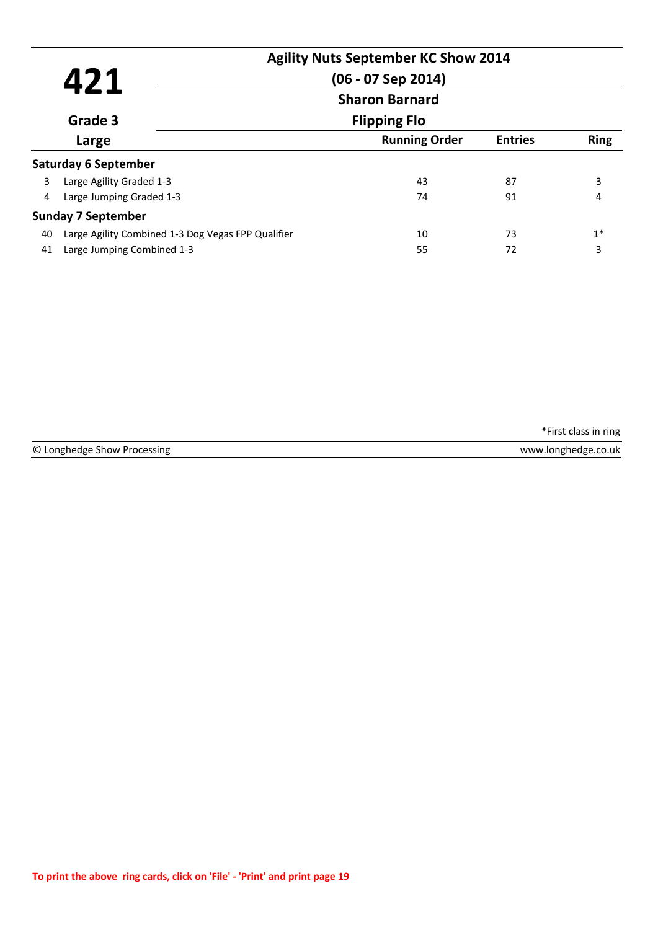| 421 |                                                    | <b>Agility Nuts September KC Show 2014</b><br>$(06 - 07$ Sep 2014) |                |             |
|-----|----------------------------------------------------|--------------------------------------------------------------------|----------------|-------------|
|     |                                                    | <b>Sharon Barnard</b><br><b>Flipping Flo</b>                       |                |             |
|     | Grade 3                                            |                                                                    |                |             |
|     | Large                                              | <b>Running Order</b>                                               | <b>Entries</b> | <b>Ring</b> |
|     | <b>Saturday 6 September</b>                        |                                                                    |                |             |
| 3   | Large Agility Graded 1-3                           | 43                                                                 | 87             | 3           |
| 4   | Large Jumping Graded 1-3                           | 74                                                                 | 91             | 4           |
|     | <b>Sunday 7 September</b>                          |                                                                    |                |             |
| 40  | Large Agility Combined 1-3 Dog Vegas FPP Qualifier | 10                                                                 | 73             | $1*$        |
| 41  | Large Jumping Combined 1-3                         | 55                                                                 | 72             | 3           |

© Longhedge Show Processing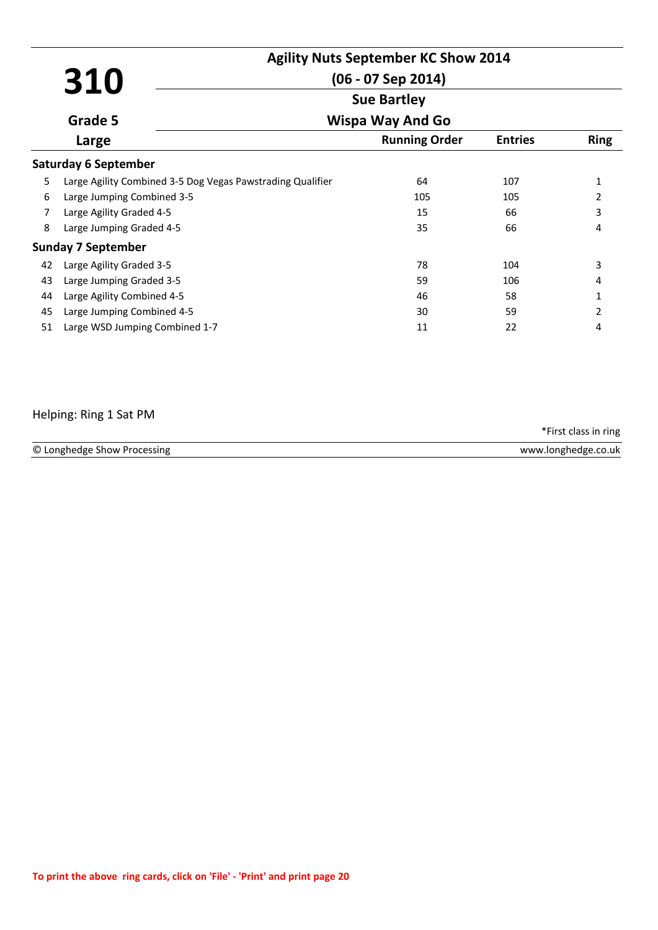|    | 310                                                        | <b>Agility Nuts September KC Show 2014</b><br>$(06 - 07$ Sep 2014)<br><b>Sue Bartley</b> |  |                |                |  |
|----|------------------------------------------------------------|------------------------------------------------------------------------------------------|--|----------------|----------------|--|
|    | Grade 5                                                    | <b>Wispa Way And Go</b>                                                                  |  |                |                |  |
|    | Large                                                      | <b>Running Order</b>                                                                     |  | <b>Entries</b> | <b>Ring</b>    |  |
|    | <b>Saturday 6 September</b>                                |                                                                                          |  |                |                |  |
| 5  | Large Agility Combined 3-5 Dog Vegas Pawstrading Qualifier | 64                                                                                       |  | 107            | 1              |  |
| 6  | Large Jumping Combined 3-5                                 | 105                                                                                      |  | 105            | $\overline{2}$ |  |
| 7  | Large Agility Graded 4-5                                   | 15                                                                                       |  | 66             | 3              |  |
| 8  | Large Jumping Graded 4-5                                   | 35                                                                                       |  | 66             | 4              |  |
|    | <b>Sunday 7 September</b>                                  |                                                                                          |  |                |                |  |
| 42 | Large Agility Graded 3-5                                   | 78                                                                                       |  | 104            | 3              |  |
| 43 | Large Jumping Graded 3-5                                   | 59                                                                                       |  | 106            | 4              |  |
| 44 | Large Agility Combined 4-5                                 | 46                                                                                       |  | 58             | 1              |  |
| 45 | Large Jumping Combined 4-5                                 | 30                                                                                       |  | 59             | 2              |  |
| 51 | Large WSD Jumping Combined 1-7                             | 11                                                                                       |  | 22             | 4              |  |

#### Helping: Ring 1 Sat PM

© Longhedge Show Processing www.longhedge.co.uk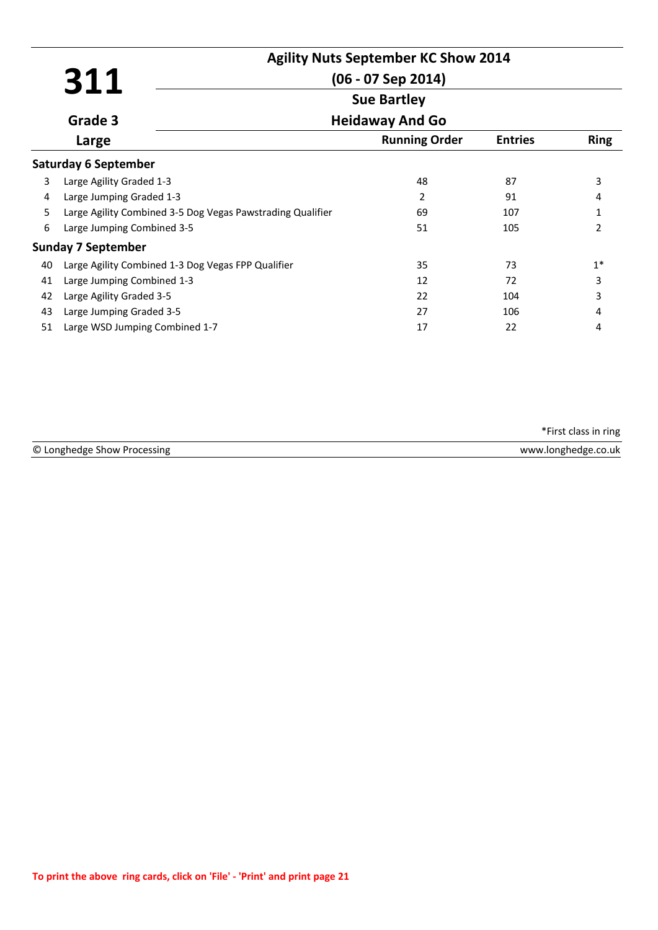|    |                                                            | <b>Agility Nuts September KC Show 2014</b> |                |                |  |  |
|----|------------------------------------------------------------|--------------------------------------------|----------------|----------------|--|--|
|    | 311                                                        | $(06 - 07$ Sep 2014)                       |                |                |  |  |
|    |                                                            | <b>Sue Bartley</b>                         |                |                |  |  |
|    | Grade 3                                                    | <b>Heidaway And Go</b>                     |                |                |  |  |
|    | Large                                                      | <b>Running Order</b>                       | <b>Entries</b> | <b>Ring</b>    |  |  |
|    | <b>Saturday 6 September</b>                                |                                            |                |                |  |  |
| 3  | Large Agility Graded 1-3                                   | 48                                         | 87             | 3              |  |  |
| 4  | Large Jumping Graded 1-3                                   | 2                                          | 91             | 4              |  |  |
| 5  | Large Agility Combined 3-5 Dog Vegas Pawstrading Qualifier | 69                                         | 107            | 1              |  |  |
| 6  | Large Jumping Combined 3-5                                 | 51                                         | 105            | $\mathfrak{p}$ |  |  |
|    | <b>Sunday 7 September</b>                                  |                                            |                |                |  |  |
| 40 | Large Agility Combined 1-3 Dog Vegas FPP Qualifier         | 35                                         | 73             | $1*$           |  |  |
| 41 | Large Jumping Combined 1-3                                 | 12                                         | 72             | 3              |  |  |
| 42 | Large Agility Graded 3-5                                   | 22                                         | 104            | 3              |  |  |
| 43 | Large Jumping Graded 3-5                                   | 27                                         | 106            | 4              |  |  |
| 51 | Large WSD Jumping Combined 1-7                             | 17                                         | 22             | 4              |  |  |

| © Longhedge Show Processing | www.longhedge.co.uk |
|-----------------------------|---------------------|
|                             |                     |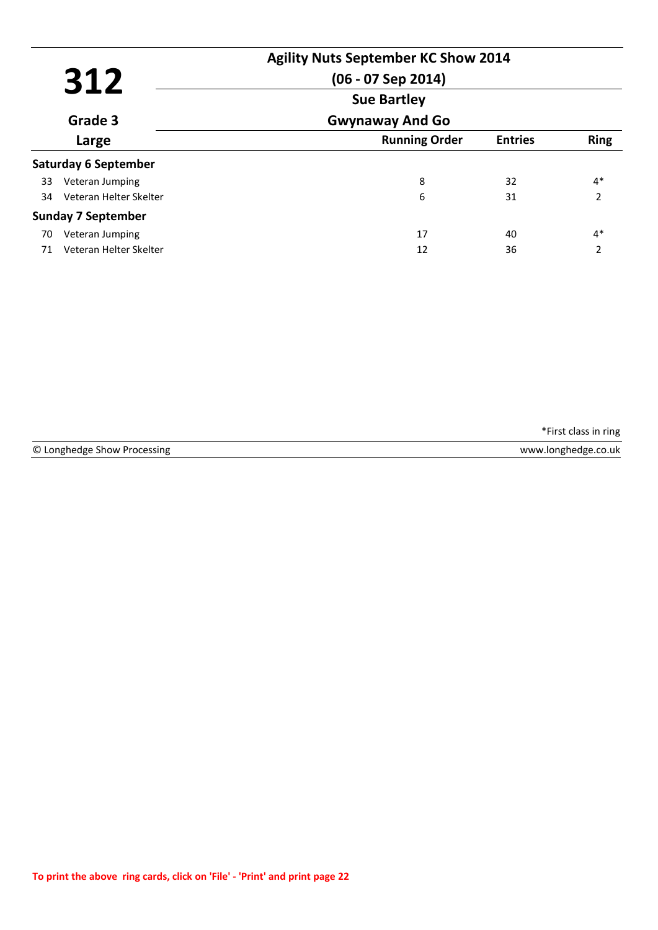|       | 312                         | <b>Agility Nuts September KC Show 2014</b><br>$(06 - 07$ Sep 2014) |                |                          |
|-------|-----------------------------|--------------------------------------------------------------------|----------------|--------------------------|
|       |                             | <b>Sue Bartley</b>                                                 |                |                          |
|       | Grade 3                     | <b>Gwynaway And Go</b>                                             |                |                          |
| Large |                             | <b>Running Order</b>                                               | <b>Entries</b> | <b>Ring</b>              |
|       | <b>Saturday 6 September</b> |                                                                    |                |                          |
| 33    | Veteran Jumping             | 8                                                                  | 32             | $4*$                     |
| 34    | Veteran Helter Skelter      | 6                                                                  | 31             | $\overline{\phantom{a}}$ |
|       | <b>Sunday 7 September</b>   |                                                                    |                |                          |
| 70    | Veteran Jumping             | 17                                                                 | 40             | $4*$                     |
| 71    | Veteran Helter Skelter      | 12                                                                 | 36             | $\overline{\phantom{a}}$ |

© Longhedge Show Processing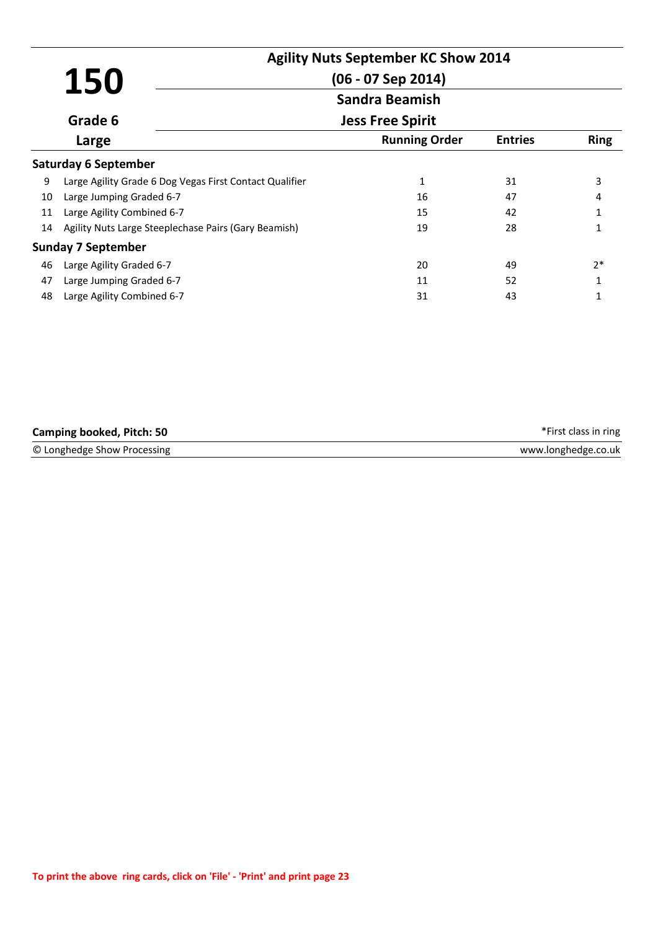| 150   |                                                         | <b>Agility Nuts September KC Show 2014</b><br>$(06 - 07$ Sep 2014) |                |             |
|-------|---------------------------------------------------------|--------------------------------------------------------------------|----------------|-------------|
|       |                                                         | <b>Sandra Beamish</b>                                              |                |             |
|       | Grade 6                                                 | <b>Jess Free Spirit</b>                                            |                |             |
| Large |                                                         | <b>Running Order</b>                                               | <b>Entries</b> | <b>Ring</b> |
|       | <b>Saturday 6 September</b>                             |                                                                    |                |             |
| 9     | Large Agility Grade 6 Dog Vegas First Contact Qualifier | 1                                                                  | 31             | 3           |
| 10    | Large Jumping Graded 6-7                                | 16                                                                 | 47             | 4           |
| 11    | Large Agility Combined 6-7                              | 15                                                                 | 42             |             |
| 14    | Agility Nuts Large Steeplechase Pairs (Gary Beamish)    | 19                                                                 | 28             | 1           |
|       | <b>Sunday 7 September</b>                               |                                                                    |                |             |
| 46    | Large Agility Graded 6-7                                | 20                                                                 | 49             | $2*$        |
| 47    | Large Jumping Graded 6-7                                | 11                                                                 | 52             |             |
| 48    | Large Agility Combined 6-7                              | 31                                                                 | 43             |             |

| <b>Camping booked, Pitch: 50</b> | *First class in ring |
|----------------------------------|----------------------|
| © Longhedge Show Processing      | www.longhedge.co.uk  |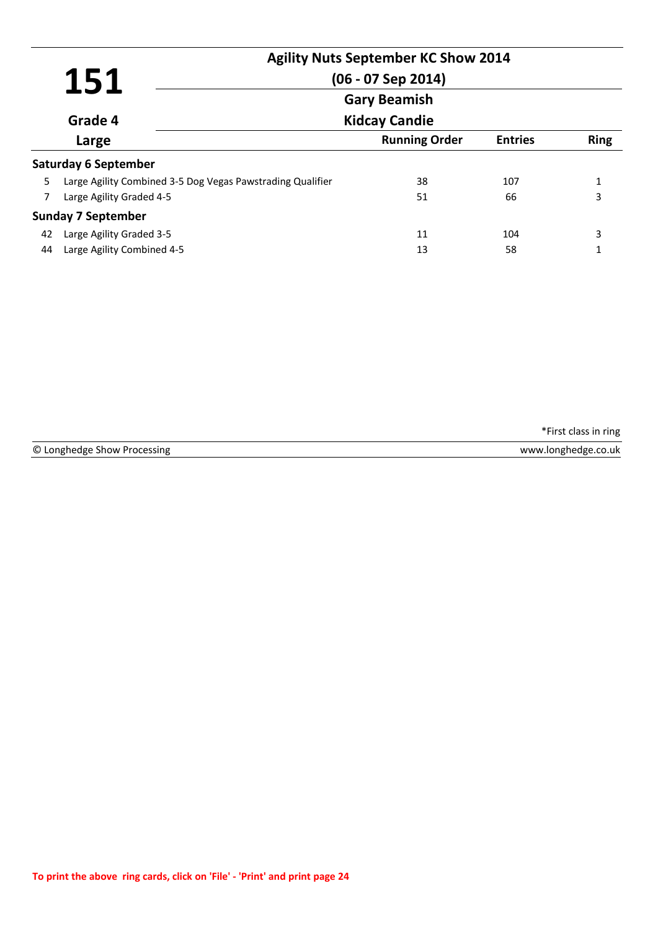|    | 151                                                        | <b>Agility Nuts September KC Show 2014</b><br>$(06 - 07$ Sep 2014) |                |              |  |  |
|----|------------------------------------------------------------|--------------------------------------------------------------------|----------------|--------------|--|--|
|    |                                                            | <b>Gary Beamish</b>                                                |                |              |  |  |
|    | Grade 4                                                    | <b>Kidcay Candie</b>                                               |                |              |  |  |
|    | Large                                                      | <b>Running Order</b>                                               | <b>Entries</b> | <b>Ring</b>  |  |  |
|    | <b>Saturday 6 September</b>                                |                                                                    |                |              |  |  |
| 5  | Large Agility Combined 3-5 Dog Vegas Pawstrading Qualifier | 38                                                                 | 107            | $\mathbf{1}$ |  |  |
| 7  | Large Agility Graded 4-5                                   | 51                                                                 | 66             | 3            |  |  |
|    | <b>Sunday 7 September</b>                                  |                                                                    |                |              |  |  |
| 42 | Large Agility Graded 3-5                                   | 11                                                                 | 104            | 3            |  |  |
| 44 | Large Agility Combined 4-5                                 | 13                                                                 | 58             |              |  |  |

© Longhedge Show Processing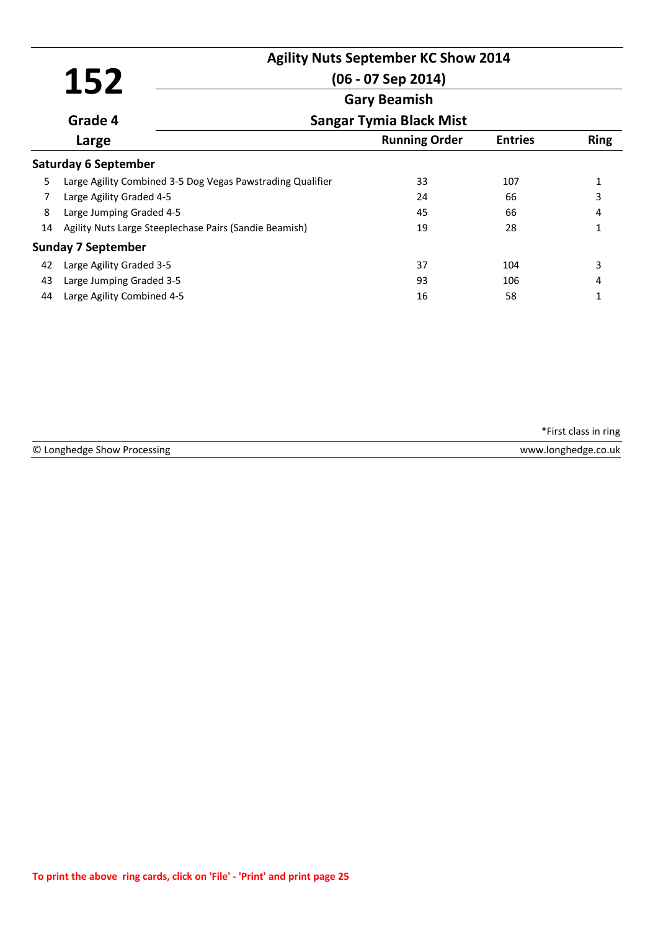|    |                                                            | <b>Agility Nuts September KC Show 2014</b> |                |             |
|----|------------------------------------------------------------|--------------------------------------------|----------------|-------------|
|    | 152                                                        | $(06 - 07$ Sep 2014)                       |                |             |
|    |                                                            | <b>Gary Beamish</b>                        |                |             |
|    | Grade 4                                                    | <b>Sangar Tymia Black Mist</b>             |                |             |
|    | Large                                                      | <b>Running Order</b>                       | <b>Entries</b> | <b>Ring</b> |
|    | <b>Saturday 6 September</b>                                |                                            |                |             |
| 5  | Large Agility Combined 3-5 Dog Vegas Pawstrading Qualifier | 33                                         | 107            |             |
| 7  | Large Agility Graded 4-5                                   | 24                                         | 66             | 3           |
| 8  | Large Jumping Graded 4-5                                   | 45                                         | 66             | 4           |
| 14 | Agility Nuts Large Steeplechase Pairs (Sandie Beamish)     | 19                                         | 28             | 1           |
|    | <b>Sunday 7 September</b>                                  |                                            |                |             |
| 42 | Large Agility Graded 3-5                                   | 37                                         | 104            | 3           |
| 43 | Large Jumping Graded 3-5                                   | 93                                         | 106            | 4           |
| 44 | Large Agility Combined 4-5                                 | 16                                         | 58             | 1           |

| © Longhedge S     | onghedge.co.uk/ |
|-------------------|-----------------|
| . Show Processing | www             |
|                   |                 |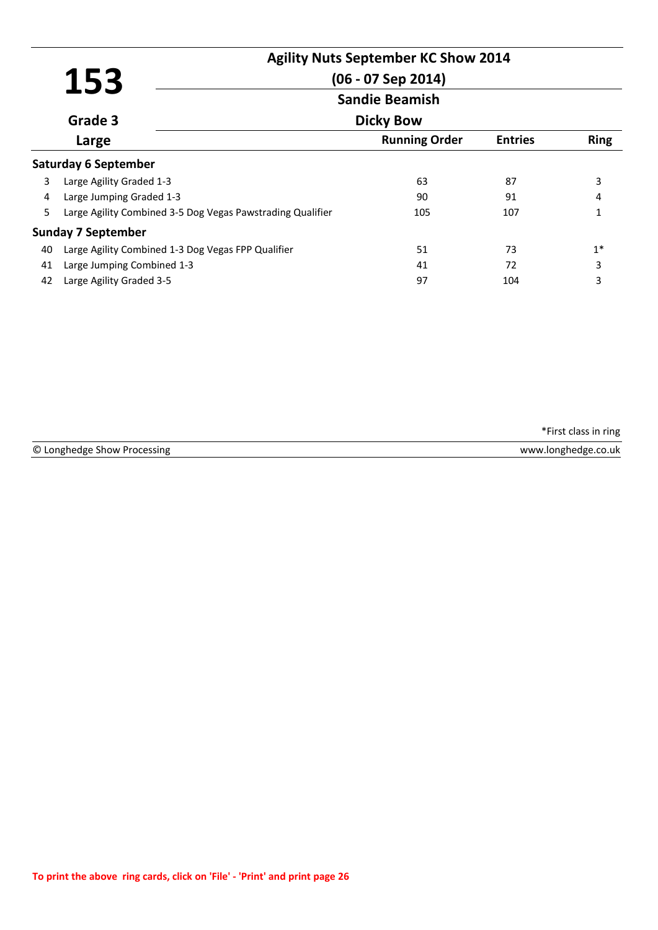|                       |                                                            | <b>Agility Nuts September KC Show 2014</b> |                |             |
|-----------------------|------------------------------------------------------------|--------------------------------------------|----------------|-------------|
|                       |                                                            |                                            |                |             |
|                       | 153                                                        | $(06 - 07$ Sep 2014)                       |                |             |
| <b>Sandie Beamish</b> |                                                            |                                            |                |             |
|                       | Grade 3                                                    | <b>Dicky Bow</b>                           |                |             |
|                       | Large                                                      | <b>Running Order</b>                       | <b>Entries</b> | <b>Ring</b> |
|                       | <b>Saturday 6 September</b>                                |                                            |                |             |
| 3                     | Large Agility Graded 1-3                                   | 63                                         | 87             | 3           |
| 4                     | Large Jumping Graded 1-3                                   | 90                                         | 91             | 4           |
| 5                     | Large Agility Combined 3-5 Dog Vegas Pawstrading Qualifier | 105                                        | 107            |             |
|                       | <b>Sunday 7 September</b>                                  |                                            |                |             |
| 40                    | Large Agility Combined 1-3 Dog Vegas FPP Qualifier         | 51                                         | 73             | $1*$        |
| 41                    | Large Jumping Combined 1-3                                 | 41                                         | 72             | 3           |
| 42                    | Large Agility Graded 3-5                                   | 97                                         | 104            | 3           |

© Longhedge Show Processing www.longhedge.co.uk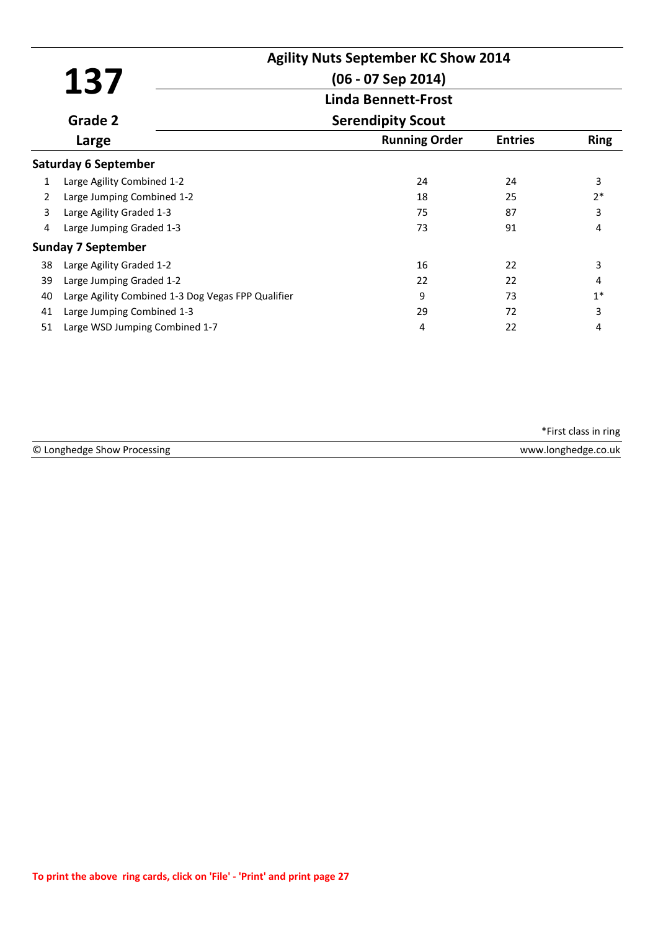|    |                                                    | <b>Agility Nuts September KC Show 2014</b> |                |             |
|----|----------------------------------------------------|--------------------------------------------|----------------|-------------|
|    | 137                                                | $(06 - 07$ Sep 2014)                       |                |             |
|    |                                                    | <b>Linda Bennett-Frost</b>                 |                |             |
|    | Grade 2                                            | <b>Serendipity Scout</b>                   |                |             |
|    | Large                                              | <b>Running Order</b>                       | <b>Entries</b> | <b>Ring</b> |
|    | <b>Saturday 6 September</b>                        |                                            |                |             |
| 1  | Large Agility Combined 1-2                         | 24                                         | 24             | 3           |
| 2  | Large Jumping Combined 1-2                         | 18                                         | 25             | $2*$        |
| 3  | Large Agility Graded 1-3                           | 75                                         | 87             | 3           |
| 4  | Large Jumping Graded 1-3                           | 73                                         | 91             | 4           |
|    | <b>Sunday 7 September</b>                          |                                            |                |             |
| 38 | Large Agility Graded 1-2                           | 16                                         | 22             | 3           |
| 39 | Large Jumping Graded 1-2                           | 22                                         | 22             | 4           |
| 40 | Large Agility Combined 1-3 Dog Vegas FPP Qualifier | q                                          | 73             | $1*$        |
| 41 | Large Jumping Combined 1-3                         | 29                                         | 72             | 3           |
| 51 | Large WSD Jumping Combined 1-7                     | 4                                          | 22             | 4           |

| © Longhedge Show Processing | www.longhedge.co.uk |
|-----------------------------|---------------------|
|                             |                     |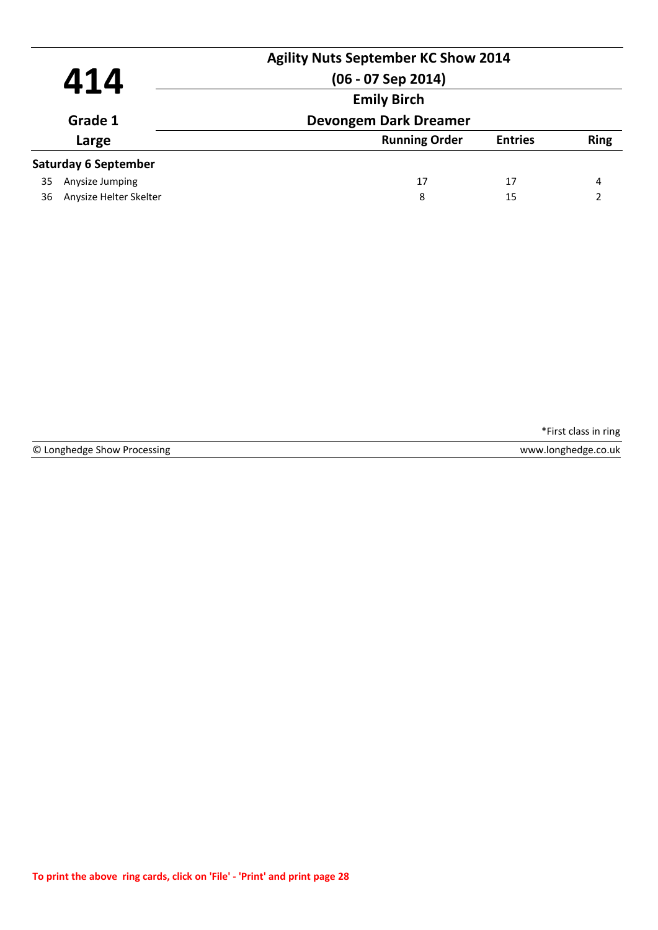|                         |                             | <b>Agility Nuts September KC Show 2014</b> |                |             |
|-------------------------|-----------------------------|--------------------------------------------|----------------|-------------|
| 414<br>Grade 1<br>Large |                             | $(06 - 07$ Sep 2014)                       |                |             |
|                         |                             | <b>Emily Birch</b>                         |                |             |
|                         |                             | <b>Devongem Dark Dreamer</b>               |                |             |
|                         |                             | <b>Running Order</b>                       | <b>Entries</b> | <b>Ring</b> |
|                         | <b>Saturday 6 September</b> |                                            |                |             |
| 35                      | Anysize Jumping             | 17                                         | 17             | 4           |
| 36                      | Anysize Helter Skelter      | 8                                          | 15             |             |
|                         |                             |                                            |                |             |

© Longhedge Show Processing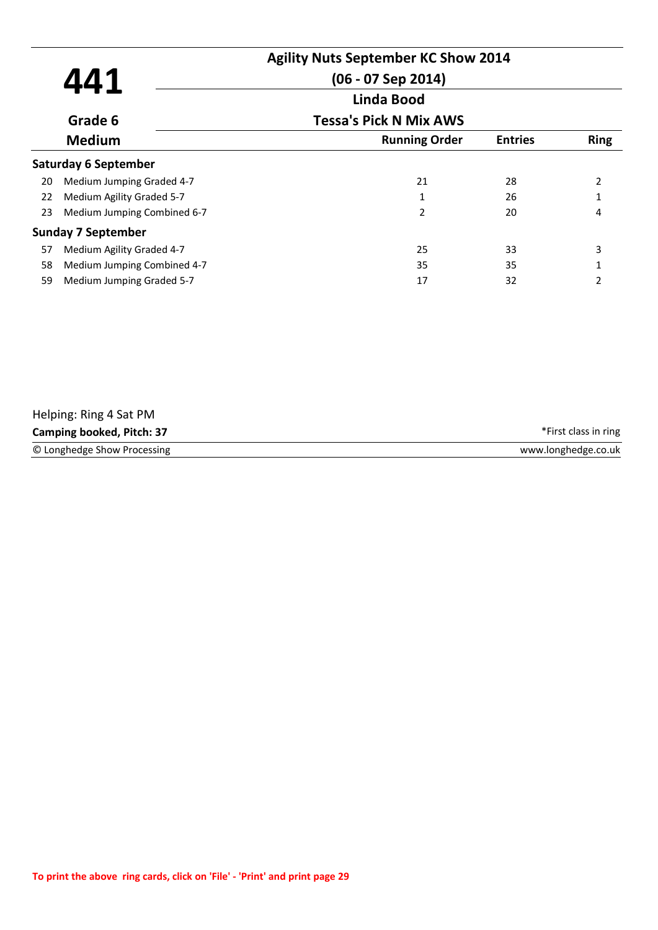|    | 441                         | <b>Agility Nuts September KC Show 2014</b><br>$(06 - 07$ Sep 2014) |                |             |
|----|-----------------------------|--------------------------------------------------------------------|----------------|-------------|
|    |                             | <b>Linda Bood</b>                                                  |                |             |
|    | Grade 6                     | <b>Tessa's Pick N Mix AWS</b>                                      |                |             |
|    | <b>Medium</b>               | <b>Running Order</b>                                               | <b>Entries</b> | <b>Ring</b> |
|    | <b>Saturday 6 September</b> |                                                                    |                |             |
| 20 | Medium Jumping Graded 4-7   | 21                                                                 | 28             | 2           |
| 22 | Medium Agility Graded 5-7   | 1                                                                  | 26             |             |
| 23 | Medium Jumping Combined 6-7 | $\overline{2}$                                                     | 20             | 4           |
|    | <b>Sunday 7 September</b>   |                                                                    |                |             |
| 57 | Medium Agility Graded 4-7   | 25                                                                 | 33             | 3           |
| 58 | Medium Jumping Combined 4-7 | 35                                                                 | 35             |             |
| 59 | Medium Jumping Graded 5-7   | 17                                                                 | 32             | 2           |

| Helping: Ring 4 Sat PM      |                      |
|-----------------------------|----------------------|
| Camping booked, Pitch: 37   | *First class in ring |
| © Longhedge Show Processing | www.longhedge.co.uk  |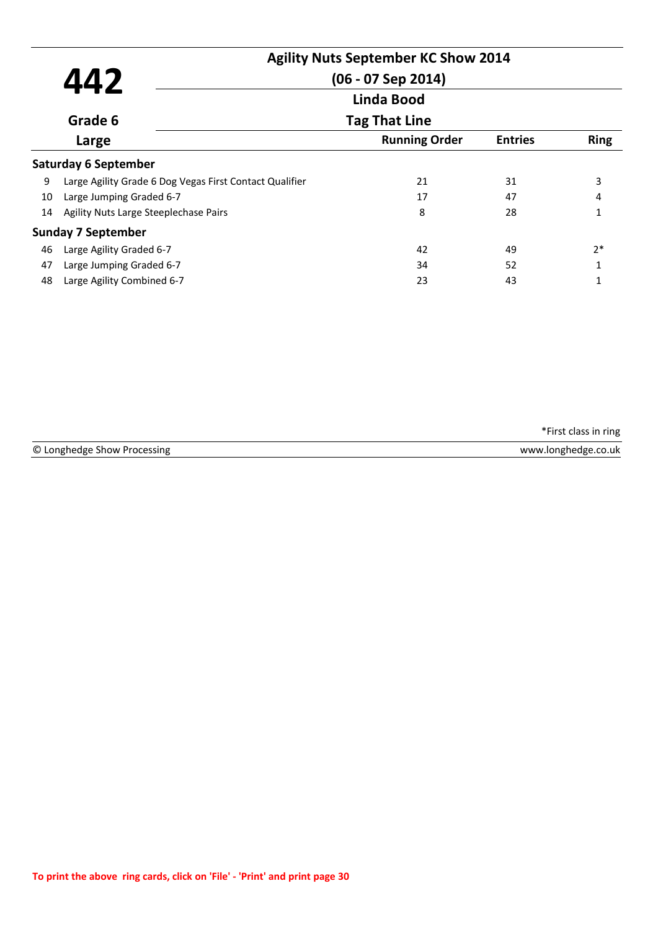|    |                                                         | <b>Agility Nuts September KC Show 2014</b> |                |              |
|----|---------------------------------------------------------|--------------------------------------------|----------------|--------------|
|    | 442                                                     | (06 - 07 Sep 2014)                         |                |              |
|    |                                                         | <b>Linda Bood</b>                          |                |              |
|    | Grade 6                                                 | <b>Tag That Line</b>                       |                |              |
|    | Large                                                   | <b>Running Order</b>                       | <b>Entries</b> | <b>Ring</b>  |
|    | <b>Saturday 6 September</b>                             |                                            |                |              |
| 9  | Large Agility Grade 6 Dog Vegas First Contact Qualifier | 21                                         | 31             | 3            |
| 10 | Large Jumping Graded 6-7                                | 17                                         | 47             | 4            |
| 14 | Agility Nuts Large Steeplechase Pairs                   | 8                                          | 28             | 1            |
|    | <b>Sunday 7 September</b>                               |                                            |                |              |
| 46 | Large Agility Graded 6-7                                | 42                                         | 49             | $2*$         |
| 47 | Large Jumping Graded 6-7                                | 34                                         | 52             | $\mathbf{1}$ |
| 48 | Large Agility Combined 6-7                              | 23                                         | 43             |              |

© Longhedge Show Processing www.longhedge.co.uk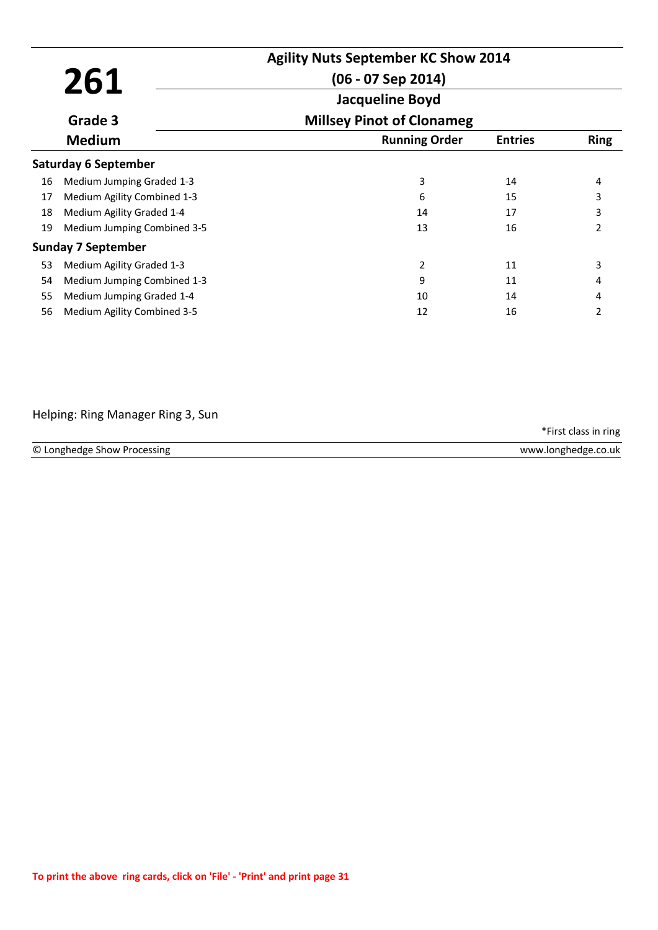|    |                             | <b>Agility Nuts September KC Show 2014</b> |                |                |
|----|-----------------------------|--------------------------------------------|----------------|----------------|
|    | 261                         | $(06 - 07$ Sep 2014)                       |                |                |
|    |                             | <b>Jacqueline Boyd</b>                     |                |                |
|    | Grade 3                     | <b>Millsey Pinot of Clonameg</b>           |                |                |
|    | <b>Medium</b>               | <b>Running Order</b>                       | <b>Entries</b> | <b>Ring</b>    |
|    | <b>Saturday 6 September</b> |                                            |                |                |
| 16 | Medium Jumping Graded 1-3   | 3                                          | 14             | 4              |
| 17 | Medium Agility Combined 1-3 | 6                                          | 15             | 3              |
| 18 | Medium Agility Graded 1-4   | 14                                         | 17             | 3              |
| 19 | Medium Jumping Combined 3-5 | 13                                         | 16             | $\overline{2}$ |
|    | <b>Sunday 7 September</b>   |                                            |                |                |
| 53 | Medium Agility Graded 1-3   | 2                                          | 11             | 3              |
| 54 | Medium Jumping Combined 1-3 | 9                                          | 11             |                |
| 55 | Medium Jumping Graded 1-4   | 10                                         | 14             | 4              |
| 56 | Medium Agility Combined 3-5 | 12                                         | 16             | 2              |

### Helping: Ring Manager Ring 3, Sun

| © Longhedge Show Processing | www.longhedge.co.uk |
|-----------------------------|---------------------|
|                             |                     |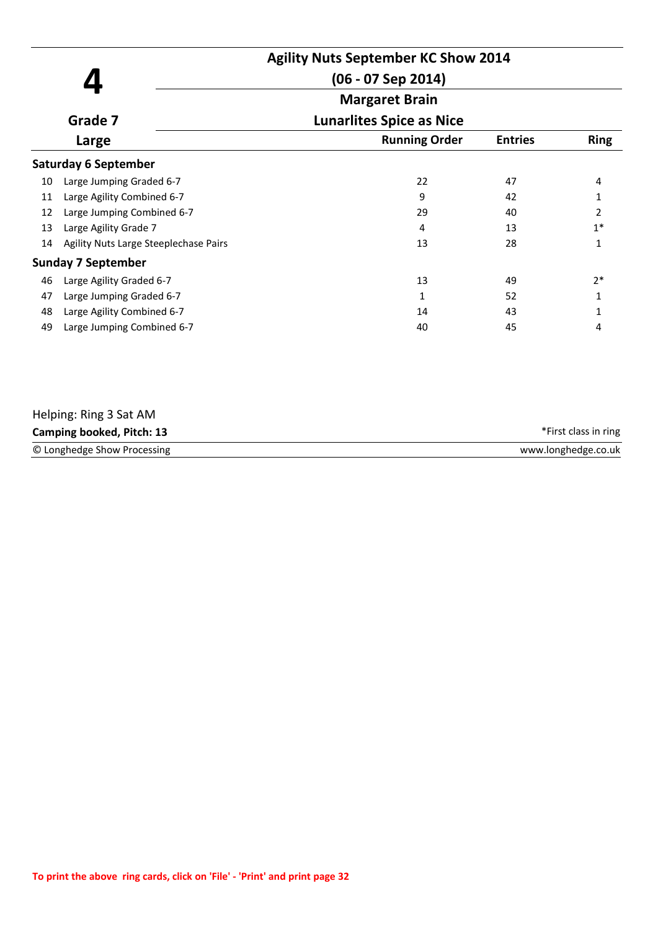|    |                                       | <b>Agility Nuts September KC Show 2014</b><br>$(06 - 07$ Sep 2014) |                |                |
|----|---------------------------------------|--------------------------------------------------------------------|----------------|----------------|
|    |                                       | <b>Margaret Brain</b>                                              |                |                |
|    | Grade 7                               | <b>Lunarlites Spice as Nice</b>                                    |                |                |
|    | Large                                 | <b>Running Order</b>                                               | <b>Entries</b> | <b>Ring</b>    |
|    | <b>Saturday 6 September</b>           |                                                                    |                |                |
| 10 | Large Jumping Graded 6-7              | 22                                                                 | 47             | 4              |
| 11 | Large Agility Combined 6-7            | 9                                                                  | 42             |                |
| 12 | Large Jumping Combined 6-7            | 29                                                                 | 40             | $\overline{2}$ |
| 13 | Large Agility Grade 7                 | 4                                                                  | 13             | $1*$           |
| 14 | Agility Nuts Large Steeplechase Pairs | 13                                                                 | 28             | 1              |
|    | <b>Sunday 7 September</b>             |                                                                    |                |                |
| 46 | Large Agility Graded 6-7              | 13                                                                 | 49             | $2*$           |
| 47 | Large Jumping Graded 6-7              | 1                                                                  | 52             | 1              |
| 48 | Large Agility Combined 6-7            | 14                                                                 | 43             |                |
| 49 | Large Jumping Combined 6-7            | 40                                                                 | 45             | 4              |
|    |                                       |                                                                    |                |                |

| Helping: Ring 3 Sat AM      |                      |
|-----------------------------|----------------------|
| Camping booked, Pitch: 13   | *First class in ring |
| © Longhedge Show Processing | www.longhedge.co.uk  |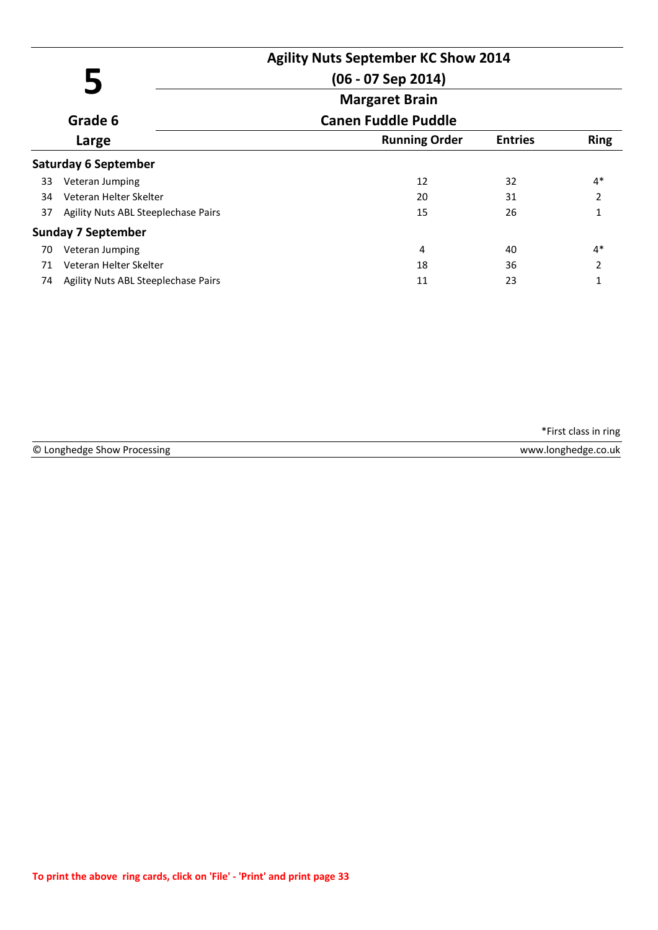|    |                                     | <b>Agility Nuts September KC Show 2014</b> |                |                |
|----|-------------------------------------|--------------------------------------------|----------------|----------------|
|    |                                     | $(06 - 07$ Sep 2014)                       |                |                |
|    |                                     | <b>Margaret Brain</b>                      |                |                |
|    | Grade 6                             | <b>Canen Fuddle Puddle</b>                 |                | <b>Ring</b>    |
|    | Large                               | <b>Running Order</b>                       | <b>Entries</b> |                |
|    | <b>Saturday 6 September</b>         |                                            |                |                |
| 33 | Veteran Jumping                     | 12                                         | 32             | $4*$           |
| 34 | Veteran Helter Skelter              | 20                                         | 31             | 2              |
| 37 | Agility Nuts ABL Steeplechase Pairs | 15                                         | 26             | $\mathbf{1}$   |
|    | <b>Sunday 7 September</b>           |                                            |                |                |
| 70 | Veteran Jumping                     | 4                                          | 40             | $4*$           |
| 71 | Veteran Helter Skelter              | 18                                         | 36             | $\overline{2}$ |
| 74 | Agility Nuts ABL Steeplechase Pairs | 11                                         | 23             | 1              |

| © Longhedge<br>ocessing<br>∴ show Pr | <b>WWW</b><br>o.uk<br><b>IONGNANGA</b> |
|--------------------------------------|----------------------------------------|
|                                      |                                        |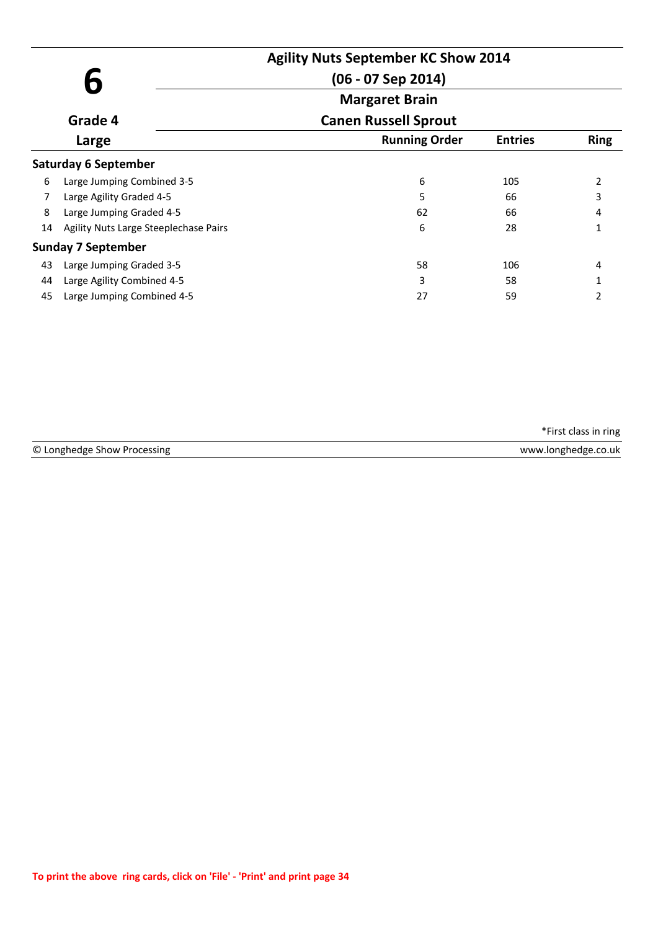|       |                                       | <b>Agility Nuts September KC Show 2014</b><br>$(06 - 07$ Sep 2014) |                |                |
|-------|---------------------------------------|--------------------------------------------------------------------|----------------|----------------|
|       |                                       | <b>Margaret Brain</b>                                              |                |                |
|       | Grade 4                               | <b>Canen Russell Sprout</b>                                        |                | <b>Ring</b>    |
| Large |                                       | <b>Running Order</b>                                               | <b>Entries</b> |                |
|       | <b>Saturday 6 September</b>           |                                                                    |                |                |
| 6     | Large Jumping Combined 3-5            | 6                                                                  | 105            | $\overline{2}$ |
|       | Large Agility Graded 4-5              | 5                                                                  | 66             | 3              |
| 8     | Large Jumping Graded 4-5              | 62                                                                 | 66             | 4              |
| 14    | Agility Nuts Large Steeplechase Pairs | 6                                                                  | 28             | 1              |
|       | <b>Sunday 7 September</b>             |                                                                    |                |                |
| 43    | Large Jumping Graded 3-5              | 58                                                                 | 106            | 4              |
| 44    | Large Agility Combined 4-5            | 3                                                                  | 58             |                |
| 45    | Large Jumping Combined 4-5            | 27                                                                 | 59             | 2              |

© Longhedge Show Processing www.longhedge.co.uk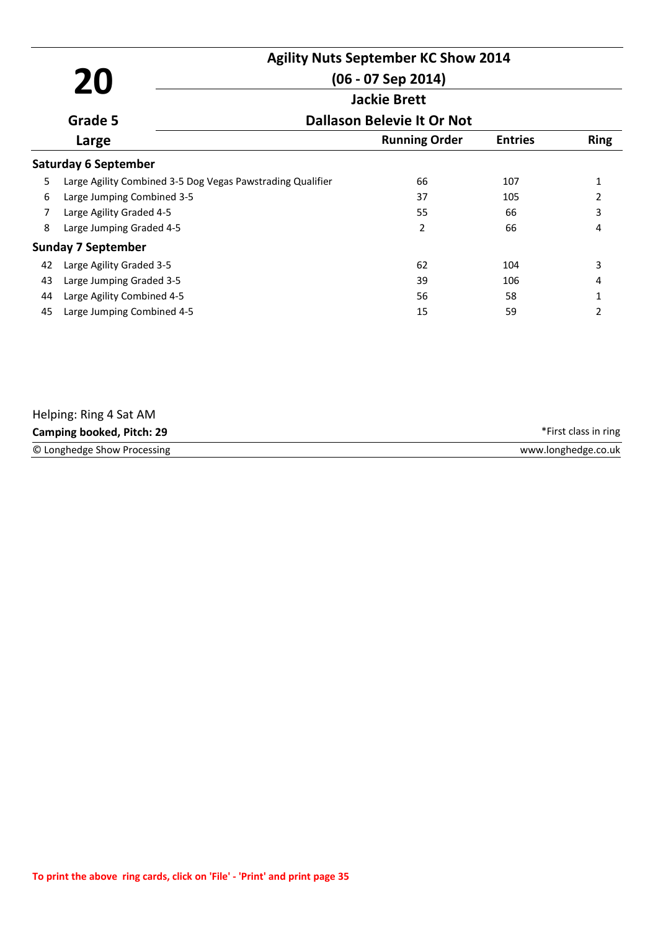|    |                                                            | <b>Agility Nuts September KC Show 2014</b> |                |                |
|----|------------------------------------------------------------|--------------------------------------------|----------------|----------------|
| 20 |                                                            | $(06 - 07$ Sep 2014)                       |                |                |
|    |                                                            | <b>Jackie Brett</b>                        |                |                |
|    | Grade 5                                                    | <b>Dallason Belevie It Or Not</b>          |                |                |
|    | Large                                                      | <b>Running Order</b>                       | <b>Entries</b> | <b>Ring</b>    |
|    | <b>Saturday 6 September</b>                                |                                            |                |                |
| 5  | Large Agility Combined 3-5 Dog Vegas Pawstrading Qualifier | 66                                         | 107            | 1              |
| 6  | Large Jumping Combined 3-5                                 | 37                                         | 105            | 2              |
| 7  | Large Agility Graded 4-5                                   | 55                                         | 66             | 3              |
| 8  | Large Jumping Graded 4-5                                   | 2                                          | 66             | 4              |
|    | <b>Sunday 7 September</b>                                  |                                            |                |                |
| 42 | Large Agility Graded 3-5                                   | 62                                         | 104            | 3              |
| 43 | Large Jumping Graded 3-5                                   | 39                                         | 106            | 4              |
| 44 | Large Agility Combined 4-5                                 | 56                                         | 58             | $\mathbf{1}$   |
| 45 | Large Jumping Combined 4-5                                 | 15                                         | 59             | $\overline{2}$ |

| Helping: Ring 4 Sat AM      |                      |
|-----------------------------|----------------------|
| Camping booked, Pitch: 29   | *First class in ring |
| © Longhedge Show Processing | www.longhedge.co.uk  |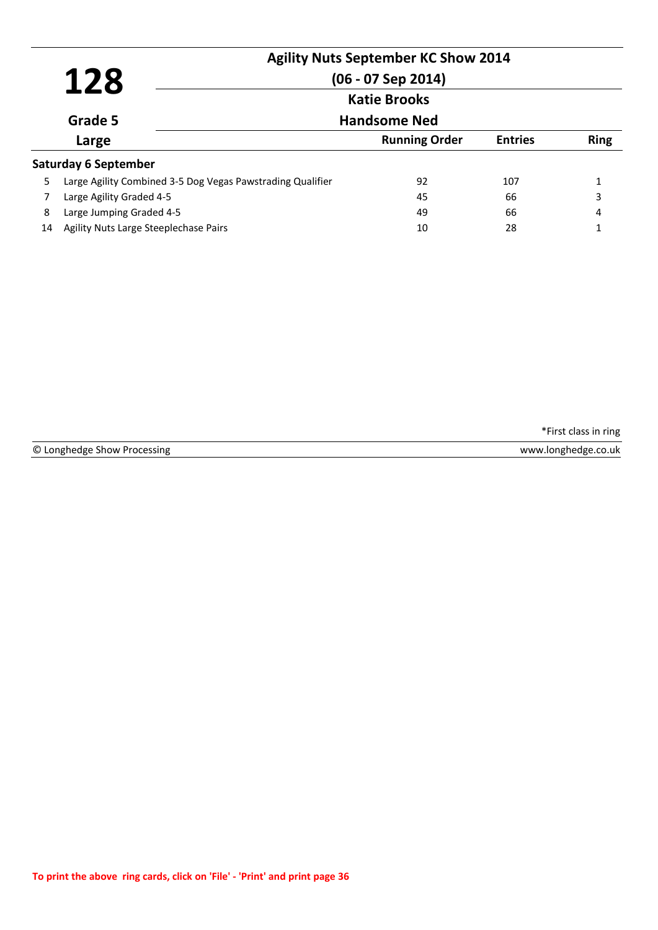|    | 128                                                        | <b>Agility Nuts September KC Show 2014</b><br>$(06 - 07$ Sep 2014) |                |             |
|----|------------------------------------------------------------|--------------------------------------------------------------------|----------------|-------------|
|    |                                                            | <b>Katie Brooks</b>                                                |                |             |
|    | Grade 5                                                    | <b>Handsome Ned</b>                                                |                |             |
|    | Large                                                      | <b>Running Order</b>                                               | <b>Entries</b> | <b>Ring</b> |
|    | <b>Saturday 6 September</b>                                |                                                                    |                |             |
| 5. | Large Agility Combined 3-5 Dog Vegas Pawstrading Qualifier | 92                                                                 | 107            |             |
|    | Large Agility Graded 4-5                                   | 45                                                                 | 66             | 3           |
| 8  | Large Jumping Graded 4-5                                   | 49                                                                 | 66             | 4           |
| 14 | Agility Nuts Large Steeplechase Pairs                      | 10                                                                 | 28             |             |

© Longhedge Show Processing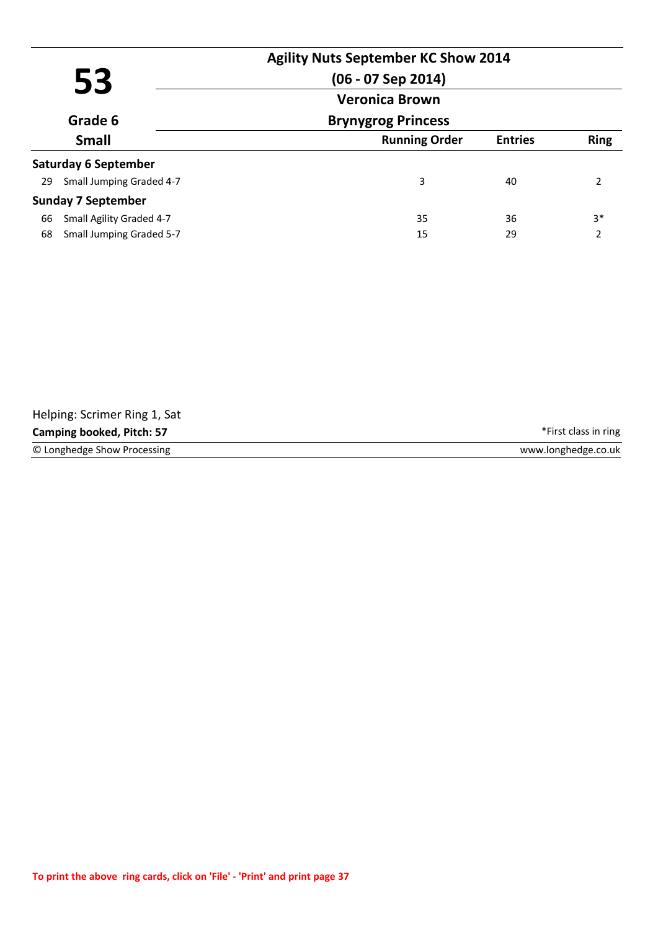| 53<br>Grade 6 |                             | <b>Agility Nuts September KC Show 2014</b><br>$(06 - 07$ Sep 2014)<br><b>Veronica Brown</b> |                |               |
|---------------|-----------------------------|---------------------------------------------------------------------------------------------|----------------|---------------|
|               |                             | <b>Brynygrog Princess</b>                                                                   |                |               |
|               | <b>Small</b>                | <b>Running Order</b>                                                                        | <b>Entries</b> | <b>Ring</b>   |
|               | <b>Saturday 6 September</b> |                                                                                             |                |               |
| 29            | Small Jumping Graded 4-7    | 3                                                                                           | 40             | $\mathcal{L}$ |
|               | <b>Sunday 7 September</b>   |                                                                                             |                |               |
| 66            | Small Agility Graded 4-7    | 35                                                                                          | 36             | $3*$          |
| 68            | Small Jumping Graded 5-7    | 15                                                                                          | 29             | 2             |

| Helping: Scrimer Ring 1, Sat     |                      |
|----------------------------------|----------------------|
| <b>Camping booked, Pitch: 57</b> | *First class in ring |
| © Longhedge Show Processing      | www.longhedge.co.uk  |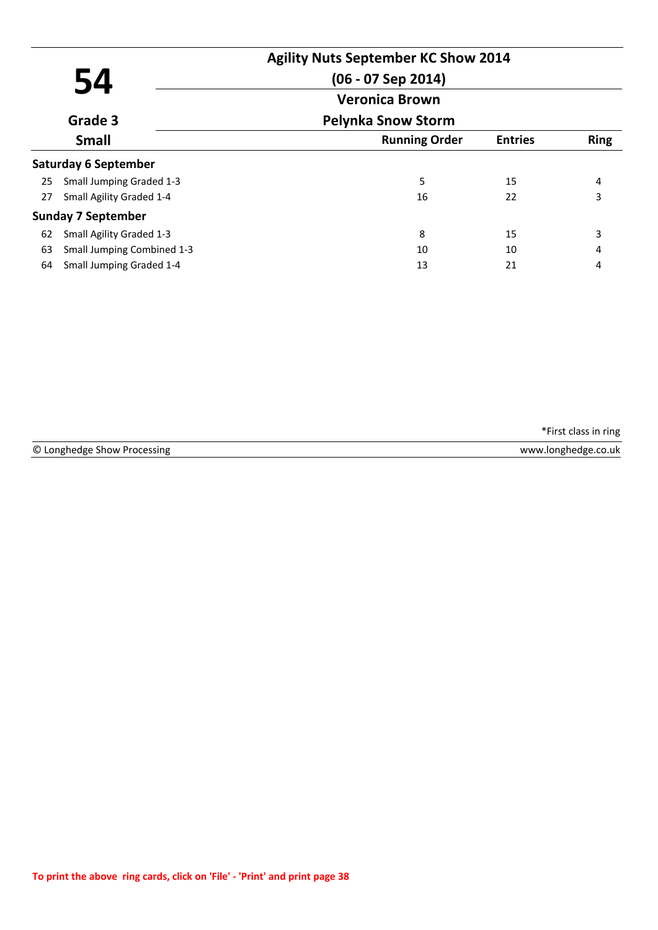|    |                             | <b>Agility Nuts September KC Show 2014</b> |                |             |
|----|-----------------------------|--------------------------------------------|----------------|-------------|
| 54 |                             | $(06 - 07$ Sep 2014)                       |                |             |
|    |                             | <b>Veronica Brown</b>                      |                |             |
|    | Grade 3                     | <b>Pelynka Snow Storm</b>                  |                |             |
|    | <b>Small</b>                | <b>Running Order</b>                       | <b>Entries</b> | <b>Ring</b> |
|    | <b>Saturday 6 September</b> |                                            |                |             |
| 25 | Small Jumping Graded 1-3    | 5                                          | 15             | 4           |
| 27 | Small Agility Graded 1-4    | 16                                         | 22             | 3           |
|    | <b>Sunday 7 September</b>   |                                            |                |             |
| 62 | Small Agility Graded 1-3    | 8                                          | 15             | 3           |
| 63 | Small Jumping Combined 1-3  | 10                                         | 10             | 4           |
| 64 | Small Jumping Graded 1-4    | 13                                         | 21             | 4           |

© Longhedge Show Processing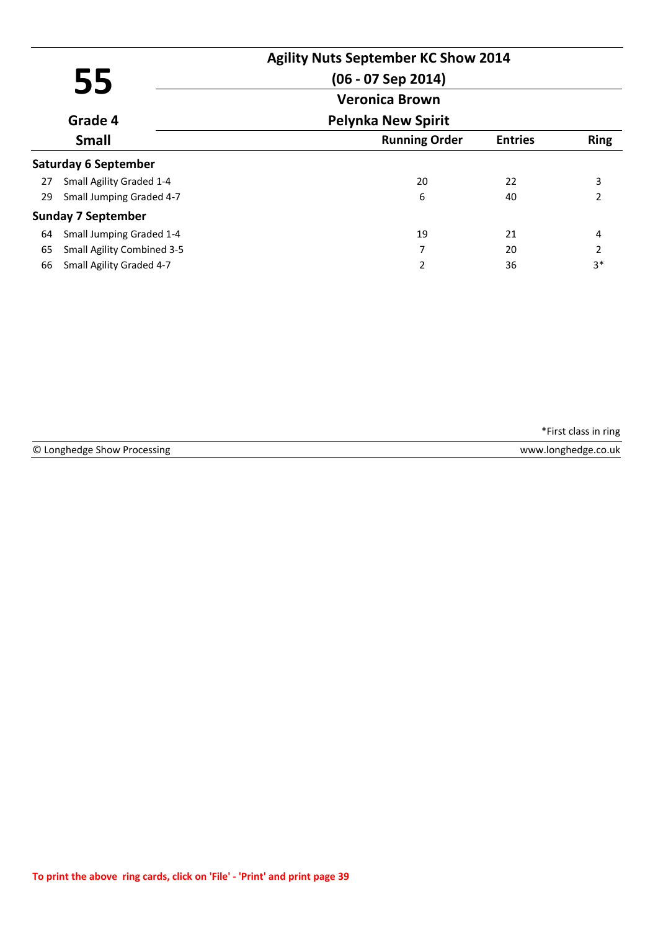|    |                                   | <b>Agility Nuts September KC Show 2014</b> |                |                |
|----|-----------------------------------|--------------------------------------------|----------------|----------------|
| 55 |                                   | $(06 - 07$ Sep 2014)                       |                |                |
|    |                                   | <b>Veronica Brown</b>                      |                |                |
|    | Grade 4                           | <b>Pelynka New Spirit</b>                  |                |                |
|    | <b>Small</b>                      | <b>Running Order</b>                       | <b>Entries</b> | <b>Ring</b>    |
|    | <b>Saturday 6 September</b>       |                                            |                |                |
| 27 | Small Agility Graded 1-4          | 20                                         | 22             | 3              |
| 29 | Small Jumping Graded 4-7          | 6                                          | 40             | 2              |
|    | <b>Sunday 7 September</b>         |                                            |                |                |
| 64 | Small Jumping Graded 1-4          | 19                                         | 21             | 4              |
| 65 | <b>Small Agility Combined 3-5</b> | 7                                          | 20             | $\overline{2}$ |
| 66 | Small Agility Graded 4-7          | 2                                          | 36             | $3*$           |

© Longhedge Show Processing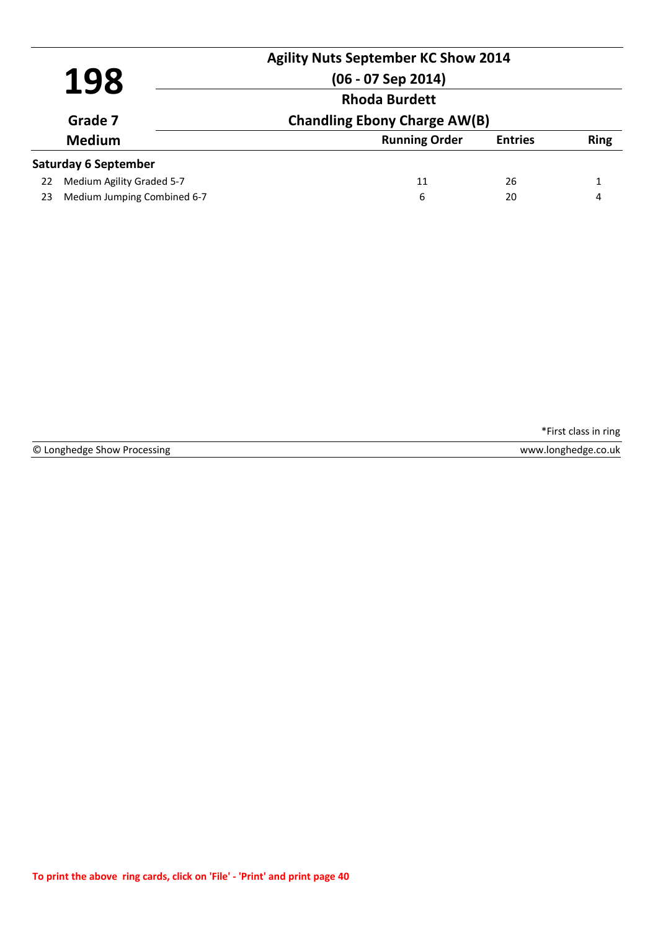|         |                             | <b>Agility Nuts September KC Show 2014</b> |                |             |
|---------|-----------------------------|--------------------------------------------|----------------|-------------|
| 198     |                             | $(06 - 07$ Sep 2014)                       |                |             |
| Grade 7 | <b>Rhoda Burdett</b>        |                                            |                |             |
|         |                             | <b>Chandling Ebony Charge AW(B)</b>        |                |             |
|         | <b>Medium</b>               | <b>Running Order</b>                       | <b>Entries</b> | <b>Ring</b> |
|         | <b>Saturday 6 September</b> |                                            |                |             |
| 22      | Medium Agility Graded 5-7   | 11                                         | 26             |             |
| 23      | Medium Jumping Combined 6-7 | 6                                          | 20             | 4           |

|  | © Longhedge Show Processing |  |  |  |
|--|-----------------------------|--|--|--|
|--|-----------------------------|--|--|--|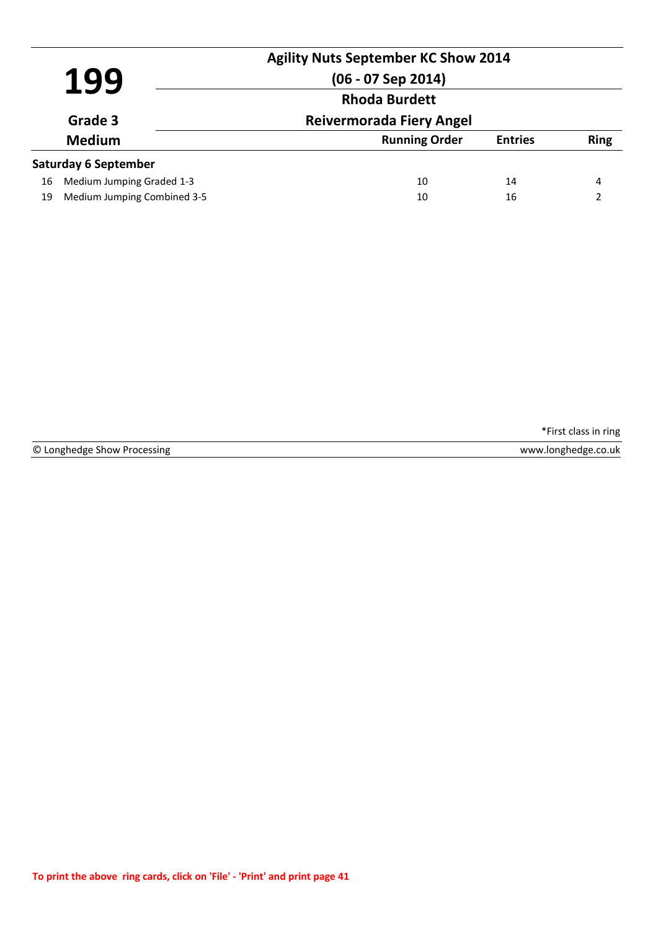| 199 |                             | <b>Agility Nuts September KC Show 2014</b><br>$(06 - 07$ Sep 2014) |                |             |
|-----|-----------------------------|--------------------------------------------------------------------|----------------|-------------|
|     |                             | <b>Rhoda Burdett</b>                                               |                |             |
|     | Grade 3                     | <b>Reivermorada Fiery Angel</b>                                    |                |             |
|     | <b>Medium</b>               | <b>Running Order</b>                                               | <b>Entries</b> | <b>Ring</b> |
|     | <b>Saturday 6 September</b> |                                                                    |                |             |
| 16  | Medium Jumping Graded 1-3   | 10                                                                 | 14             | 4           |
| 19  | Medium Jumping Combined 3-5 | 10                                                                 | 16             | າ           |

© Longhedge Show Processing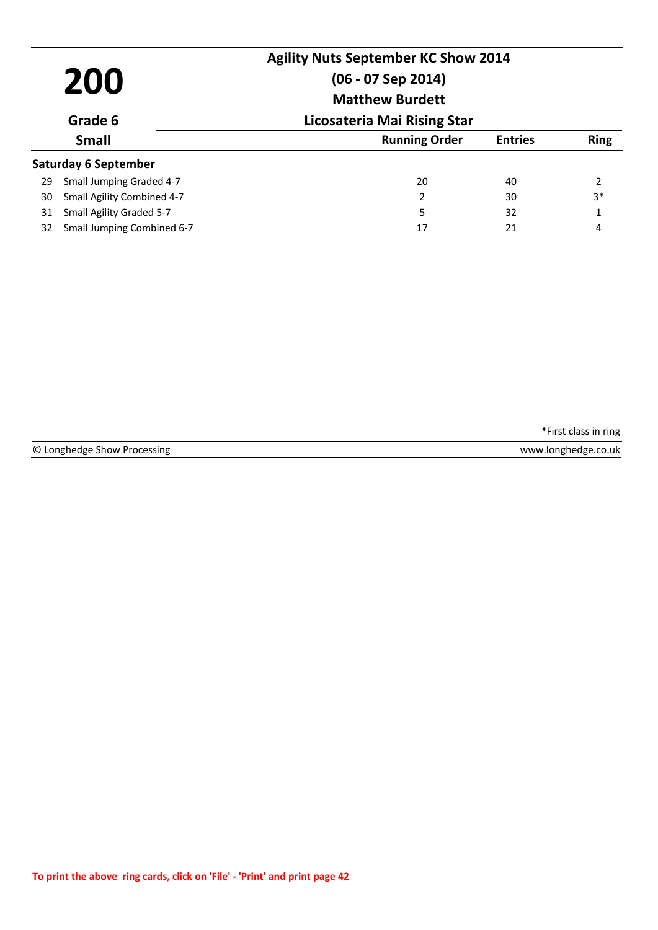| 200<br>Grade 6 |                             | <b>Agility Nuts September KC Show 2014</b><br>$(06 - 07$ Sep 2014)<br><b>Matthew Burdett</b> |                |                |
|----------------|-----------------------------|----------------------------------------------------------------------------------------------|----------------|----------------|
|                |                             | Licosateria Mai Rising Star                                                                  |                |                |
|                | <b>Small</b>                | <b>Running Order</b>                                                                         | <b>Entries</b> | <b>Ring</b>    |
|                | <b>Saturday 6 September</b> |                                                                                              |                |                |
| 29             | Small Jumping Graded 4-7    | 20                                                                                           | 40             | $\overline{2}$ |
| 30             | Small Agility Combined 4-7  | 2                                                                                            | 30             | $3*$           |
| 31             | Small Agility Graded 5-7    | 5                                                                                            | 32             | 1              |
| 32             | Small Jumping Combined 6-7  | 17                                                                                           | 21             | 4              |

|  | © Longhedge Show Processing |  |  |  |
|--|-----------------------------|--|--|--|
|--|-----------------------------|--|--|--|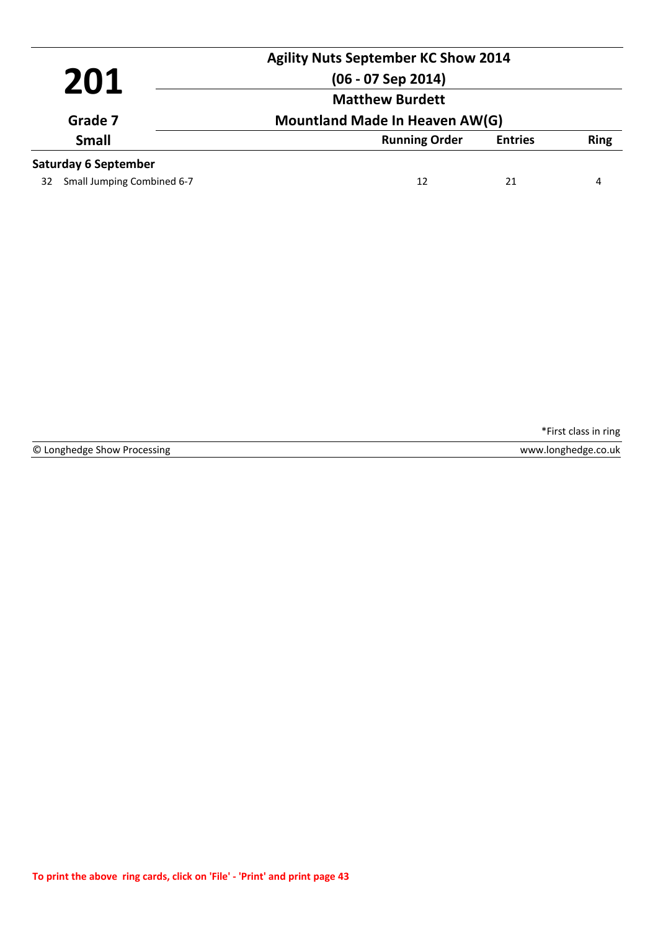|                         |                             | <b>Agility Nuts September KC Show 2014</b> |                |             |
|-------------------------|-----------------------------|--------------------------------------------|----------------|-------------|
|                         | 201                         | $(06 - 07$ Sep 2014)                       |                |             |
| Grade 7<br><b>Small</b> |                             | <b>Matthew Burdett</b>                     |                |             |
|                         |                             | Mountland Made In Heaven AW(G)             |                |             |
|                         |                             | <b>Running Order</b>                       | <b>Entries</b> | <b>Ring</b> |
|                         | <b>Saturday 6 September</b> |                                            |                |             |
| 32                      | Small Jumping Combined 6-7  | 12                                         | 21             | 4           |

© Longhedge Show Processing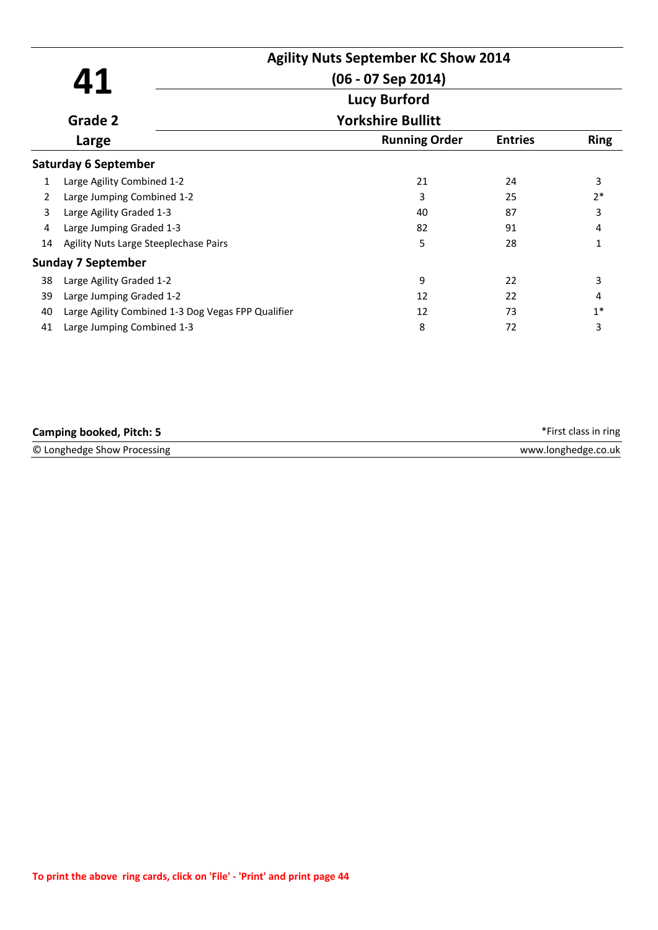|    |                                                    | <b>Agility Nuts September KC Show 2014</b> |                |             |
|----|----------------------------------------------------|--------------------------------------------|----------------|-------------|
|    | Δ1                                                 | $(06 - 07$ Sep 2014)                       |                |             |
|    |                                                    | <b>Lucy Burford</b>                        |                |             |
|    | Grade 2                                            | <b>Yorkshire Bullitt</b>                   |                |             |
|    | Large                                              | <b>Running Order</b>                       | <b>Entries</b> | <b>Ring</b> |
|    | <b>Saturday 6 September</b>                        |                                            |                |             |
| 1  | Large Agility Combined 1-2                         | 21                                         | 24             | 3           |
| 2  | Large Jumping Combined 1-2                         | 3                                          | 25             | $2*$        |
| 3  | Large Agility Graded 1-3                           | 40                                         | 87             | 3           |
| 4  | Large Jumping Graded 1-3                           | 82                                         | 91             | 4           |
| 14 | Agility Nuts Large Steeplechase Pairs              | 5                                          | 28             | 1           |
|    | <b>Sunday 7 September</b>                          |                                            |                |             |
| 38 | Large Agility Graded 1-2                           | 9                                          | 22             | 3           |
| 39 | Large Jumping Graded 1-2                           | 12                                         | 22             | 4           |
| 40 | Large Agility Combined 1-3 Dog Vegas FPP Qualifier | 12                                         | 73             | $1*$        |
| 41 | Large Jumping Combined 1-3                         | 8                                          | 72             | 3           |

| <b>Camping booked, Pitch: 5</b> | *First class in ring |
|---------------------------------|----------------------|
| © Longhedge Show Processing     | www.longhedge.co.uk  |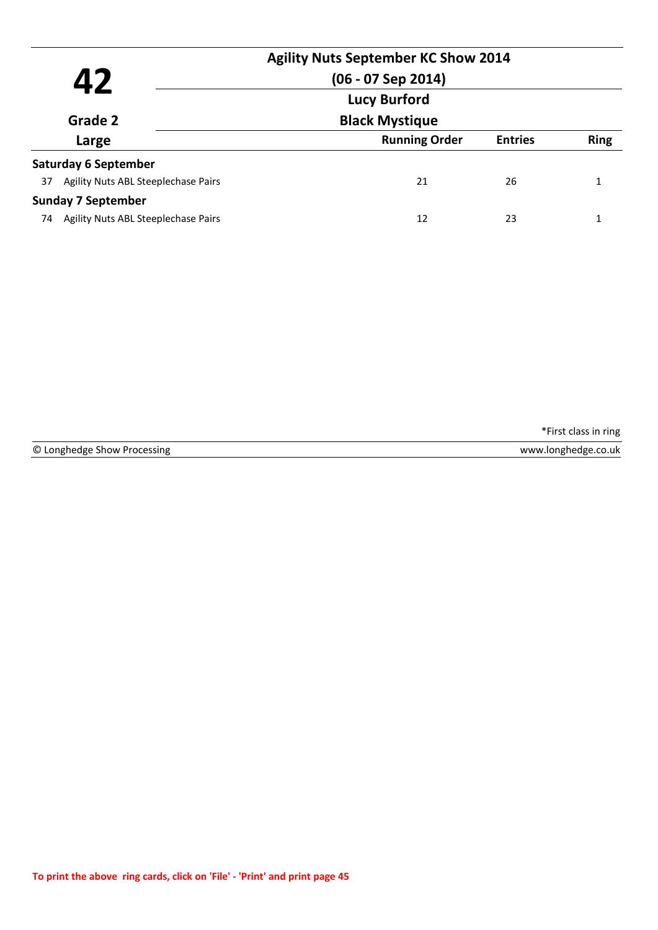|         |                                     | <b>Agility Nuts September KC Show 2014</b> |                |             |
|---------|-------------------------------------|--------------------------------------------|----------------|-------------|
|         | Д7                                  | $(06 - 07$ Sep 2014)                       |                |             |
|         |                                     | <b>Lucy Burford</b>                        |                |             |
| Grade 2 |                                     | <b>Black Mystique</b>                      |                |             |
|         | Large                               | <b>Running Order</b>                       | <b>Entries</b> | <b>Ring</b> |
|         | <b>Saturday 6 September</b>         |                                            |                |             |
| 37      | Agility Nuts ABL Steeplechase Pairs | 21                                         | 26             |             |
|         | <b>Sunday 7 September</b>           |                                            |                |             |
| 74      | Agility Nuts ABL Steeplechase Pairs | 12                                         | 23             |             |
|         |                                     |                                            |                |             |

© Longhedge Show Processing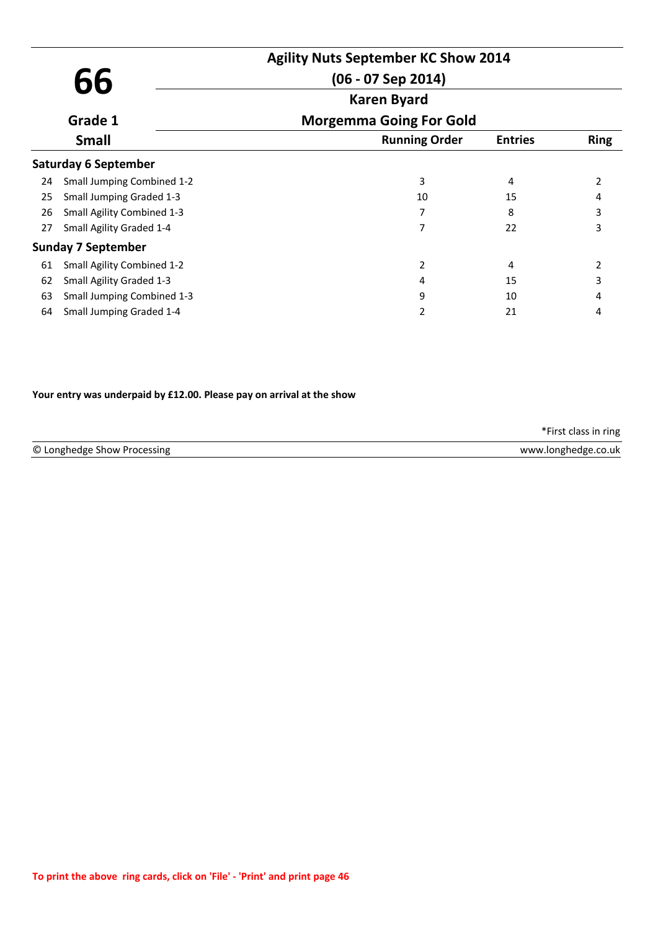|                                                        |                                 | <b>Agility Nuts September KC Show 2014</b> |                |             |
|--------------------------------------------------------|---------------------------------|--------------------------------------------|----------------|-------------|
| 66                                                     |                                 | $(06 - 07$ Sep 2014)                       |                |             |
| Grade 1<br><b>Small</b><br><b>Saturday 6 September</b> | <b>Karen Byard</b>              |                                            |                |             |
|                                                        |                                 | <b>Morgemma Going For Gold</b>             |                |             |
|                                                        |                                 | <b>Running Order</b>                       | <b>Entries</b> | <b>Ring</b> |
|                                                        |                                 |                                            |                |             |
| 24                                                     | Small Jumping Combined 1-2      | 3                                          | 4              | 2           |
| 25                                                     | <b>Small Jumping Graded 1-3</b> | 10                                         | 15             |             |
| 26                                                     | Small Agility Combined 1-3      |                                            | 8              | 3           |
| 27                                                     | Small Agility Graded 1-4        |                                            | 22             | 3           |
|                                                        | <b>Sunday 7 September</b>       |                                            |                |             |
| 61                                                     | Small Agility Combined 1-2      | 2                                          | 4              | 2           |
| 62                                                     | Small Agility Graded 1-3        | 4                                          | 15             | 3           |
| 63                                                     | Small Jumping Combined 1-3      | 9                                          | 10             | 4           |
| 64                                                     | Small Jumping Graded 1-4        | 2                                          | 21             | 4           |
|                                                        |                                 |                                            |                |             |

#### **Your entry was underpaid by £12.00. Please pay on arrival at the show**

|                             | *First class in ring |
|-----------------------------|----------------------|
| © Longhedge Show Processing | www.longhedge.co.uk  |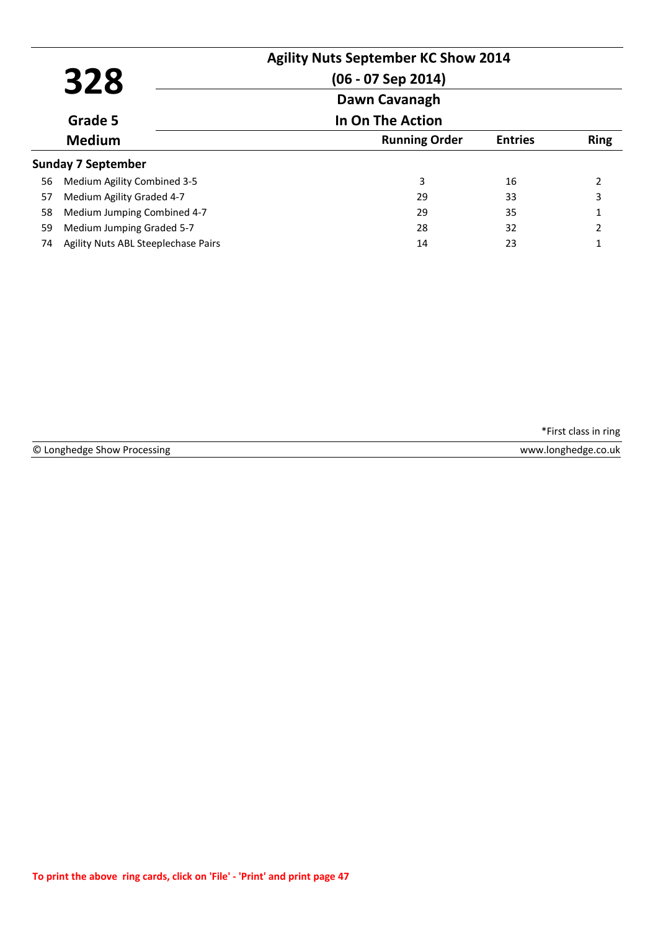| 328 |                                     | <b>Agility Nuts September KC Show 2014</b><br>$(06 - 07$ Sep 2014)<br>Dawn Cavanagh |                |             |
|-----|-------------------------------------|-------------------------------------------------------------------------------------|----------------|-------------|
|     | Grade 5                             | In On The Action                                                                    |                |             |
|     | <b>Medium</b>                       | <b>Running Order</b>                                                                | <b>Entries</b> | <b>Ring</b> |
|     | <b>Sunday 7 September</b>           |                                                                                     |                |             |
| 56  | Medium Agility Combined 3-5         | 3                                                                                   | 16             |             |
| 57  | Medium Agility Graded 4-7           | 29                                                                                  | 33             | 3           |
| 58  | Medium Jumping Combined 4-7         | 29                                                                                  | 35             | 1           |
| 59  | Medium Jumping Graded 5-7           | 28                                                                                  | 32             | 2           |
| 74  | Agility Nuts ABL Steeplechase Pairs | 14                                                                                  | 23             | 1           |

|  | © Longhedge Show Processing |  |  |  |
|--|-----------------------------|--|--|--|
|--|-----------------------------|--|--|--|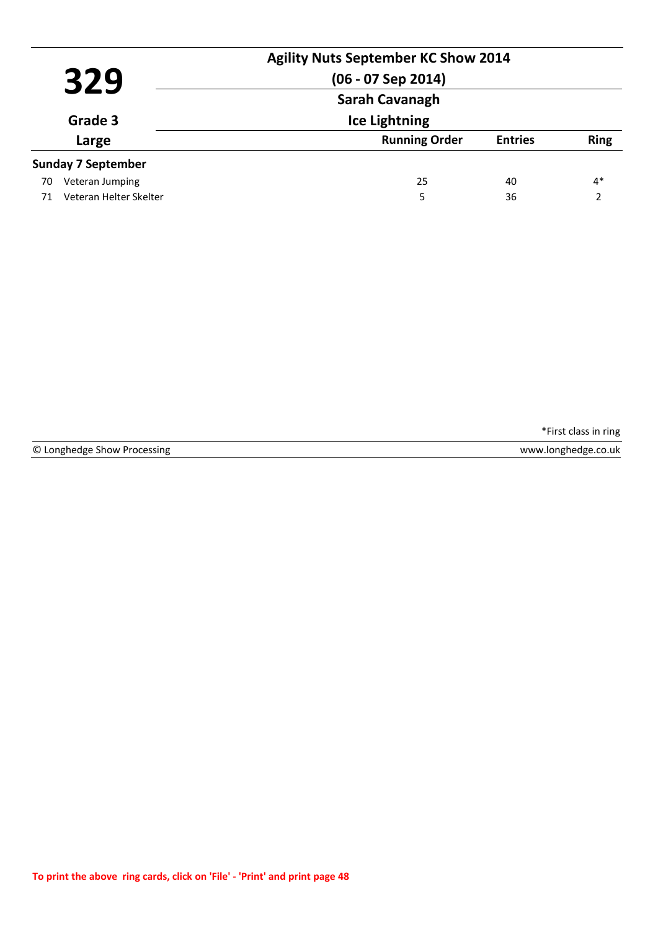|                  | 329                       | <b>Agility Nuts September KC Show 2014</b><br>$(06 - 07$ Sep 2014)<br>Sarah Cavanagh |                |             |
|------------------|---------------------------|--------------------------------------------------------------------------------------|----------------|-------------|
| Grade 3<br>Large |                           | <b>Ice Lightning</b>                                                                 |                |             |
|                  |                           | <b>Running Order</b>                                                                 | <b>Entries</b> | <b>Ring</b> |
|                  | <b>Sunday 7 September</b> |                                                                                      |                |             |
| 70               | Veteran Jumping           | 25                                                                                   | 40             | $4*$        |
| 71               | Veteran Helter Skelter    | 5                                                                                    | 36             | າ           |

© Longhedge Show Processing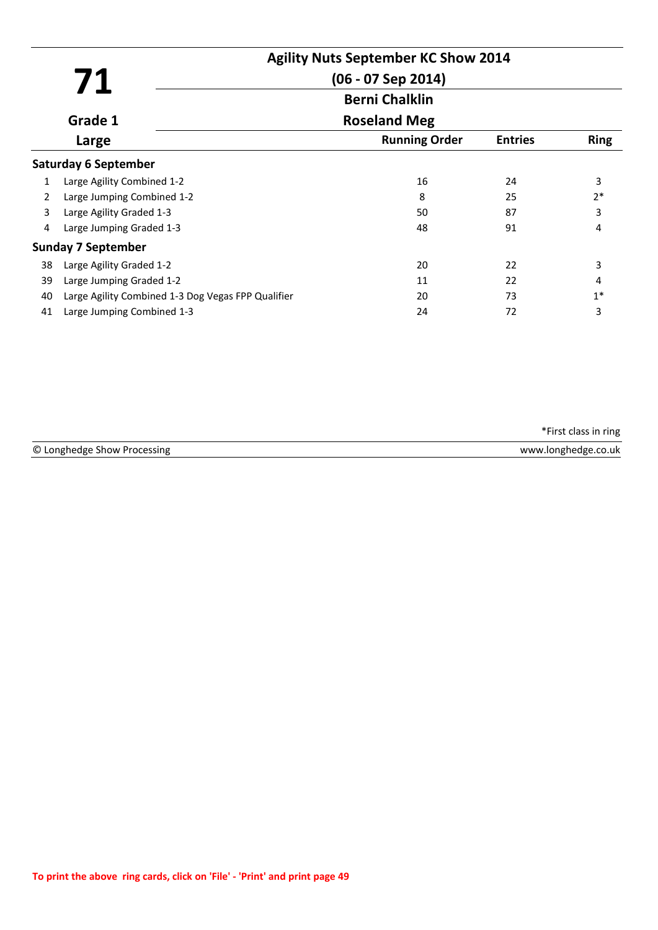|    |                                                    | <b>Agility Nuts September KC Show 2014</b> |                |             |
|----|----------------------------------------------------|--------------------------------------------|----------------|-------------|
|    | 71                                                 | $(06 - 07$ Sep 2014)                       |                |             |
|    |                                                    | <b>Berni Chalklin</b>                      |                |             |
|    | Grade 1                                            | <b>Roseland Meg</b>                        |                |             |
|    | Large                                              | <b>Running Order</b>                       | <b>Entries</b> | <b>Ring</b> |
|    | <b>Saturday 6 September</b>                        |                                            |                |             |
| 1  | Large Agility Combined 1-2                         | 16                                         | 24             | 3           |
| 2  | Large Jumping Combined 1-2                         | 8                                          | 25             | $2*$        |
| 3  | Large Agility Graded 1-3                           | 50                                         | 87             | 3           |
| 4  | Large Jumping Graded 1-3                           | 48                                         | 91             | 4           |
|    | <b>Sunday 7 September</b>                          |                                            |                |             |
| 38 | Large Agility Graded 1-2                           | 20                                         | 22             | 3           |
| 39 | Large Jumping Graded 1-2                           | 11                                         | 22             | 4           |
| 40 | Large Agility Combined 1-3 Dog Vegas FPP Qualifier | 20                                         | 73             | $1*$        |
| 41 | Large Jumping Combined 1-3                         | 24                                         | 72             | 3           |

© Longhedge Show Processing \*First class in ring www.longhedge.co.uk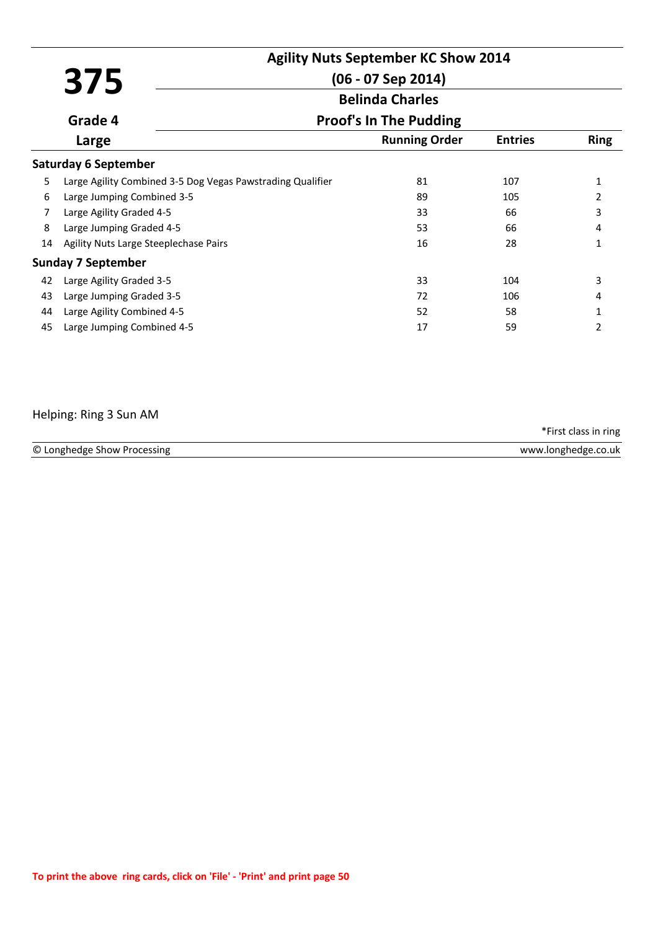|    | 375                                                        |                               |                |                |  |
|----|------------------------------------------------------------|-------------------------------|----------------|----------------|--|
|    |                                                            | $(06 - 07$ Sep 2014)          |                |                |  |
|    |                                                            | <b>Belinda Charles</b>        |                |                |  |
|    | Grade 4                                                    | <b>Proof's In The Pudding</b> |                |                |  |
|    | Large                                                      | <b>Running Order</b>          | <b>Entries</b> | <b>Ring</b>    |  |
|    | <b>Saturday 6 September</b>                                |                               |                |                |  |
| 5  | Large Agility Combined 3-5 Dog Vegas Pawstrading Qualifier | 81                            | 107            | 1              |  |
| 6  | Large Jumping Combined 3-5                                 | 89                            | 105            | $\overline{2}$ |  |
| 7  | Large Agility Graded 4-5                                   | 33                            | 66             | 3              |  |
| 8  | Large Jumping Graded 4-5                                   | 53                            | 66             | 4              |  |
| 14 | Agility Nuts Large Steeplechase Pairs                      | 16                            | 28             | 1              |  |
|    | <b>Sunday 7 September</b>                                  |                               |                |                |  |
| 42 | Large Agility Graded 3-5                                   | 33                            | 104            | 3              |  |
| 43 | Large Jumping Graded 3-5                                   | 72                            | 106            | 4              |  |
| 44 | Large Agility Combined 4-5                                 | 52                            | 58             | 1              |  |
| 45 | Large Jumping Combined 4-5                                 | 17                            | 59             | 2              |  |

### Helping: Ring 3 Sun AM

| © Longhedge Show Processing | www.longhedge.co.uk |
|-----------------------------|---------------------|
|                             |                     |

\*First class in ring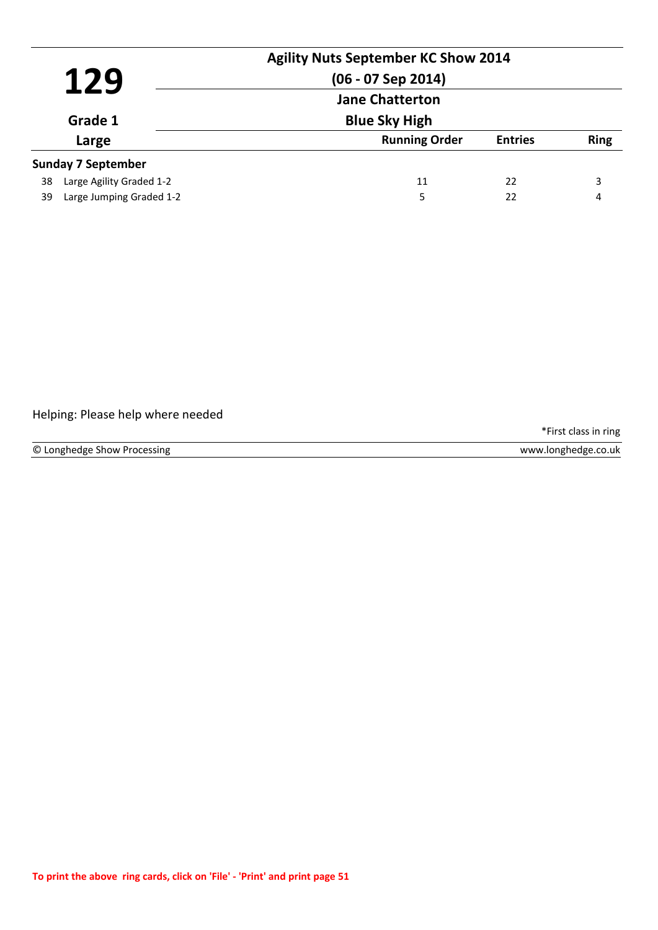|                  | 129                       | <b>Agility Nuts September KC Show 2014</b><br>$(06 - 07$ Sep 2014) |                |             |
|------------------|---------------------------|--------------------------------------------------------------------|----------------|-------------|
| Grade 1<br>Large |                           | <b>Jane Chatterton</b><br><b>Blue Sky High</b>                     |                |             |
|                  |                           | <b>Running Order</b>                                               | <b>Entries</b> | <b>Ring</b> |
|                  | <b>Sunday 7 September</b> |                                                                    |                |             |
| 38               | Large Agility Graded 1-2  | 11                                                                 | 22             | 3           |
| 39               | Large Jumping Graded 1-2  | 5                                                                  | 22             | 4           |

### Helping: Please help where needed

\*First class in ring

www.longhedge.co.uk

© Longhedge Show Processing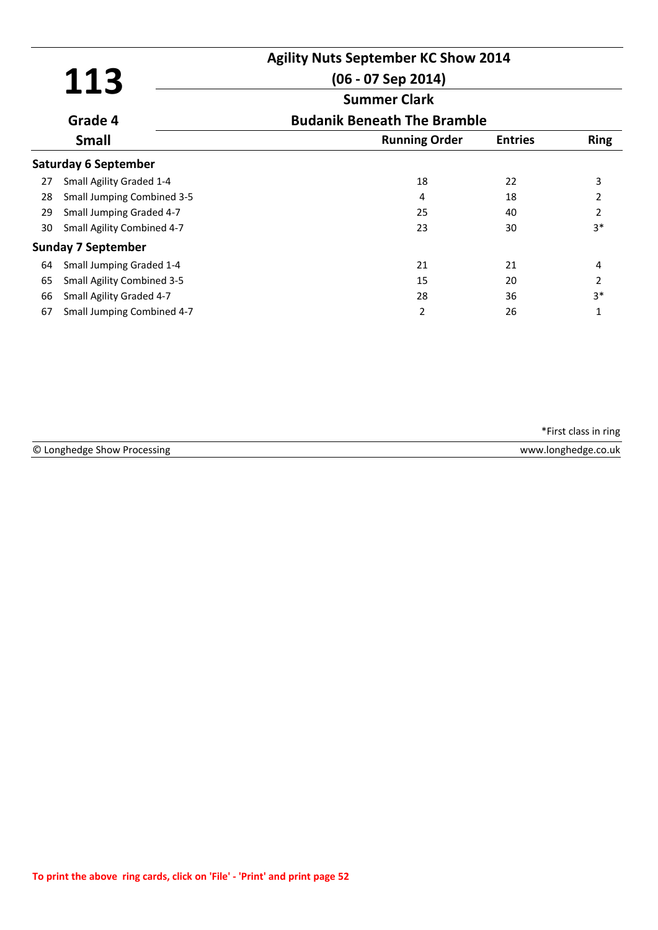|    |                                   | <b>Agility Nuts September KC Show 2014</b> |                |                |
|----|-----------------------------------|--------------------------------------------|----------------|----------------|
|    | 113                               | $(06 - 07$ Sep 2014)                       |                |                |
|    |                                   | <b>Summer Clark</b>                        |                |                |
|    | Grade 4                           | <b>Budanik Beneath The Bramble</b>         |                |                |
|    | <b>Small</b>                      | <b>Running Order</b>                       | <b>Entries</b> | <b>Ring</b>    |
|    | <b>Saturday 6 September</b>       |                                            |                |                |
| 27 | Small Agility Graded 1-4          | 18                                         | 22             | 3              |
| 28 | <b>Small Jumping Combined 3-5</b> | 4                                          | 18             | 2              |
| 29 | Small Jumping Graded 4-7          | 25                                         | 40             | $\overline{2}$ |
| 30 | Small Agility Combined 4-7        | 23                                         | 30             | $3*$           |
|    | <b>Sunday 7 September</b>         |                                            |                |                |
| 64 | Small Jumping Graded 1-4          | 21                                         | 21             | 4              |
| 65 | <b>Small Agility Combined 3-5</b> | 15                                         | 20             | $\overline{2}$ |
| 66 | Small Agility Graded 4-7          | 28                                         | 36             | $3*$           |
| 67 | Small Jumping Combined 4-7        | 2                                          | 26             | 1              |

|                             | *First class in ring |
|-----------------------------|----------------------|
| © Longhedge Show Processing | www.longhedge.co.uk  |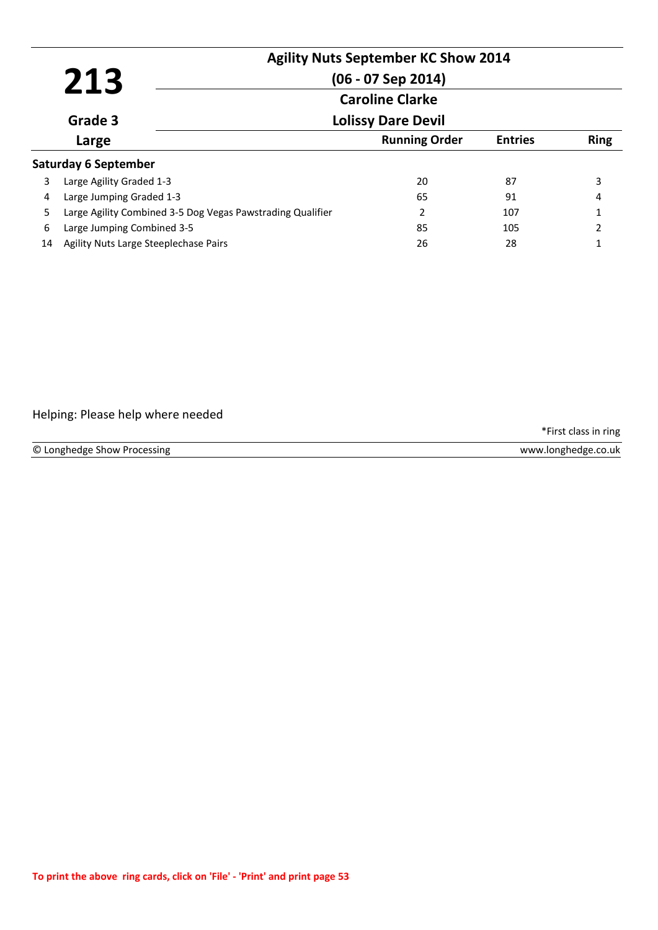|                        |                                       |                                                            | <b>Agility Nuts September KC Show 2014</b> |                |               |
|------------------------|---------------------------------------|------------------------------------------------------------|--------------------------------------------|----------------|---------------|
|                        | 213                                   |                                                            | $(06 - 07$ Sep 2014)                       |                |               |
| <b>Caroline Clarke</b> |                                       |                                                            |                                            |                |               |
|                        | Grade 3                               |                                                            | <b>Lolissy Dare Devil</b>                  |                |               |
|                        | Large                                 |                                                            | <b>Running Order</b>                       | <b>Entries</b> | <b>Ring</b>   |
|                        | <b>Saturday 6 September</b>           |                                                            |                                            |                |               |
| 3                      | Large Agility Graded 1-3              |                                                            | 20                                         | 87             | 3             |
| 4                      | Large Jumping Graded 1-3              |                                                            | 65                                         | 91             | 4             |
| 5                      |                                       | Large Agility Combined 3-5 Dog Vegas Pawstrading Qualifier | 2                                          | 107            | $\mathbf{1}$  |
| 6                      | Large Jumping Combined 3-5            |                                                            | 85                                         | 105            | $\mathcal{P}$ |
| 14                     | Agility Nuts Large Steeplechase Pairs |                                                            | 26                                         | 28             |               |

### Helping: Please help where needed

\*First class in ring

© Longhedge Show Processing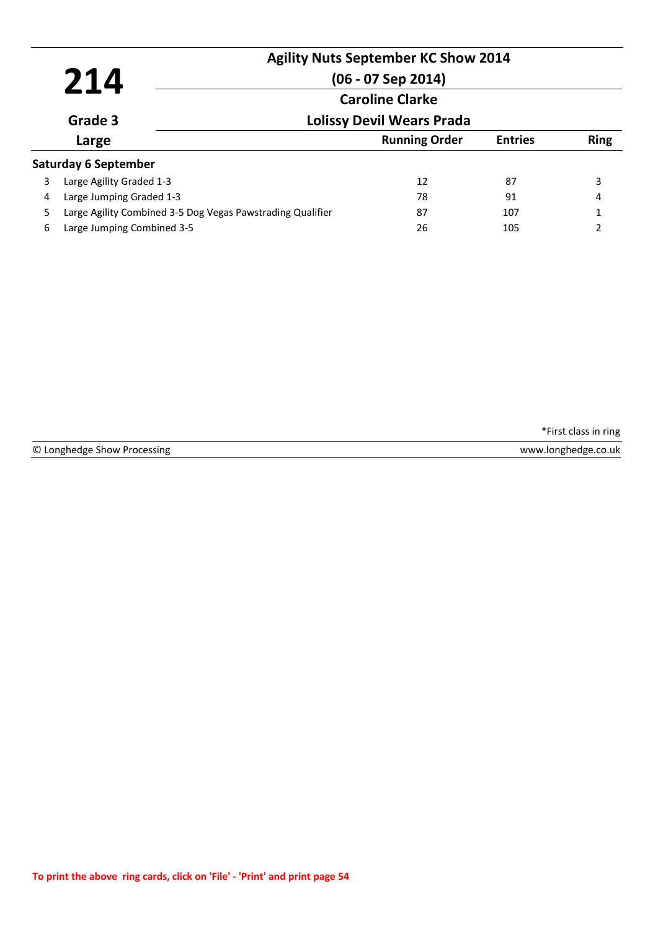|                        | 214                                                        | <b>Agility Nuts September KC Show 2014</b><br>$(06 - 07$ Sep 2014) |                |                |
|------------------------|------------------------------------------------------------|--------------------------------------------------------------------|----------------|----------------|
| <b>Caroline Clarke</b> |                                                            |                                                                    |                |                |
|                        | Grade 3                                                    | <b>Lolissy Devil Wears Prada</b>                                   |                |                |
|                        | Large                                                      | <b>Running Order</b>                                               | <b>Entries</b> | <b>Ring</b>    |
|                        | <b>Saturday 6 September</b>                                |                                                                    |                |                |
| 3                      | Large Agility Graded 1-3                                   | 12                                                                 | 87             | 3              |
| 4                      | Large Jumping Graded 1-3                                   | 78                                                                 | 91             | 4              |
| 5.                     | Large Agility Combined 3-5 Dog Vegas Pawstrading Qualifier | 87                                                                 | 107            |                |
| 6                      | Large Jumping Combined 3-5                                 | 26                                                                 | 105            | $\overline{2}$ |

© Longhedge Show Processing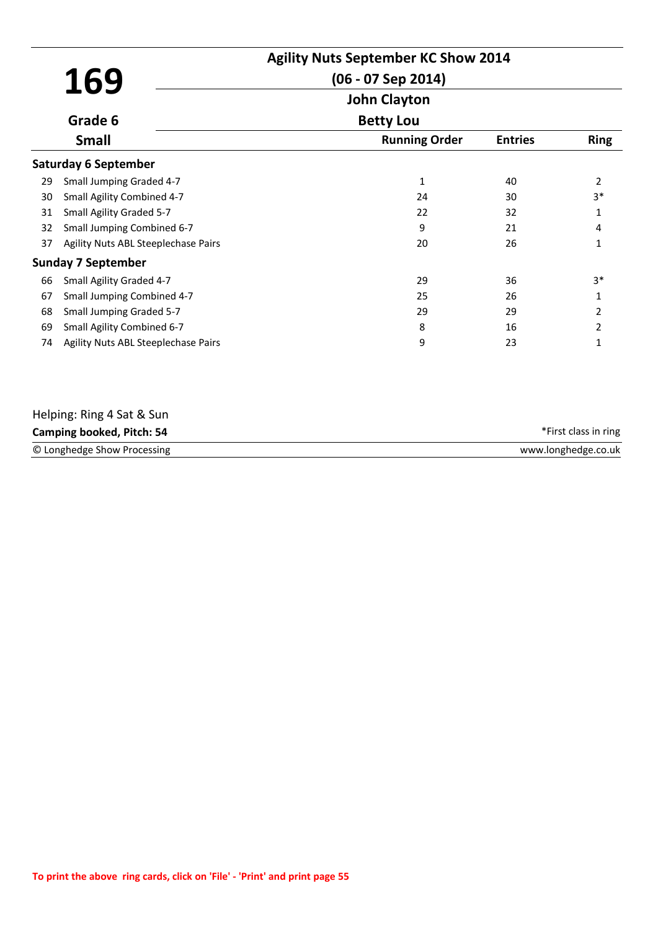|    |                                     | <b>Agility Nuts September KC Show 2014</b><br>$(06 - 07$ Sep 2014) |                |                |
|----|-------------------------------------|--------------------------------------------------------------------|----------------|----------------|
|    | 169                                 | <b>John Clayton</b>                                                |                |                |
|    | Grade 6                             | <b>Betty Lou</b>                                                   |                |                |
|    | <b>Small</b>                        | <b>Running Order</b>                                               | <b>Entries</b> | <b>Ring</b>    |
|    | <b>Saturday 6 September</b>         |                                                                    |                |                |
| 29 | Small Jumping Graded 4-7            | 1                                                                  | 40             | $\overline{2}$ |
| 30 | Small Agility Combined 4-7          | 24                                                                 | 30             | $3*$           |
| 31 | Small Agility Graded 5-7            | 22                                                                 | 32             | $\mathbf{1}$   |
| 32 | Small Jumping Combined 6-7          | 9                                                                  | 21             | 4              |
| 37 | Agility Nuts ABL Steeplechase Pairs | 20                                                                 | 26             | 1              |
|    | <b>Sunday 7 September</b>           |                                                                    |                |                |
| 66 | Small Agility Graded 4-7            | 29                                                                 | 36             | $3*$           |
| 67 | Small Jumping Combined 4-7          | 25                                                                 | 26             | 1              |
| 68 | <b>Small Jumping Graded 5-7</b>     | 29                                                                 | 29             | 2              |
| 69 | Small Agility Combined 6-7          | 8                                                                  | 16             | 2              |
| 74 | Agility Nuts ABL Steeplechase Pairs | 9                                                                  | 23             | 1              |

| Helping: Ring 4 Sat & Sun   |                      |
|-----------------------------|----------------------|
| Camping booked, Pitch: 54   | *First class in ring |
| © Longhedge Show Processing | www.longhedge.co.uk  |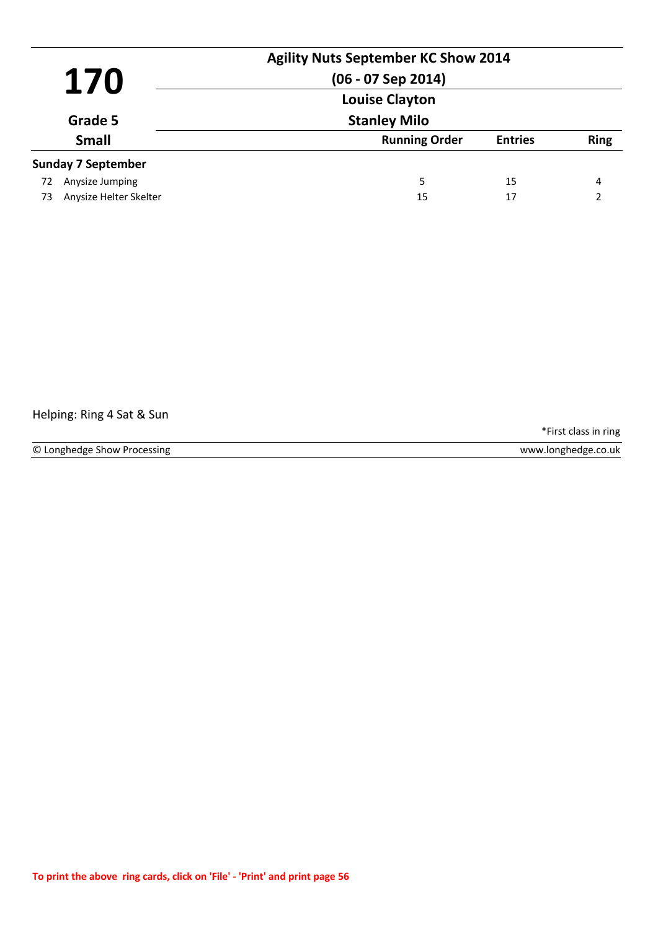|    | 170                       | <b>Agility Nuts September KC Show 2014</b><br>$(06 - 07$ Sep 2014)<br><b>Louise Clayton</b> |                |             |
|----|---------------------------|---------------------------------------------------------------------------------------------|----------------|-------------|
|    | Grade 5                   | <b>Stanley Milo</b>                                                                         |                |             |
|    | <b>Small</b>              | <b>Running Order</b>                                                                        | <b>Entries</b> | <b>Ring</b> |
|    | <b>Sunday 7 September</b> |                                                                                             |                |             |
| 72 | Anysize Jumping           | 5                                                                                           | 15             | 4           |
| 73 | Anysize Helter Skelter    | 15                                                                                          | 17             | C           |

### Helping: Ring 4 Sat & Sun

\*First class in ring

© Longhedge Show Processing www.longhedge.co.uk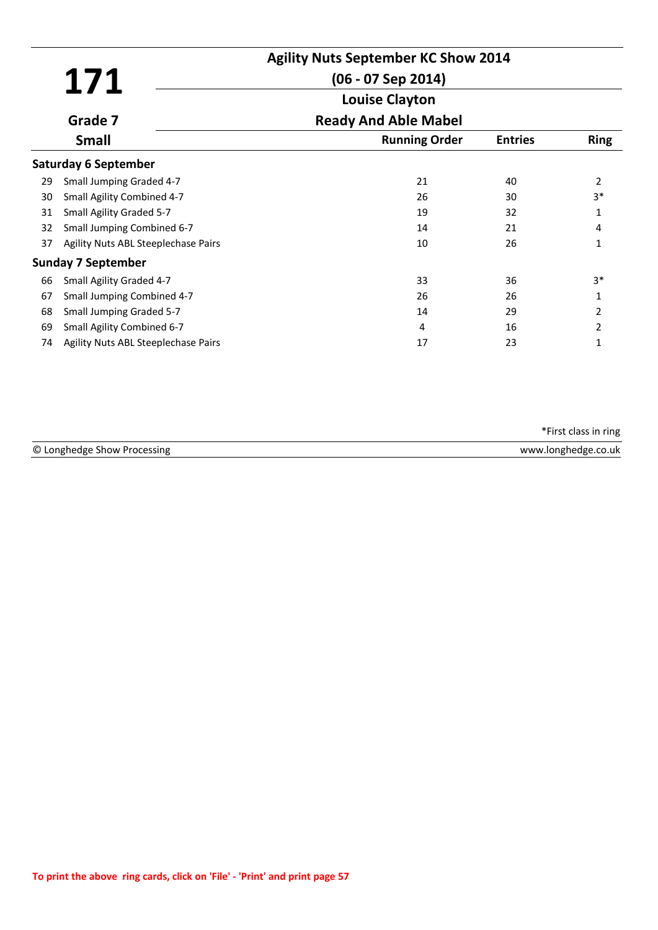|    |                                     | <b>Agility Nuts September KC Show 2014</b> |                |                |
|----|-------------------------------------|--------------------------------------------|----------------|----------------|
|    | 171                                 | $(06 - 07$ Sep 2014)                       |                |                |
|    |                                     | <b>Louise Clayton</b>                      |                |                |
|    | Grade 7                             | <b>Ready And Able Mabel</b>                |                |                |
|    | <b>Small</b>                        | <b>Running Order</b>                       | <b>Entries</b> | <b>Ring</b>    |
|    | <b>Saturday 6 September</b>         |                                            |                |                |
| 29 | Small Jumping Graded 4-7            | 21                                         | 40             | $\overline{2}$ |
| 30 | Small Agility Combined 4-7          | 26                                         | 30             | $3*$           |
| 31 | Small Agility Graded 5-7            | 19                                         | 32             | 1              |
| 32 | Small Jumping Combined 6-7          | 14                                         | 21             | 4              |
| 37 | Agility Nuts ABL Steeplechase Pairs | 10                                         | 26             | 1              |
|    | <b>Sunday 7 September</b>           |                                            |                |                |
| 66 | Small Agility Graded 4-7            | 33                                         | 36             | $3*$           |
| 67 | Small Jumping Combined 4-7          | 26                                         | 26             |                |
| 68 | <b>Small Jumping Graded 5-7</b>     | 14                                         | 29             | $\overline{2}$ |
| 69 | Small Agility Combined 6-7          | 4                                          | 16             | 2              |
| 74 | Agility Nuts ABL Steeplechase Pairs | 17                                         | 23             | 1              |

| © Longhedge Show<br>rocessing | 0.uk<br><b>A/\A/\A/</b><br>inno<br>Thenpe. |
|-------------------------------|--------------------------------------------|
|                               |                                            |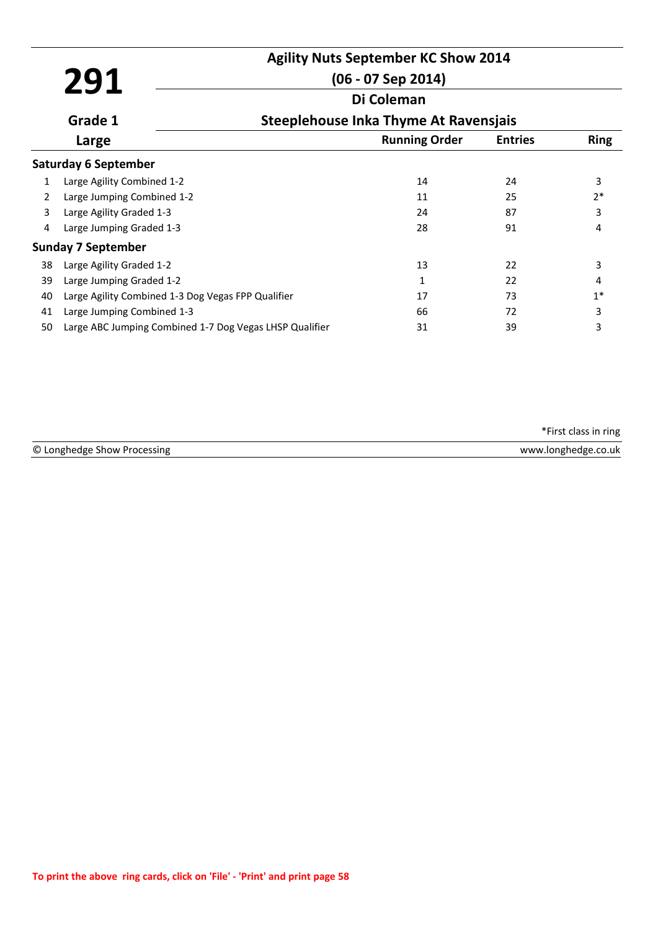# **Agility Nuts September KC Show 2014**

## **291 Di Coleman (06 - 07 Sep 2014)**

|    | Grade 1                                                 | Steeplehouse Inka Thyme At Ravensjais |                |             |
|----|---------------------------------------------------------|---------------------------------------|----------------|-------------|
|    | Large                                                   | <b>Running Order</b>                  | <b>Entries</b> | <b>Ring</b> |
|    | <b>Saturday 6 September</b>                             |                                       |                |             |
| 1  | Large Agility Combined 1-2                              | 14                                    | 24             | 3           |
| 2  | Large Jumping Combined 1-2                              | 11                                    | 25             | $2*$        |
| 3  | Large Agility Graded 1-3                                | 24                                    | 87             | 3           |
| 4  | Large Jumping Graded 1-3                                | 28                                    | 91             | 4           |
|    | <b>Sunday 7 September</b>                               |                                       |                |             |
| 38 | Large Agility Graded 1-2                                | 13                                    | 22             | 3           |
| 39 | Large Jumping Graded 1-2                                | 1                                     | 22             | 4           |
| 40 | Large Agility Combined 1-3 Dog Vegas FPP Qualifier      | 17                                    | 73             | $1*$        |
| 41 | Large Jumping Combined 1-3                              | 66                                    | 72             | 3           |
| 50 | Large ABC Jumping Combined 1-7 Dog Vegas LHSP Qualifier | 31                                    | 39             | 3           |
|    |                                                         |                                       |                |             |

© Longhedge Show Processing \*First class in ring www.longhedge.co.uk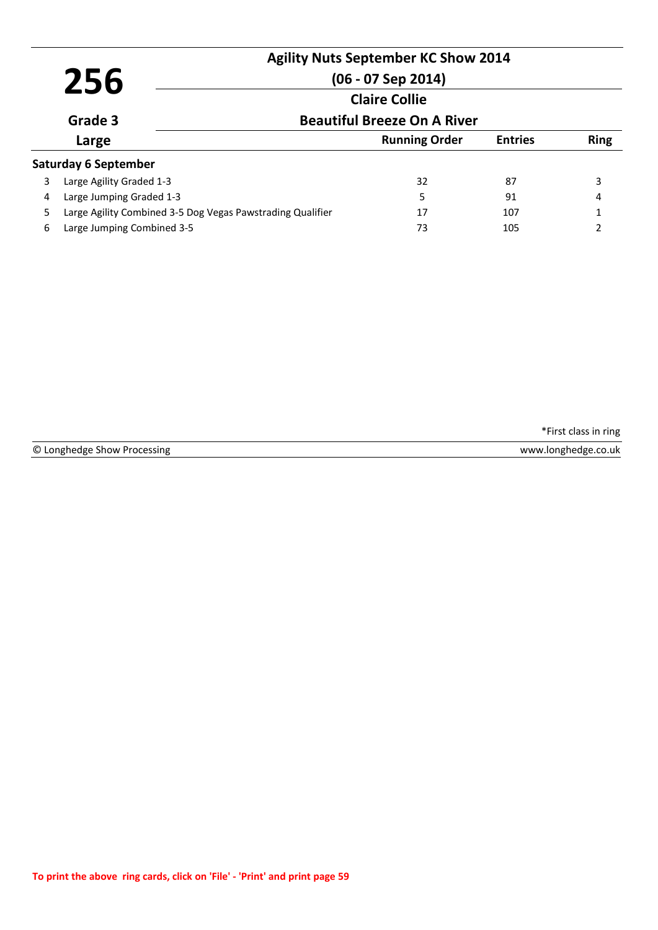|   | 256                                                        | <b>Agility Nuts September KC Show 2014</b><br>$(06 - 07$ Sep 2014) |                |             |
|---|------------------------------------------------------------|--------------------------------------------------------------------|----------------|-------------|
|   | Grade 3                                                    | <b>Claire Collie</b><br><b>Beautiful Breeze On A River</b>         |                |             |
|   | Large                                                      | <b>Running Order</b>                                               | <b>Entries</b> | <b>Ring</b> |
|   | <b>Saturday 6 September</b>                                |                                                                    |                |             |
| 3 | Large Agility Graded 1-3                                   | 32                                                                 | 87             | 3           |
| 4 | Large Jumping Graded 1-3                                   | 5                                                                  | 91             | 4           |
| 5 | Large Agility Combined 3-5 Dog Vegas Pawstrading Qualifier | 17                                                                 | 107            |             |
| 6 | Large Jumping Combined 3-5                                 | 73                                                                 | 105            | າ           |

© Longhedge Show Processing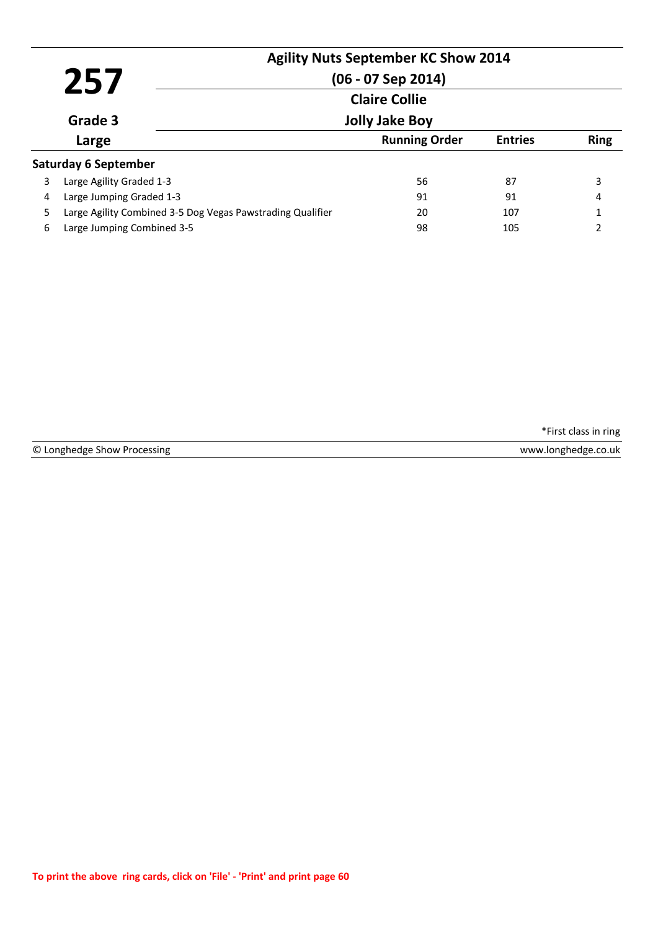|   | 257                                                        | <b>Agility Nuts September KC Show 2014</b><br>$(06 - 07$ Sep 2014)<br><b>Claire Collie</b> |                |             |
|---|------------------------------------------------------------|--------------------------------------------------------------------------------------------|----------------|-------------|
|   | Grade 3                                                    | <b>Jolly Jake Boy</b>                                                                      |                |             |
|   | Large                                                      | <b>Running Order</b>                                                                       | <b>Entries</b> | <b>Ring</b> |
|   | <b>Saturday 6 September</b>                                |                                                                                            |                |             |
| 3 | Large Agility Graded 1-3                                   | 56                                                                                         | 87             | 3           |
| 4 | Large Jumping Graded 1-3                                   | 91                                                                                         | 91             | 4           |
| 5 | Large Agility Combined 3-5 Dog Vegas Pawstrading Qualifier | 20                                                                                         | 107            |             |
| 6 | Large Jumping Combined 3-5                                 | 98                                                                                         | 105            | 2           |

© Longhedge Show Processing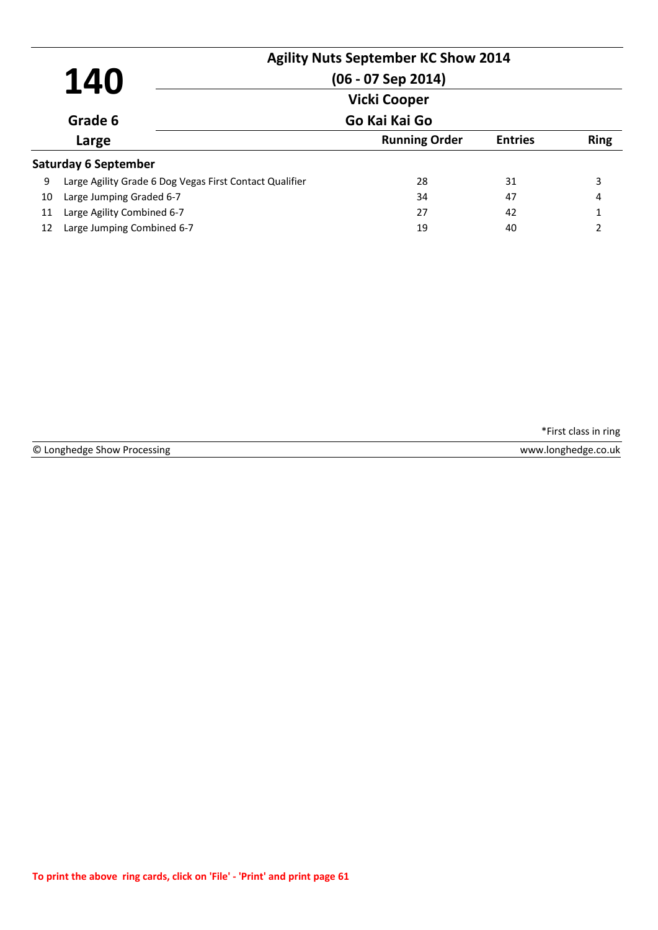|    |                                                         | <b>Agility Nuts September KC Show 2014</b> |                |               |
|----|---------------------------------------------------------|--------------------------------------------|----------------|---------------|
|    | 140                                                     | $(06 - 07$ Sep 2014)                       |                |               |
|    |                                                         | <b>Vicki Cooper</b>                        |                |               |
|    | Grade 6                                                 | Go Kai Kai Go                              |                |               |
|    | Large                                                   | <b>Running Order</b>                       | <b>Entries</b> | <b>Ring</b>   |
|    | Saturday 6 September                                    |                                            |                |               |
| 9  | Large Agility Grade 6 Dog Vegas First Contact Qualifier | 28                                         | 31             | 3             |
| 10 | Large Jumping Graded 6-7                                | 34                                         | 47             | 4             |
| 11 | Large Agility Combined 6-7                              | 27                                         | 42             | 1             |
| 12 | Large Jumping Combined 6-7                              | 19                                         | 40             | $\mathcal{P}$ |

© Longhedge Show Processing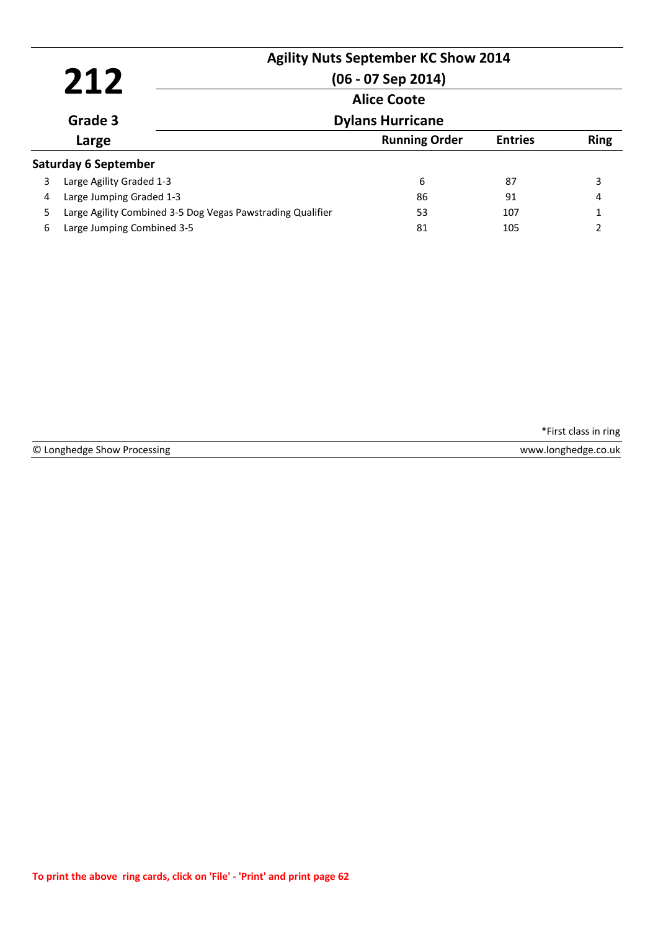|   | 212                                                        | <b>Agility Nuts September KC Show 2014</b><br>$(06 - 07$ Sep 2014)<br><b>Alice Coote</b> |                |             |
|---|------------------------------------------------------------|------------------------------------------------------------------------------------------|----------------|-------------|
|   | Grade 3                                                    | <b>Dylans Hurricane</b>                                                                  |                |             |
|   | Large                                                      | <b>Running Order</b>                                                                     | <b>Entries</b> | <b>Ring</b> |
|   | <b>Saturday 6 September</b>                                |                                                                                          |                |             |
| 3 | Large Agility Graded 1-3                                   | 6                                                                                        | 87             | 3           |
| 4 | Large Jumping Graded 1-3                                   | 86                                                                                       | 91             | 4           |
| 5 | Large Agility Combined 3-5 Dog Vegas Pawstrading Qualifier | 53                                                                                       | 107            |             |
| 6 | Large Jumping Combined 3-5                                 | 81                                                                                       | 105            |             |

© Longhedge Show Processing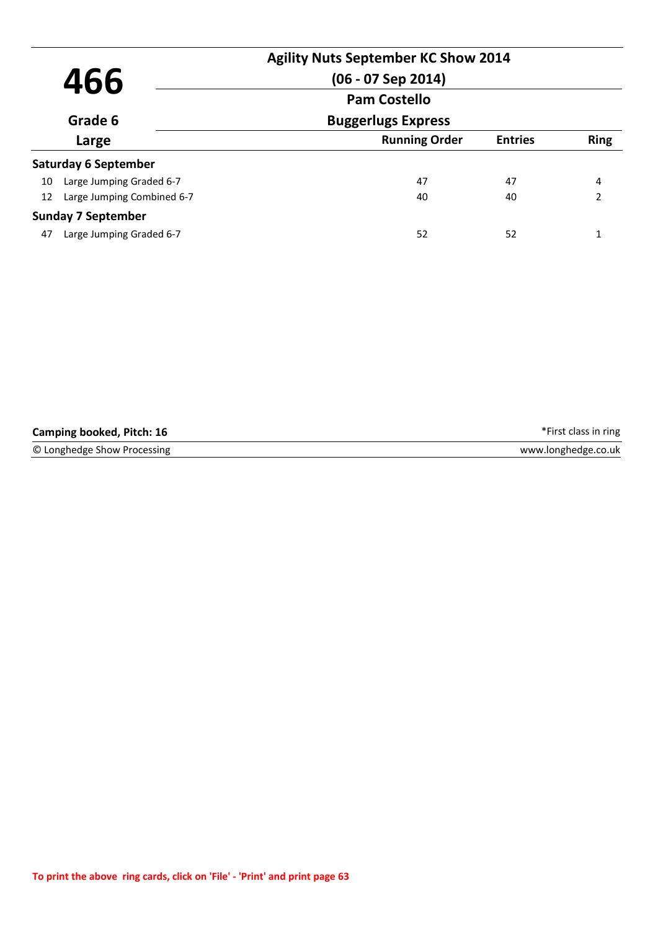| 466                              | <b>Agility Nuts September KC Show 2014</b><br>$(06 - 07$ Sep 2014) |                |               |  |
|----------------------------------|--------------------------------------------------------------------|----------------|---------------|--|
| <b>Pam Costello</b>              |                                                                    |                |               |  |
| Grade 6                          | <b>Buggerlugs Express</b>                                          |                |               |  |
| Large                            | <b>Running Order</b>                                               | <b>Entries</b> | <b>Ring</b>   |  |
| <b>Saturday 6 September</b>      |                                                                    |                |               |  |
| Large Jumping Graded 6-7<br>10   | 47                                                                 | 47             | 4             |  |
| Large Jumping Combined 6-7<br>12 | 40                                                                 | 40             | $\mathcal{P}$ |  |
| <b>Sunday 7 September</b>        |                                                                    |                |               |  |
| Large Jumping Graded 6-7<br>47   | 52                                                                 | 52             |               |  |

| Camping booked, Pitch: 16   | *First class in ring |
|-----------------------------|----------------------|
| © Longhedge Show Processing | www.longhedge.co.uk  |
|                             |                      |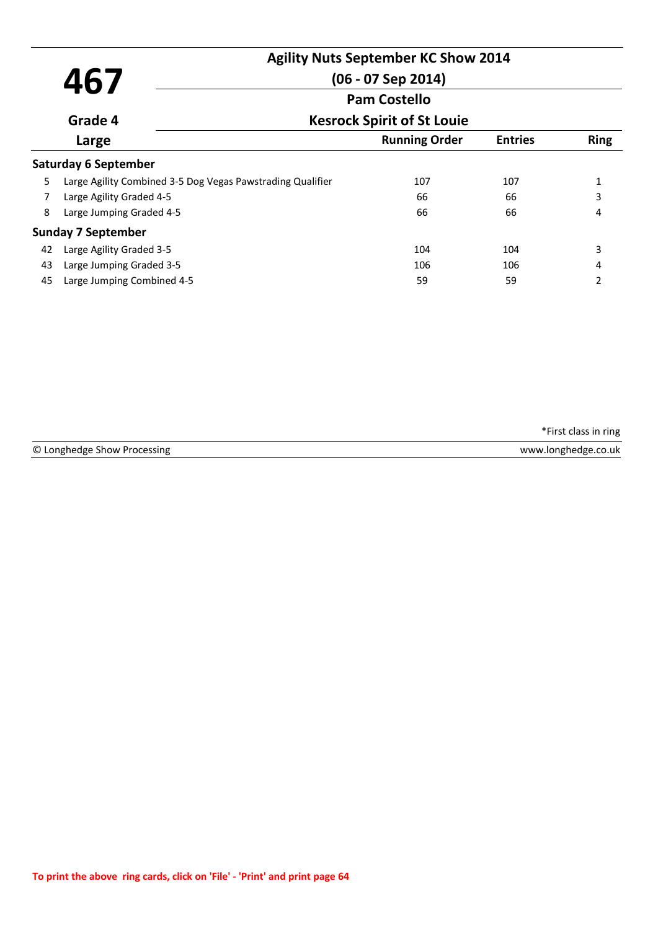|    |                                                            | <b>Agility Nuts September KC Show 2014</b> |                |               |
|----|------------------------------------------------------------|--------------------------------------------|----------------|---------------|
|    | 467                                                        | $(06 - 07$ Sep 2014)                       |                |               |
|    |                                                            | <b>Pam Costello</b>                        |                |               |
|    | Grade 4                                                    | <b>Kesrock Spirit of St Louie</b>          |                |               |
|    | Large                                                      | <b>Running Order</b>                       | <b>Entries</b> | <b>Ring</b>   |
|    | <b>Saturday 6 September</b>                                |                                            |                |               |
| 5  | Large Agility Combined 3-5 Dog Vegas Pawstrading Qualifier | 107                                        | 107            | 1             |
| 7  | Large Agility Graded 4-5                                   | 66                                         | 66             | 3             |
| 8  | Large Jumping Graded 4-5                                   | 66                                         | 66             | 4             |
|    | <b>Sunday 7 September</b>                                  |                                            |                |               |
| 42 | Large Agility Graded 3-5                                   | 104                                        | 104            | 3             |
| 43 | Large Jumping Graded 3-5                                   | 106                                        | 106            | 4             |
| 45 | Large Jumping Combined 4-5                                 | 59                                         | 59             | $\mathfrak z$ |
|    |                                                            |                                            |                |               |

| $\circ$<br>$\sim$<br>טו<br>טו<br>ALLIAN. | AALAANA<br>10 M |
|------------------------------------------|-----------------|
|                                          |                 |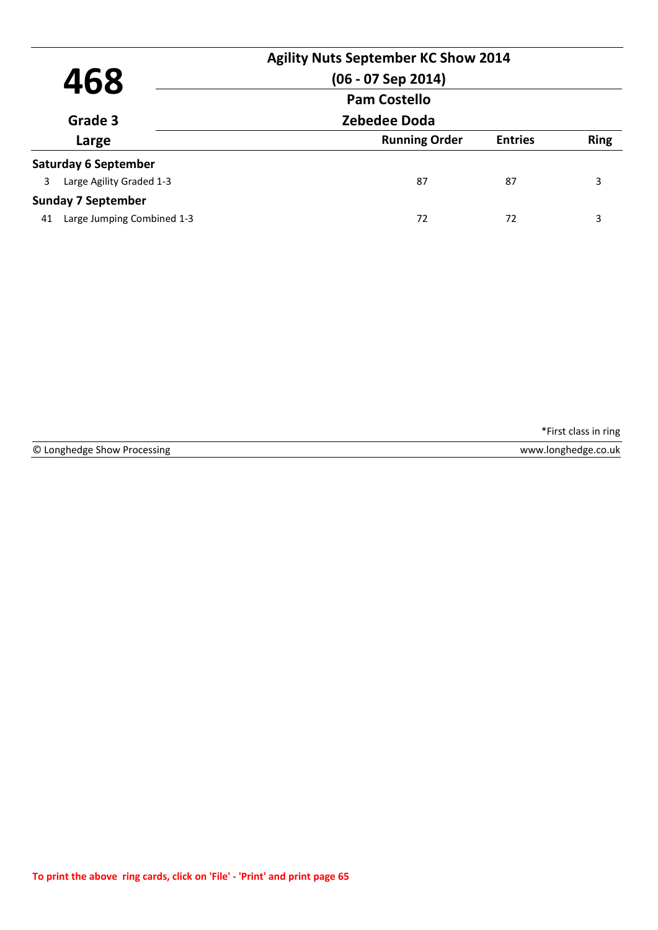| 468<br>Grade 3<br>Large |                             | <b>Agility Nuts September KC Show 2014</b><br>$(06 - 07$ Sep 2014) |                |             |  |
|-------------------------|-----------------------------|--------------------------------------------------------------------|----------------|-------------|--|
|                         |                             | <b>Pam Costello</b>                                                |                |             |  |
|                         |                             |                                                                    | Zebedee Doda   |             |  |
|                         |                             | <b>Running Order</b>                                               | <b>Entries</b> | <b>Ring</b> |  |
|                         | <b>Saturday 6 September</b> |                                                                    |                |             |  |
| 3                       | Large Agility Graded 1-3    | 87                                                                 | 87             | 3           |  |
|                         | <b>Sunday 7 September</b>   |                                                                    |                |             |  |
| 41                      | Large Jumping Combined 1-3  | 72                                                                 | 72             | 3           |  |

|  | © Longhedge Show Processing |  |  |  |
|--|-----------------------------|--|--|--|
|--|-----------------------------|--|--|--|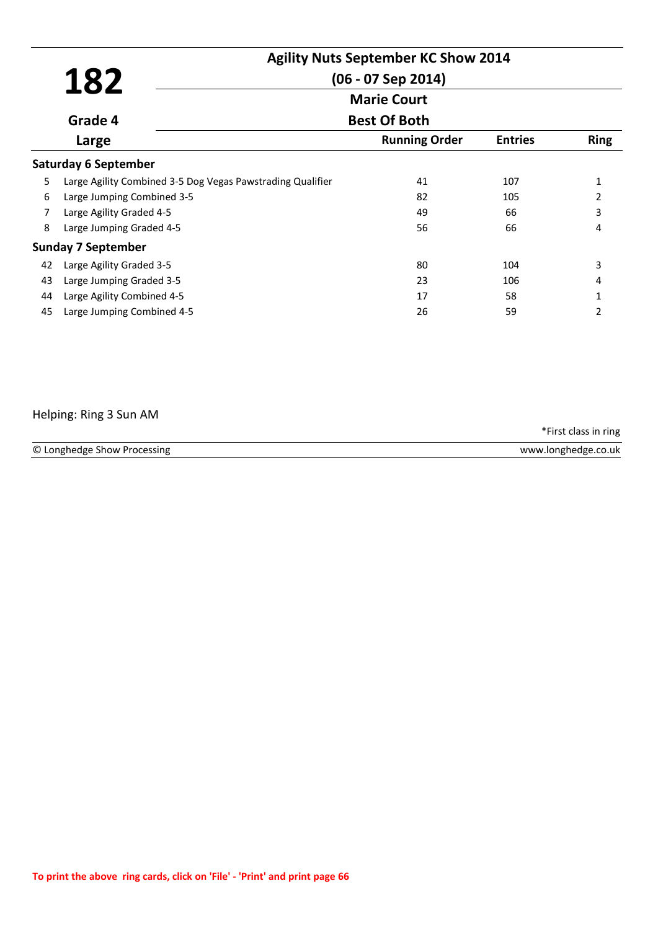|    | 182                                                        | <b>Agility Nuts September KC Show 2014</b><br>$(06 - 07$ Sep 2014) |                |                |
|----|------------------------------------------------------------|--------------------------------------------------------------------|----------------|----------------|
|    |                                                            | <b>Marie Court</b>                                                 |                |                |
|    | Grade 4                                                    | <b>Best Of Both</b>                                                |                |                |
|    | Large                                                      | <b>Running Order</b>                                               | <b>Entries</b> | <b>Ring</b>    |
|    | <b>Saturday 6 September</b>                                |                                                                    |                |                |
| 5  | Large Agility Combined 3-5 Dog Vegas Pawstrading Qualifier | 41                                                                 | 107            | $\mathbf{1}$   |
| 6  | Large Jumping Combined 3-5                                 | 82                                                                 | 105            | $\overline{2}$ |
| 7  | Large Agility Graded 4-5                                   | 49                                                                 | 66             | 3              |
| 8  | Large Jumping Graded 4-5                                   | 56                                                                 | 66             | 4              |
|    | <b>Sunday 7 September</b>                                  |                                                                    |                |                |
| 42 | Large Agility Graded 3-5                                   | 80                                                                 | 104            | 3              |
| 43 | Large Jumping Graded 3-5                                   | 23                                                                 | 106            | 4              |
| 44 | Large Agility Combined 4-5                                 | 17                                                                 | 58             | 1              |
| 45 | Large Jumping Combined 4-5                                 | 26                                                                 | 59             | $\mathcal{P}$  |

### Helping: Ring 3 Sun AM

\*First class in ring

| © Longhedge Show Processing | www.longhedge.co.uk |
|-----------------------------|---------------------|
|                             |                     |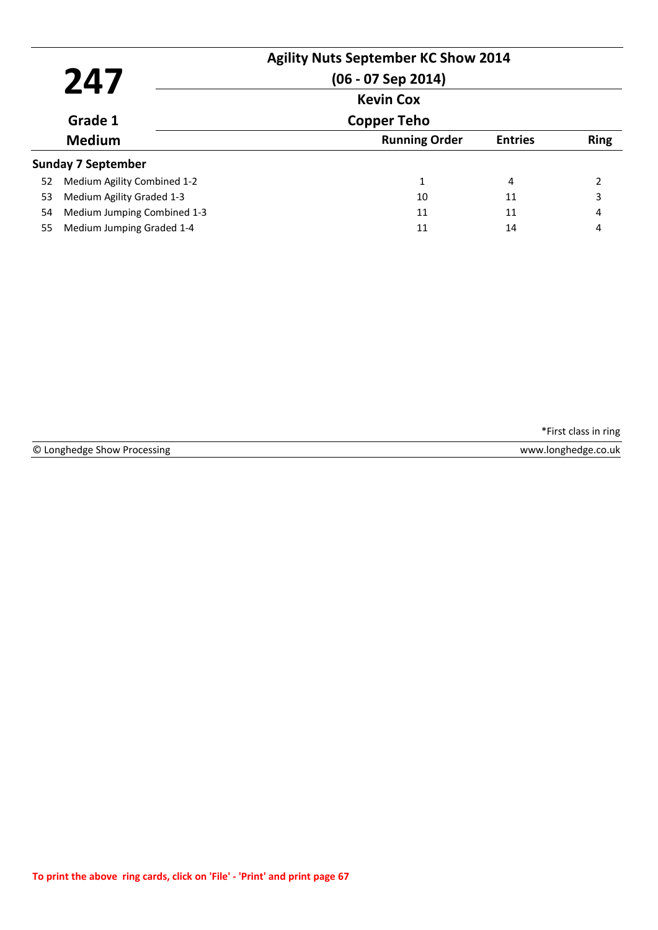|    | 247                         | <b>Agility Nuts September KC Show 2014</b><br>$(06 - 07$ Sep 2014)<br><b>Kevin Cox</b> |                |                |
|----|-----------------------------|----------------------------------------------------------------------------------------|----------------|----------------|
|    | Grade 1                     | <b>Copper Teho</b>                                                                     |                |                |
|    | <b>Medium</b>               | <b>Running Order</b>                                                                   | <b>Entries</b> | <b>Ring</b>    |
|    | <b>Sunday 7 September</b>   |                                                                                        |                |                |
| 52 | Medium Agility Combined 1-2 | 1                                                                                      | 4              | $\overline{2}$ |
| 53 | Medium Agility Graded 1-3   | 10                                                                                     | 11             | 3              |
| 54 | Medium Jumping Combined 1-3 | 11                                                                                     | 11             | 4              |
| 55 | Medium Jumping Graded 1-4   | 11                                                                                     | 14             | 4              |

|  | © Longhedge Show Processing |  |  |
|--|-----------------------------|--|--|
|--|-----------------------------|--|--|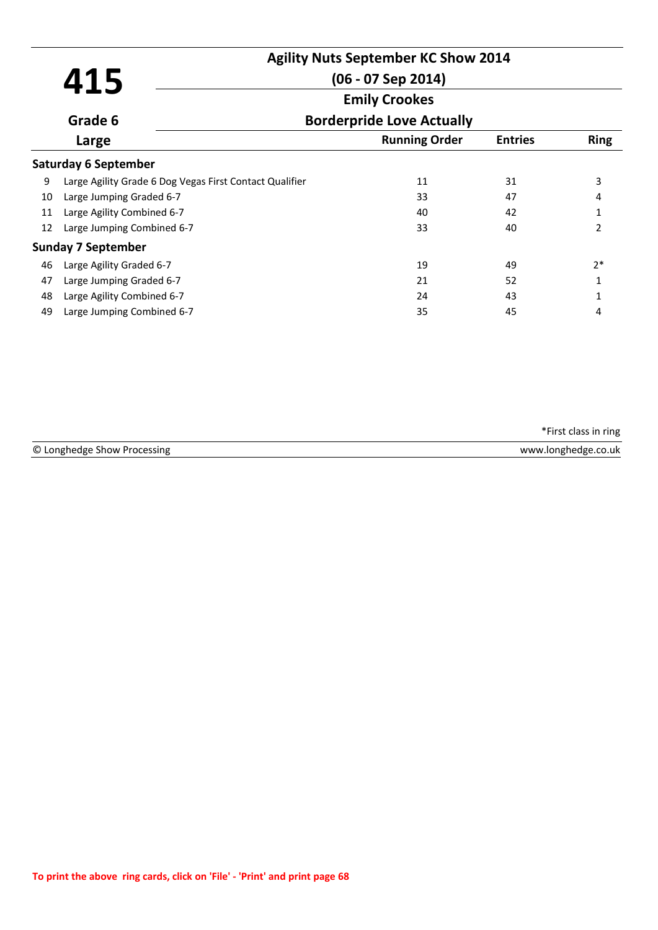|    | 415                                                     | <b>Agility Nuts September KC Show 2014</b><br>$(06 - 07$ Sep 2014) |                |                |
|----|---------------------------------------------------------|--------------------------------------------------------------------|----------------|----------------|
|    | Grade 6                                                 | <b>Emily Crookes</b><br><b>Borderpride Love Actually</b>           |                |                |
|    | Large                                                   | <b>Running Order</b>                                               | <b>Entries</b> | <b>Ring</b>    |
|    | <b>Saturday 6 September</b>                             |                                                                    |                |                |
| 9  | Large Agility Grade 6 Dog Vegas First Contact Qualifier | 11                                                                 | 31             | 3              |
| 10 | Large Jumping Graded 6-7                                | 33                                                                 | 47             | 4              |
| 11 | Large Agility Combined 6-7                              | 40                                                                 | 42             | 1              |
| 12 | Large Jumping Combined 6-7                              | 33                                                                 | 40             | $\overline{2}$ |
|    | <b>Sunday 7 September</b>                               |                                                                    |                |                |
| 46 | Large Agility Graded 6-7                                | 19                                                                 | 49             | $2*$           |
| 47 | Large Jumping Graded 6-7                                | 21                                                                 | 52             | 1              |
| 48 | Large Agility Combined 6-7                              | 24                                                                 | 43             | 1              |
| 49 | Large Jumping Combined 6-7                              | 35                                                                 | 45             | 4              |

© Longhedge Show Processing www.longhedge.co.uk

\*First class in ring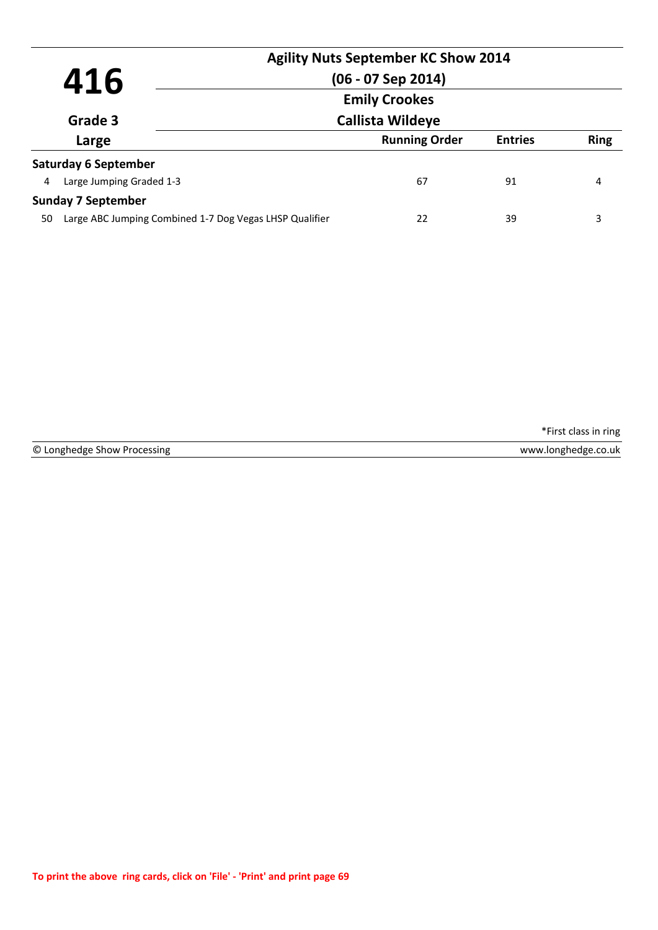|    |                                                         |                      | <b>Agility Nuts September KC Show 2014</b> |                |             |
|----|---------------------------------------------------------|----------------------|--------------------------------------------|----------------|-------------|
|    | 416                                                     |                      | $(06 - 07$ Sep 2014)                       |                |             |
|    |                                                         | <b>Emily Crookes</b> |                                            |                |             |
|    | Grade 3                                                 |                      | <b>Callista Wildeye</b>                    |                |             |
|    | Large                                                   |                      | <b>Running Order</b>                       | <b>Entries</b> | <b>Ring</b> |
|    | <b>Saturday 6 September</b>                             |                      |                                            |                |             |
| 4  | Large Jumping Graded 1-3                                |                      | 67                                         | 91             | 4           |
|    | <b>Sunday 7 September</b>                               |                      |                                            |                |             |
| 50 | Large ABC Jumping Combined 1-7 Dog Vegas LHSP Qualifier |                      | 22                                         | 39             | 3           |
|    |                                                         |                      |                                            |                |             |

© Longhedge Show Processing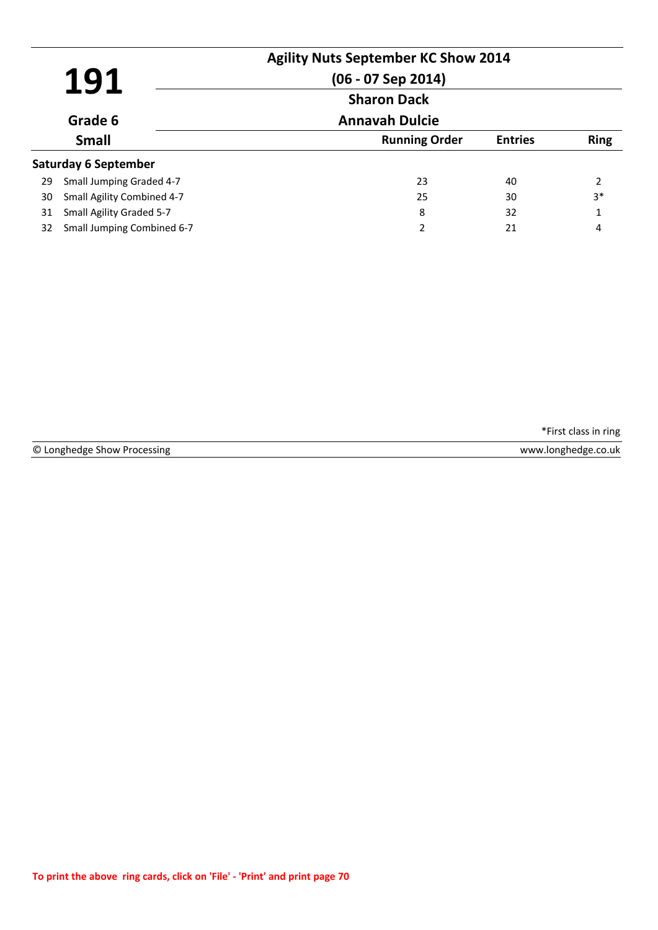| 191 |                             | <b>Agility Nuts September KC Show 2014</b><br>$(06 - 07$ Sep 2014)<br><b>Sharon Dack</b> |                |             |
|-----|-----------------------------|------------------------------------------------------------------------------------------|----------------|-------------|
|     | Grade 6                     | <b>Annavah Dulcie</b>                                                                    |                |             |
|     | <b>Small</b>                | <b>Running Order</b>                                                                     | <b>Entries</b> | <b>Ring</b> |
|     | <b>Saturday 6 September</b> |                                                                                          |                |             |
| 29  | Small Jumping Graded 4-7    | 23                                                                                       | 40             | 2           |
| 30  | Small Agility Combined 4-7  | 25                                                                                       | 30             | $3*$        |
| 31  | Small Agility Graded 5-7    | 8                                                                                        | 32             | 1           |
| 32  | Small Jumping Combined 6-7  | 2                                                                                        | 21             | 4           |

|  | © Longhedge Show Processing |  |  |  |
|--|-----------------------------|--|--|--|
|--|-----------------------------|--|--|--|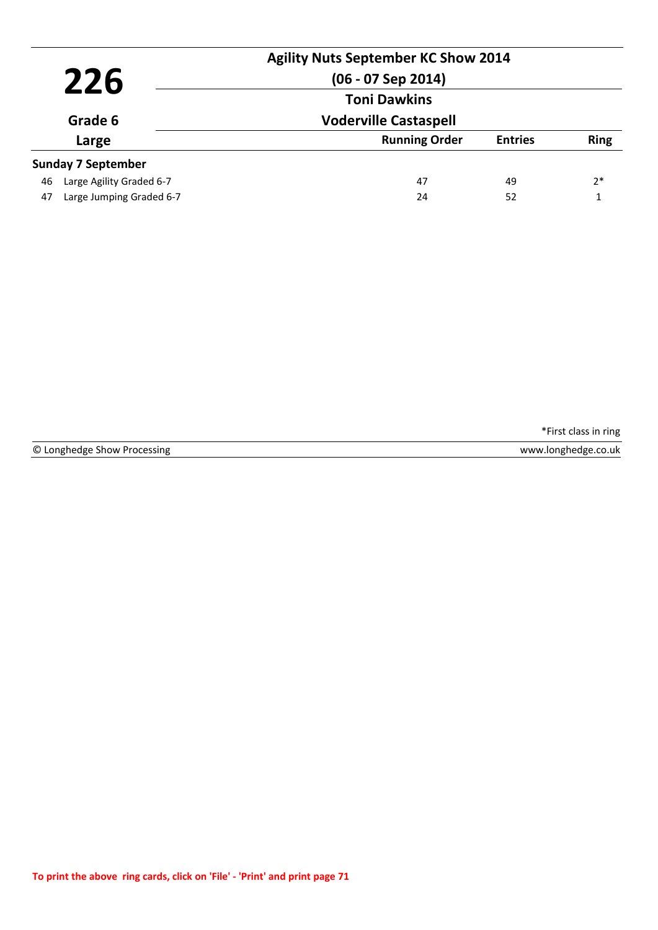| 226<br>Grade 6<br>Large |                           | <b>Agility Nuts September KC Show 2014</b><br>$(06 - 07$ Sep 2014)<br><b>Toni Dawkins</b> |                |             |
|-------------------------|---------------------------|-------------------------------------------------------------------------------------------|----------------|-------------|
|                         |                           | <b>Voderville Castaspell</b>                                                              |                |             |
|                         |                           | <b>Running Order</b>                                                                      | <b>Entries</b> | <b>Ring</b> |
|                         | <b>Sunday 7 September</b> |                                                                                           |                |             |
| 46                      | Large Agility Graded 6-7  | 47                                                                                        | 49             | $2*$        |
| 47                      | Large Jumping Graded 6-7  | 24                                                                                        | 52             |             |

© Longhedge Show Processing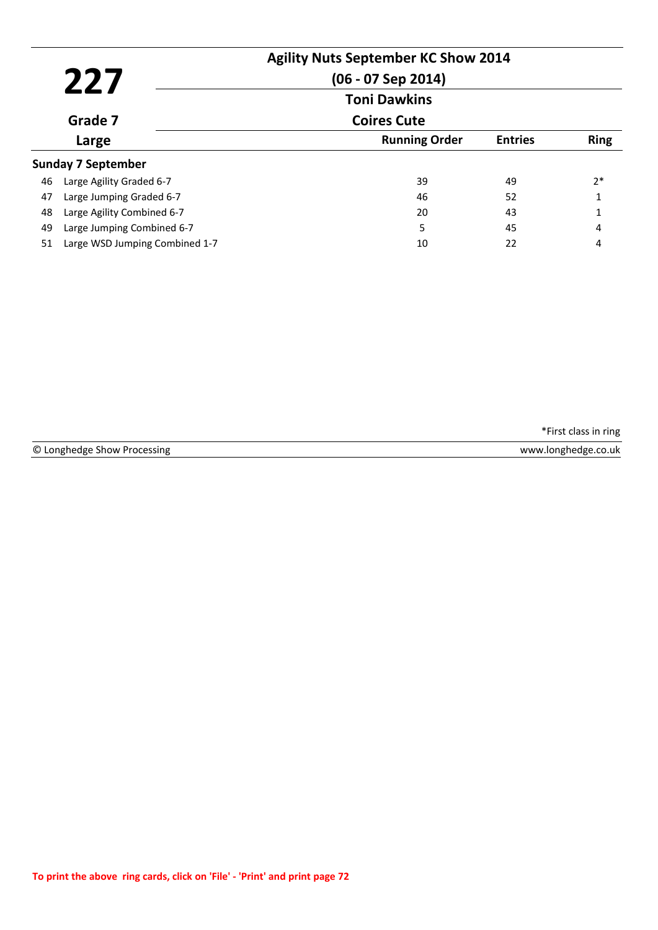|    | 227<br>Grade 7                 | <b>Agility Nuts September KC Show 2014</b><br>$(06 - 07$ Sep 2014)<br><b>Toni Dawkins</b><br><b>Coires Cute</b> |                |              |
|----|--------------------------------|-----------------------------------------------------------------------------------------------------------------|----------------|--------------|
|    | Large                          | <b>Running Order</b>                                                                                            | <b>Entries</b> | <b>Ring</b>  |
|    | <b>Sunday 7 September</b>      |                                                                                                                 |                |              |
| 46 | Large Agility Graded 6-7       | 39                                                                                                              | 49             | $2*$         |
| 47 | Large Jumping Graded 6-7       | 46                                                                                                              | 52             | $\mathbf{1}$ |
| 48 | Large Agility Combined 6-7     | 20                                                                                                              | 43             | $\mathbf{1}$ |
| 49 | Large Jumping Combined 6-7     | 5                                                                                                               | 45             | 4            |
| 51 | Large WSD Jumping Combined 1-7 | 10                                                                                                              | 22             | 4            |

© Longhedge Show Processing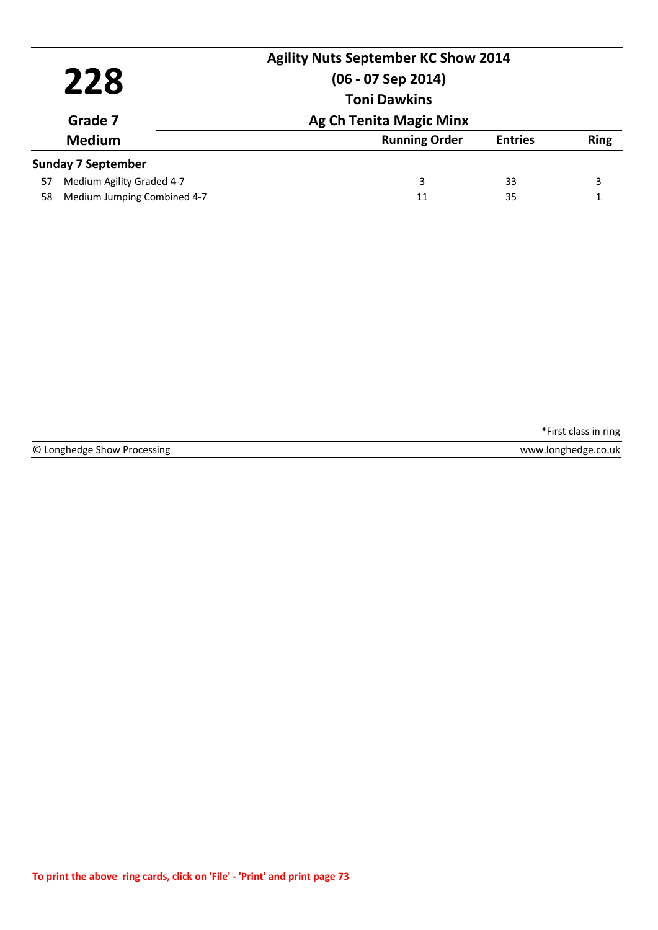|         | 228                         | <b>Agility Nuts September KC Show 2014</b><br>$(06 - 07$ Sep 2014) |                |             |
|---------|-----------------------------|--------------------------------------------------------------------|----------------|-------------|
| Grade 7 | <b>Toni Dawkins</b>         |                                                                    |                |             |
|         |                             | <b>Ag Ch Tenita Magic Minx</b>                                     |                |             |
|         | <b>Medium</b>               | <b>Running Order</b>                                               | <b>Entries</b> | <b>Ring</b> |
|         | <b>Sunday 7 September</b>   |                                                                    |                |             |
| 57      | Medium Agility Graded 4-7   | 3                                                                  | 33             | 3           |
| 58      | Medium Jumping Combined 4-7 | 11                                                                 | 35             |             |

|  | © Longhedge Show Processing |  |  |
|--|-----------------------------|--|--|
|--|-----------------------------|--|--|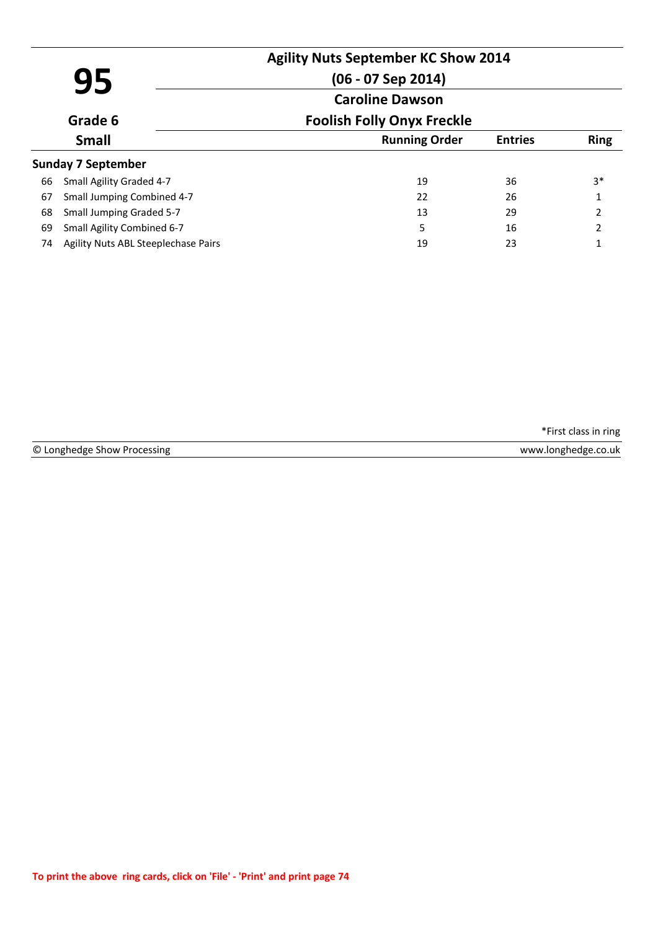|    | 95                                  | <b>Agility Nuts September KC Show 2014</b><br>$(06 - 07$ Sep 2014)<br><b>Caroline Dawson</b> |                |               |
|----|-------------------------------------|----------------------------------------------------------------------------------------------|----------------|---------------|
|    | Grade 6                             | <b>Foolish Folly Onyx Freckle</b>                                                            |                |               |
|    | <b>Small</b>                        | <b>Running Order</b>                                                                         | <b>Entries</b> | <b>Ring</b>   |
|    | <b>Sunday 7 September</b>           |                                                                                              |                |               |
| 66 | Small Agility Graded 4-7            | 19                                                                                           | 36             | $3*$          |
| 67 | Small Jumping Combined 4-7          | 22                                                                                           | 26             | 1             |
| 68 | Small Jumping Graded 5-7            | 13                                                                                           | 29             | 2             |
| 69 | Small Agility Combined 6-7          | 5                                                                                            | 16             | $\mathcal{L}$ |
| 74 | Agility Nuts ABL Steeplechase Pairs | 19                                                                                           | 23             |               |

© Longhedge Show Processing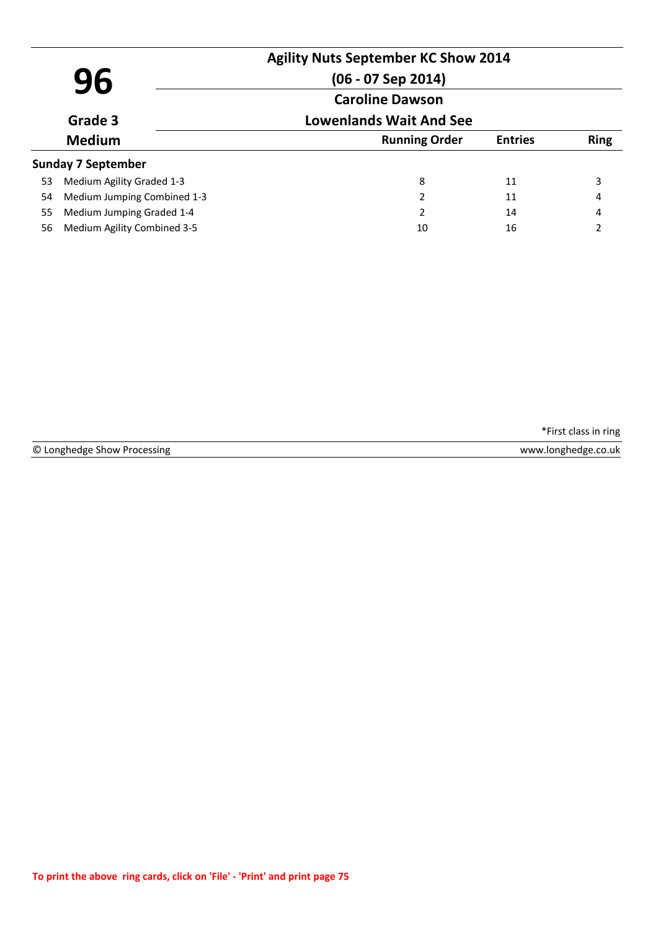|    |                             | <b>Agility Nuts September KC Show 2014</b> |                |             |
|----|-----------------------------|--------------------------------------------|----------------|-------------|
|    | 96                          | $(06 - 07$ Sep 2014)                       |                |             |
|    |                             | <b>Caroline Dawson</b>                     |                |             |
|    | Grade 3                     | <b>Lowenlands Wait And See</b>             |                |             |
|    | <b>Medium</b>               | <b>Running Order</b>                       | <b>Entries</b> | <b>Ring</b> |
|    | <b>Sunday 7 September</b>   |                                            |                |             |
| 53 | Medium Agility Graded 1-3   | 8                                          | 11             | 3           |
| 54 | Medium Jumping Combined 1-3 | 2                                          | 11             | 4           |
| 55 | Medium Jumping Graded 1-4   | 2                                          | 14             | 4           |
| 56 | Medium Agility Combined 3-5 | 10                                         | 16             | 2           |

© Longhedge Show Processing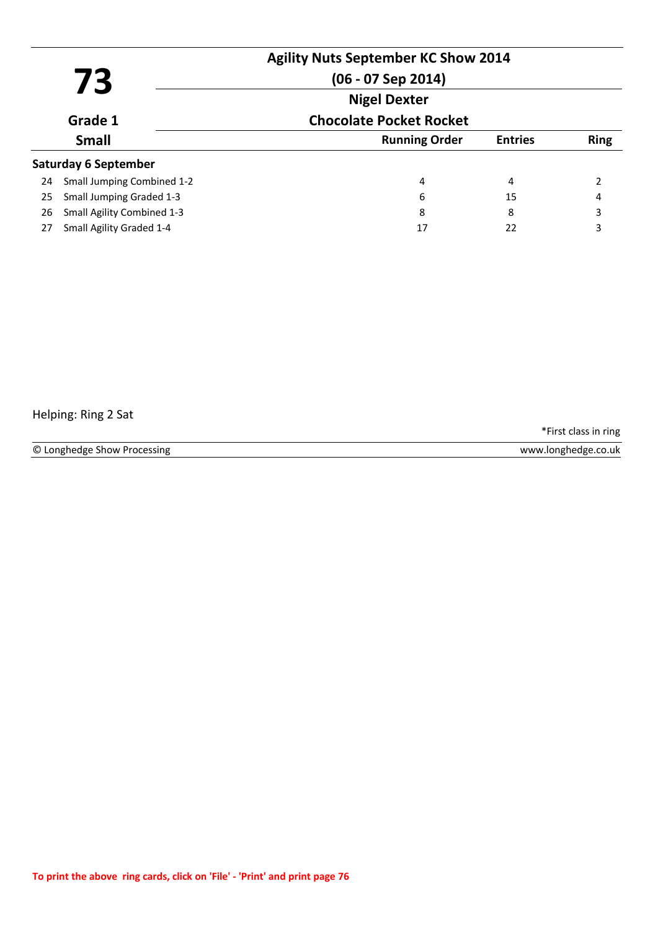|    | 73                          | $(06 - 07$ Sep 2014)           | <b>Agility Nuts September KC Show 2014</b> |             |  |
|----|-----------------------------|--------------------------------|--------------------------------------------|-------------|--|
|    |                             | <b>Nigel Dexter</b>            |                                            |             |  |
|    | Grade 1                     | <b>Chocolate Pocket Rocket</b> |                                            |             |  |
|    | <b>Small</b>                | <b>Running Order</b>           | <b>Entries</b>                             | <b>Ring</b> |  |
|    | <b>Saturday 6 September</b> |                                |                                            |             |  |
| 24 | Small Jumping Combined 1-2  | 4                              | 4                                          |             |  |
| 25 | Small Jumping Graded 1-3    | 6                              | 15                                         | 4           |  |
| 26 | Small Agility Combined 1-3  | 8                              | 8                                          | 3           |  |
| 27 | Small Agility Graded 1-4    | 17                             | 22                                         | 3           |  |

## Helping: Ring 2 Sat

\*First class in ring

© Longhedge Show Processing www.longhedge.co.uk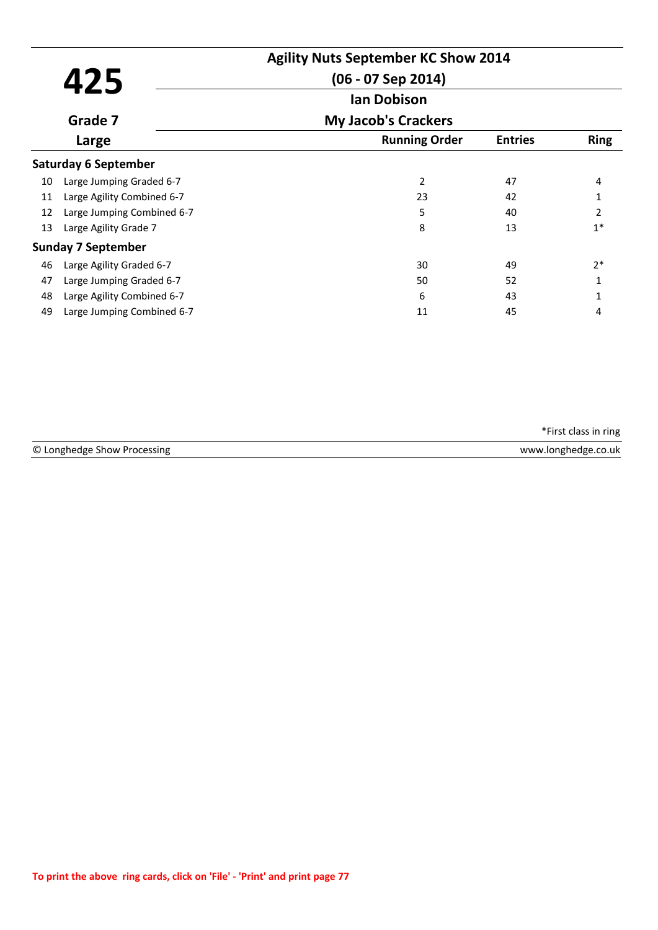| 425<br>Grade 7<br>Large<br><b>Saturday 6 September</b><br>Large Jumping Graded 6-7<br>10<br>Large Agility Combined 6-7<br>11<br>Large Jumping Combined 6-7<br>12 | <b>Agility Nuts September KC Show 2014</b><br>$(06 - 07$ Sep 2014) |                            |                |                |  |
|------------------------------------------------------------------------------------------------------------------------------------------------------------------|--------------------------------------------------------------------|----------------------------|----------------|----------------|--|
|                                                                                                                                                                  |                                                                    | <b>Ian Dobison</b>         |                |                |  |
|                                                                                                                                                                  |                                                                    | <b>My Jacob's Crackers</b> |                |                |  |
|                                                                                                                                                                  |                                                                    | <b>Running Order</b>       | <b>Entries</b> | <b>Ring</b>    |  |
|                                                                                                                                                                  |                                                                    |                            |                |                |  |
|                                                                                                                                                                  |                                                                    | 2                          | 47             | 4              |  |
|                                                                                                                                                                  |                                                                    | 23                         | 42             |                |  |
|                                                                                                                                                                  |                                                                    | 5                          | 40             | $\overline{2}$ |  |
| 13                                                                                                                                                               | Large Agility Grade 7                                              | 8                          | 13             | $1*$           |  |
|                                                                                                                                                                  | <b>Sunday 7 September</b>                                          |                            |                |                |  |
| 46                                                                                                                                                               | Large Agility Graded 6-7                                           | 30                         | 49             | $2*$           |  |
| 47                                                                                                                                                               | Large Jumping Graded 6-7                                           | 50                         | 52             | 1              |  |
| 48                                                                                                                                                               | Large Agility Combined 6-7                                         | 6                          | 43             | 1              |  |
| 49                                                                                                                                                               | Large Jumping Combined 6-7                                         | 11                         | 45             | 4              |  |

| © Longh<br>sing<br>snow<br>n p<br>∩C | <b><i>MAAAA</i></b><br>).uk<br>טוזו |
|--------------------------------------|-------------------------------------|
|                                      |                                     |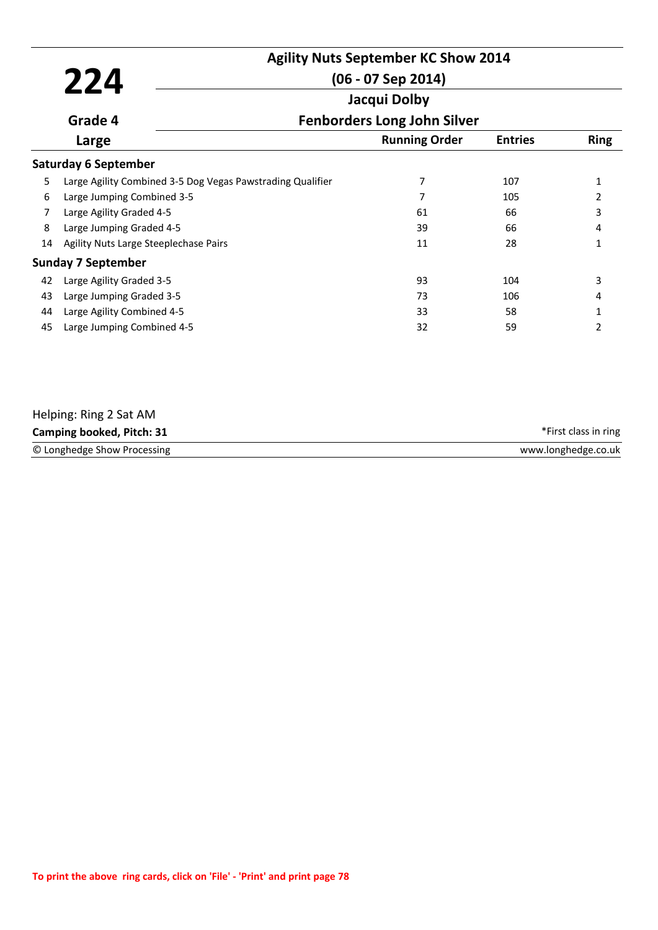|    |                                                            | <b>Agility Nuts September KC Show 2014</b> |                |              |
|----|------------------------------------------------------------|--------------------------------------------|----------------|--------------|
|    | 224                                                        | $(06 - 07$ Sep 2014)                       |                |              |
|    |                                                            | Jacqui Dolby                               |                |              |
|    | Grade 4                                                    | <b>Fenborders Long John Silver</b>         |                |              |
|    | Large                                                      | <b>Running Order</b>                       | <b>Entries</b> | <b>Ring</b>  |
|    | <b>Saturday 6 September</b>                                |                                            |                |              |
| 5  | Large Agility Combined 3-5 Dog Vegas Pawstrading Qualifier | 7                                          | 107            | $\mathbf{1}$ |
| 6  | Large Jumping Combined 3-5                                 | 7                                          | 105            | 2            |
| 7  | Large Agility Graded 4-5                                   | 61                                         | 66             | 3            |
| 8  | Large Jumping Graded 4-5                                   | 39                                         | 66             | 4            |
| 14 | Agility Nuts Large Steeplechase Pairs                      | 11                                         | 28             | 1            |
|    | <b>Sunday 7 September</b>                                  |                                            |                |              |
| 42 | Large Agility Graded 3-5                                   | 93                                         | 104            | 3            |
| 43 | Large Jumping Graded 3-5                                   | 73                                         | 106            | 4            |
| 44 | Large Agility Combined 4-5                                 | 33                                         | 58             | 1            |
| 45 | Large Jumping Combined 4-5                                 | 32                                         | 59             | 2            |
|    |                                                            |                                            |                |              |

| Helping: Ring 2 Sat AM      |                      |
|-----------------------------|----------------------|
| Camping booked, Pitch: 31   | *First class in ring |
| © Longhedge Show Processing | www.longhedge.co.uk  |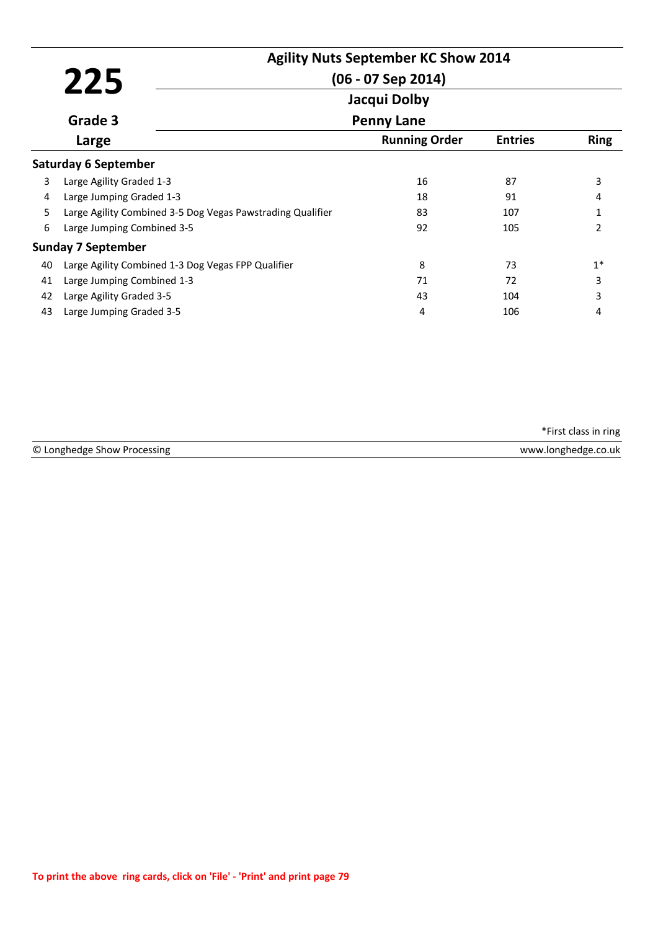|    |                                                            | <b>Agility Nuts September KC Show 2014</b> |                |               |
|----|------------------------------------------------------------|--------------------------------------------|----------------|---------------|
|    | 225                                                        | $(06 - 07$ Sep 2014)                       |                |               |
|    |                                                            | Jacqui Dolby                               |                |               |
|    | Grade 3                                                    | <b>Penny Lane</b>                          |                |               |
|    | Large                                                      | <b>Running Order</b>                       | <b>Entries</b> | <b>Ring</b>   |
|    | <b>Saturday 6 September</b>                                |                                            |                |               |
| 3  | Large Agility Graded 1-3                                   | 16                                         | 87             | 3             |
| 4  | Large Jumping Graded 1-3                                   | 18                                         | 91             | 4             |
| 5  | Large Agility Combined 3-5 Dog Vegas Pawstrading Qualifier | 83                                         | 107            | $\mathbf{1}$  |
| 6  | Large Jumping Combined 3-5                                 | 92                                         | 105            | $\mathcal{P}$ |
|    | <b>Sunday 7 September</b>                                  |                                            |                |               |
| 40 | Large Agility Combined 1-3 Dog Vegas FPP Qualifier         | 8                                          | 73             | $1*$          |
| 41 | Large Jumping Combined 1-3                                 | 71                                         | 72             | 3             |
| 42 | Large Agility Graded 3-5                                   | 43                                         | 104            | 3             |
| 43 | Large Jumping Graded 3-5                                   | 4                                          | 106            | 4             |

|                             | *First class in ring |
|-----------------------------|----------------------|
| © Longhedge Show Processing | www.longhedge.co.uk  |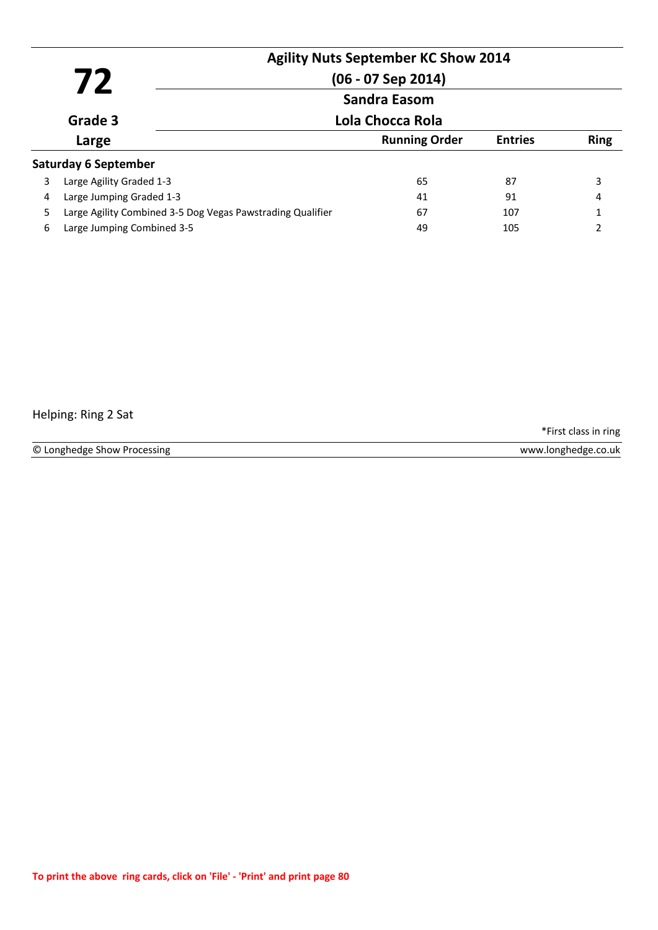|   | 72<br>Grade 3                                              | <b>Agility Nuts September KC Show 2014</b><br>$(06 - 07$ Sep 2014)<br><b>Sandra Easom</b> |                |             |
|---|------------------------------------------------------------|-------------------------------------------------------------------------------------------|----------------|-------------|
|   |                                                            | Lola Chocca Rola                                                                          |                |             |
|   | Large                                                      | <b>Running Order</b>                                                                      | <b>Entries</b> | <b>Ring</b> |
|   | <b>Saturday 6 September</b>                                |                                                                                           |                |             |
| 3 | Large Agility Graded 1-3                                   | 65                                                                                        | 87             | 3           |
| 4 | Large Jumping Graded 1-3                                   | 41                                                                                        | 91             | 4           |
| 5 | Large Agility Combined 3-5 Dog Vegas Pawstrading Qualifier | 67                                                                                        | 107            |             |
| 6 | Large Jumping Combined 3-5                                 | 49                                                                                        | 105            |             |

## Helping: Ring 2 Sat

\*First class in ring

© Longhedge Show Processing www.longhedge.co.uk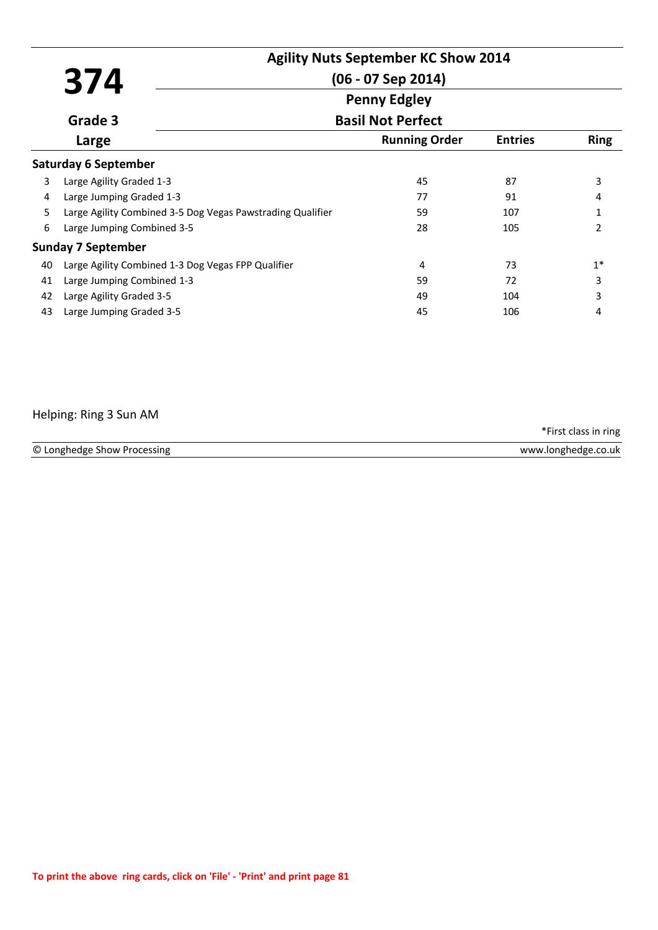|    | 374                                                        | <b>Agility Nuts September KC Show 2014</b><br>$(06 - 07$ Sep 2014) |                |                |  |  |
|----|------------------------------------------------------------|--------------------------------------------------------------------|----------------|----------------|--|--|
|    |                                                            | <b>Penny Edgley</b>                                                |                |                |  |  |
|    | Grade 3                                                    | <b>Basil Not Perfect</b>                                           |                |                |  |  |
|    | Large                                                      | <b>Running Order</b>                                               | <b>Entries</b> | <b>Ring</b>    |  |  |
|    | <b>Saturday 6 September</b>                                |                                                                    |                |                |  |  |
| 3  | Large Agility Graded 1-3                                   | 45                                                                 | 87             | 3              |  |  |
| 4  | Large Jumping Graded 1-3                                   | 77                                                                 | 91             | 4              |  |  |
| 5. | Large Agility Combined 3-5 Dog Vegas Pawstrading Qualifier | 59                                                                 | 107            | 1              |  |  |
| 6  | Large Jumping Combined 3-5                                 | 28                                                                 | 105            | $\mathfrak{p}$ |  |  |
|    | <b>Sunday 7 September</b>                                  |                                                                    |                |                |  |  |
| 40 | Large Agility Combined 1-3 Dog Vegas FPP Qualifier         | 4                                                                  | 73             | $1*$           |  |  |
| 41 | Large Jumping Combined 1-3                                 | 59                                                                 | 72             | 3              |  |  |
| 42 | Large Agility Graded 3-5                                   | 49                                                                 | 104            | 3              |  |  |
| 43 | Large Jumping Graded 3-5                                   | 45                                                                 | 106            | 4              |  |  |

## Helping: Ring 3 Sun AM

© Longhedge Show Processing \*First class in ring www.longhedge.co.uk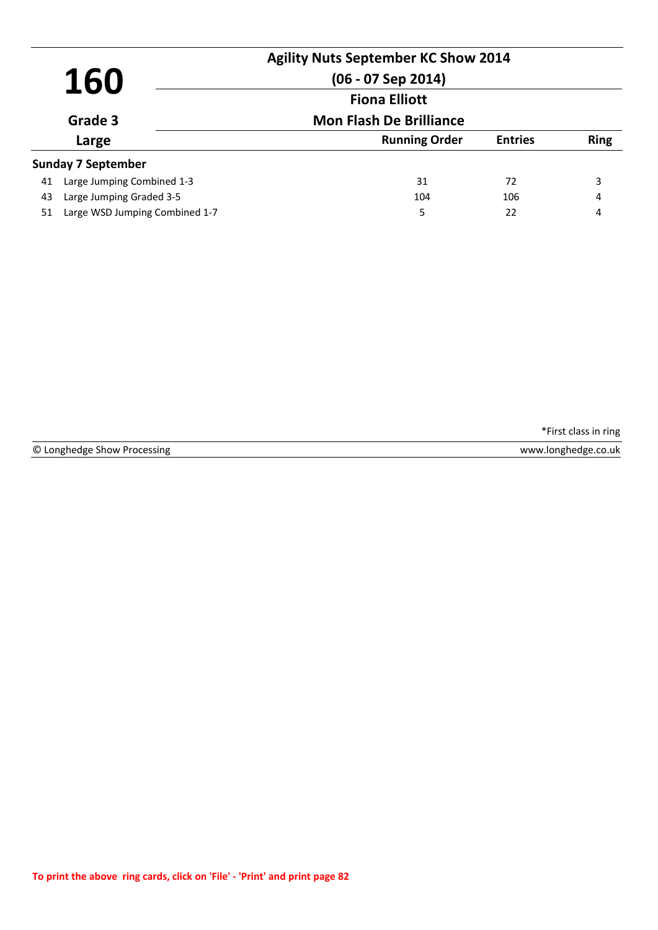| 160   |                                | <b>Agility Nuts September KC Show 2014</b><br>$(06 - 07$ Sep 2014)<br><b>Fiona Elliott</b> |     |             |
|-------|--------------------------------|--------------------------------------------------------------------------------------------|-----|-------------|
|       | Grade 3                        | <b>Mon Flash De Brilliance</b>                                                             |     |             |
| Large |                                | <b>Running Order</b><br><b>Entries</b>                                                     |     | <b>Ring</b> |
|       | <b>Sunday 7 September</b>      |                                                                                            |     |             |
| 41    | Large Jumping Combined 1-3     | 31                                                                                         | 72  | 3           |
| 43    | Large Jumping Graded 3-5       | 104                                                                                        | 106 | 4           |
| 51    | Large WSD Jumping Combined 1-7 | 5                                                                                          | 22  | 4           |

© Longhedge Show Processing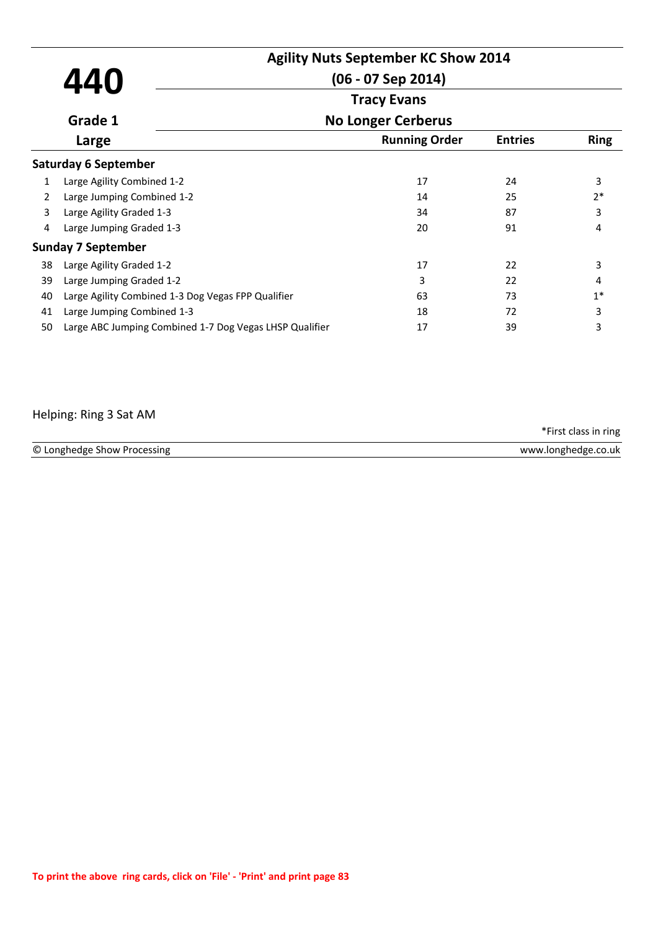|              | 440                                                     | <b>Agility Nuts September KC Show 2014</b><br>$(06 - 07$ Sep 2014) |                |             |
|--------------|---------------------------------------------------------|--------------------------------------------------------------------|----------------|-------------|
|              |                                                         | <b>Tracy Evans</b>                                                 |                |             |
|              | Grade 1                                                 | <b>No Longer Cerberus</b>                                          |                |             |
|              | Large                                                   | <b>Running Order</b>                                               | <b>Entries</b> | <b>Ring</b> |
|              | <b>Saturday 6 September</b>                             |                                                                    |                |             |
| $\mathbf{1}$ | Large Agility Combined 1-2                              | 17                                                                 | 24             | 3           |
| 2            | Large Jumping Combined 1-2                              | 14                                                                 | 25             | $2*$        |
| 3            | Large Agility Graded 1-3                                | 34                                                                 | 87             | 3           |
| 4            | Large Jumping Graded 1-3                                | 20                                                                 | 91             | 4           |
|              | <b>Sunday 7 September</b>                               |                                                                    |                |             |
| 38           | Large Agility Graded 1-2                                | 17                                                                 | 22             | 3           |
| 39           | Large Jumping Graded 1-2                                | 3                                                                  | 22             | 4           |
| 40           | Large Agility Combined 1-3 Dog Vegas FPP Qualifier      | 63                                                                 | 73             | $1*$        |
| 41           | Large Jumping Combined 1-3                              | 18                                                                 | 72             | 3           |
| 50           | Large ABC Jumping Combined 1-7 Dog Vegas LHSP Qualifier | 17                                                                 | 39             | 3           |

# Helping: Ring 3 Sat AM

|                             | *First class in ring |
|-----------------------------|----------------------|
| © Longhedge Show Processing | www.longhedge.co.uk  |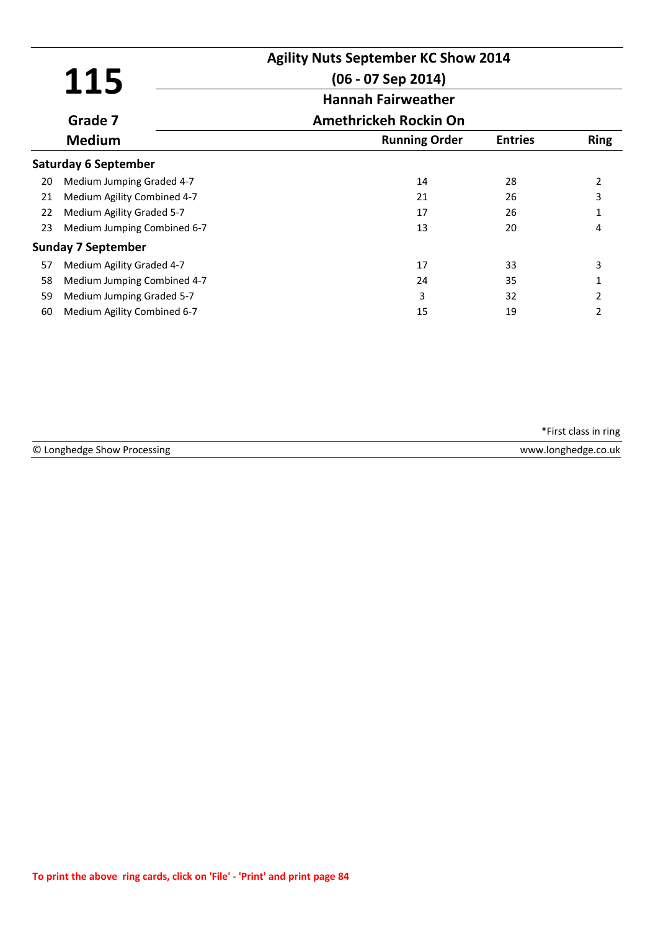|    | 115                         | <b>Agility Nuts September KC Show 2014</b><br>$(06 - 07$ Sep 2014) |                |                |
|----|-----------------------------|--------------------------------------------------------------------|----------------|----------------|
|    |                             | <b>Hannah Fairweather</b>                                          |                |                |
|    | Grade 7                     | <b>Amethrickeh Rockin On</b>                                       |                |                |
|    | <b>Medium</b>               | <b>Running Order</b>                                               | <b>Entries</b> | <b>Ring</b>    |
|    | <b>Saturday 6 September</b> |                                                                    |                |                |
| 20 | Medium Jumping Graded 4-7   | 14                                                                 | 28             | 2              |
| 21 | Medium Agility Combined 4-7 | 21                                                                 | 26             | 3              |
| 22 | Medium Agility Graded 5-7   | 17                                                                 | 26             |                |
| 23 | Medium Jumping Combined 6-7 | 13                                                                 | 20             | 4              |
|    | <b>Sunday 7 September</b>   |                                                                    |                |                |
| 57 | Medium Agility Graded 4-7   | 17                                                                 | 33             | 3              |
| 58 | Medium Jumping Combined 4-7 | 24                                                                 | 35             |                |
| 59 | Medium Jumping Graded 5-7   | 3                                                                  | 32             | 2              |
| 60 | Medium Agility Combined 6-7 | 15                                                                 | 19             | $\mathfrak{p}$ |

| © Longhedge | <b>18/18/18</b> |
|-------------|-----------------|
| ocessing    | ว.uk            |
| show Pr     | noe             |
|             |                 |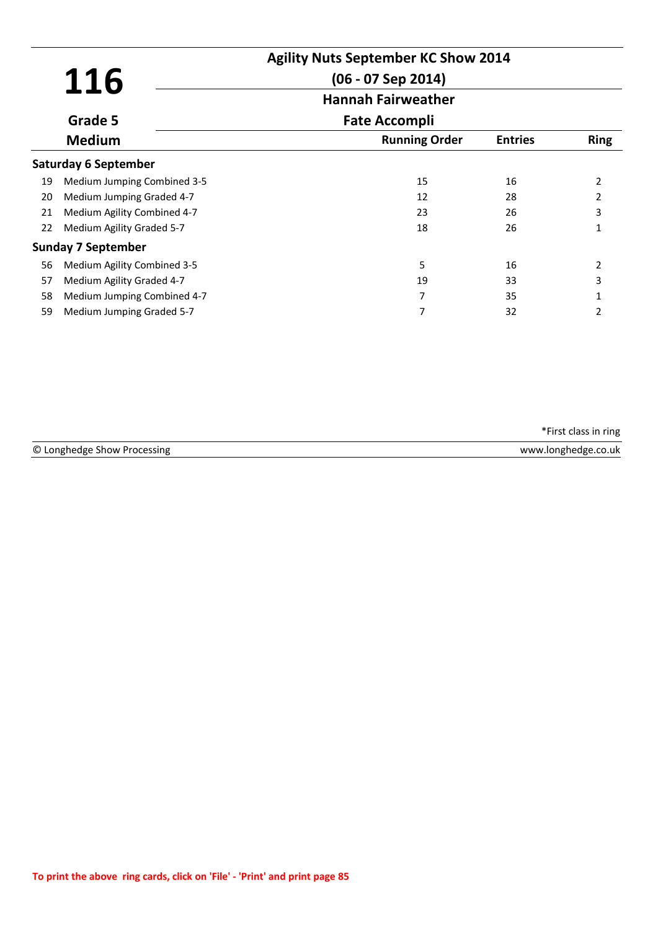|     |                             | <b>Agility Nuts September KC Show 2014</b><br>$(06 - 07$ Sep 2014) |                |                |
|-----|-----------------------------|--------------------------------------------------------------------|----------------|----------------|
| 116 | <b>Hannah Fairweather</b>   |                                                                    |                |                |
|     | Grade 5                     | <b>Fate Accompli</b>                                               |                |                |
|     | <b>Medium</b>               | <b>Running Order</b>                                               | <b>Entries</b> | <b>Ring</b>    |
|     | Saturday 6 September        |                                                                    |                |                |
| 19  | Medium Jumping Combined 3-5 | 15                                                                 | 16             | 2              |
| 20  | Medium Jumping Graded 4-7   | 12                                                                 | 28             | $\overline{2}$ |
| 21  | Medium Agility Combined 4-7 | 23                                                                 | 26             | 3              |
| 22  | Medium Agility Graded 5-7   | 18                                                                 | 26             | 1              |
|     | <b>Sunday 7 September</b>   |                                                                    |                |                |
| 56  | Medium Agility Combined 3-5 | 5                                                                  | 16             | 2              |
| 57  | Medium Agility Graded 4-7   | 19                                                                 | 33             | 3              |
| 58  | Medium Jumping Combined 4-7 | 7                                                                  | 35             |                |
| 59  | Medium Jumping Graded 5-7   | 7                                                                  | 32             | 2              |

| © Longhedge Show Processing | www.longhedge.<br>.co.uk |
|-----------------------------|--------------------------|
|                             |                          |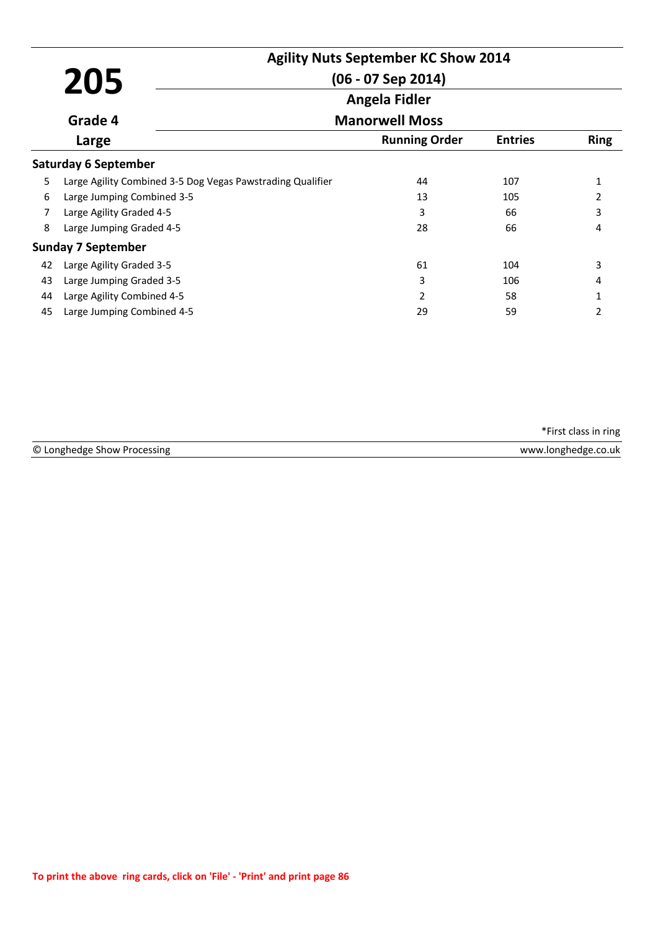|    |                                                            | <b>Agility Nuts September KC Show 2014</b> |                |                          |
|----|------------------------------------------------------------|--------------------------------------------|----------------|--------------------------|
|    | 205                                                        | $(06 - 07$ Sep 2014)                       |                |                          |
|    |                                                            | Angela Fidler                              |                |                          |
|    | Grade 4                                                    | <b>Manorwell Moss</b>                      |                |                          |
|    | Large                                                      | <b>Running Order</b>                       | <b>Entries</b> | <b>Ring</b>              |
|    | <b>Saturday 6 September</b>                                |                                            |                |                          |
| 5  | Large Agility Combined 3-5 Dog Vegas Pawstrading Qualifier | 44                                         | 107            |                          |
| 6  | Large Jumping Combined 3-5                                 | 13                                         | 105            | $\overline{\phantom{a}}$ |
| 7  | Large Agility Graded 4-5                                   | 3                                          | 66             | 3                        |
| 8  | Large Jumping Graded 4-5                                   | 28                                         | 66             | 4                        |
|    | <b>Sunday 7 September</b>                                  |                                            |                |                          |
| 42 | Large Agility Graded 3-5                                   | 61                                         | 104            | 3                        |
| 43 | Large Jumping Graded 3-5                                   | 3                                          | 106            | 4                        |
| 44 | Large Agility Combined 4-5                                 | $\overline{2}$                             | 58             |                          |
| 45 | Large Jumping Combined 4-5                                 | 29                                         | 59             | 2                        |

| © Longhedge Show Processing | www.longhedge.co.uk |
|-----------------------------|---------------------|
|                             |                     |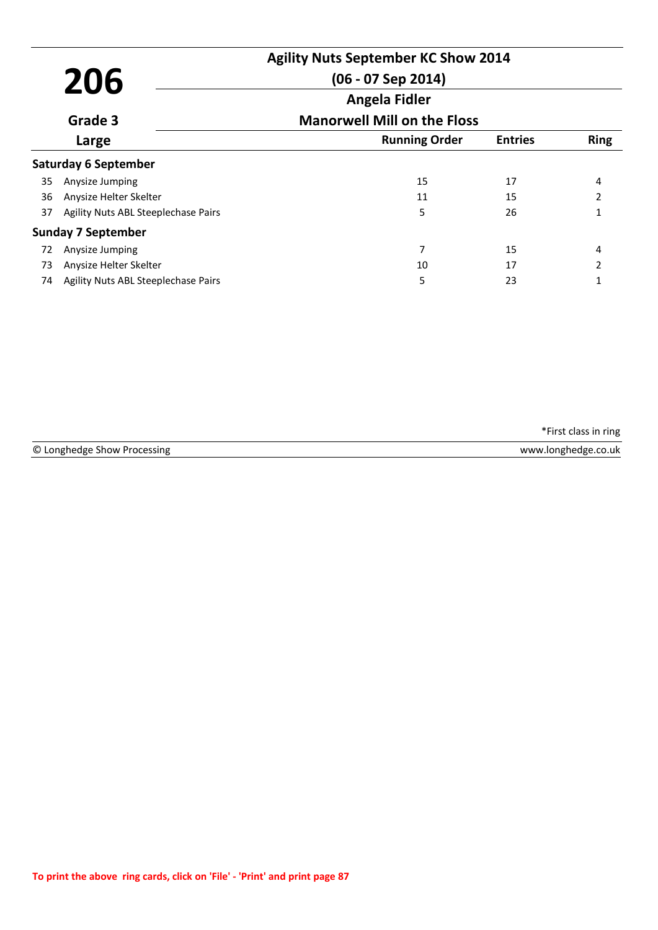|     |                                     | <b>Agility Nuts September KC Show 2014</b>          |                |                |  |
|-----|-------------------------------------|-----------------------------------------------------|----------------|----------------|--|
| 206 |                                     | $(06 - 07$ Sep 2014)                                |                |                |  |
|     |                                     | Angela Fidler<br><b>Manorwell Mill on the Floss</b> |                |                |  |
|     | Grade 3                             |                                                     |                |                |  |
|     | Large                               | <b>Running Order</b>                                | <b>Entries</b> | <b>Ring</b>    |  |
|     | <b>Saturday 6 September</b>         |                                                     |                |                |  |
| 35  | Anysize Jumping                     | 15                                                  | 17             | 4              |  |
| 36  | Anysize Helter Skelter              | 11                                                  | 15             | $\overline{2}$ |  |
| 37  | Agility Nuts ABL Steeplechase Pairs | 5                                                   | 26             |                |  |
|     | <b>Sunday 7 September</b>           |                                                     |                |                |  |
| 72  | Anysize Jumping                     | 7                                                   | 15             | 4              |  |
| 73  | Anysize Helter Skelter              | 10                                                  | 17             | $\mathcal{P}$  |  |
| 74  | Agility Nuts ABL Steeplechase Pairs | 5                                                   | 23             |                |  |

| © Longhedge | .       |
|-------------|---------|
| essing      | .uk     |
| 110 N.W     | ønenøe  |
| . ٢٥٢       | . C 3 E |
|             |         |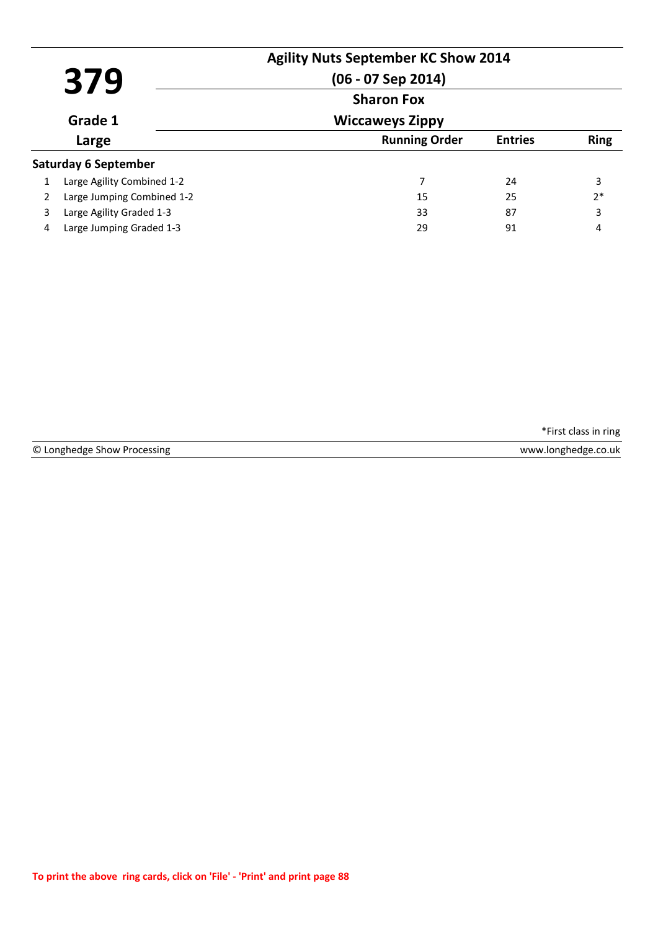|         | 379                         | <b>Agility Nuts September KC Show 2014</b><br>$(06 - 07$ Sep 2014)<br><b>Sharon Fox</b> |                |             |
|---------|-----------------------------|-----------------------------------------------------------------------------------------|----------------|-------------|
|         |                             |                                                                                         |                |             |
| Grade 1 |                             | <b>Wiccaweys Zippy</b>                                                                  |                |             |
|         | Large                       | <b>Running Order</b>                                                                    | <b>Entries</b> | <b>Ring</b> |
|         | <b>Saturday 6 September</b> |                                                                                         |                |             |
|         | Large Agility Combined 1-2  | 7                                                                                       | 24             | 3           |
|         | Large Jumping Combined 1-2  | 15                                                                                      | 25             | $2*$        |
| 3       | Large Agility Graded 1-3    | 33                                                                                      | 87             | 3           |
| 4       | Large Jumping Graded 1-3    | 29                                                                                      | 91             | 4           |

© Longhedge Show Processing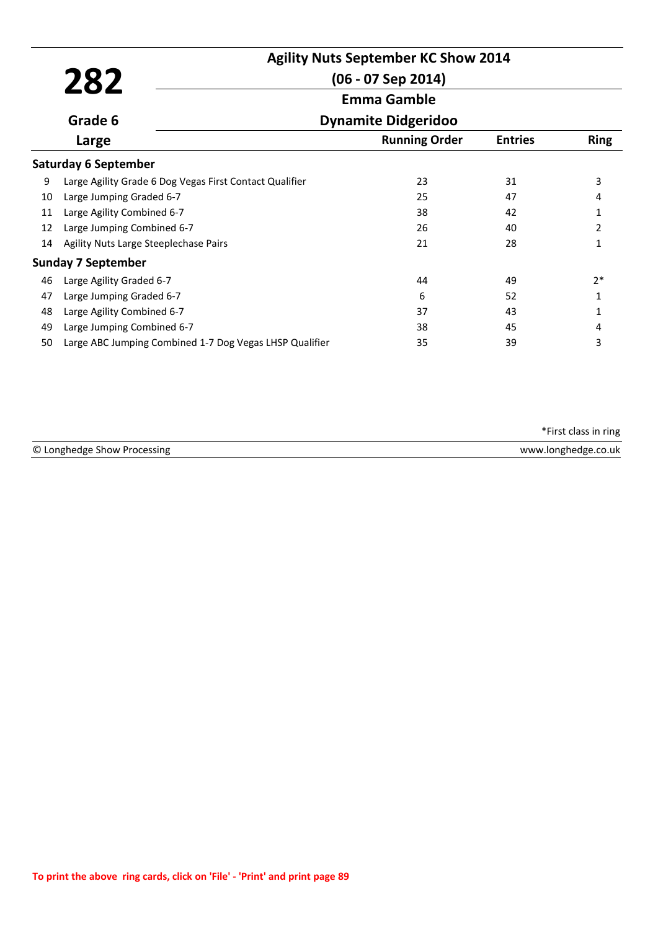|    |                                                         | <b>Agility Nuts September KC Show 2014</b> |                |                |
|----|---------------------------------------------------------|--------------------------------------------|----------------|----------------|
|    | 282                                                     | $(06 - 07$ Sep 2014)                       |                |                |
|    |                                                         | <b>Emma Gamble</b>                         |                |                |
|    | Grade 6                                                 | <b>Dynamite Didgeridoo</b>                 |                |                |
|    | Large                                                   | <b>Running Order</b>                       | <b>Entries</b> | <b>Ring</b>    |
|    | <b>Saturday 6 September</b>                             |                                            |                |                |
| 9  | Large Agility Grade 6 Dog Vegas First Contact Qualifier | 23                                         | 31             | 3              |
| 10 | Large Jumping Graded 6-7                                | 25                                         | 47             | 4              |
| 11 | Large Agility Combined 6-7                              | 38                                         | 42             | 1              |
| 12 | Large Jumping Combined 6-7                              | 26                                         | 40             | $\overline{2}$ |
| 14 | Agility Nuts Large Steeplechase Pairs                   | 21                                         | 28             | 1              |
|    | <b>Sunday 7 September</b>                               |                                            |                |                |
| 46 | Large Agility Graded 6-7                                | 44                                         | 49             | $2*$           |
| 47 | Large Jumping Graded 6-7                                | 6                                          | 52             | 1              |
| 48 | Large Agility Combined 6-7                              | 37                                         | 43             | 1              |
| 49 | Large Jumping Combined 6-7                              | 38                                         | 45             | 4              |
| 50 | Large ABC Jumping Combined 1-7 Dog Vegas LHSP Qualifier | 35                                         | 39             | 3              |

| ©Ι<br>ssing.<br>Anghedge<br>. oces | ).uk<br>,,,,,,,<br>. |
|------------------------------------|----------------------|
| . .                                |                      |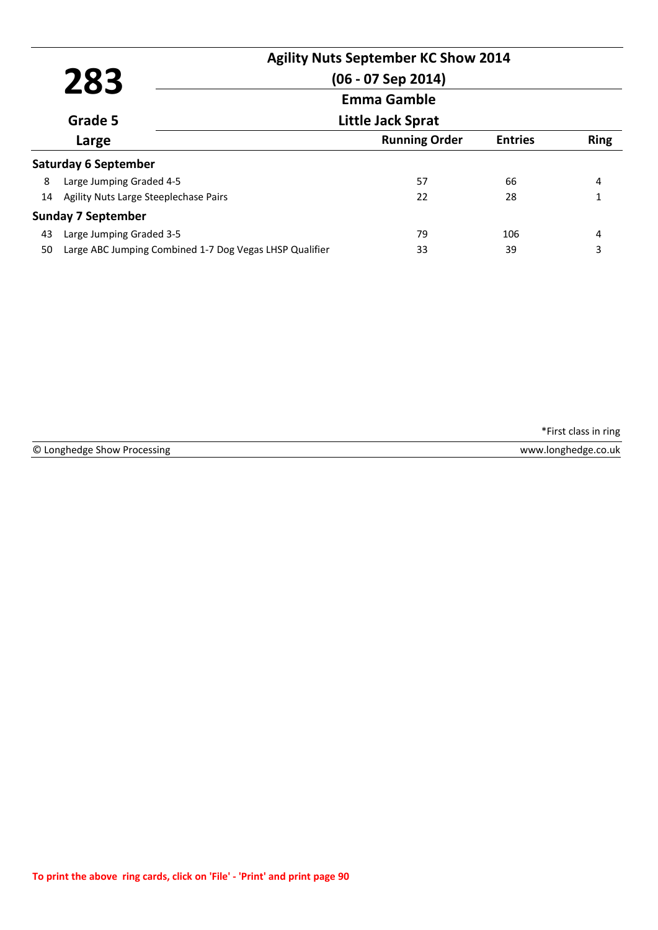|    | 283                                                     | <b>Agility Nuts September KC Show 2014</b><br>$(06 - 07$ Sep 2014) |                |             |
|----|---------------------------------------------------------|--------------------------------------------------------------------|----------------|-------------|
|    |                                                         | <b>Emma Gamble</b><br>Little Jack Sprat                            |                |             |
|    | Grade 5                                                 |                                                                    |                |             |
|    | Large                                                   | <b>Running Order</b>                                               | <b>Entries</b> | <b>Ring</b> |
|    | <b>Saturday 6 September</b>                             |                                                                    |                |             |
| 8  | Large Jumping Graded 4-5                                | 57                                                                 | 66             | 4           |
| 14 | Agility Nuts Large Steeplechase Pairs                   | 22                                                                 | 28             |             |
|    | <b>Sunday 7 September</b>                               |                                                                    |                |             |
| 43 | Large Jumping Graded 3-5                                | 79                                                                 | 106            | 4           |
| 50 | Large ABC Jumping Combined 1-7 Dog Vegas LHSP Qualifier | 33                                                                 | 39             | 3           |

© Longhedge Show Processing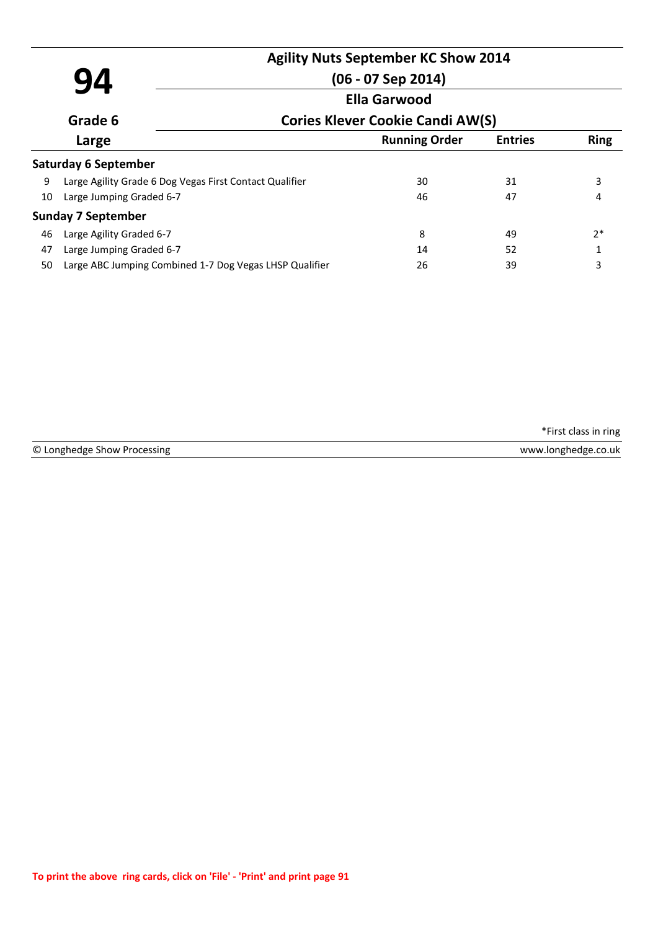|    | <b>Agility Nuts September KC Show 2014</b> |
|----|--------------------------------------------|
| 94 | $(06 - 07$ Sep 2014)                       |
|    | <b>Ella Garwood</b>                        |

#### **Cories Klever Cookie Candi AW(S)**

|       | Grade 6                                                 | <b>Cories Klever Cookie Candi AW(S)</b> |                |             |  |
|-------|---------------------------------------------------------|-----------------------------------------|----------------|-------------|--|
| Large |                                                         | <b>Running Order</b>                    | <b>Entries</b> | <b>Ring</b> |  |
|       | <b>Saturday 6 September</b>                             |                                         |                |             |  |
| 9     | Large Agility Grade 6 Dog Vegas First Contact Qualifier | 30                                      | 31             | 3           |  |
| 10    | Large Jumping Graded 6-7                                | 46                                      | 47             | 4           |  |
|       | <b>Sunday 7 September</b>                               |                                         |                |             |  |
| 46    | Large Agility Graded 6-7                                | 8                                       | 49             | $2*$        |  |
| 47    | Large Jumping Graded 6-7                                | 14                                      | 52             |             |  |
| 50    | Large ABC Jumping Combined 1-7 Dog Vegas LHSP Qualifier | 26                                      | 39             | 3           |  |

\*First class in ring

© Longhedge Show Processing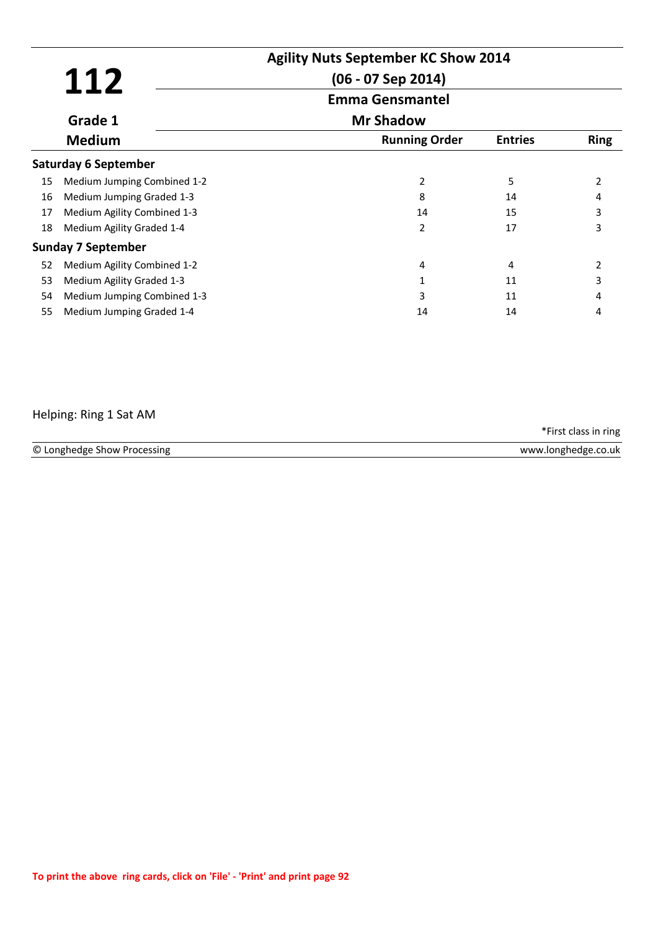|    | 112                         | <b>Agility Nuts September KC Show 2014</b><br>$(06 - 07$ Sep 2014) |                |             |
|----|-----------------------------|--------------------------------------------------------------------|----------------|-------------|
|    |                             | <b>Emma Gensmantel</b>                                             |                |             |
|    | Grade 1                     | <b>Mr Shadow</b>                                                   |                |             |
|    | <b>Medium</b>               | <b>Running Order</b>                                               | <b>Entries</b> | <b>Ring</b> |
|    | Saturday 6 September        |                                                                    |                |             |
| 15 | Medium Jumping Combined 1-2 | 2                                                                  | 5              | 2           |
| 16 | Medium Jumping Graded 1-3   | 8                                                                  | 14             |             |
| 17 | Medium Agility Combined 1-3 | 14                                                                 | 15             | 3           |
| 18 | Medium Agility Graded 1-4   | $\mathcal{P}$                                                      | 17             | 3           |
|    | <b>Sunday 7 September</b>   |                                                                    |                |             |
| 52 | Medium Agility Combined 1-2 | 4                                                                  | 4              | 2           |
| 53 | Medium Agility Graded 1-3   |                                                                    | 11             | 3           |
| 54 | Medium Jumping Combined 1-3 | 3                                                                  | 11             | 4           |
| 55 | Medium Jumping Graded 1-4   | 14                                                                 | 14             | 4           |

## Helping: Ring 1 Sat AM

© Longhedge Show Processing www.longhedge.co.uk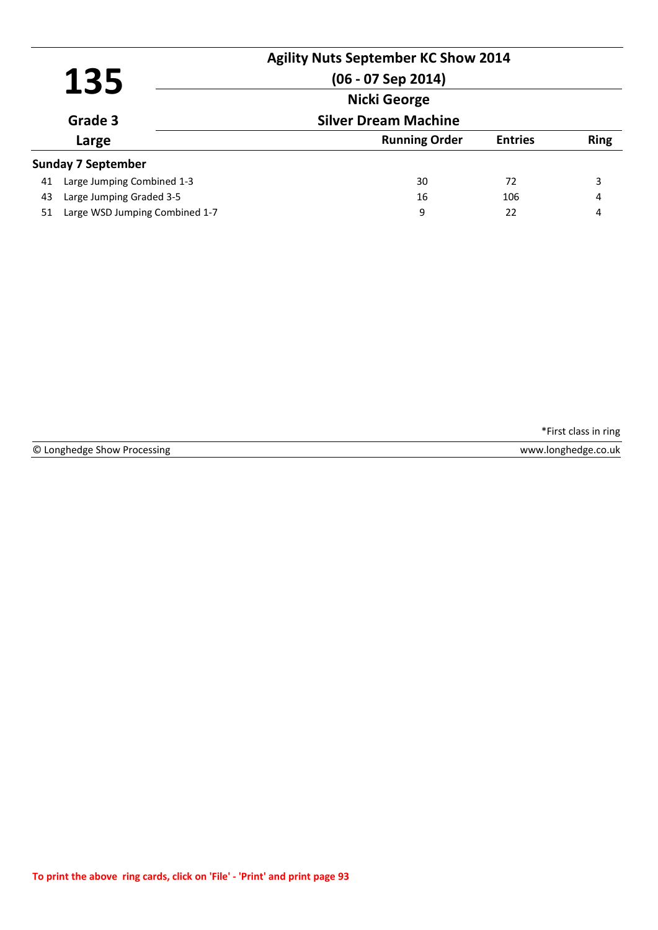|    |                                | <b>Agility Nuts September KC Show 2014</b> |                |             |
|----|--------------------------------|--------------------------------------------|----------------|-------------|
|    | 135                            | $(06 - 07$ Sep 2014)                       |                |             |
|    |                                | <b>Nicki George</b>                        |                |             |
|    | Grade 3                        | <b>Silver Dream Machine</b>                |                |             |
|    | Large                          | <b>Running Order</b>                       | <b>Entries</b> | <b>Ring</b> |
|    | <b>Sunday 7 September</b>      |                                            |                |             |
| 41 | Large Jumping Combined 1-3     | 30                                         | 72             | 3           |
| 43 | Large Jumping Graded 3-5       | 16                                         | 106            | 4           |
| 51 | Large WSD Jumping Combined 1-7 | 9                                          | 22             | 4           |

© Longhedge Show Processing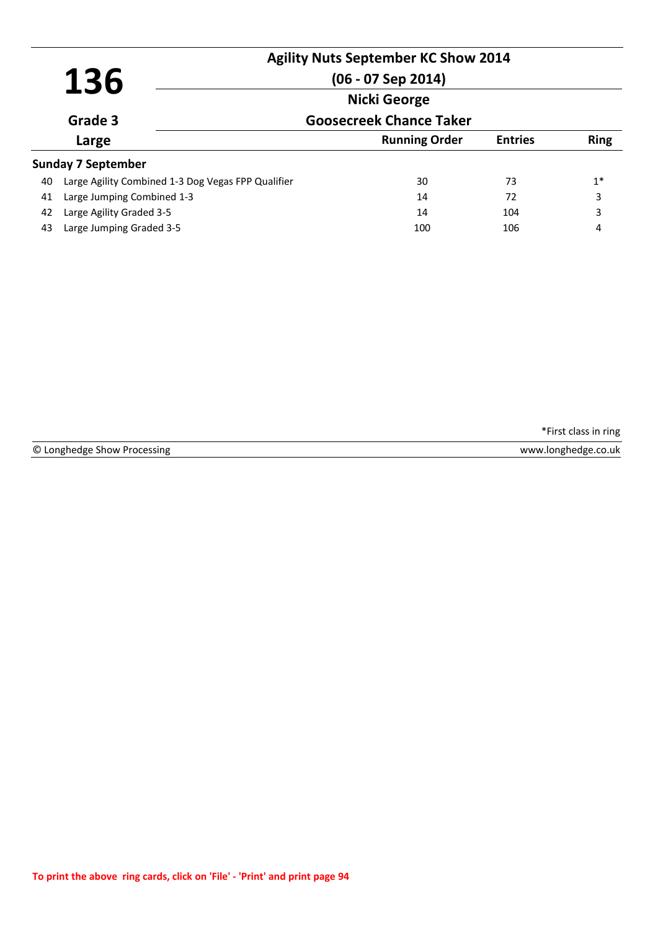|    | 136                                                | <b>Agility Nuts September KC Show 2014</b><br>$(06 - 07$ Sep 2014) |                |             |
|----|----------------------------------------------------|--------------------------------------------------------------------|----------------|-------------|
|    |                                                    |                                                                    |                |             |
|    | Grade 3                                            | <b>Goosecreek Chance Taker</b>                                     |                |             |
|    | Large                                              | <b>Running Order</b>                                               | <b>Entries</b> | <b>Ring</b> |
|    | <b>Sunday 7 September</b>                          |                                                                    |                |             |
| 40 | Large Agility Combined 1-3 Dog Vegas FPP Qualifier | 30                                                                 | 73             | $1^*$       |
| 41 | Large Jumping Combined 1-3                         | 14                                                                 | 72             | 3           |
| 42 | Large Agility Graded 3-5                           | 14                                                                 | 104            | 3           |
| 43 | Large Jumping Graded 3-5                           | 100                                                                | 106            | 4           |

© Longhedge Show Processing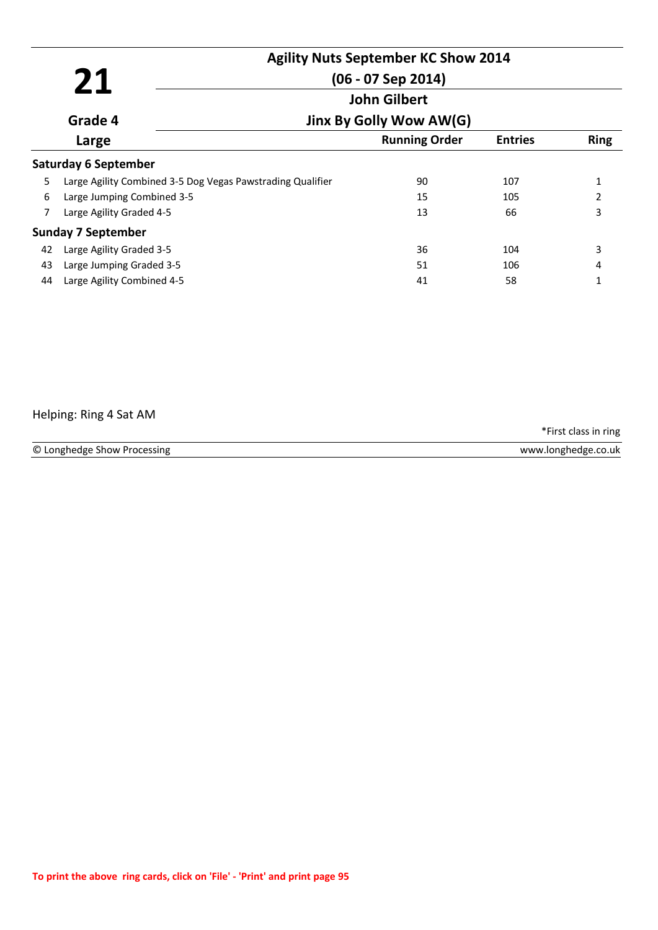|    |                             | <b>Agility Nuts September KC Show 2014</b>                 |                      |                |              |  |
|----|-----------------------------|------------------------------------------------------------|----------------------|----------------|--------------|--|
|    | 21                          |                                                            | $(06 - 07$ Sep 2014) |                |              |  |
|    |                             |                                                            | <b>John Gilbert</b>  |                |              |  |
|    | Grade 4                     | Jinx By Golly Wow AW(G)                                    |                      |                |              |  |
|    | Large                       |                                                            | <b>Running Order</b> | <b>Entries</b> | <b>Ring</b>  |  |
|    | <b>Saturday 6 September</b> |                                                            |                      |                |              |  |
| 5  |                             | Large Agility Combined 3-5 Dog Vegas Pawstrading Qualifier | 90                   | 107            | $\mathbf{1}$ |  |
| 6  | Large Jumping Combined 3-5  |                                                            | 15                   | 105            | 2            |  |
| 7  | Large Agility Graded 4-5    |                                                            | 13                   | 66             | 3            |  |
|    | <b>Sunday 7 September</b>   |                                                            |                      |                |              |  |
| 42 | Large Agility Graded 3-5    |                                                            | 36                   | 104            | 3            |  |
| 43 | Large Jumping Graded 3-5    |                                                            | 51                   | 106            | 4            |  |
| 44 | Large Agility Combined 4-5  |                                                            | 41                   | 58             |              |  |
|    |                             |                                                            |                      |                |              |  |

## Helping: Ring 4 Sat AM

© Longhedge Show Processing www.longhedge.co.uk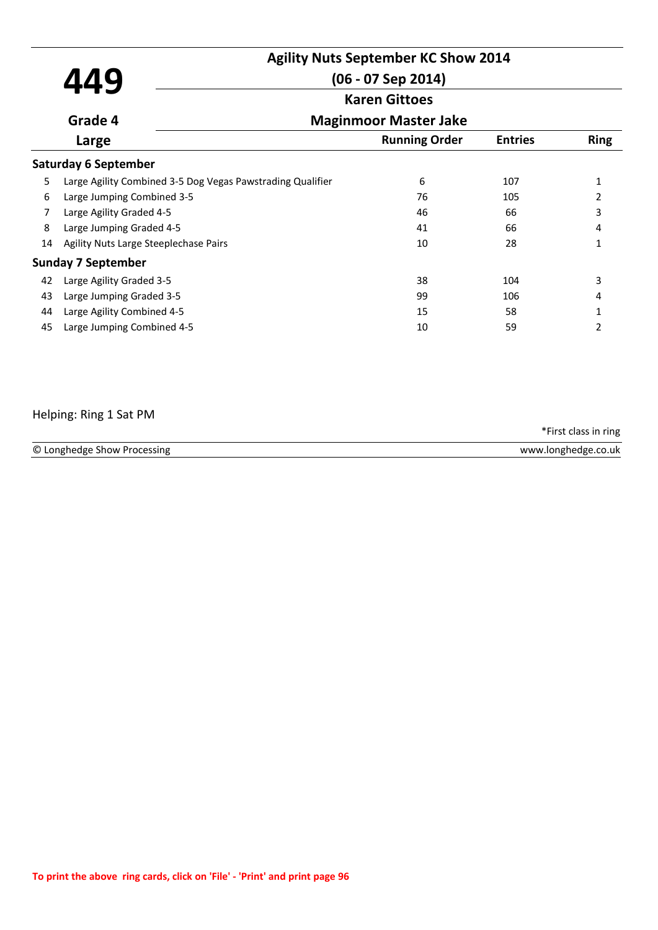|    | 449                                                        | <b>Agility Nuts September KC Show 2014</b><br>$(06 - 07$ Sep 2014) |                |               |  |  |
|----|------------------------------------------------------------|--------------------------------------------------------------------|----------------|---------------|--|--|
|    |                                                            | <b>Karen Gittoes</b>                                               |                |               |  |  |
|    | Grade 4                                                    | <b>Maginmoor Master Jake</b>                                       |                |               |  |  |
|    | Large                                                      | <b>Running Order</b>                                               | <b>Entries</b> | <b>Ring</b>   |  |  |
|    | <b>Saturday 6 September</b>                                |                                                                    |                |               |  |  |
| 5  | Large Agility Combined 3-5 Dog Vegas Pawstrading Qualifier | 6                                                                  | 107            | $\mathbf{1}$  |  |  |
| 6  | Large Jumping Combined 3-5                                 | 76                                                                 | 105            | 2             |  |  |
| 7  | Large Agility Graded 4-5                                   | 46                                                                 | 66             | 3             |  |  |
| 8  | Large Jumping Graded 4-5                                   | 41                                                                 | 66             | 4             |  |  |
| 14 | Agility Nuts Large Steeplechase Pairs                      | 10                                                                 | 28             | 1             |  |  |
|    | <b>Sunday 7 September</b>                                  |                                                                    |                |               |  |  |
| 42 | Large Agility Graded 3-5                                   | 38                                                                 | 104            | 3             |  |  |
| 43 | Large Jumping Graded 3-5                                   | 99                                                                 | 106            | 4             |  |  |
| 44 | Large Agility Combined 4-5                                 | 15                                                                 | 58             | 1             |  |  |
| 45 | Large Jumping Combined 4-5                                 | 10                                                                 | 59             | $\mathcal{L}$ |  |  |

# Helping: Ring 1 Sat PM

| © Longhedge Show<br>Processing | v.longhedge.co<br>www<br>$-.$ CO.UK |
|--------------------------------|-------------------------------------|
|                                |                                     |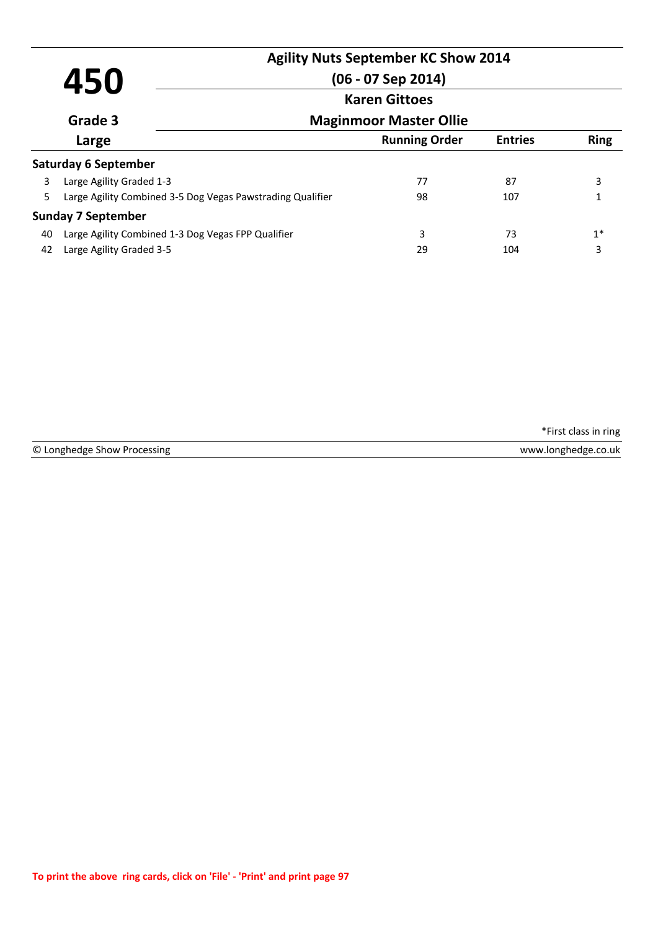|         | 450                                                        | $(06 - 07$ Sep 2014)          | <b>Agility Nuts September KC Show 2014</b> |                |             |
|---------|------------------------------------------------------------|-------------------------------|--------------------------------------------|----------------|-------------|
|         |                                                            |                               | <b>Karen Gittoes</b>                       |                |             |
| Grade 3 |                                                            | <b>Maginmoor Master Ollie</b> |                                            |                |             |
|         | Large                                                      |                               | <b>Running Order</b>                       | <b>Entries</b> | <b>Ring</b> |
|         | <b>Saturday 6 September</b>                                |                               |                                            |                |             |
| 3       | Large Agility Graded 1-3                                   |                               | 77                                         | 87             | 3           |
| 5.      | Large Agility Combined 3-5 Dog Vegas Pawstrading Qualifier |                               | 98                                         | 107            |             |
|         | <b>Sunday 7 September</b>                                  |                               |                                            |                |             |
| 40      | Large Agility Combined 1-3 Dog Vegas FPP Qualifier         |                               | 3                                          | 73             | $1^*$       |
| 42      | Large Agility Graded 3-5                                   |                               | 29                                         | 104            | 3           |

© Longhedge Show Processing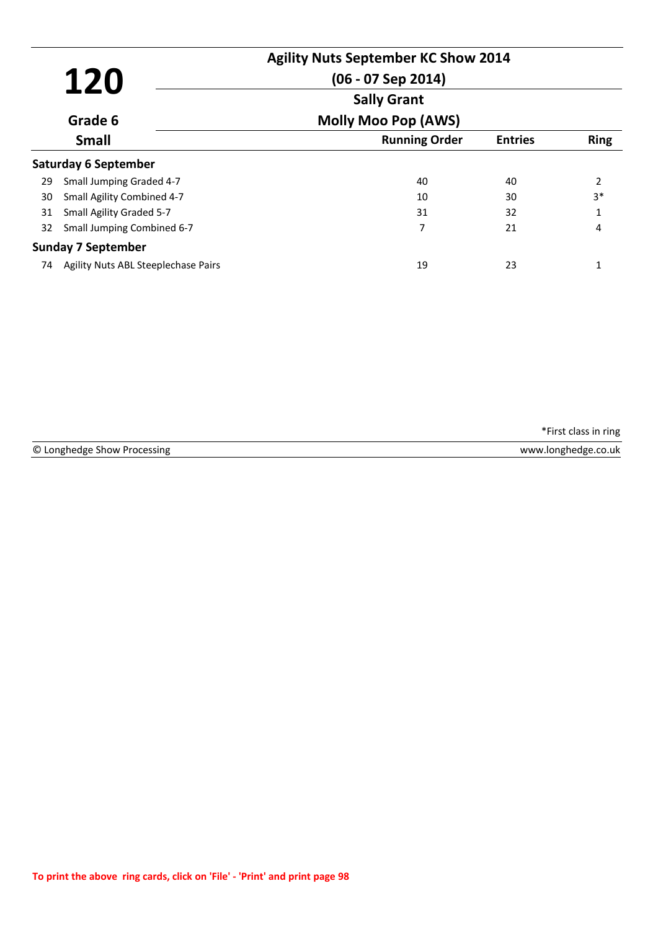|    | 120                                 | <b>Agility Nuts September KC Show 2014</b><br>$(06 - 07$ Sep 2014) |                |             |
|----|-------------------------------------|--------------------------------------------------------------------|----------------|-------------|
|    |                                     | <b>Sally Grant</b>                                                 |                |             |
|    | Grade 6                             | <b>Molly Moo Pop (AWS)</b>                                         |                |             |
|    | <b>Small</b>                        | <b>Running Order</b>                                               | <b>Entries</b> | <b>Ring</b> |
|    | <b>Saturday 6 September</b>         |                                                                    |                |             |
| 29 | Small Jumping Graded 4-7            | 40                                                                 | 40             | 2           |
| 30 | Small Agility Combined 4-7          | 10                                                                 | 30             | $3*$        |
| 31 | Small Agility Graded 5-7            | 31                                                                 | 32             | 1           |
| 32 | Small Jumping Combined 6-7          | 7                                                                  | 21             | 4           |
|    | <b>Sunday 7 September</b>           |                                                                    |                |             |
| 74 | Agility Nuts ABL Steeplechase Pairs | 19                                                                 | 23             | 1           |

| hedge Show Processing<br>, Longhedge Show 「 | www.longhedge.co.uk |
|---------------------------------------------|---------------------|
|                                             |                     |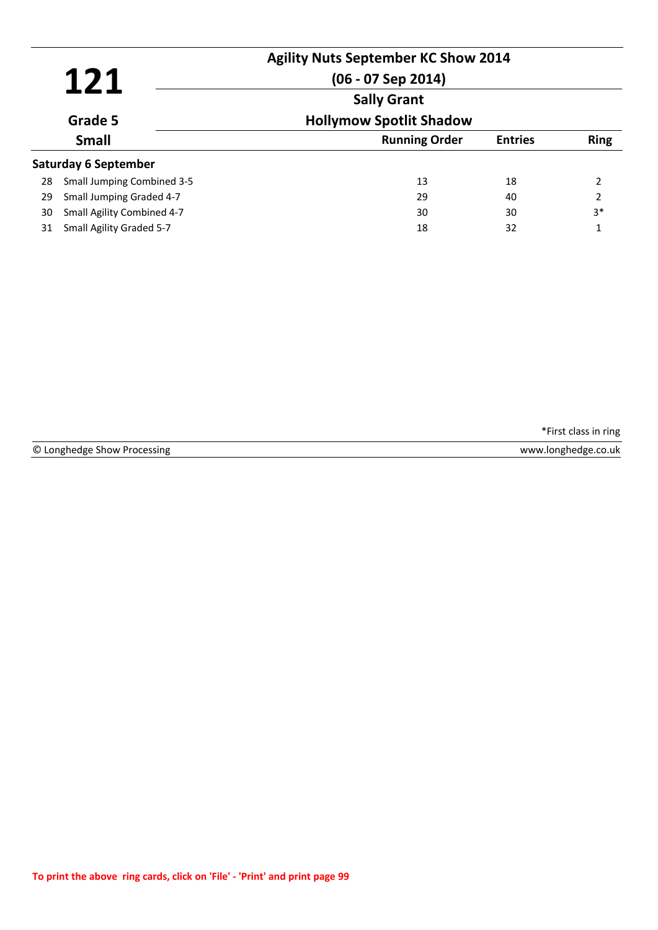| 121 |                                   | <b>Agility Nuts September KC Show 2014</b><br>$(06 - 07$ Sep 2014) |                |             |
|-----|-----------------------------------|--------------------------------------------------------------------|----------------|-------------|
|     |                                   | <b>Sally Grant</b>                                                 |                |             |
|     | Grade 5                           | <b>Hollymow Spotlit Shadow</b>                                     |                |             |
|     | <b>Small</b>                      | <b>Running Order</b>                                               | <b>Entries</b> | <b>Ring</b> |
|     | Saturday 6 September              |                                                                    |                |             |
| 28  | <b>Small Jumping Combined 3-5</b> | 13                                                                 | 18             | 2           |
| 29  | Small Jumping Graded 4-7          | 29                                                                 | 40             | 2           |
| 30  | Small Agility Combined 4-7        | 30                                                                 | 30             | $3*$        |
| 31  | Small Agility Graded 5-7          | 18                                                                 | 32             | 1           |

|  | © Longhedge Show Processing |  |  |  |
|--|-----------------------------|--|--|--|
|--|-----------------------------|--|--|--|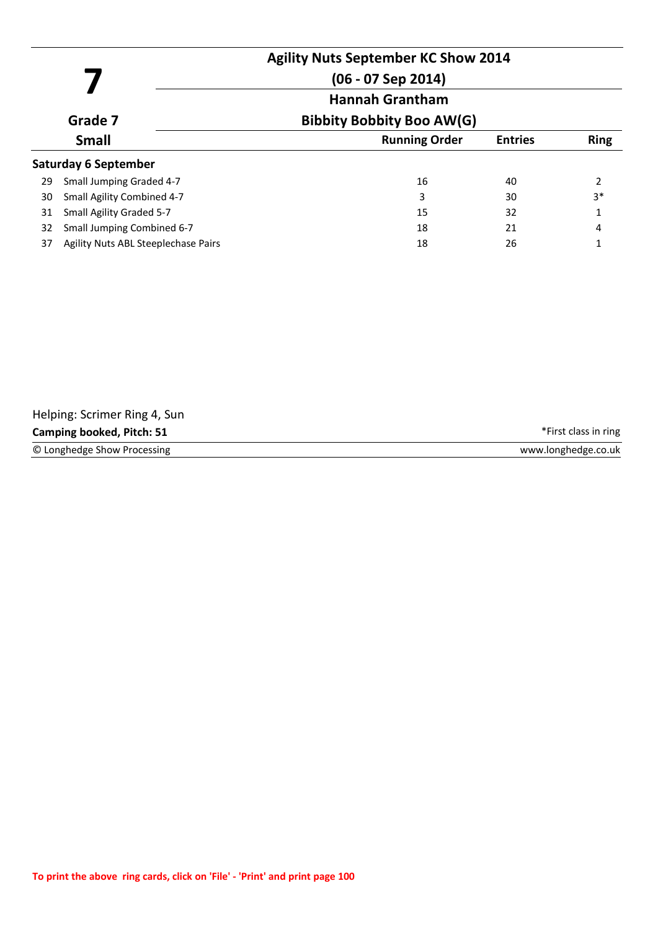|         |                                     | <b>Agility Nuts September KC Show 2014</b><br>$(06 - 07$ Sep 2014) |                |             |
|---------|-------------------------------------|--------------------------------------------------------------------|----------------|-------------|
| Grade 7 |                                     | <b>Hannah Grantham</b><br><b>Bibbity Bobbity Boo AW(G)</b>         |                |             |
|         | <b>Small</b>                        | <b>Running Order</b>                                               | <b>Entries</b> | <b>Ring</b> |
|         | <b>Saturday 6 September</b>         |                                                                    |                |             |
| 29      | Small Jumping Graded 4-7            | 16                                                                 | 40             | 2           |
| 30      | Small Agility Combined 4-7          | 3                                                                  | 30             | $3*$        |
| 31      | Small Agility Graded 5-7            | 15                                                                 | 32             | 1           |
| 32      | Small Jumping Combined 6-7          | 18                                                                 | 21             | 4           |
| 37      | Agility Nuts ABL Steeplechase Pairs | 18                                                                 | 26             |             |

| Helping: Scrimer Ring 4, Sun     |                      |
|----------------------------------|----------------------|
| <b>Camping booked, Pitch: 51</b> | *First class in ring |
| © Longhedge Show Processing      | www.longhedge.co.uk  |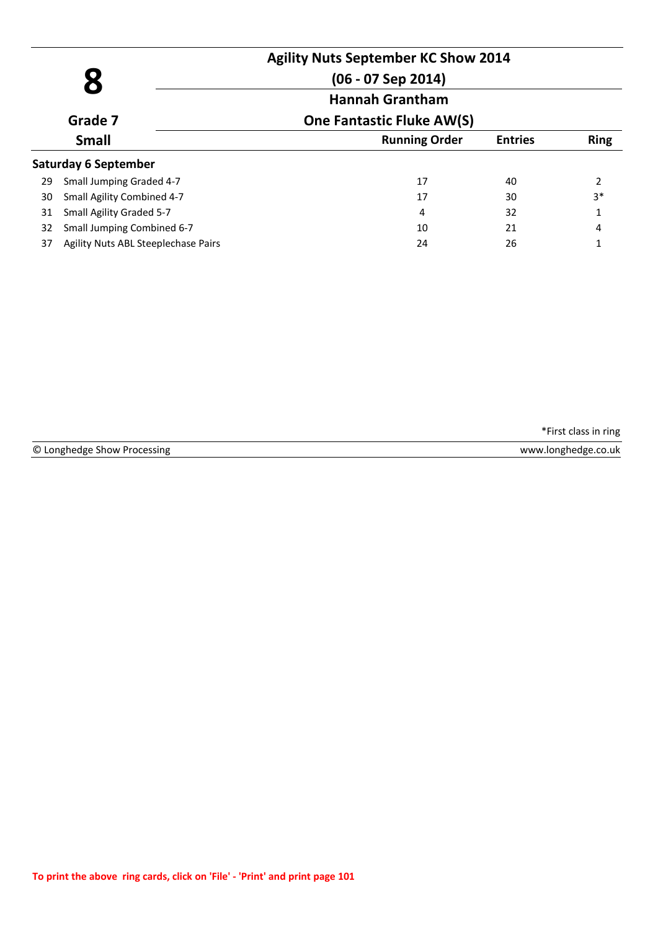|    |                                     | <b>Agility Nuts September KC Show 2014</b><br>$(06 - 07$ Sep 2014)<br><b>Hannah Grantham</b> |                |                |
|----|-------------------------------------|----------------------------------------------------------------------------------------------|----------------|----------------|
|    | Grade 7                             | <b>One Fantastic Fluke AW(S)</b>                                                             |                |                |
|    | <b>Small</b>                        | <b>Running Order</b>                                                                         | <b>Entries</b> | <b>Ring</b>    |
|    | <b>Saturday 6 September</b>         |                                                                                              |                |                |
| 29 | Small Jumping Graded 4-7            | 17                                                                                           | 40             | $\overline{2}$ |
| 30 | Small Agility Combined 4-7          | 17                                                                                           | 30             | $3*$           |
| 31 | Small Agility Graded 5-7            | 4                                                                                            | 32             | 1              |
| 32 | Small Jumping Combined 6-7          | 10                                                                                           | 21             | 4              |
| 37 | Agility Nuts ABL Steeplechase Pairs | 24                                                                                           | 26             | 1              |

© Longhedge Show Processing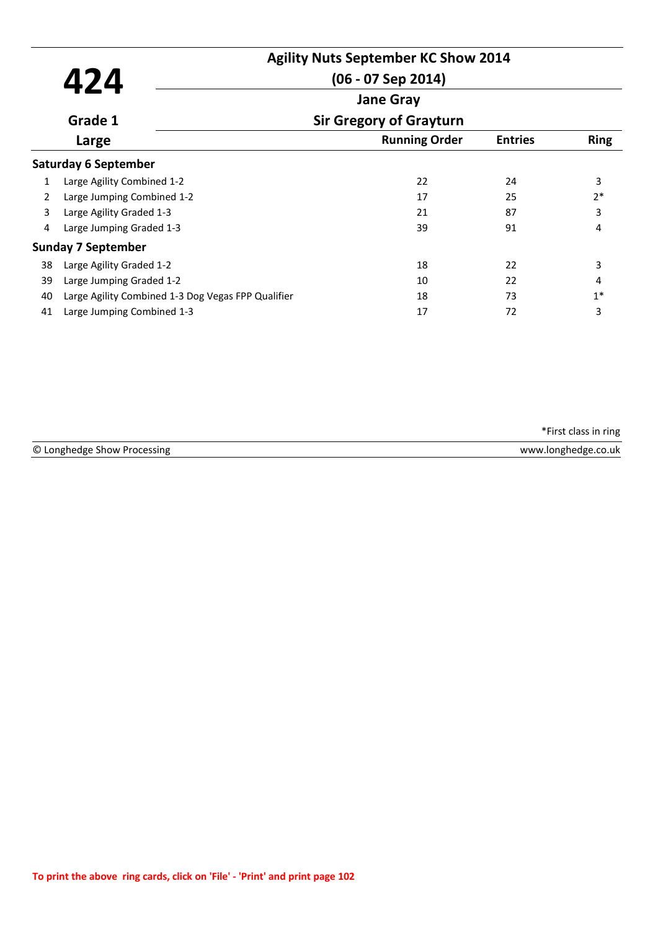|    |                                                    | <b>Agility Nuts September KC Show 2014</b> |                |             |
|----|----------------------------------------------------|--------------------------------------------|----------------|-------------|
|    | 424                                                | $(06 - 07$ Sep 2014)                       |                |             |
|    |                                                    | <b>Jane Gray</b>                           |                |             |
|    | Grade 1                                            | <b>Sir Gregory of Grayturn</b>             |                |             |
|    | Large                                              | <b>Running Order</b>                       | <b>Entries</b> | <b>Ring</b> |
|    | <b>Saturday 6 September</b>                        |                                            |                |             |
| 1  | Large Agility Combined 1-2                         | 22                                         | 24             | 3           |
| 2  | Large Jumping Combined 1-2                         | 17                                         | 25             | $2*$        |
| 3  | Large Agility Graded 1-3                           | 21                                         | 87             | 3           |
| 4  | Large Jumping Graded 1-3                           | 39                                         | 91             | 4           |
|    | <b>Sunday 7 September</b>                          |                                            |                |             |
| 38 | Large Agility Graded 1-2                           | 18                                         | 22             | 3           |
| 39 | Large Jumping Graded 1-2                           | 10                                         | 22             | 4           |
| 40 | Large Agility Combined 1-3 Dog Vegas FPP Qualifier | 18                                         | 73             | $1*$        |
| 41 | Large Jumping Combined 1-3                         | 17                                         | 72             | 3           |

© Longhedge Show Processing www.longhedge.co.uk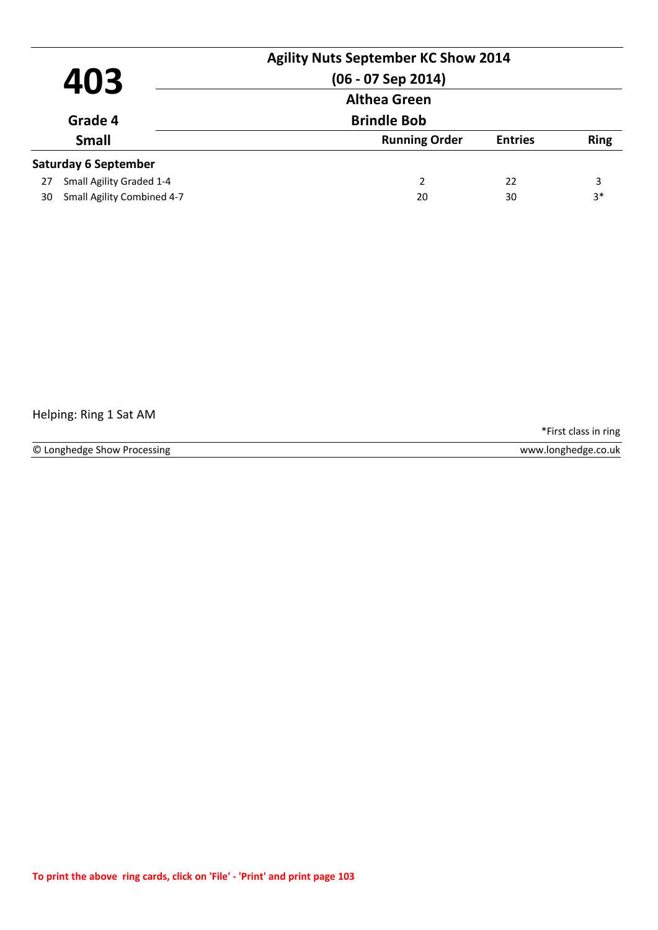| 403                              | <b>Agility Nuts September KC Show 2014</b><br>$(06 - 07$ Sep 2014) |                |             |
|----------------------------------|--------------------------------------------------------------------|----------------|-------------|
|                                  | <b>Althea Green</b>                                                |                |             |
| Grade 4                          | <b>Brindle Bob</b>                                                 |                |             |
| <b>Small</b>                     | <b>Running Order</b>                                               | <b>Entries</b> | <b>Ring</b> |
| <b>Saturday 6 September</b>      |                                                                    |                |             |
| Small Agility Graded 1-4<br>27   | 2                                                                  | 22             | 3           |
| Small Agility Combined 4-7<br>30 | 20                                                                 | 30             | $3*$        |

## Helping: Ring 1 Sat AM

\*First class in ring

© Longhedge Show Processing www.longhedge.co.uk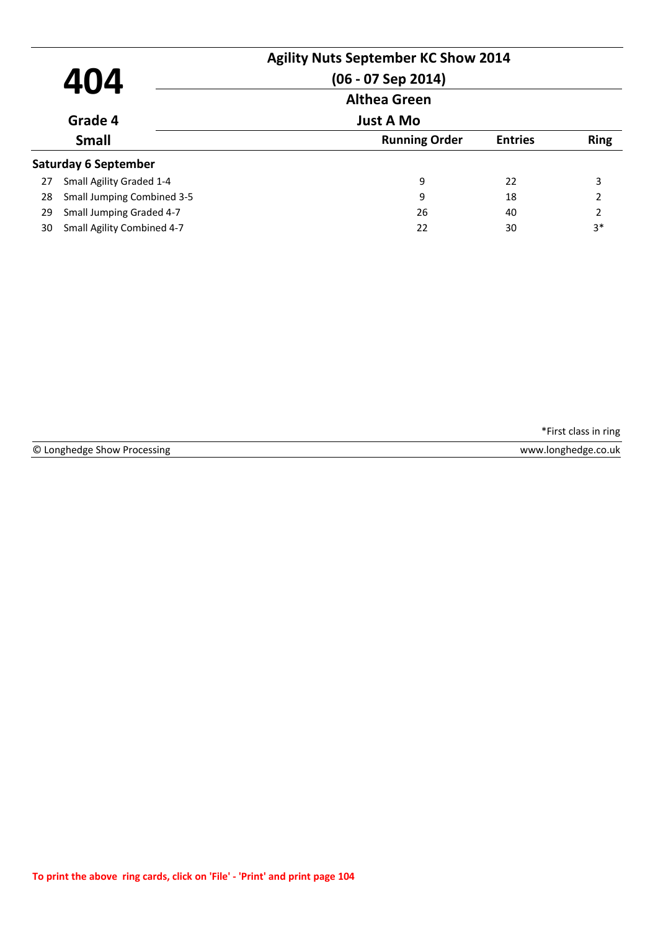|    | 404                               | <b>Agility Nuts September KC Show 2014</b><br>$(06 - 07$ Sep 2014) |                |                |
|----|-----------------------------------|--------------------------------------------------------------------|----------------|----------------|
|    |                                   | <b>Althea Green</b>                                                |                |                |
|    | Grade 4                           | <b>Just A Mo</b>                                                   |                |                |
|    | <b>Small</b>                      | <b>Running Order</b>                                               | <b>Entries</b> | <b>Ring</b>    |
|    | <b>Saturday 6 September</b>       |                                                                    |                |                |
| 27 | Small Agility Graded 1-4          | 9                                                                  | 22             | 3              |
| 28 | <b>Small Jumping Combined 3-5</b> | 9                                                                  | 18             | 2              |
| 29 | Small Jumping Graded 4-7          | 26                                                                 | 40             | $\overline{2}$ |
| 30 | Small Agility Combined 4-7        | 22                                                                 | 30             | $3*$           |

© Longhedge Show Processing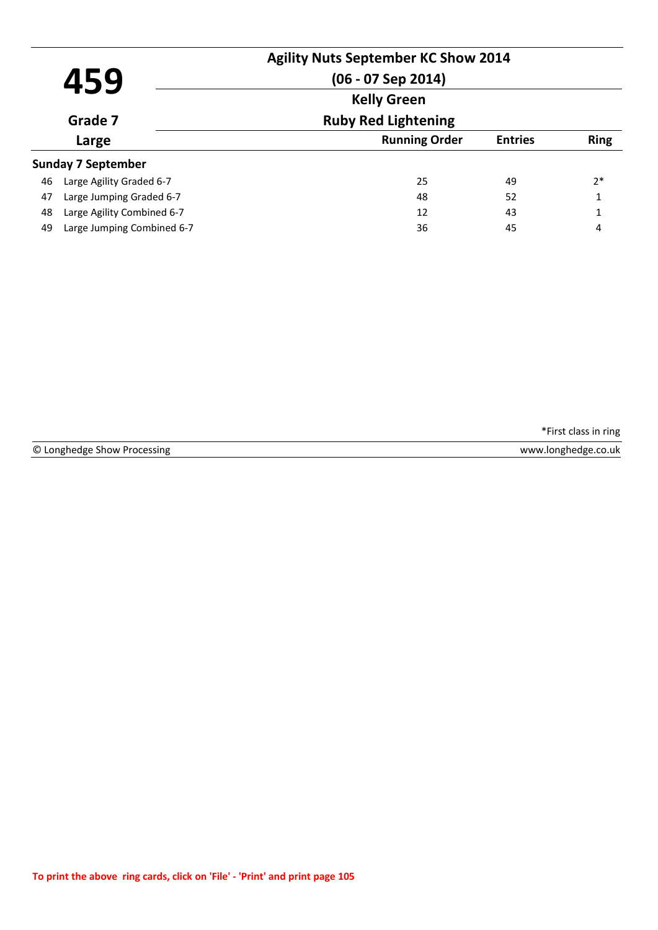|         | 459                        | <b>Agility Nuts September KC Show 2014</b><br>$(06 - 07$ Sep 2014) |                |              |
|---------|----------------------------|--------------------------------------------------------------------|----------------|--------------|
| Grade 7 |                            | <b>Kelly Green</b>                                                 |                |              |
|         |                            | <b>Ruby Red Lightening</b>                                         |                |              |
|         | Large                      | <b>Running Order</b>                                               | <b>Entries</b> | <b>Ring</b>  |
|         | <b>Sunday 7 September</b>  |                                                                    |                |              |
| 46      | Large Agility Graded 6-7   | 25                                                                 | 49             | $2*$         |
| 47      | Large Jumping Graded 6-7   | 48                                                                 | 52             | $\mathbf{1}$ |
| 48      | Large Agility Combined 6-7 | 12                                                                 | 43             | $\mathbf{1}$ |
| 49      | Large Jumping Combined 6-7 | 36                                                                 | 45             | 4            |

|  | © Longhedge Show Processing |  |  |  |
|--|-----------------------------|--|--|--|
|--|-----------------------------|--|--|--|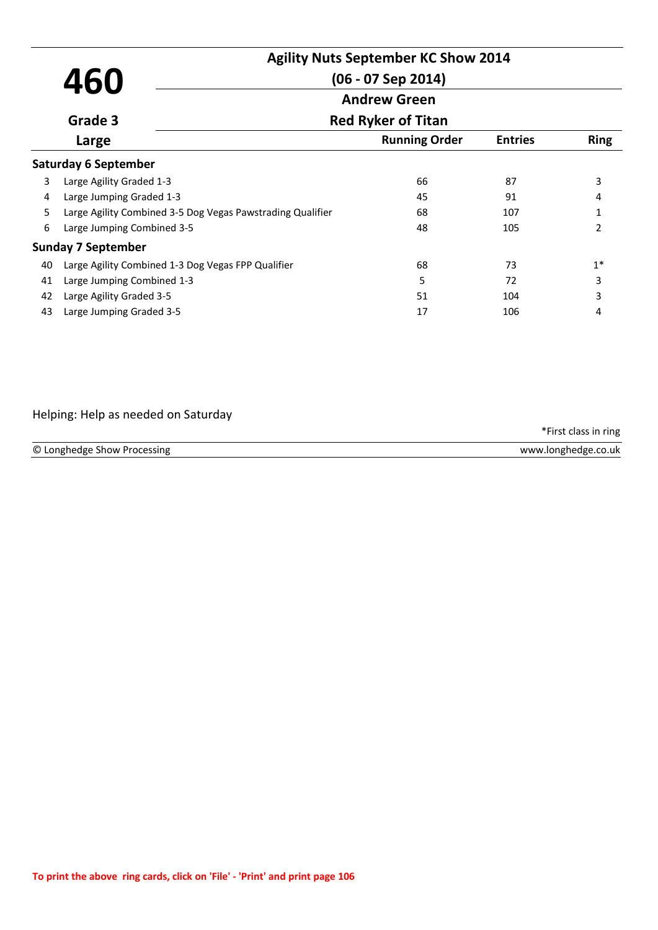|    |                                                            | <b>Agility Nuts September KC Show 2014</b> |                |                |  |
|----|------------------------------------------------------------|--------------------------------------------|----------------|----------------|--|
|    | 460                                                        | $(06 - 07$ Sep 2014)                       |                |                |  |
|    |                                                            | <b>Andrew Green</b>                        |                |                |  |
|    | Grade 3                                                    | <b>Red Ryker of Titan</b>                  |                |                |  |
|    | Large                                                      | <b>Running Order</b>                       | <b>Entries</b> | <b>Ring</b>    |  |
|    | <b>Saturday 6 September</b>                                |                                            |                |                |  |
| 3  | Large Agility Graded 1-3                                   | 66                                         | 87             | 3              |  |
| 4  | Large Jumping Graded 1-3                                   | 45                                         | 91             | 4              |  |
| 5. | Large Agility Combined 3-5 Dog Vegas Pawstrading Qualifier | 68                                         | 107            | 1              |  |
| 6  | Large Jumping Combined 3-5                                 | 48                                         | 105            | $\mathfrak{p}$ |  |
|    | <b>Sunday 7 September</b>                                  |                                            |                |                |  |
| 40 | Large Agility Combined 1-3 Dog Vegas FPP Qualifier         | 68                                         | 73             | $1*$           |  |
| 41 | Large Jumping Combined 1-3                                 | 5                                          | 72             | 3              |  |
| 42 | Large Agility Graded 3-5                                   | 51                                         | 104            | 3              |  |
| 43 | Large Jumping Graded 3-5                                   | 17                                         | 106            | 4              |  |

# Helping: Help as needed on Saturday

| © Longhedge Show Processing | www.longhedge.co.uk |
|-----------------------------|---------------------|
|                             |                     |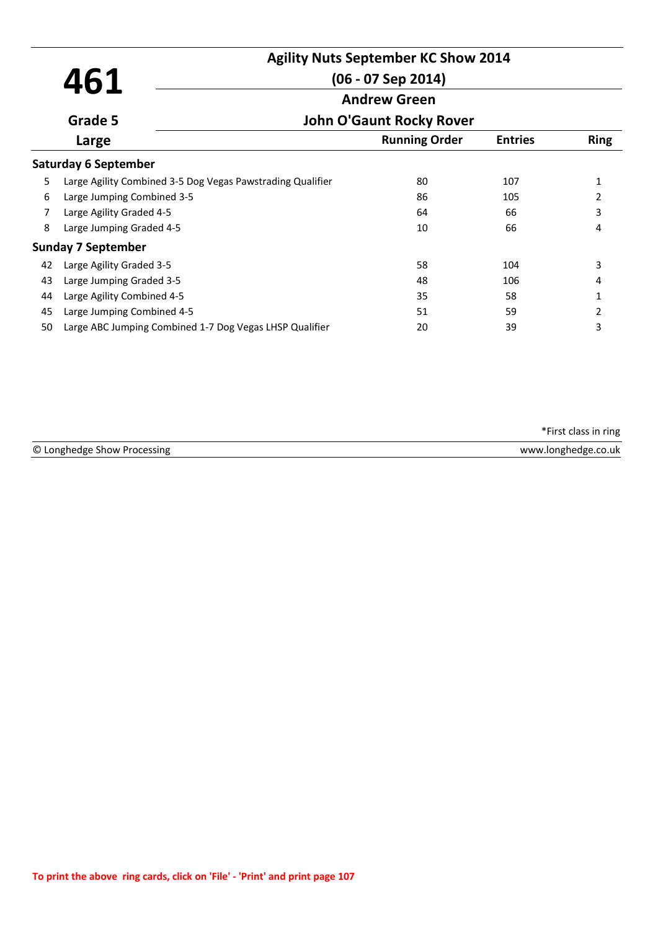|    | 461                                                        | <b>Agility Nuts September KC Show 2014</b><br>$(06 - 07$ Sep 2014)<br><b>Andrew Green</b> |                      |                |             |  |
|----|------------------------------------------------------------|-------------------------------------------------------------------------------------------|----------------------|----------------|-------------|--|
|    |                                                            |                                                                                           |                      |                |             |  |
|    | Grade 5                                                    | <b>John O'Gaunt Rocky Rover</b>                                                           |                      |                |             |  |
|    | Large                                                      |                                                                                           | <b>Running Order</b> | <b>Entries</b> | <b>Ring</b> |  |
|    | <b>Saturday 6 September</b>                                |                                                                                           |                      |                |             |  |
| 5  | Large Agility Combined 3-5 Dog Vegas Pawstrading Qualifier |                                                                                           | 80                   | 107            | 1           |  |
| 6  | Large Jumping Combined 3-5                                 |                                                                                           | 86                   | 105            | 2           |  |
| 7  | Large Agility Graded 4-5                                   |                                                                                           | 64                   | 66             | 3           |  |
| 8  | Large Jumping Graded 4-5                                   |                                                                                           | 10                   | 66             | 4           |  |
|    | <b>Sunday 7 September</b>                                  |                                                                                           |                      |                |             |  |
| 42 | Large Agility Graded 3-5                                   |                                                                                           | 58                   | 104            | 3           |  |
| 43 | Large Jumping Graded 3-5                                   |                                                                                           | 48                   | 106            | 4           |  |
| 44 | Large Agility Combined 4-5                                 |                                                                                           | 35                   | 58             | 1           |  |
| 45 | Large Jumping Combined 4-5                                 |                                                                                           | 51                   | 59             | 2           |  |
| 50 | Large ABC Jumping Combined 1-7 Dog Vegas LHSP Qualifier    |                                                                                           | 20                   | 39             | 3           |  |

| © Longh<br>nenge<br><b>SNOW</b> | .uk<br>∍u¤t<br><b>MANA</b><br>______ |
|---------------------------------|--------------------------------------|
|                                 |                                      |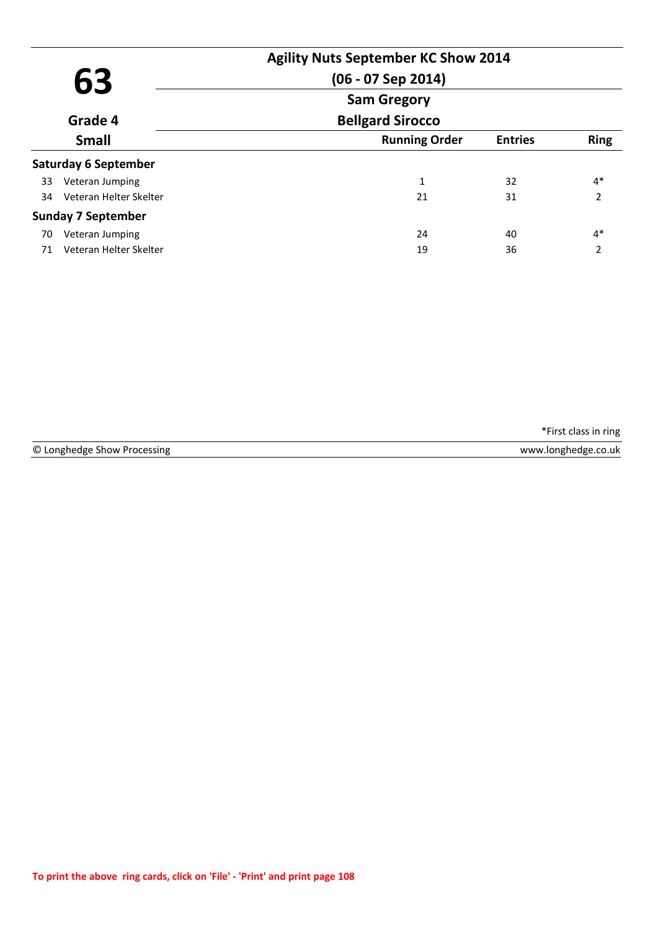|         |                             | <b>Agility Nuts September KC Show 2014</b> |                |                          |
|---------|-----------------------------|--------------------------------------------|----------------|--------------------------|
| 63      |                             | $(06 - 07$ Sep 2014)                       |                |                          |
|         |                             | <b>Sam Gregory</b>                         |                |                          |
| Grade 4 |                             | <b>Bellgard Sirocco</b>                    |                |                          |
|         | <b>Small</b>                | <b>Running Order</b>                       | <b>Entries</b> | <b>Ring</b>              |
|         | <b>Saturday 6 September</b> |                                            |                |                          |
| 33      | Veteran Jumping             | 1                                          | 32             | $4*$                     |
| 34      | Veteran Helter Skelter      | 21                                         | 31             | $\mathcal{P}$            |
|         | <b>Sunday 7 September</b>   |                                            |                |                          |
| 70      | Veteran Jumping             | 24                                         | 40             | $4*$                     |
| 71      | Veteran Helter Skelter      | 19                                         | 36             | $\overline{\phantom{a}}$ |

© Longhedge Show Processing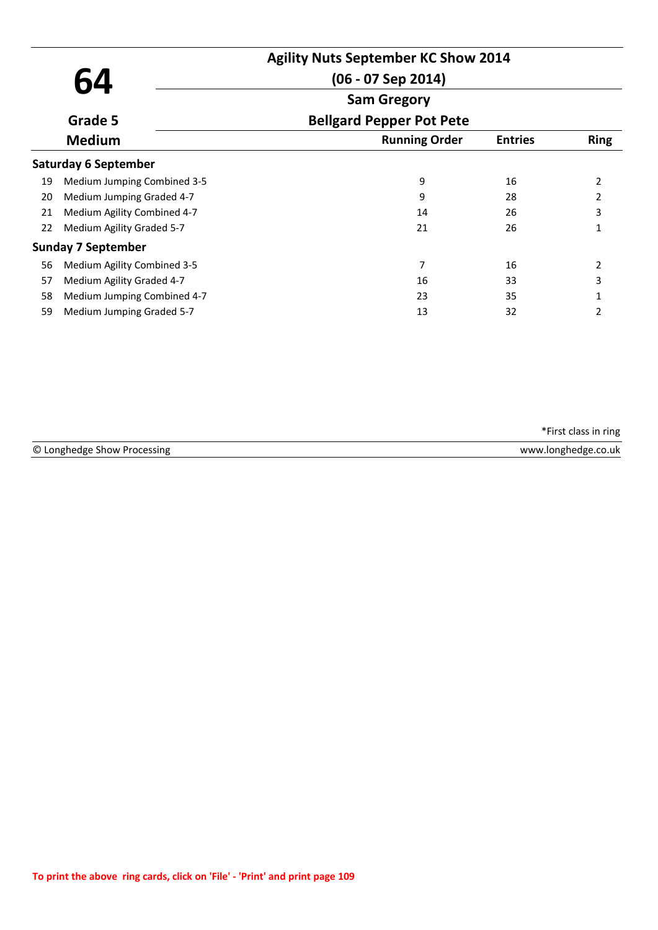|    |                             | <b>Agility Nuts September KC Show 2014</b> |                |             |
|----|-----------------------------|--------------------------------------------|----------------|-------------|
|    | 64                          | $(06 - 07$ Sep 2014)                       |                |             |
|    |                             | <b>Sam Gregory</b>                         |                |             |
|    | Grade 5                     | <b>Bellgard Pepper Pot Pete</b>            |                |             |
|    | <b>Medium</b>               | <b>Running Order</b>                       | <b>Entries</b> | <b>Ring</b> |
|    | Saturday 6 September        |                                            |                |             |
| 19 | Medium Jumping Combined 3-5 | 9                                          | 16             | 2           |
| 20 | Medium Jumping Graded 4-7   | 9                                          | 28             | 2           |
| 21 | Medium Agility Combined 4-7 | 14                                         | 26             | 3           |
| 22 | Medium Agility Graded 5-7   | 21                                         | 26             |             |
|    | <b>Sunday 7 September</b>   |                                            |                |             |
| 56 | Medium Agility Combined 3-5 | 7                                          | 16             | 2           |
| 57 | Medium Agility Graded 4-7   | 16                                         | 33             | 3           |
| 58 | Medium Jumping Combined 4-7 | 23                                         | 35             |             |
| 59 | Medium Jumping Graded 5-7   | 13                                         | 32             | 2           |

| © Longhedge | <b>\A/\A/\A</b>       |
|-------------|-----------------------|
| ocessing    | <b>Andred Control</b> |
| υr          | J.UK.                 |
| Show        |                       |
|             |                       |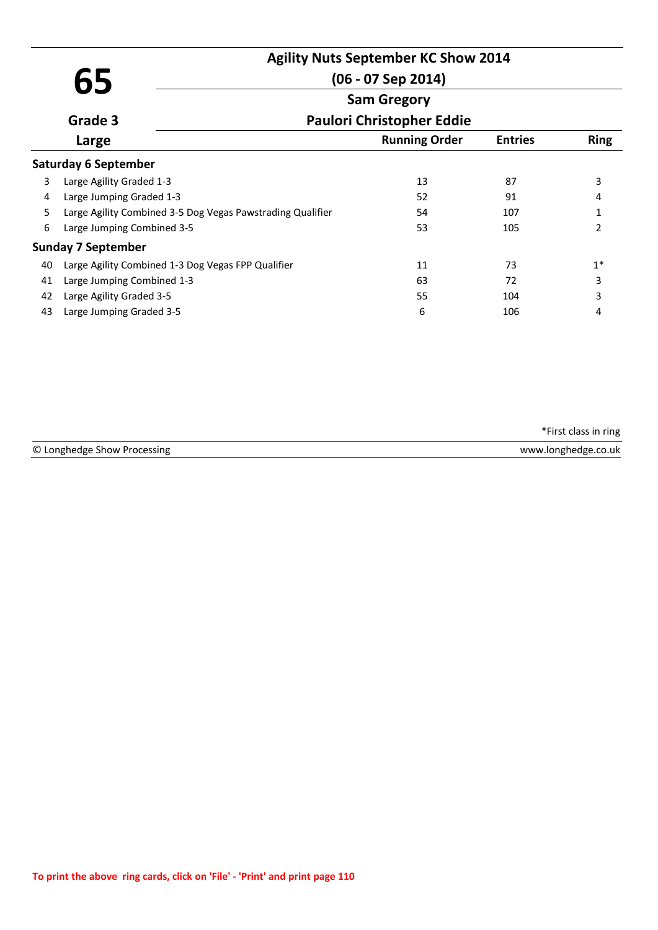| 65 |                             | <b>Agility Nuts September KC Show 2014</b><br>$(06 - 07$ Sep 2014) |                      |                |               |  |
|----|-----------------------------|--------------------------------------------------------------------|----------------------|----------------|---------------|--|
|    |                             |                                                                    | <b>Sam Gregory</b>   |                |               |  |
|    | Grade 3                     | <b>Paulori Christopher Eddie</b>                                   |                      |                |               |  |
|    | Large                       |                                                                    | <b>Running Order</b> | <b>Entries</b> | <b>Ring</b>   |  |
|    | <b>Saturday 6 September</b> |                                                                    |                      |                |               |  |
| 3  | Large Agility Graded 1-3    |                                                                    | 13                   | 87             | 3             |  |
| 4  | Large Jumping Graded 1-3    |                                                                    | 52                   | 91             | 4             |  |
| 5. |                             | Large Agility Combined 3-5 Dog Vegas Pawstrading Qualifier         | 54                   | 107            | 1             |  |
| 6  | Large Jumping Combined 3-5  |                                                                    | 53                   | 105            | $\mathcal{P}$ |  |
|    | <b>Sunday 7 September</b>   |                                                                    |                      |                |               |  |
| 40 |                             | Large Agility Combined 1-3 Dog Vegas FPP Qualifier                 | 11                   | 73             | $1*$          |  |
| 41 | Large Jumping Combined 1-3  |                                                                    | 63                   | 72             | 3             |  |
| 42 | Large Agility Graded 3-5    |                                                                    | 55                   | 104            | 3             |  |
| 43 | Large Jumping Graded 3-5    |                                                                    | 6                    | 106            | 4             |  |

|                             | *First class in ring |
|-----------------------------|----------------------|
| © Longhedge Show Processing | www.longhedge.co.uk  |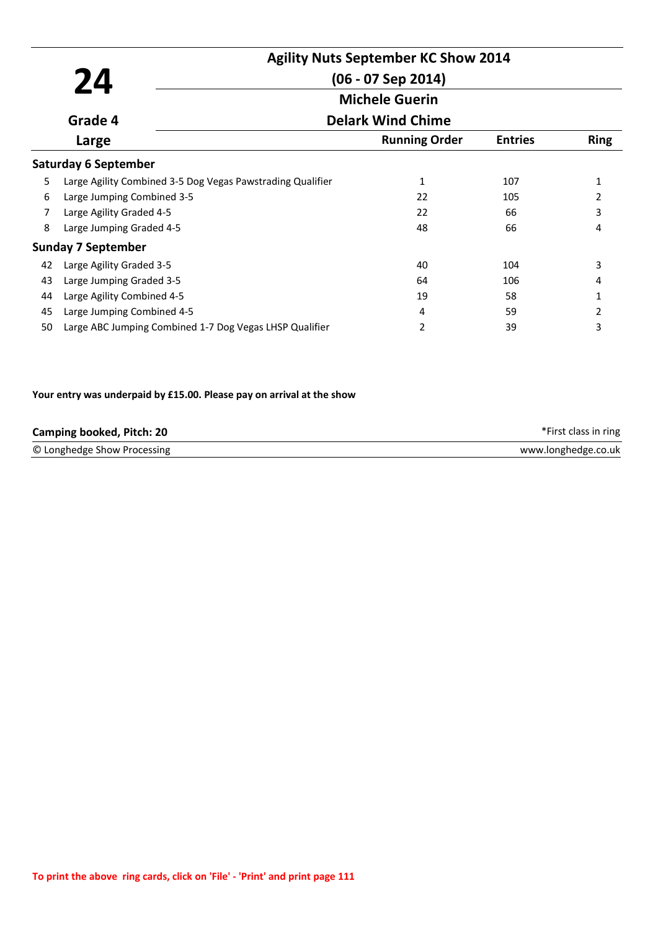|    |                                                            | <b>Agility Nuts September KC Show 2014</b>        |                |                |
|----|------------------------------------------------------------|---------------------------------------------------|----------------|----------------|
|    | 24                                                         | $(06 - 07$ Sep 2014)                              |                |                |
|    |                                                            | <b>Michele Guerin</b><br><b>Delark Wind Chime</b> |                |                |
|    | Grade 4                                                    |                                                   |                |                |
|    | Large                                                      | <b>Running Order</b>                              | <b>Entries</b> | <b>Ring</b>    |
|    | <b>Saturday 6 September</b>                                |                                                   |                |                |
| 5  | Large Agility Combined 3-5 Dog Vegas Pawstrading Qualifier | 1                                                 | 107            | 1              |
| 6  | Large Jumping Combined 3-5                                 | 22                                                | 105            | 2              |
| 7  | Large Agility Graded 4-5                                   | 22                                                | 66             | 3              |
| 8  | Large Jumping Graded 4-5                                   | 48                                                | 66             | 4              |
|    | <b>Sunday 7 September</b>                                  |                                                   |                |                |
| 42 | Large Agility Graded 3-5                                   | 40                                                | 104            | 3              |
| 43 | Large Jumping Graded 3-5                                   | 64                                                | 106            | 4              |
| 44 | Large Agility Combined 4-5                                 | 19                                                | 58             | 1              |
| 45 | Large Jumping Combined 4-5                                 | 4                                                 | 59             | $\overline{2}$ |
| 50 | Large ABC Jumping Combined 1-7 Dog Vegas LHSP Qualifier    | 2                                                 | 39             | 3              |

### **Your entry was underpaid by £15.00. Please pay on arrival at the show**

| <b>Camping booked, Pitch: 20</b> | *First class in ring |
|----------------------------------|----------------------|
| © Longhedge Show Processing      | www.longhedge.co.uk  |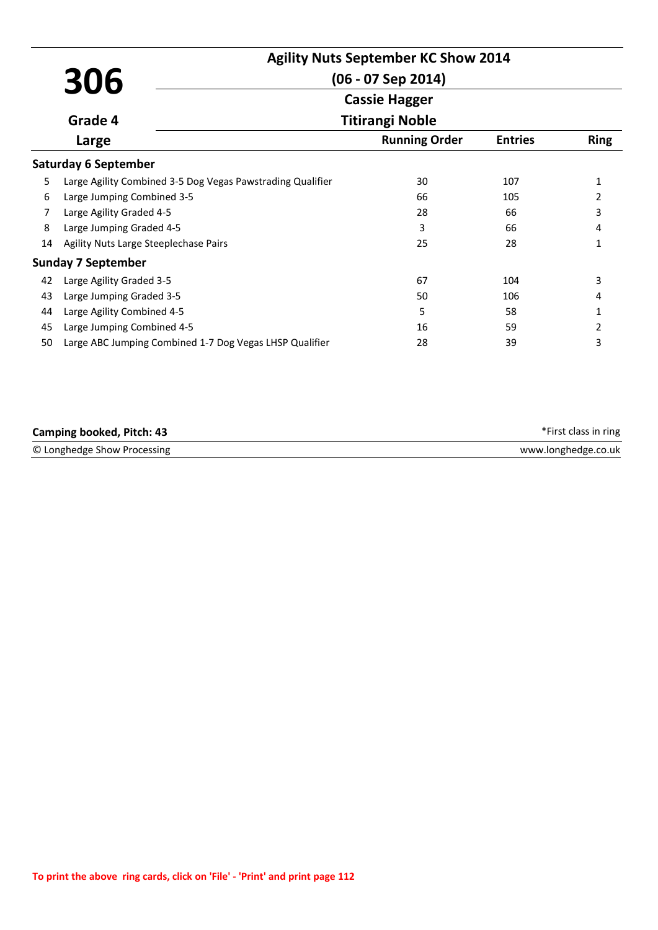|    | 306                                                        | <b>Agility Nuts September KC Show 2014</b><br>$(06 - 07$ Sep 2014) |                |                |
|----|------------------------------------------------------------|--------------------------------------------------------------------|----------------|----------------|
|    |                                                            | <b>Cassie Hagger</b>                                               |                |                |
|    | Grade 4                                                    | <b>Titirangi Noble</b>                                             |                |                |
|    | Large                                                      | <b>Running Order</b>                                               | <b>Entries</b> | <b>Ring</b>    |
|    | <b>Saturday 6 September</b>                                |                                                                    |                |                |
| 5  | Large Agility Combined 3-5 Dog Vegas Pawstrading Qualifier | 30                                                                 | 107            | 1              |
| 6  | Large Jumping Combined 3-5                                 | 66                                                                 | 105            | $\overline{2}$ |
| 7  | Large Agility Graded 4-5                                   | 28                                                                 | 66             | 3              |
| 8  | Large Jumping Graded 4-5                                   | 3                                                                  | 66             | 4              |
| 14 | Agility Nuts Large Steeplechase Pairs                      | 25                                                                 | 28             | 1              |
|    | <b>Sunday 7 September</b>                                  |                                                                    |                |                |
| 42 | Large Agility Graded 3-5                                   | 67                                                                 | 104            | 3              |
| 43 | Large Jumping Graded 3-5                                   | 50                                                                 | 106            | 4              |
| 44 | Large Agility Combined 4-5                                 | 5                                                                  | 58             | 1              |
| 45 | Large Jumping Combined 4-5                                 | 16                                                                 | 59             | 2              |
| 50 | Large ABC Jumping Combined 1-7 Dog Vegas LHSP Qualifier    | 28                                                                 | 39             | 3              |

| Camping booked, Pitch: 43   | *First class in ring |
|-----------------------------|----------------------|
| © Longhedge Show Processing | www.longhedge.co.uk  |
|                             |                      |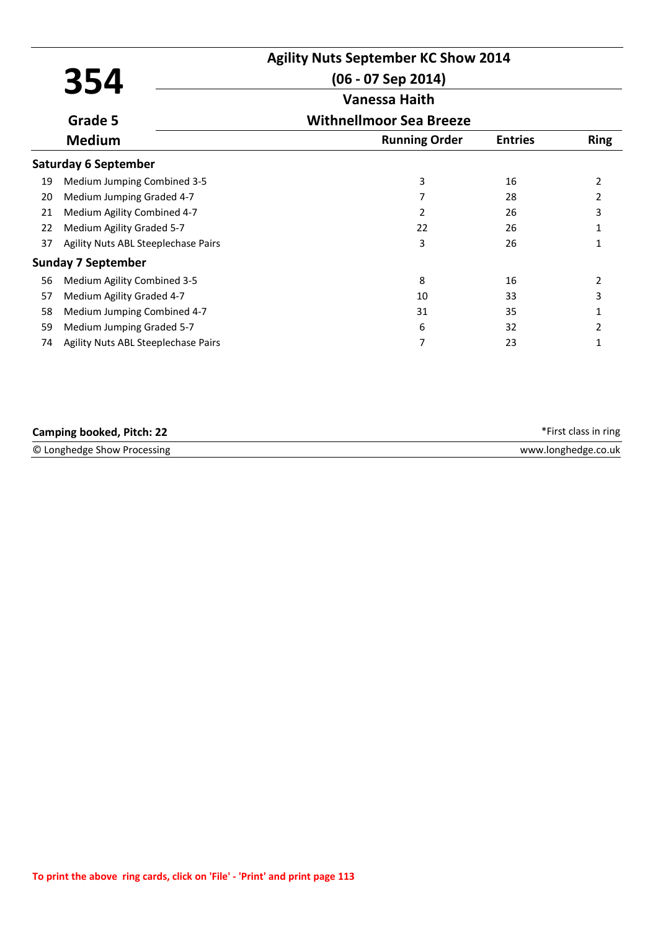|    |                                     | <b>Agility Nuts September KC Show 2014</b> |                |             |
|----|-------------------------------------|--------------------------------------------|----------------|-------------|
|    | 354                                 | $(06 - 07$ Sep 2014)                       |                |             |
|    |                                     | <b>Vanessa Haith</b>                       |                |             |
|    | Grade 5                             | <b>Withnellmoor Sea Breeze</b>             |                |             |
|    | <b>Medium</b>                       | <b>Running Order</b>                       | <b>Entries</b> | <b>Ring</b> |
|    | <b>Saturday 6 September</b>         |                                            |                |             |
| 19 | Medium Jumping Combined 3-5         | 3                                          | 16             | 2           |
| 20 | Medium Jumping Graded 4-7           |                                            | 28             | 2           |
| 21 | Medium Agility Combined 4-7         | 2                                          | 26             | 3           |
| 22 | Medium Agility Graded 5-7           | 22                                         | 26             |             |
| 37 | Agility Nuts ABL Steeplechase Pairs | 3                                          | 26             | 1           |
|    | <b>Sunday 7 September</b>           |                                            |                |             |
| 56 | Medium Agility Combined 3-5         | 8                                          | 16             | 2           |
| 57 | Medium Agility Graded 4-7           | 10                                         | 33             | 3           |
| 58 | Medium Jumping Combined 4-7         | 31                                         | 35             |             |
| 59 | Medium Jumping Graded 5-7           | 6                                          | 32             | 2           |
| 74 | Agility Nuts ABL Steeplechase Pairs | 7                                          | 23             | 1           |

| <b>Camping booked, Pitch: 22</b> | *First class in ring |
|----------------------------------|----------------------|
| © Longhedge Show Processing      | www.longhedge.co.uk  |
|                                  |                      |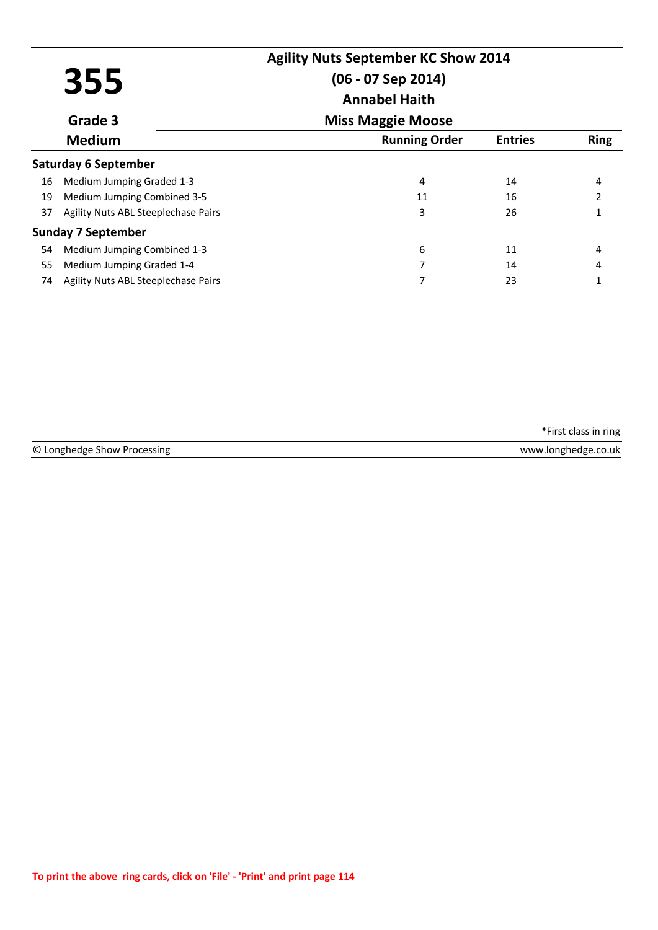|    |                                     |                          | <b>Agility Nuts September KC Show 2014</b> |             |
|----|-------------------------------------|--------------------------|--------------------------------------------|-------------|
|    | 355                                 | (06 - 07 Sep 2014)       |                                            |             |
|    |                                     | <b>Annabel Haith</b>     |                                            |             |
|    | Grade 3                             | <b>Miss Maggie Moose</b> |                                            |             |
|    | <b>Medium</b>                       | <b>Running Order</b>     | <b>Entries</b>                             | <b>Ring</b> |
|    | <b>Saturday 6 September</b>         |                          |                                            |             |
| 16 | Medium Jumping Graded 1-3           | 4                        | 14                                         | 4           |
| 19 | Medium Jumping Combined 3-5         | 11                       | 16                                         |             |
| 37 | Agility Nuts ABL Steeplechase Pairs | 3                        | 26                                         |             |
|    | <b>Sunday 7 September</b>           |                          |                                            |             |
| 54 | Medium Jumping Combined 1-3         | 6                        | 11                                         | 4           |
| 55 | Medium Jumping Graded 1-4           | 7                        | 14                                         | 4           |
| 74 | Agility Nuts ABL Steeplechase Pairs |                          | 23                                         |             |

|                             | *First class in ring |
|-----------------------------|----------------------|
| © Longhedge Show Processing | www.longhedge.co.uk  |
|                             |                      |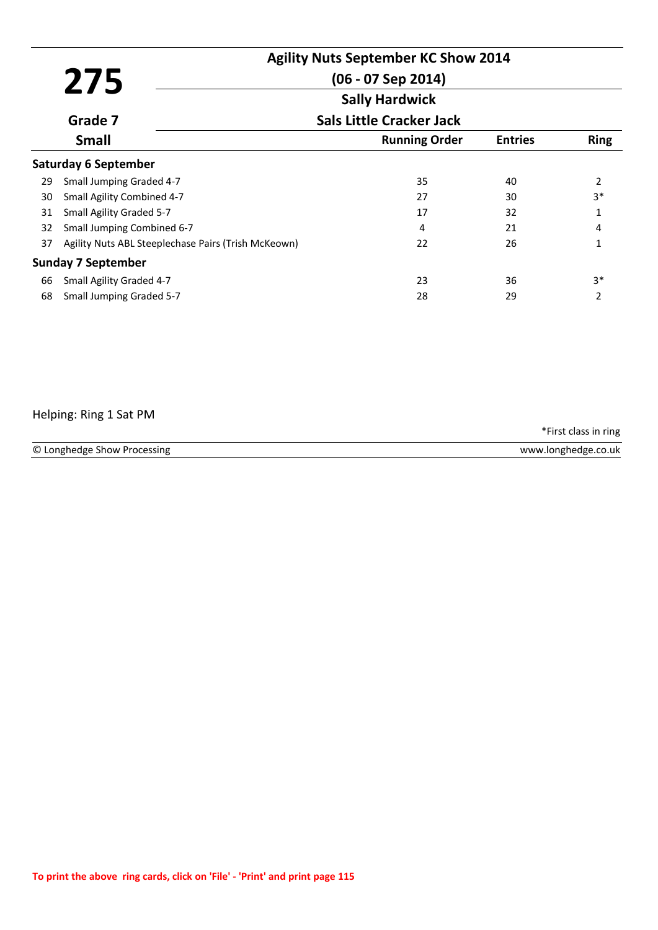|    | 275                                                 | <b>Agility Nuts September KC Show 2014</b><br>$(06 - 07$ Sep 2014)<br><b>Sally Hardwick</b> |                |             |
|----|-----------------------------------------------------|---------------------------------------------------------------------------------------------|----------------|-------------|
|    | Grade 7                                             | <b>Sals Little Cracker Jack</b>                                                             |                |             |
|    | <b>Small</b>                                        | <b>Running Order</b>                                                                        | <b>Entries</b> | <b>Ring</b> |
|    | <b>Saturday 6 September</b>                         |                                                                                             |                |             |
| 29 | Small Jumping Graded 4-7                            | 35                                                                                          | 40             | 2           |
| 30 | Small Agility Combined 4-7                          | 27                                                                                          | 30             | $3*$        |
| 31 | Small Agility Graded 5-7                            | 17                                                                                          | 32             | 1           |
| 32 | Small Jumping Combined 6-7                          | 4                                                                                           | 21             | 4           |
| 37 | Agility Nuts ABL Steeplechase Pairs (Trish McKeown) | 22                                                                                          | 26             | 1           |
|    | Sunday 7 September                                  |                                                                                             |                |             |
| 66 | Small Agility Graded 4-7                            | 23                                                                                          | 36             | $3*$        |
| 68 | Small Jumping Graded 5-7                            | 28                                                                                          | 29             | 2           |

## Helping: Ring 1 Sat PM

© Longhedge Show Processing www.longhedge.co.uk

\*First class in ring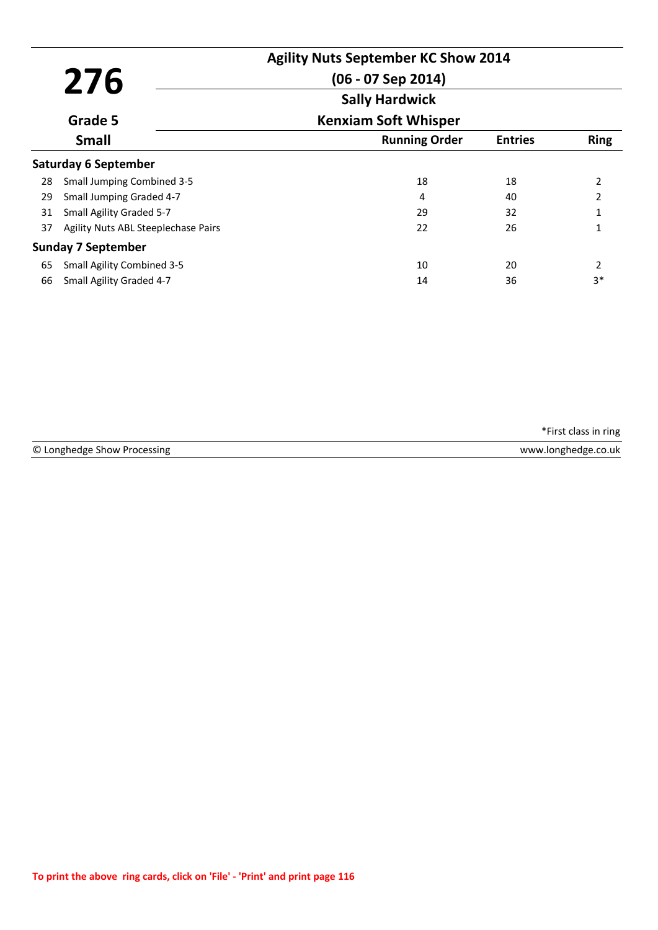|    | 276                                 | <b>Agility Nuts September KC Show 2014</b><br>$(06 - 07$ Sep 2014) |                |             |
|----|-------------------------------------|--------------------------------------------------------------------|----------------|-------------|
|    |                                     | <b>Sally Hardwick</b>                                              |                |             |
|    | Grade 5                             | <b>Kenxiam Soft Whisper</b>                                        |                |             |
|    | <b>Small</b>                        | <b>Running Order</b>                                               | <b>Entries</b> | <b>Ring</b> |
|    | <b>Saturday 6 September</b>         |                                                                    |                |             |
| 28 | <b>Small Jumping Combined 3-5</b>   | 18                                                                 | 18             | 2           |
| 29 | Small Jumping Graded 4-7            | 4                                                                  | 40             | 2           |
| 31 | Small Agility Graded 5-7            | 29                                                                 | 32             | 1           |
| 37 | Agility Nuts ABL Steeplechase Pairs | 22                                                                 | 26             |             |
|    | <b>Sunday 7 September</b>           |                                                                    |                |             |
| 65 | <b>Small Agility Combined 3-5</b>   | 10                                                                 | 20             | 2           |
| 66 | Small Agility Graded 4-7            | 14                                                                 | 36             | $3*$        |

| © Longhedge Show Processing | www.longhedge.co.uk |
|-----------------------------|---------------------|
|                             |                     |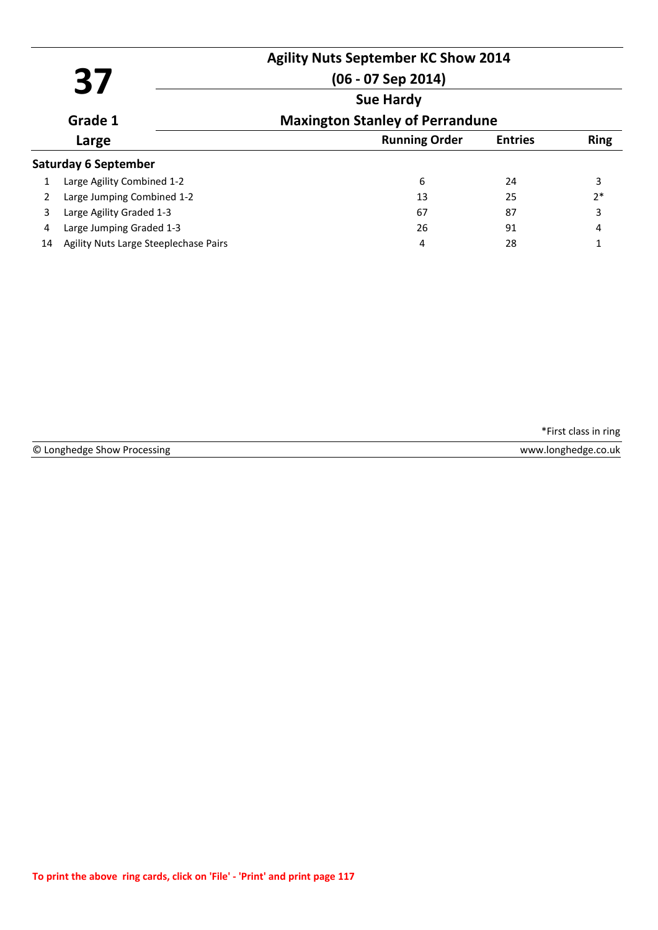|    | 37                                    | <b>Agility Nuts September KC Show 2014</b><br>$(06 - 07$ Sep 2014) |                |             |
|----|---------------------------------------|--------------------------------------------------------------------|----------------|-------------|
|    | Grade 1                               | <b>Sue Hardy</b><br><b>Maxington Stanley of Perrandune</b>         |                |             |
|    | Large                                 | <b>Running Order</b>                                               | <b>Entries</b> | <b>Ring</b> |
|    | <b>Saturday 6 September</b>           |                                                                    |                |             |
|    | Large Agility Combined 1-2            | 6                                                                  | 24             | 3           |
|    | Large Jumping Combined 1-2            | 13                                                                 | 25             | $2*$        |
| 3  | Large Agility Graded 1-3              | 67                                                                 | 87             | 3           |
| 4  | Large Jumping Graded 1-3              | 26                                                                 | 91             | 4           |
| 14 | Agility Nuts Large Steeplechase Pairs | 4                                                                  | 28             | 1           |

© Longhedge Show Processing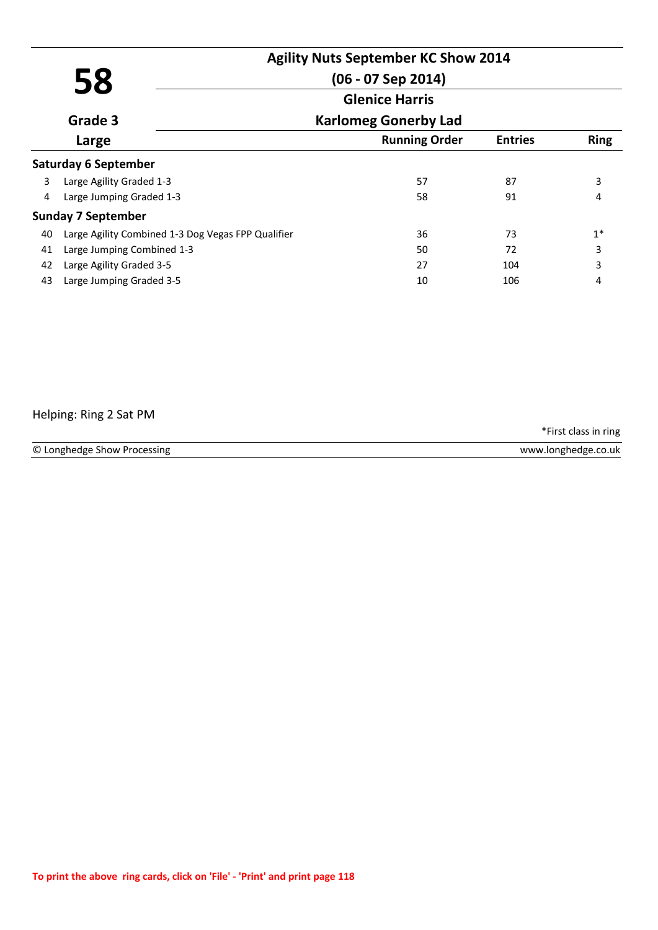|    |                                                    | <b>Agility Nuts September KC Show 2014</b> |                |             |
|----|----------------------------------------------------|--------------------------------------------|----------------|-------------|
|    | 58                                                 | $(06 - 07$ Sep 2014)                       |                |             |
|    | <b>Glenice Harris</b>                              |                                            |                |             |
|    | Grade 3                                            | <b>Karlomeg Gonerby Lad</b>                |                |             |
|    | Large                                              | <b>Running Order</b>                       | <b>Entries</b> | <b>Ring</b> |
|    | <b>Saturday 6 September</b>                        |                                            |                |             |
| 3  | Large Agility Graded 1-3                           | 57                                         | 87             | 3           |
| 4  | Large Jumping Graded 1-3                           | 58                                         | 91             | 4           |
|    | <b>Sunday 7 September</b>                          |                                            |                |             |
| 40 | Large Agility Combined 1-3 Dog Vegas FPP Qualifier | 36                                         | 73             | $1*$        |
| 41 | Large Jumping Combined 1-3                         | 50                                         | 72             | 3           |
| 42 | Large Agility Graded 3-5                           | 27                                         | 104            | 3           |
| 43 | Large Jumping Graded 3-5                           | 10                                         | 106            | 4           |

## Helping: Ring 2 Sat PM

© Longhedge Show Processing www.longhedge.co.uk

\*First class in ring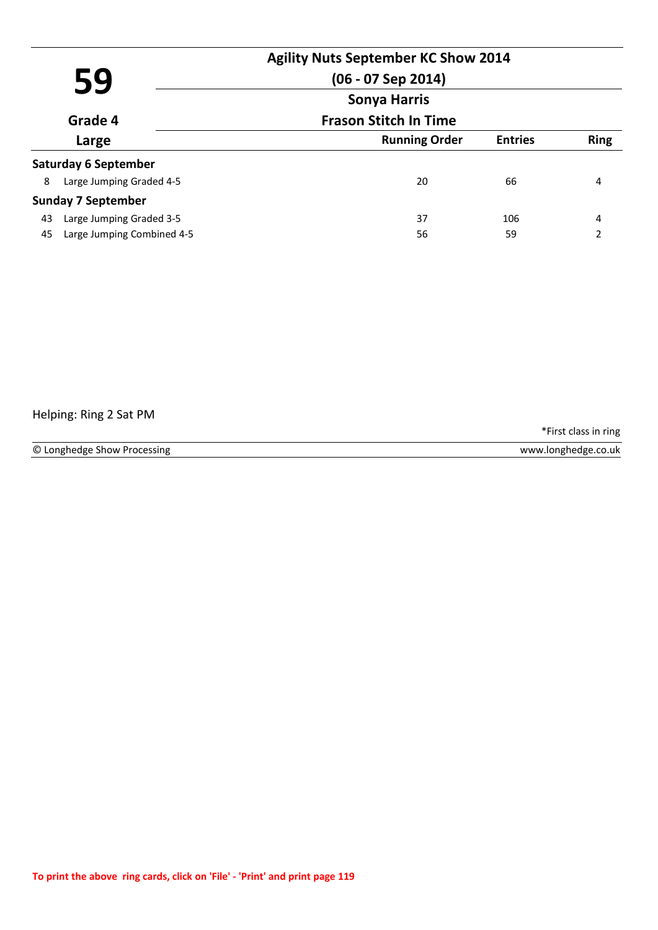| 59 |                             | $(06 - 07$ Sep 2014)<br><b>Sonya Harris</b> | <b>Agility Nuts September KC Show 2014</b> |             |
|----|-----------------------------|---------------------------------------------|--------------------------------------------|-------------|
|    | Grade 4                     | <b>Frason Stitch In Time</b>                |                                            |             |
|    | Large                       | <b>Running Order</b>                        | <b>Entries</b>                             | <b>Ring</b> |
|    | <b>Saturday 6 September</b> |                                             |                                            |             |
| 8  | Large Jumping Graded 4-5    | 20                                          | 66                                         | 4           |
|    | <b>Sunday 7 September</b>   |                                             |                                            |             |
| 43 | Large Jumping Graded 3-5    | 37                                          | 106                                        | 4           |
| 45 | Large Jumping Combined 4-5  | 56                                          | 59                                         | 2           |

# Helping: Ring 2 Sat PM

\*First class in ring

© Longhedge Show Processing www.longhedge.co.uk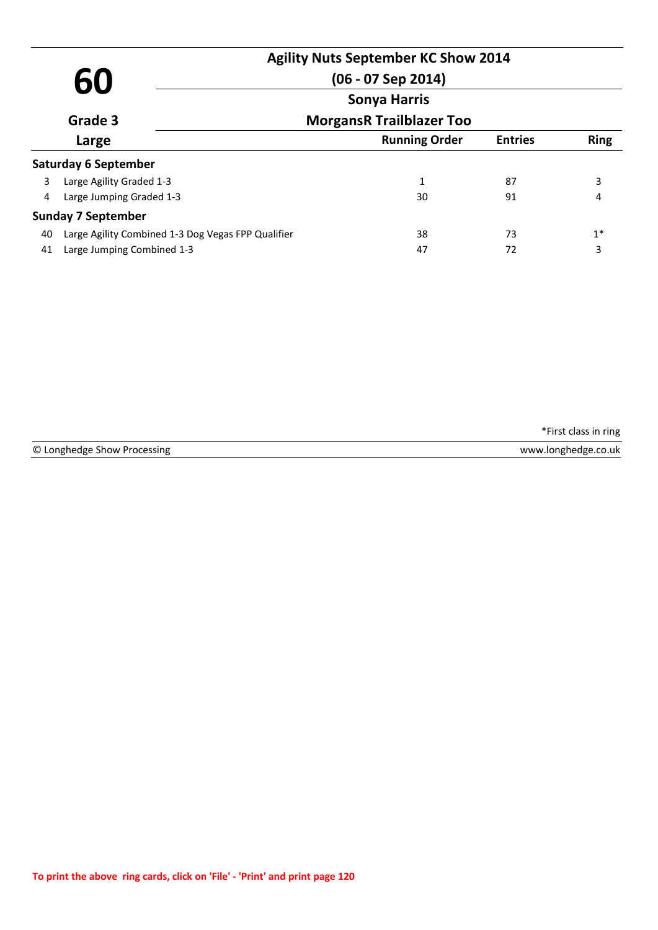| 60                                         |                                                    | <b>Agility Nuts September KC Show 2014</b><br>$(06 - 07$ Sep 2014) |                |             |
|--------------------------------------------|----------------------------------------------------|--------------------------------------------------------------------|----------------|-------------|
|                                            |                                                    | <b>Sonya Harris</b>                                                |                |             |
| Grade 3<br><b>MorgansR Trailblazer Too</b> |                                                    |                                                                    |                |             |
|                                            | Large                                              | <b>Running Order</b>                                               | <b>Entries</b> | <b>Ring</b> |
|                                            | <b>Saturday 6 September</b>                        |                                                                    |                |             |
| 3                                          | Large Agility Graded 1-3                           | 1                                                                  | 87             | 3           |
| 4                                          | Large Jumping Graded 1-3                           | 30                                                                 | 91             | 4           |
|                                            | <b>Sunday 7 September</b>                          |                                                                    |                |             |
| 40                                         | Large Agility Combined 1-3 Dog Vegas FPP Qualifier | 38                                                                 | 73             | $1^*$       |
| 41                                         | Large Jumping Combined 1-3                         | 47                                                                 | 72             | 3           |

© Longhedge Show Processing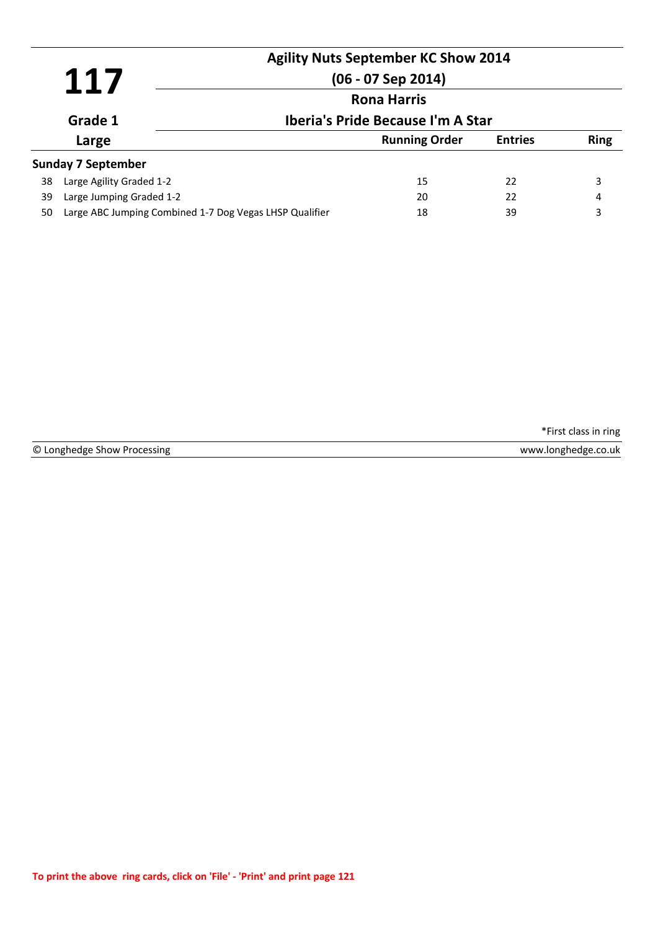|    | 117                                                     |  | <b>Agility Nuts September KC Show 2014</b><br>$(06 - 07$ Sep 2014) |                |             |
|----|---------------------------------------------------------|--|--------------------------------------------------------------------|----------------|-------------|
|    |                                                         |  | <b>Rona Harris</b>                                                 |                |             |
|    | Grade 1                                                 |  | Iberia's Pride Because I'm A Star                                  |                |             |
|    | Large                                                   |  | <b>Running Order</b>                                               | <b>Entries</b> | <b>Ring</b> |
|    | <b>Sunday 7 September</b>                               |  |                                                                    |                |             |
| 38 | Large Agility Graded 1-2                                |  | 15                                                                 | 22             | 3           |
| 39 | Large Jumping Graded 1-2                                |  | 20                                                                 | 22             | 4           |
| 50 | Large ABC Jumping Combined 1-7 Dog Vegas LHSP Qualifier |  | 18                                                                 | 39             | 3           |

© Longhedge Show Processing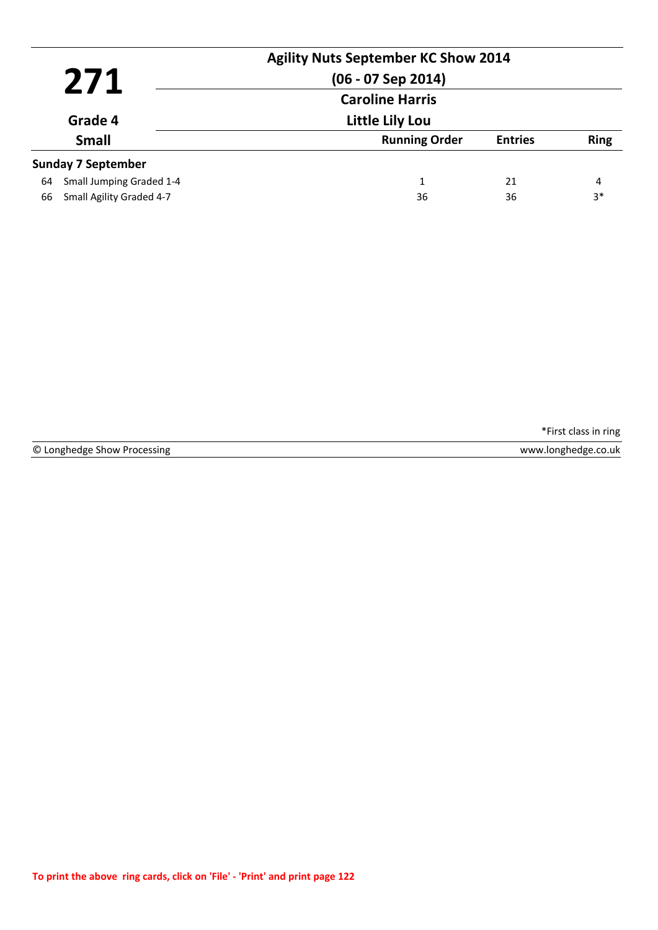|         | 271                       | <b>Agility Nuts September KC Show 2014</b><br>(06 - 07 Sep 2014)<br><b>Caroline Harris</b> |                |             |
|---------|---------------------------|--------------------------------------------------------------------------------------------|----------------|-------------|
| Grade 4 |                           | <b>Little Lily Lou</b>                                                                     |                |             |
|         | <b>Small</b>              | <b>Running Order</b>                                                                       | <b>Entries</b> | <b>Ring</b> |
|         | <b>Sunday 7 September</b> |                                                                                            |                |             |
| 64      | Small Jumping Graded 1-4  | 1                                                                                          | 21             | 4           |
| 66      | Small Agility Graded 4-7  | 36                                                                                         | 36             | $3*$        |

|  | © Longhedge Show Processing |  |  |  |
|--|-----------------------------|--|--|--|
|--|-----------------------------|--|--|--|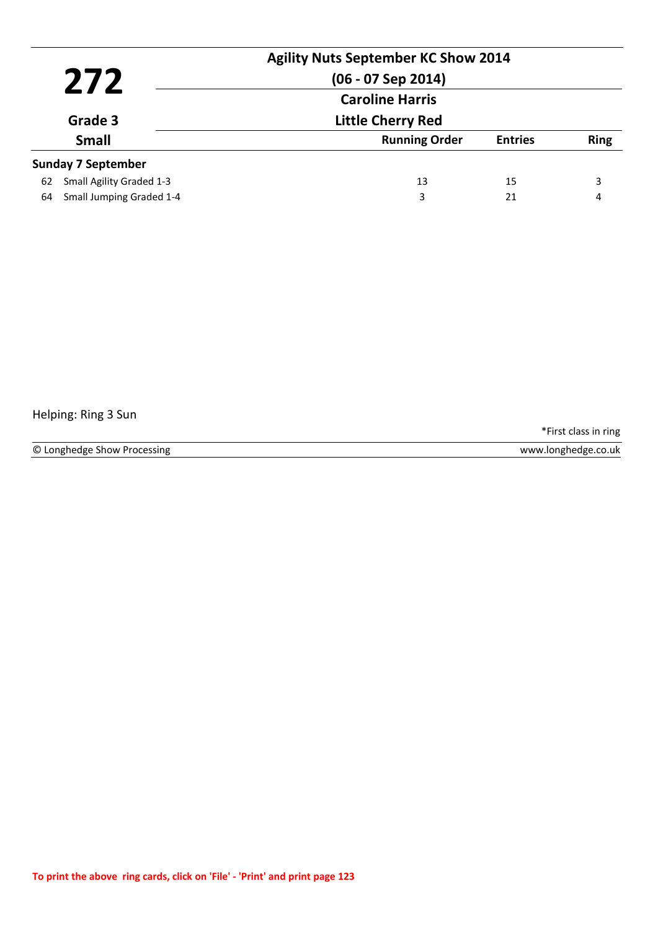|         |                           | <b>Agility Nuts September KC Show 2014</b><br>$(06 - 07$ Sep 2014) |                |             |
|---------|---------------------------|--------------------------------------------------------------------|----------------|-------------|
|         | 272                       | <b>Caroline Harris</b>                                             |                |             |
| Grade 3 |                           | <b>Little Cherry Red</b>                                           |                |             |
|         | <b>Small</b>              | <b>Running Order</b>                                               | <b>Entries</b> | <b>Ring</b> |
|         | <b>Sunday 7 September</b> |                                                                    |                |             |
| 62      | Small Agility Graded 1-3  | 13                                                                 | 15             | 3           |
| 64      | Small Jumping Graded 1-4  | 3                                                                  | 21             | 4           |

# Helping: Ring 3 Sun

\*First class in ring

www.longhedge.co.uk

© Longhedge Show Processing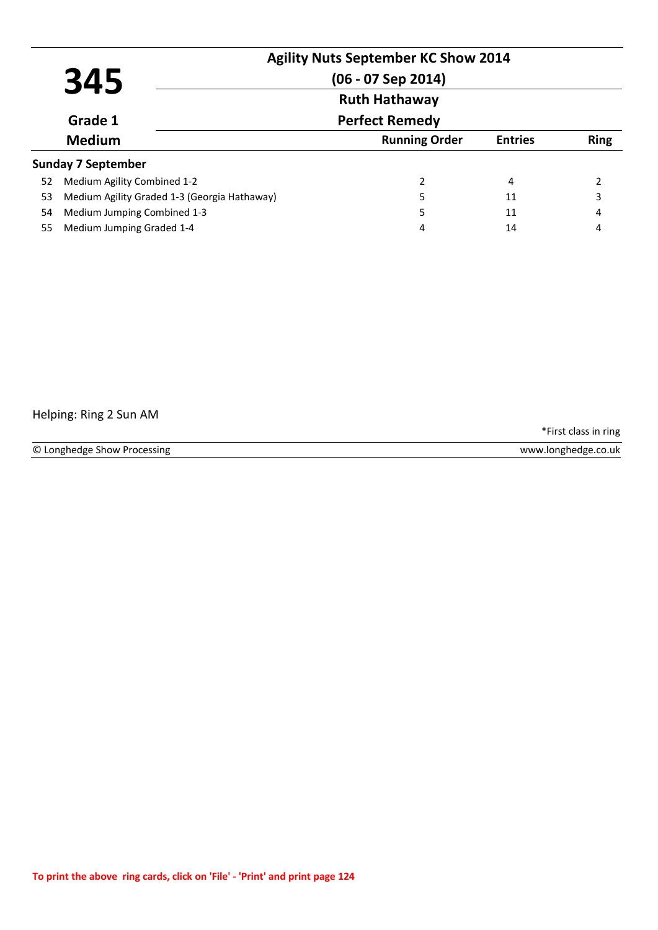|    | 345                                          | <b>Agility Nuts September KC Show 2014</b><br>$(06 - 07$ Sep 2014) |                |             |
|----|----------------------------------------------|--------------------------------------------------------------------|----------------|-------------|
|    | <b>Ruth Hathaway</b>                         |                                                                    |                |             |
|    | Grade 1                                      | <b>Perfect Remedy</b>                                              |                |             |
|    | <b>Medium</b>                                | <b>Running Order</b>                                               | <b>Entries</b> | <b>Ring</b> |
|    | <b>Sunday 7 September</b>                    |                                                                    |                |             |
| 52 | Medium Agility Combined 1-2                  | 2                                                                  | 4              |             |
| 53 | Medium Agility Graded 1-3 (Georgia Hathaway) | 5                                                                  | 11             | 3           |
| 54 | Medium Jumping Combined 1-3                  | 5                                                                  | 11             | 4           |
| 55 | Medium Jumping Graded 1-4                    | 4                                                                  | 14             | 4           |

# Helping: Ring 2 Sun AM

\*First class in ring

© Longhedge Show Processing www.longhedge.co.uk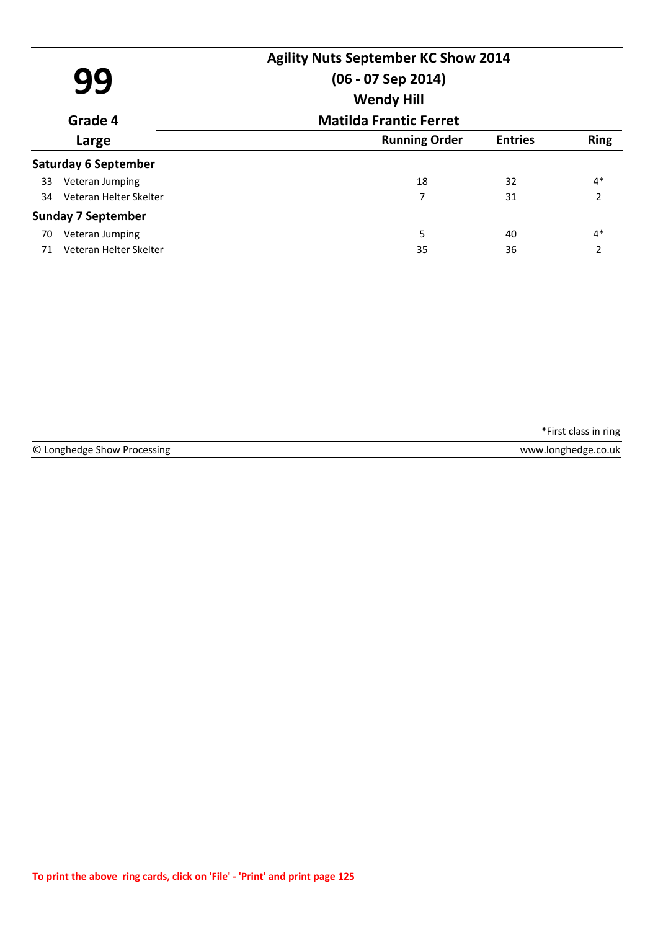|    | 99                          | <b>Agility Nuts September KC Show 2014</b><br>(06 - 07 Sep 2014) |                |                |
|----|-----------------------------|------------------------------------------------------------------|----------------|----------------|
|    | Grade 4                     | <b>Wendy Hill</b><br><b>Matilda Frantic Ferret</b>               |                |                |
|    | Large                       | <b>Running Order</b>                                             | <b>Entries</b> | <b>Ring</b>    |
|    | <b>Saturday 6 September</b> |                                                                  |                |                |
| 33 | Veteran Jumping             | 18                                                               | 32             | $4*$           |
| 34 | Veteran Helter Skelter      | 7                                                                | 31             | $\overline{2}$ |
|    | <b>Sunday 7 September</b>   |                                                                  |                |                |
| 70 | Veteran Jumping             | 5                                                                | 40             | $4*$           |
| 71 | Veteran Helter Skelter      | 35                                                               | 36             | $\overline{2}$ |

© Longhedge Show Processing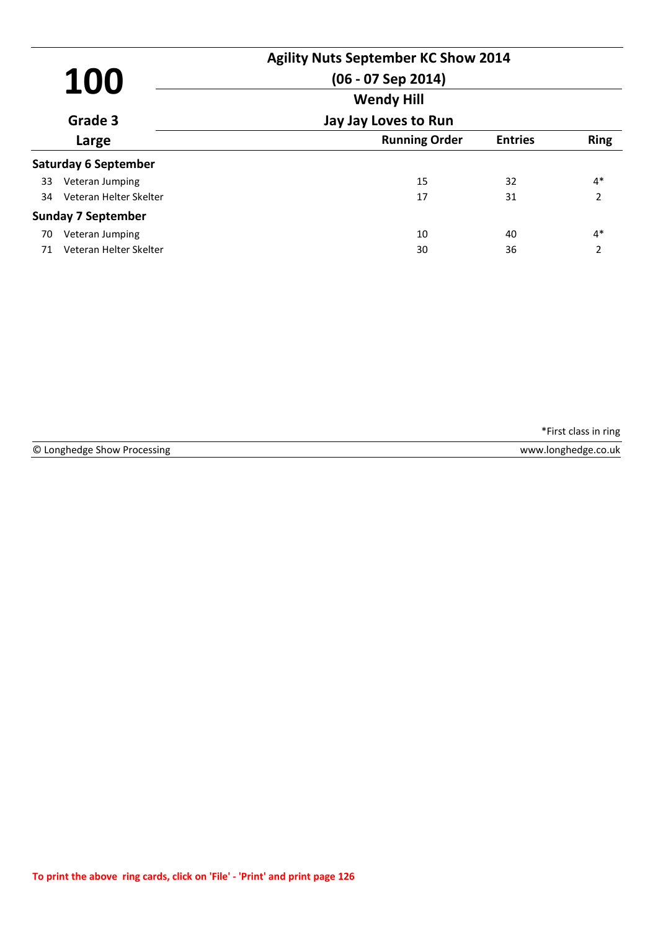| 100 |                             | <b>Agility Nuts September KC Show 2014</b><br>$(06 - 07$ Sep 2014)<br><b>Wendy Hill</b> |                |                |
|-----|-----------------------------|-----------------------------------------------------------------------------------------|----------------|----------------|
|     | Grade 3                     | Jay Jay Loves to Run                                                                    |                |                |
|     | Large                       | <b>Running Order</b>                                                                    | <b>Entries</b> | <b>Ring</b>    |
|     | <b>Saturday 6 September</b> |                                                                                         |                |                |
| 33  | Veteran Jumping             | 15                                                                                      | 32             | $4*$           |
| 34  | Veteran Helter Skelter      | 17                                                                                      | 31             | $\mathfrak{p}$ |
|     | <b>Sunday 7 September</b>   |                                                                                         |                |                |
| 70  | Veteran Jumping             | 10                                                                                      | 40             | $4*$           |
| 71  | Veteran Helter Skelter      | 30                                                                                      | 36             | 2              |

© Longhedge Show Processing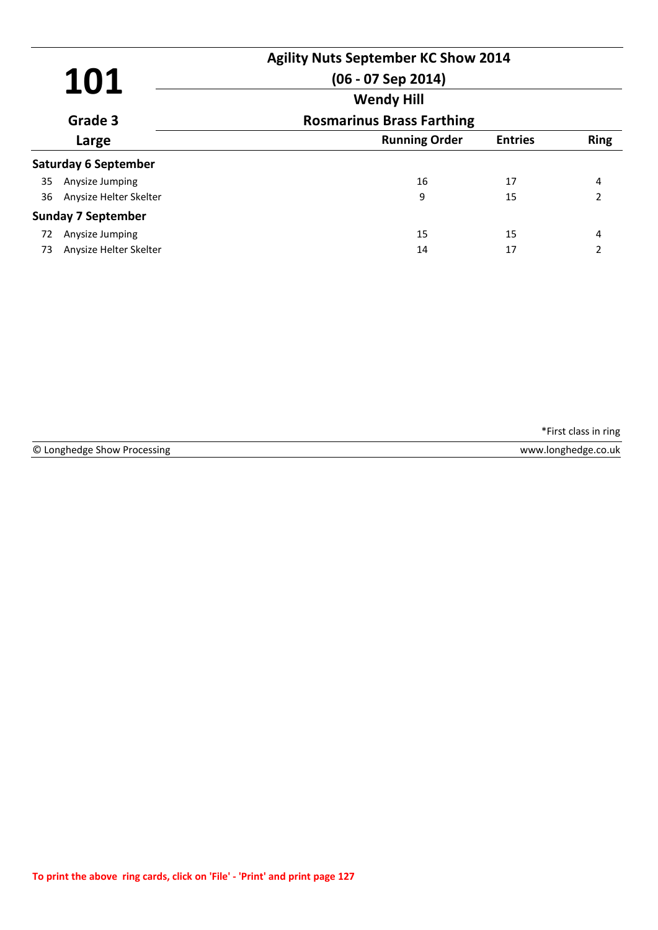| 101<br>Grade 3 |                             | <b>Agility Nuts September KC Show 2014</b><br>$(06 - 07$ Sep 2014)<br><b>Wendy Hill</b> |                |                          |
|----------------|-----------------------------|-----------------------------------------------------------------------------------------|----------------|--------------------------|
|                |                             | <b>Rosmarinus Brass Farthing</b>                                                        |                |                          |
|                | Large                       | <b>Running Order</b>                                                                    | <b>Entries</b> | <b>Ring</b>              |
|                | <b>Saturday 6 September</b> |                                                                                         |                |                          |
| 35             | Anysize Jumping             | 16                                                                                      | 17             | 4                        |
| 36             | Anysize Helter Skelter      | 9                                                                                       | 15             | $\overline{\phantom{a}}$ |
|                | <b>Sunday 7 September</b>   |                                                                                         |                |                          |
| 72             | Anysize Jumping             | 15                                                                                      | 15             | 4                        |
| 73             | Anysize Helter Skelter      | 14                                                                                      | 17             |                          |

© Longhedge Show Processing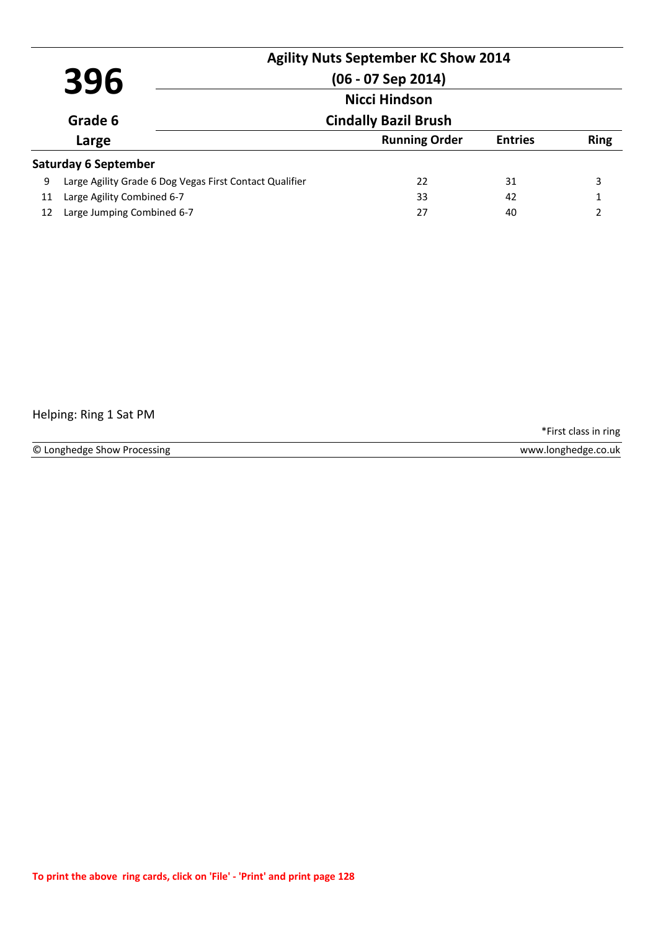| 396 |                                                         | <b>Agility Nuts September KC Show 2014</b><br>$(06 - 07$ Sep 2014) |                |             |
|-----|---------------------------------------------------------|--------------------------------------------------------------------|----------------|-------------|
|     |                                                         | <b>Nicci Hindson</b>                                               |                |             |
|     | Grade 6                                                 | <b>Cindally Bazil Brush</b>                                        |                |             |
|     | Large                                                   | <b>Running Order</b>                                               | <b>Entries</b> | <b>Ring</b> |
|     | <b>Saturday 6 September</b>                             |                                                                    |                |             |
| 9   | Large Agility Grade 6 Dog Vegas First Contact Qualifier | 22                                                                 | 31             | 3           |
| 11  | Large Agility Combined 6-7                              | 33                                                                 | 42             |             |
| 12  | Large Jumping Combined 6-7                              | 27                                                                 | 40             | C           |

## Helping: Ring 1 Sat PM

\*First class in ring

© Longhedge Show Processing www.longhedge.co.uk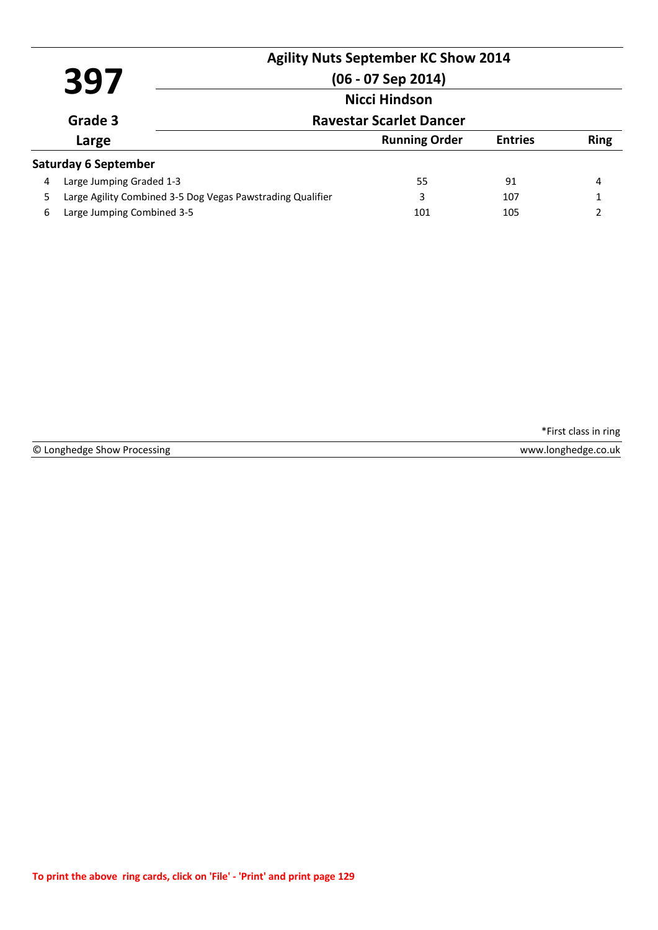| 397                                       |                             |                                                            | <b>Agility Nuts September KC Show 2014</b><br>$(06 - 07$ Sep 2014)<br>Nicci Hindson |                |             |
|-------------------------------------------|-----------------------------|------------------------------------------------------------|-------------------------------------------------------------------------------------|----------------|-------------|
| <b>Ravestar Scarlet Dancer</b><br>Grade 3 |                             |                                                            |                                                                                     |                |             |
| Large                                     |                             |                                                            | <b>Running Order</b>                                                                | <b>Entries</b> | <b>Ring</b> |
|                                           | <b>Saturday 6 September</b> |                                                            |                                                                                     |                |             |
| 4                                         | Large Jumping Graded 1-3    |                                                            | 55                                                                                  | 91             | 4           |
| 5.                                        |                             | Large Agility Combined 3-5 Dog Vegas Pawstrading Qualifier | 3                                                                                   | 107            |             |
| 6                                         | Large Jumping Combined 3-5  |                                                            | 101                                                                                 | 105            | 2           |

© Longhedge Show Processing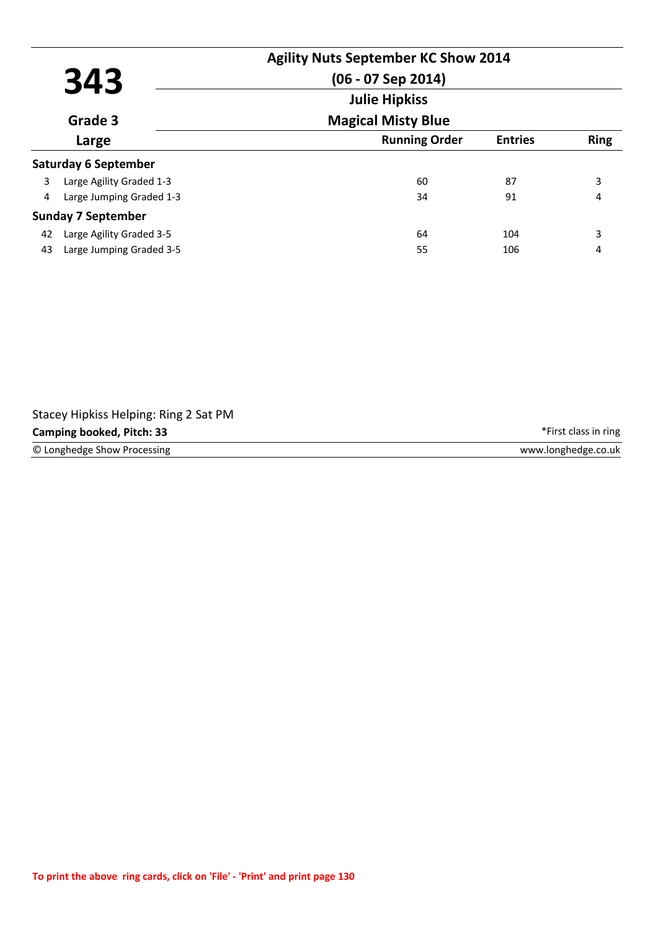| 343 |                             | <b>Agility Nuts September KC Show 2014</b><br>$(06 - 07$ Sep 2014) |                |             |
|-----|-----------------------------|--------------------------------------------------------------------|----------------|-------------|
|     | Grade 3                     | <b>Julie Hipkiss</b><br><b>Magical Misty Blue</b>                  |                |             |
|     | Large                       | <b>Running Order</b>                                               | <b>Entries</b> | <b>Ring</b> |
|     | <b>Saturday 6 September</b> |                                                                    |                |             |
| 3   | Large Agility Graded 1-3    | 60                                                                 | 87             | 3           |
| 4   | Large Jumping Graded 1-3    | 34                                                                 | 91             | 4           |
|     | <b>Sunday 7 September</b>   |                                                                    |                |             |
| 42  | Large Agility Graded 3-5    | 64                                                                 | 104            | 3           |
| 43  | Large Jumping Graded 3-5    | 55                                                                 | 106            | 4           |

| Stacey Hipkiss Helping: Ring 2 Sat PM |                      |
|---------------------------------------|----------------------|
| Camping booked, Pitch: 33             | *First class in ring |
| © Longhedge Show Processing           | www.longhedge.co.uk  |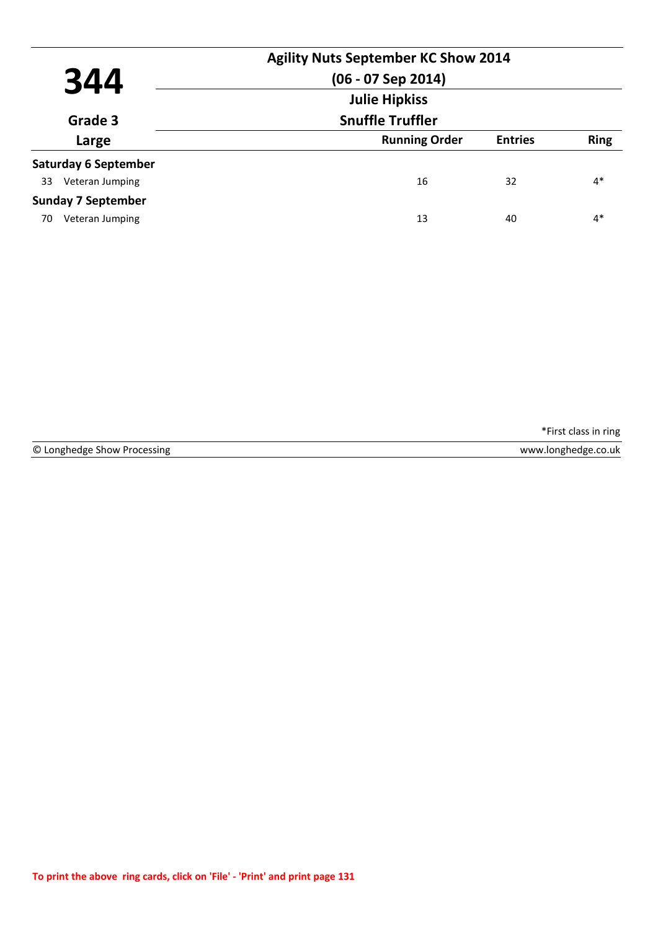| 344                         | <b>Agility Nuts September KC Show 2014</b><br>$(06 - 07$ Sep 2014)<br><b>Julie Hipkiss</b> |                |             |
|-----------------------------|--------------------------------------------------------------------------------------------|----------------|-------------|
| Grade 3                     | <b>Snuffle Truffler</b>                                                                    |                |             |
| Large                       | <b>Running Order</b>                                                                       | <b>Entries</b> | <b>Ring</b> |
| <b>Saturday 6 September</b> |                                                                                            |                |             |
| Veteran Jumping<br>33       | 16                                                                                         | 32             | $4*$        |
| <b>Sunday 7 September</b>   |                                                                                            |                |             |
| Veteran Jumping<br>70       | 13                                                                                         | 40             | $4*$        |

© Longhedge Show Processing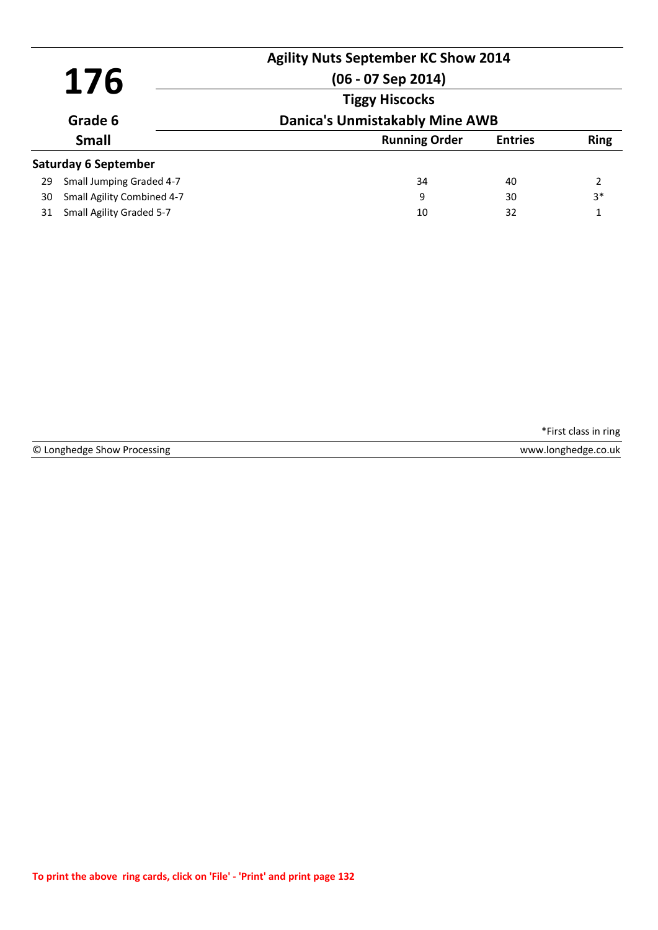| 176                     |                             | <b>Agility Nuts September KC Show 2014</b><br>$(06 - 07$ Sep 2014) |                |             |
|-------------------------|-----------------------------|--------------------------------------------------------------------|----------------|-------------|
|                         |                             | <b>Tiggy Hiscocks</b>                                              |                |             |
| Grade 6<br><b>Small</b> |                             | <b>Danica's Unmistakably Mine AWB</b>                              |                |             |
|                         |                             | <b>Running Order</b>                                               | <b>Entries</b> | <b>Ring</b> |
|                         | <b>Saturday 6 September</b> |                                                                    |                |             |
| 29                      | Small Jumping Graded 4-7    | 34                                                                 | 40             | 2           |
| 30                      | Small Agility Combined 4-7  | 9                                                                  | 30             | $3*$        |
| 31                      | Small Agility Graded 5-7    | 10                                                                 | 32             | 1           |

© Longhedge Show Processing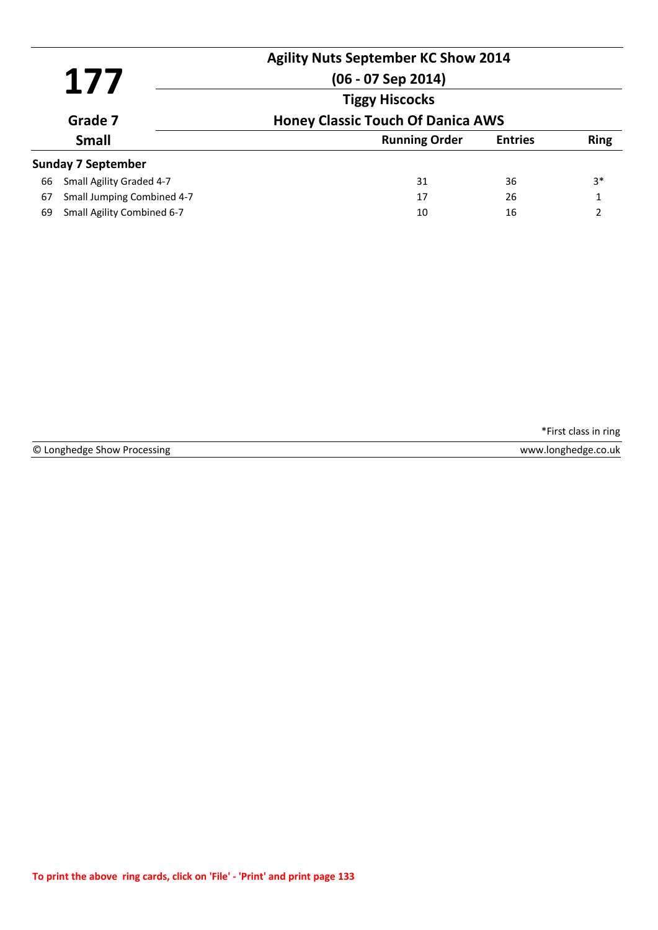| 177<br>Grade 7<br><b>Small</b> |                            | <b>Agility Nuts September KC Show 2014</b><br>$(06 - 07$ Sep 2014) |                |              |
|--------------------------------|----------------------------|--------------------------------------------------------------------|----------------|--------------|
|                                |                            | <b>Tiggy Hiscocks</b>                                              |                |              |
|                                |                            | <b>Honey Classic Touch Of Danica AWS</b>                           |                |              |
|                                |                            | <b>Running Order</b>                                               | <b>Entries</b> | <b>Ring</b>  |
|                                | <b>Sunday 7 September</b>  |                                                                    |                |              |
| 66                             | Small Agility Graded 4-7   | 31                                                                 | 36             | $3*$         |
| 67                             | Small Jumping Combined 4-7 | 17                                                                 | 26             | $\mathbf{1}$ |
| 69                             | Small Agility Combined 6-7 | 10                                                                 | 16             | າ            |

|  | © Longhedge Show Processing |  |  |  |
|--|-----------------------------|--|--|--|
|--|-----------------------------|--|--|--|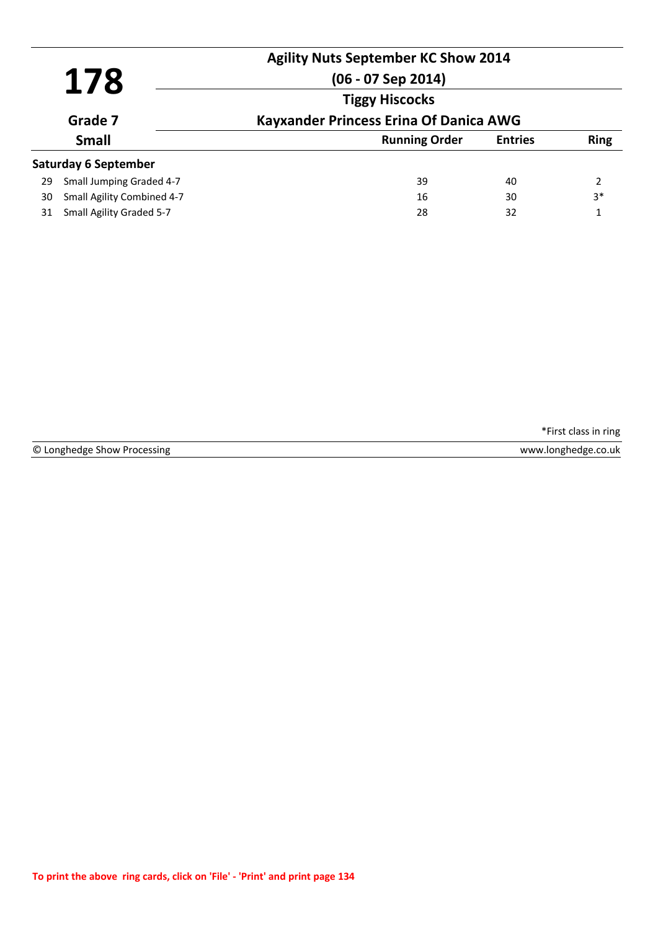| 178<br>Grade 7<br><b>Small</b> |                             | <b>Agility Nuts September KC Show 2014</b><br>$(06 - 07$ Sep 2014) |                |             |
|--------------------------------|-----------------------------|--------------------------------------------------------------------|----------------|-------------|
|                                |                             | <b>Tiggy Hiscocks</b>                                              |                |             |
|                                |                             | <b>Kayxander Princess Erina Of Danica AWG</b>                      |                |             |
|                                |                             | <b>Running Order</b>                                               | <b>Entries</b> | <b>Ring</b> |
|                                | <b>Saturday 6 September</b> |                                                                    |                |             |
| 29                             | Small Jumping Graded 4-7    | 39                                                                 | 40             | 2           |
| 30                             | Small Agility Combined 4-7  | 16                                                                 | 30             | $3*$        |
| 31                             | Small Agility Graded 5-7    | 28                                                                 | 32             | 1           |

© Longhedge Show Processing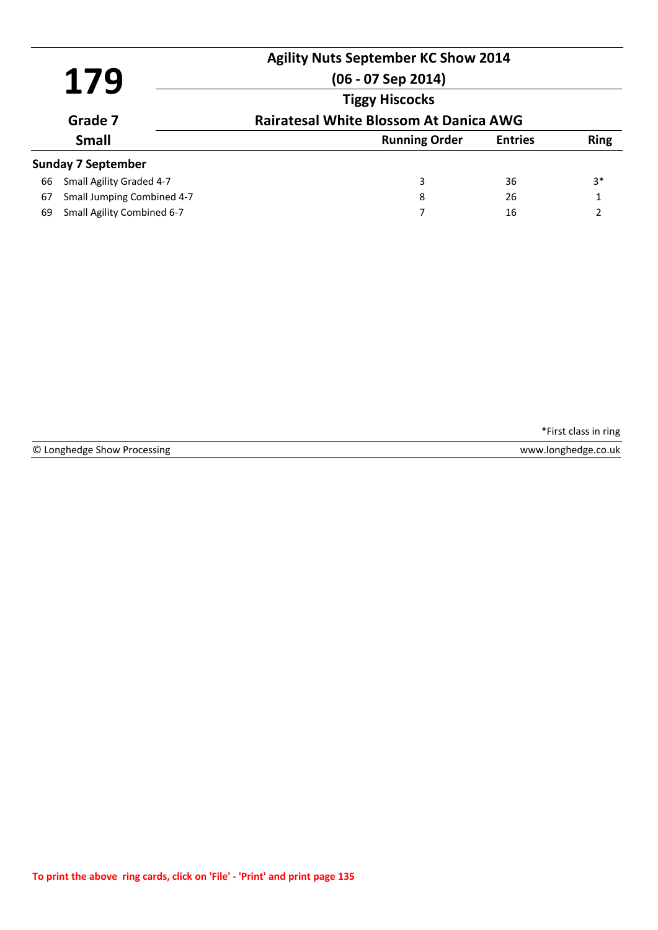| <b>Agility Nuts September KC Show 2014</b><br>179<br>$(06 - 07$ Sep 2014)<br><b>Tiggy Hiscocks</b><br>Grade 7<br><b>Small</b><br><b>Running Order</b> |                            |                                               |                |             |
|-------------------------------------------------------------------------------------------------------------------------------------------------------|----------------------------|-----------------------------------------------|----------------|-------------|
|                                                                                                                                                       |                            |                                               |                |             |
|                                                                                                                                                       |                            | <b>Rairatesal White Blossom At Danica AWG</b> |                |             |
|                                                                                                                                                       |                            |                                               | <b>Entries</b> | <b>Ring</b> |
|                                                                                                                                                       | <b>Sunday 7 September</b>  |                                               |                |             |
| 66                                                                                                                                                    | Small Agility Graded 4-7   | 3                                             | 36             | $3*$        |
| 67                                                                                                                                                    | Small Jumping Combined 4-7 | 8                                             | 26             |             |
| 69                                                                                                                                                    | Small Agility Combined 6-7 | 7                                             | 16             | C           |

© Longhedge Show Processing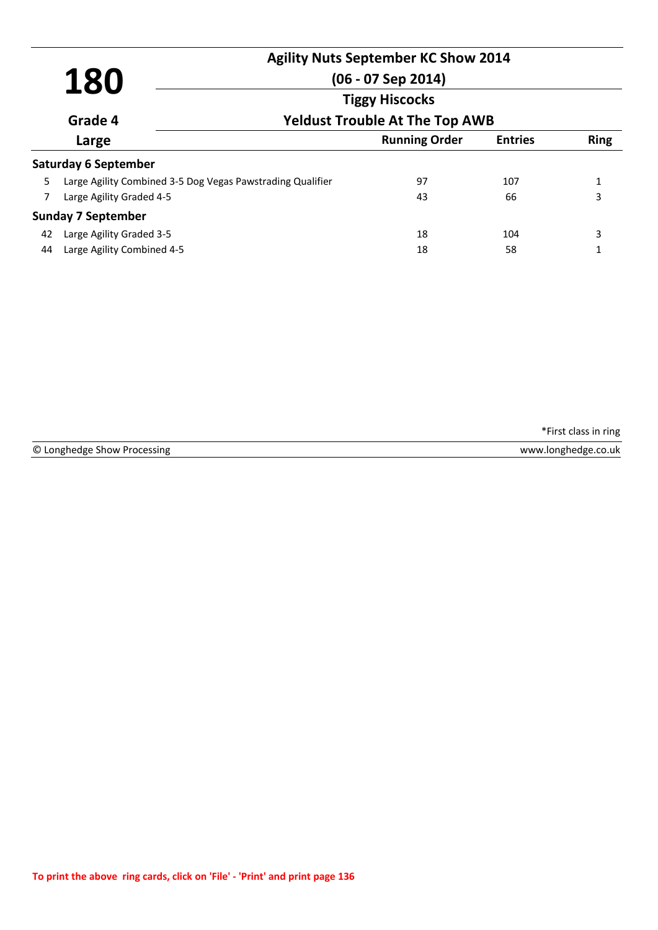| 180<br>Grade 4<br>Large |                                                            | <b>Agility Nuts September KC Show 2014</b><br>$(06 - 07$ Sep 2014) |                |             |
|-------------------------|------------------------------------------------------------|--------------------------------------------------------------------|----------------|-------------|
|                         |                                                            | <b>Tiggy Hiscocks</b><br><b>Yeldust Trouble At The Top AWB</b>     |                |             |
|                         |                                                            | <b>Running Order</b>                                               | <b>Entries</b> | <b>Ring</b> |
|                         | <b>Saturday 6 September</b>                                |                                                                    |                |             |
| 5.                      | Large Agility Combined 3-5 Dog Vegas Pawstrading Qualifier | 97                                                                 | 107            | 1           |
| 7                       | Large Agility Graded 4-5                                   | 43                                                                 | 66             | 3           |
|                         | <b>Sunday 7 September</b>                                  |                                                                    |                |             |
| 42                      | Large Agility Graded 3-5                                   | 18                                                                 | 104            | 3           |
| 44                      | Large Agility Combined 4-5                                 | 18                                                                 | 58             |             |

© Longhedge Show Processing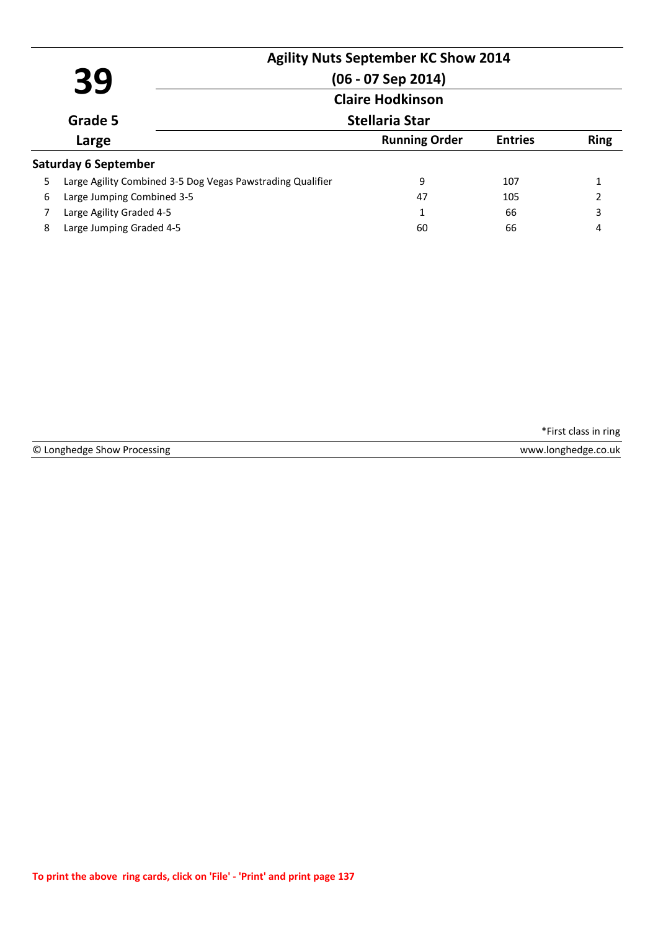|                         |                                                            | <b>Agility Nuts September KC Show 2014</b> |                |             |
|-------------------------|------------------------------------------------------------|--------------------------------------------|----------------|-------------|
|                         | 39                                                         | $(06 - 07$ Sep 2014)                       |                |             |
| <b>Claire Hodkinson</b> |                                                            |                                            |                |             |
|                         | Grade 5                                                    | <b>Stellaria Star</b>                      |                |             |
|                         | Large                                                      | <b>Running Order</b>                       | <b>Entries</b> | <b>Ring</b> |
|                         | Saturday 6 September                                       |                                            |                |             |
| 5                       | Large Agility Combined 3-5 Dog Vegas Pawstrading Qualifier | 9                                          | 107            |             |
| 6                       | Large Jumping Combined 3-5                                 | 47                                         | 105            | 2           |
|                         | Large Agility Graded 4-5                                   | 1                                          | 66             | 3           |
| 8                       | Large Jumping Graded 4-5                                   | 60                                         | 66             | 4           |

© Longhedge Show Processing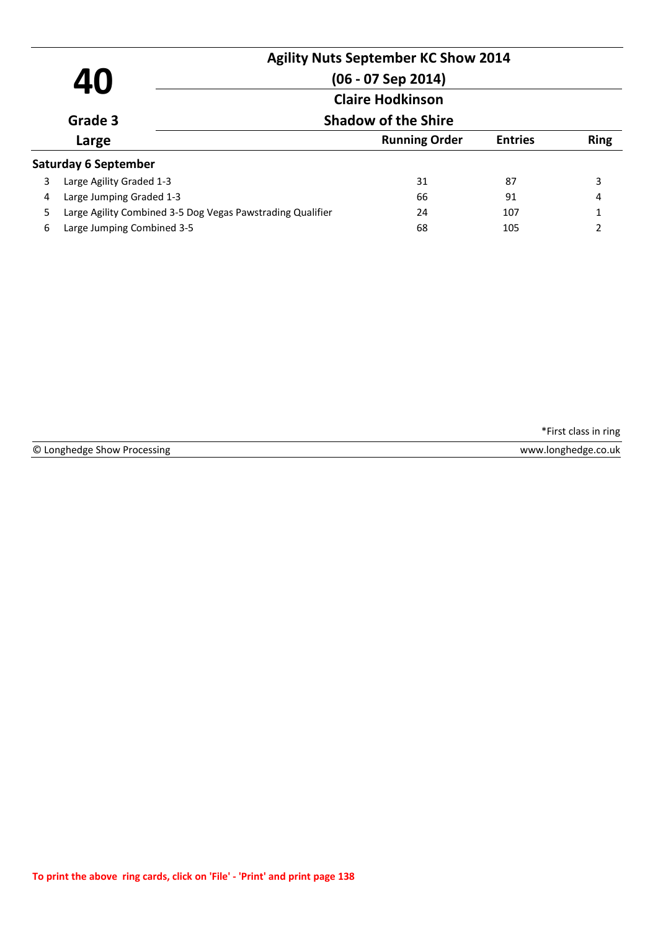| 40 |                                                            | <b>Agility Nuts September KC Show 2014</b><br>$(06 - 07$ Sep 2014)<br><b>Claire Hodkinson</b> |                |             |
|----|------------------------------------------------------------|-----------------------------------------------------------------------------------------------|----------------|-------------|
|    | Grade 3                                                    | <b>Shadow of the Shire</b>                                                                    |                |             |
|    | Large                                                      | <b>Running Order</b>                                                                          | <b>Entries</b> | <b>Ring</b> |
|    | <b>Saturday 6 September</b>                                |                                                                                               |                |             |
| 3  | Large Agility Graded 1-3                                   | 31                                                                                            | 87             | 3           |
| 4  | Large Jumping Graded 1-3                                   | 66                                                                                            | 91             | 4           |
| 5. | Large Agility Combined 3-5 Dog Vegas Pawstrading Qualifier | 24                                                                                            | 107            | 1           |
| 6  | Large Jumping Combined 3-5                                 | 68                                                                                            | 105            | 2           |

© Longhedge Show Processing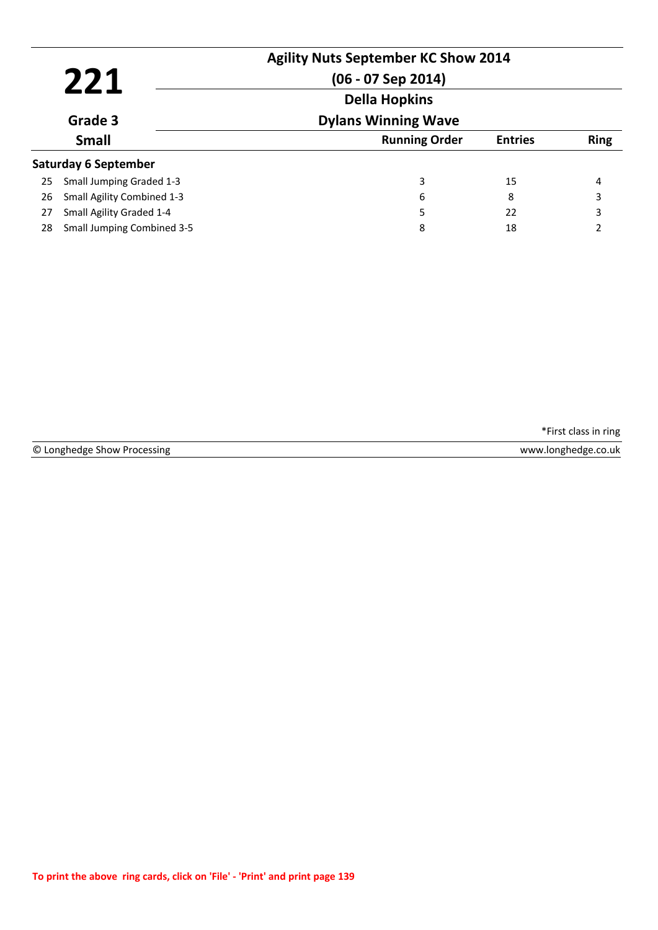| 221<br>Grade 3 |                                   | <b>Agility Nuts September KC Show 2014</b><br>$(06 - 07$ Sep 2014)<br><b>Della Hopkins</b> |                |             |
|----------------|-----------------------------------|--------------------------------------------------------------------------------------------|----------------|-------------|
|                |                                   | <b>Dylans Winning Wave</b>                                                                 |                |             |
|                | <b>Small</b>                      | <b>Running Order</b>                                                                       | <b>Entries</b> | <b>Ring</b> |
|                | <b>Saturday 6 September</b>       |                                                                                            |                |             |
| 25             | Small Jumping Graded 1-3          | 3                                                                                          | 15             | 4           |
| 26             | <b>Small Agility Combined 1-3</b> | 6                                                                                          | 8              | 3           |
| 27             | Small Agility Graded 1-4          | 5                                                                                          | 22             | 3           |
| 28             | <b>Small Jumping Combined 3-5</b> | 8                                                                                          | 18             | 2           |

|  | © Longhedge Show Processing |  |  |
|--|-----------------------------|--|--|
|--|-----------------------------|--|--|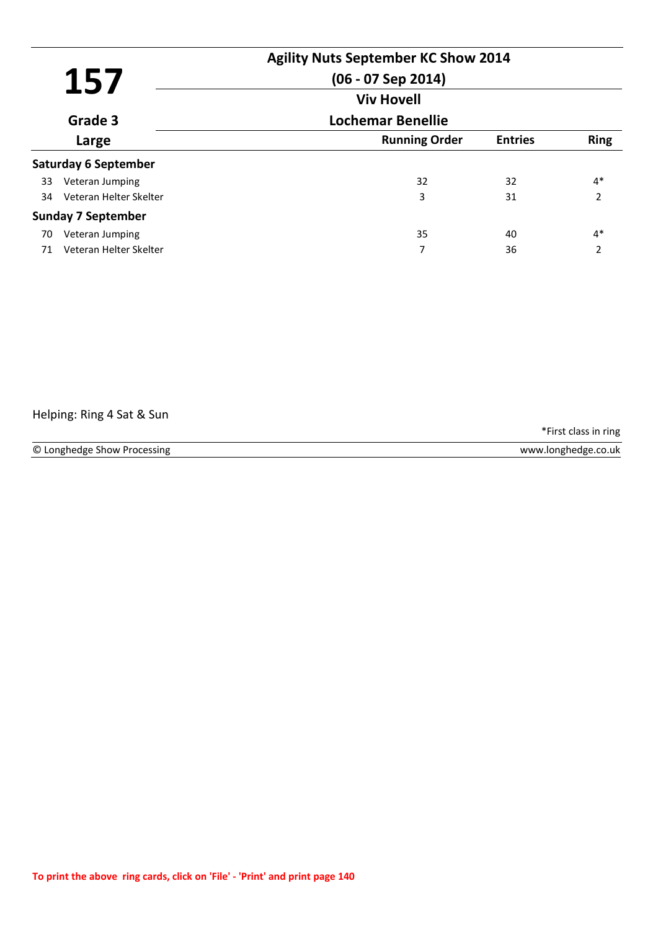| 157 |                             | <b>Agility Nuts September KC Show 2014</b><br>$(06 - 07$ Sep 2014) |                |                          |
|-----|-----------------------------|--------------------------------------------------------------------|----------------|--------------------------|
|     |                             | <b>Viv Hovell</b>                                                  |                |                          |
|     | Grade 3                     | <b>Lochemar Benellie</b>                                           |                |                          |
|     | Large                       | <b>Running Order</b>                                               | <b>Entries</b> | <b>Ring</b>              |
|     | <b>Saturday 6 September</b> |                                                                    |                |                          |
| 33  | Veteran Jumping             | 32                                                                 | 32             | $4*$                     |
| 34  | Veteran Helter Skelter      | 3                                                                  | 31             | $\overline{2}$           |
|     | <b>Sunday 7 September</b>   |                                                                    |                |                          |
| 70  | Veteran Jumping             | 35                                                                 | 40             | $4*$                     |
| 71  | Veteran Helter Skelter      | 7                                                                  | 36             | $\overline{\phantom{a}}$ |

Helping: Ring 4 Sat & Sun

\*First class in ring

© Longhedge Show Processing www.longhedge.co.uk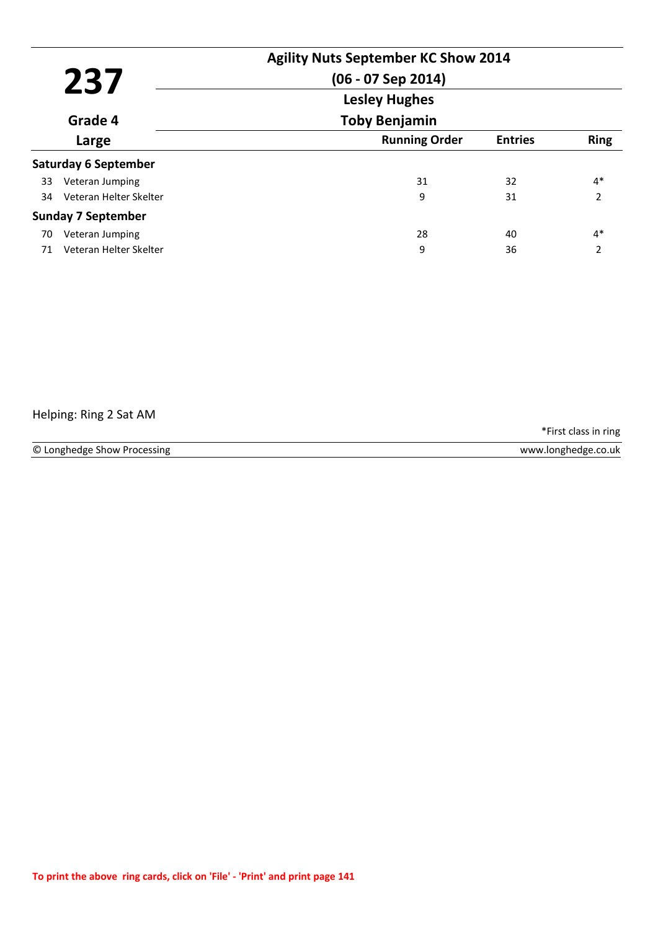| 237<br>Grade 4 |                             | <b>Agility Nuts September KC Show 2014</b><br>$(06 - 07$ Sep 2014)<br><b>Lesley Hughes</b> |                |                          |
|----------------|-----------------------------|--------------------------------------------------------------------------------------------|----------------|--------------------------|
|                |                             | <b>Toby Benjamin</b>                                                                       |                |                          |
|                | Large                       | <b>Running Order</b>                                                                       | <b>Entries</b> | <b>Ring</b>              |
|                | <b>Saturday 6 September</b> |                                                                                            |                |                          |
| 33             | Veteran Jumping             | 31                                                                                         | 32             | $4*$                     |
| 34             | Veteran Helter Skelter      | 9                                                                                          | 31             | $\overline{2}$           |
|                | <b>Sunday 7 September</b>   |                                                                                            |                |                          |
| 70             | Veteran Jumping             | 28                                                                                         | 40             | $4*$                     |
| 71             | Veteran Helter Skelter      | 9                                                                                          | 36             | $\overline{\phantom{a}}$ |

## Helping: Ring 2 Sat AM

\*First class in ring

© Longhedge Show Processing www.longhedge.co.uk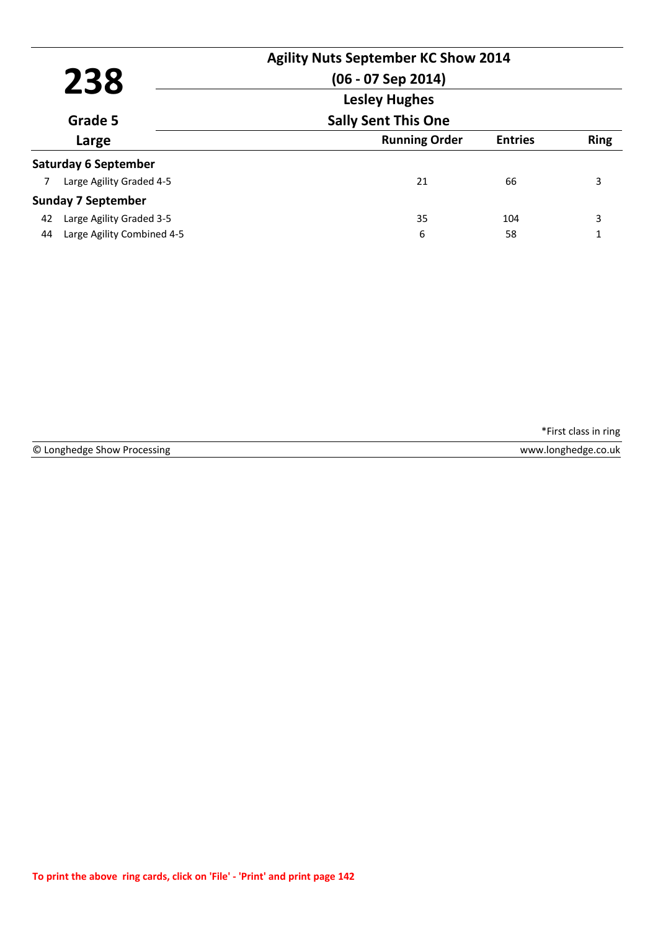| 238 |                             | <b>Agility Nuts September KC Show 2014</b><br>$(06 - 07$ Sep 2014)<br><b>Lesley Hughes</b> |                |             |
|-----|-----------------------------|--------------------------------------------------------------------------------------------|----------------|-------------|
|     | Grade 5                     | <b>Sally Sent This One</b>                                                                 |                |             |
|     | Large                       | <b>Running Order</b>                                                                       | <b>Entries</b> | <b>Ring</b> |
|     | <b>Saturday 6 September</b> |                                                                                            |                |             |
|     | Large Agility Graded 4-5    | 21                                                                                         | 66             | 3           |
|     | <b>Sunday 7 September</b>   |                                                                                            |                |             |
| 42  | Large Agility Graded 3-5    | 35                                                                                         | 104            | 3           |
| 44  | Large Agility Combined 4-5  | 6                                                                                          | 58             | 1           |

© Longhedge Show Processing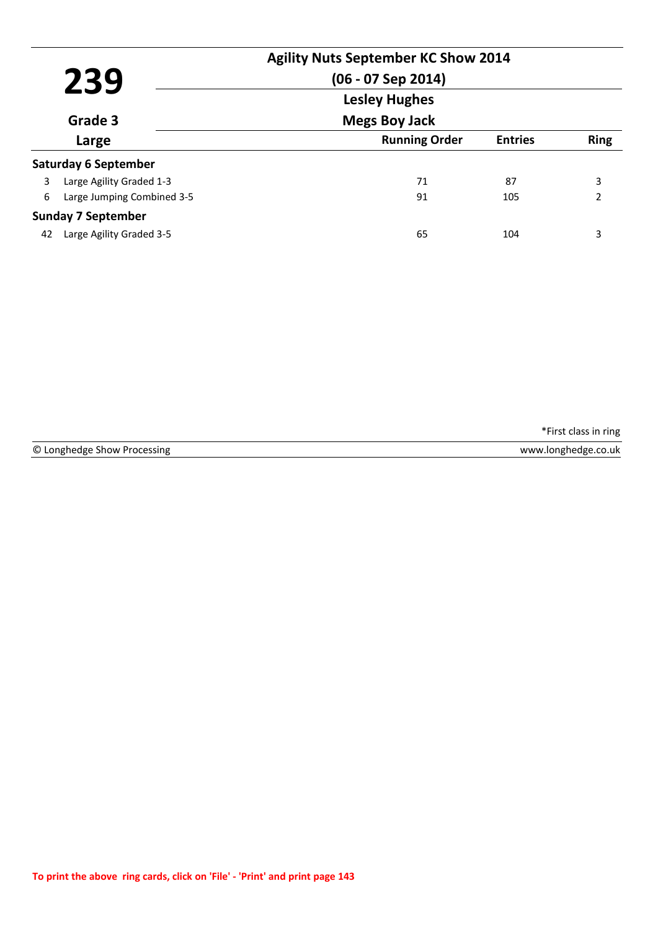| 239<br>Grade 3 |                             | <b>Agility Nuts September KC Show 2014</b><br>$(06 - 07$ Sep 2014)<br><b>Lesley Hughes</b> |                |               |
|----------------|-----------------------------|--------------------------------------------------------------------------------------------|----------------|---------------|
|                |                             | <b>Megs Boy Jack</b>                                                                       |                |               |
|                | Large                       | <b>Running Order</b>                                                                       | <b>Entries</b> | <b>Ring</b>   |
|                | <b>Saturday 6 September</b> |                                                                                            |                |               |
| 3              | Large Agility Graded 1-3    | 71                                                                                         | 87             | 3             |
| 6              | Large Jumping Combined 3-5  | 91                                                                                         | 105            | $\mathcal{P}$ |
|                | <b>Sunday 7 September</b>   |                                                                                            |                |               |
| 42             | Large Agility Graded 3-5    | 65                                                                                         | 104            | 3             |

© Longhedge Show Processing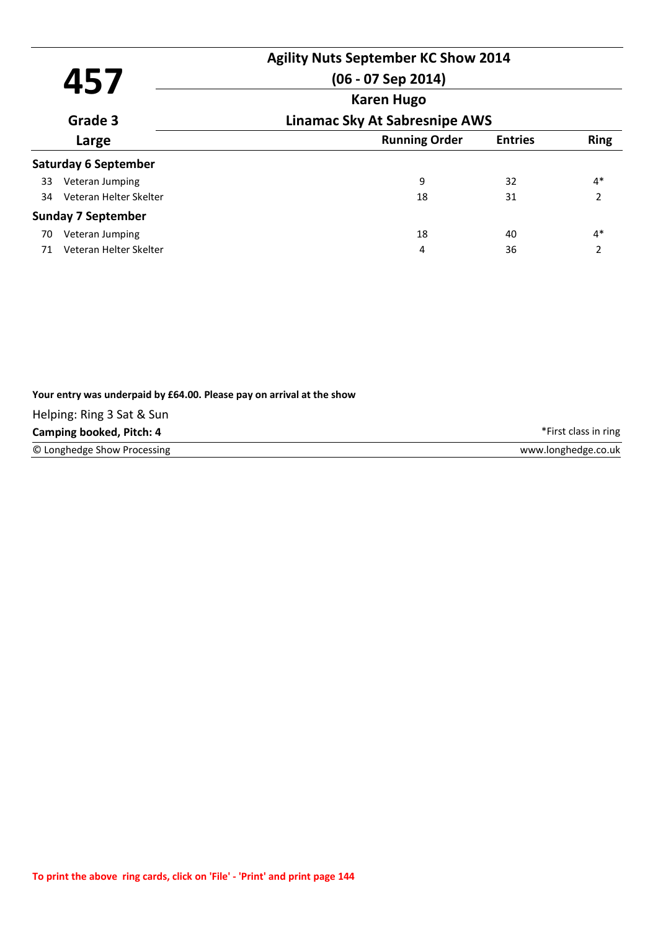| 457 |                             | <b>Agility Nuts September KC Show 2014</b><br>$(06 - 07$ Sep 2014) |                |                          |
|-----|-----------------------------|--------------------------------------------------------------------|----------------|--------------------------|
|     | Grade 3                     | <b>Karen Hugo</b><br><b>Linamac Sky At Sabresnipe AWS</b>          |                |                          |
|     | Large                       | <b>Running Order</b>                                               | <b>Entries</b> | <b>Ring</b>              |
|     | <b>Saturday 6 September</b> |                                                                    |                |                          |
| 33  | Veteran Jumping             | 9                                                                  | 32             | $4*$                     |
| 34  | Veteran Helter Skelter      | 18                                                                 | 31             | 2                        |
|     | <b>Sunday 7 September</b>   |                                                                    |                |                          |
| 70  | Veteran Jumping             | 18                                                                 | 40             | $4*$                     |
| 71  | Veteran Helter Skelter      | 4                                                                  | 36             | $\overline{\phantom{a}}$ |

| Your entry was underpaid by £64.00. Please pay on arrival at the show |                      |
|-----------------------------------------------------------------------|----------------------|
| Helping: Ring 3 Sat & Sun                                             |                      |
| Camping booked, Pitch: 4                                              | *First class in ring |
| © Longhedge Show Processing                                           | www.longhedge.co.uk  |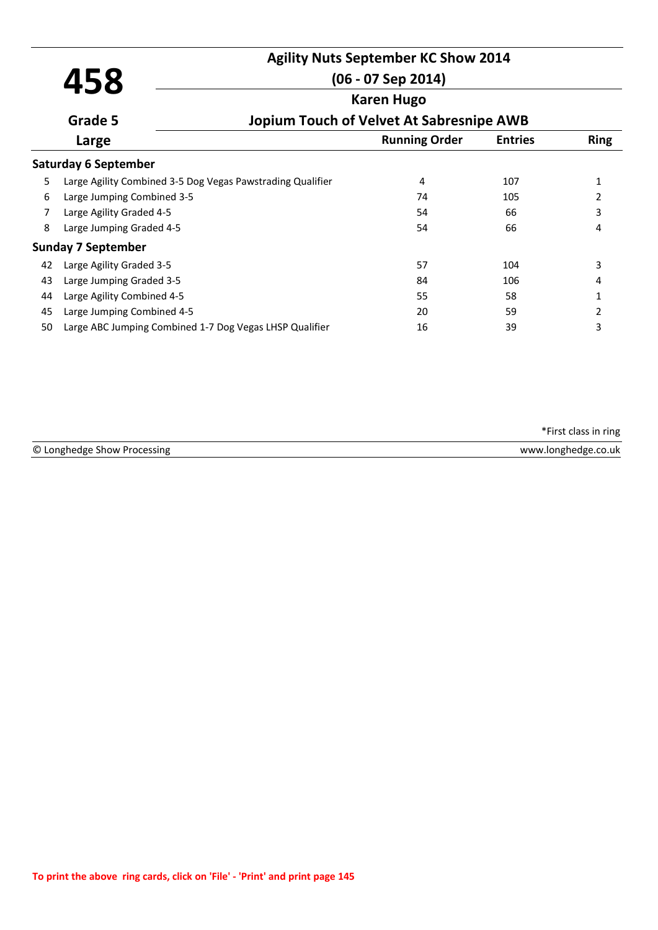# **Agility Nuts September KC Show 2014**

|                   |                                                            | $(06 - 07$ Sep 2014) |                                          |             |
|-------------------|------------------------------------------------------------|----------------------|------------------------------------------|-------------|
| <b>Karen Hugo</b> |                                                            |                      |                                          |             |
|                   | Grade 5                                                    |                      | Jopium Touch of Velvet At Sabresnipe AWB |             |
|                   | Large                                                      | <b>Running Order</b> | <b>Entries</b>                           | <b>Ring</b> |
|                   | <b>Saturday 6 September</b>                                |                      |                                          |             |
| 5                 | Large Agility Combined 3-5 Dog Vegas Pawstrading Qualifier | 4                    | 107                                      | 1           |
| 6                 | Large Jumping Combined 3-5                                 | 74                   | 105                                      | 2           |
|                   | Large Agility Graded 4-5                                   | 54                   | 66                                       | 3           |
| 8                 | Large Jumping Graded 4-5                                   | 54                   | 66                                       | 4           |
|                   | <b>Sunday 7 September</b>                                  |                      |                                          |             |
| 42                | Large Agility Graded 3-5                                   | 57                   | 104                                      | 3           |
| 43                | Large Jumping Graded 3-5                                   | 84                   | 106                                      | 4           |
| 44                | Large Agility Combined 4-5                                 | 55                   | 58                                       | 1           |
| 45                | Large Jumping Combined 4-5                                 | 20                   | 59                                       | 2           |
| 50                | Large ABC Jumping Combined 1-7 Dog Vegas LHSP Qualifier    | 16                   | 39                                       | 3           |

© Longhedge Show Processing www.longhedge.co.uk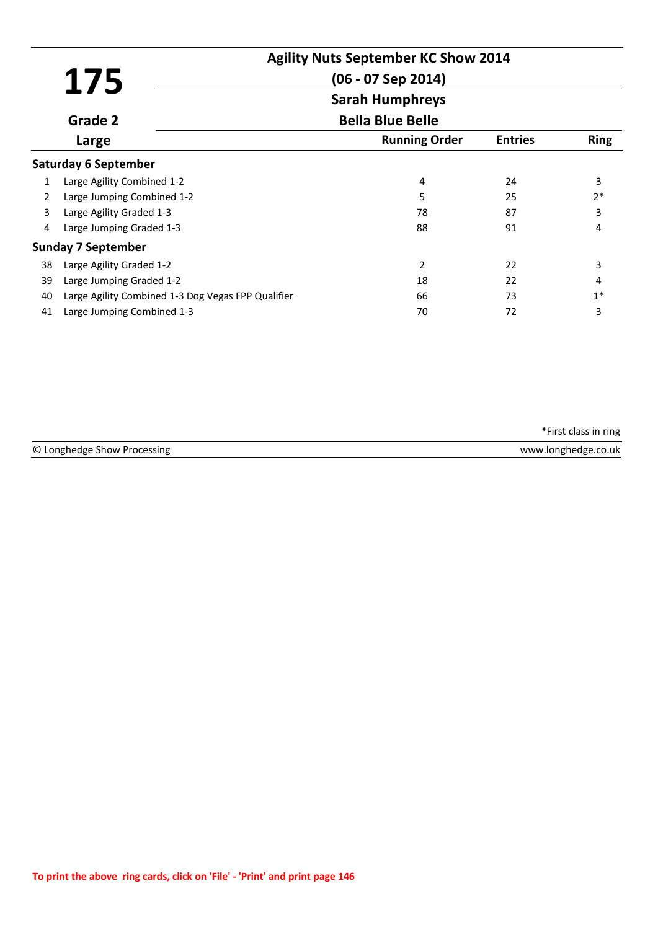|                |                                                    | <b>Agility Nuts September KC Show 2014</b> |                |             |
|----------------|----------------------------------------------------|--------------------------------------------|----------------|-------------|
|                | 175                                                | $(06 - 07$ Sep 2014)                       |                |             |
|                |                                                    | <b>Sarah Humphreys</b>                     |                |             |
|                | Grade 2                                            | <b>Bella Blue Belle</b>                    |                |             |
|                | Large                                              | <b>Running Order</b>                       | <b>Entries</b> | <b>Ring</b> |
|                | <b>Saturday 6 September</b>                        |                                            |                |             |
| 1              | Large Agility Combined 1-2                         | 4                                          | 24             | 3           |
| $\overline{2}$ | Large Jumping Combined 1-2                         | 5                                          | 25             | $2*$        |
| 3              | Large Agility Graded 1-3                           | 78                                         | 87             | 3           |
| 4              | Large Jumping Graded 1-3                           | 88                                         | 91             | 4           |
|                | <b>Sunday 7 September</b>                          |                                            |                |             |
| 38             | Large Agility Graded 1-2                           | 2                                          | 22             | 3           |
| 39             | Large Jumping Graded 1-2                           | 18                                         | 22             | 4           |
| 40             | Large Agility Combined 1-3 Dog Vegas FPP Qualifier | 66                                         | 73             | $1*$        |
| 41             | Large Jumping Combined 1-3                         | 70                                         | 72             | 3           |

| © Longhedge Show Processing | www.longhedge.co.uk |
|-----------------------------|---------------------|
|                             |                     |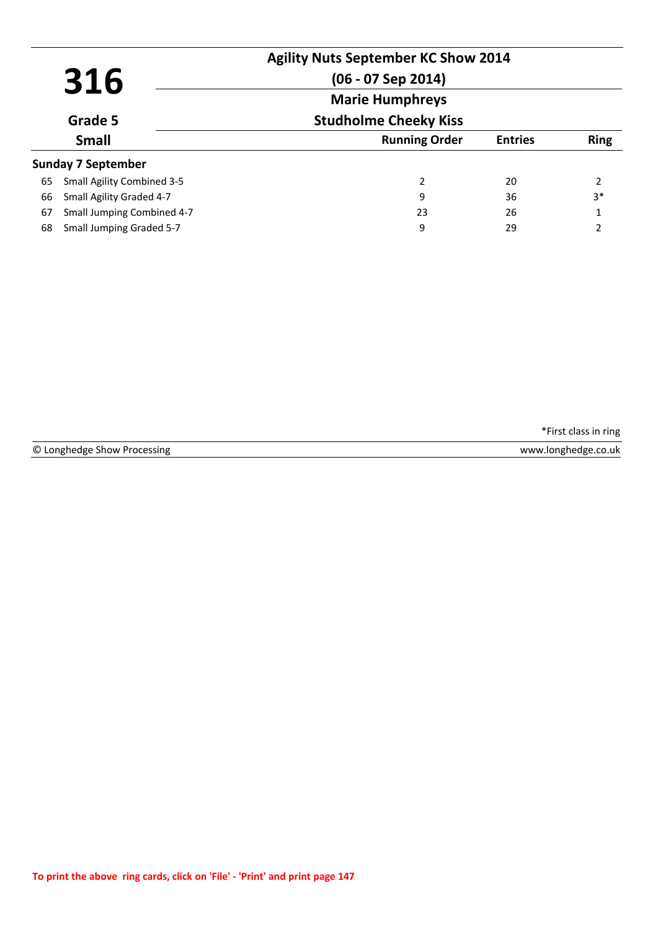| 316<br>Grade 5 |                                   | <b>Agility Nuts September KC Show 2014</b><br>$(06 - 07$ Sep 2014) |                |                |
|----------------|-----------------------------------|--------------------------------------------------------------------|----------------|----------------|
|                |                                   | <b>Marie Humphreys</b><br><b>Studholme Cheeky Kiss</b>             |                |                |
|                | <b>Small</b>                      | <b>Running Order</b>                                               | <b>Entries</b> | <b>Ring</b>    |
|                | <b>Sunday 7 September</b>         |                                                                    |                |                |
| 65             | <b>Small Agility Combined 3-5</b> | 2                                                                  | 20             | 2              |
| 66             | Small Agility Graded 4-7          | 9                                                                  | 36             | $3*$           |
| 67             | Small Jumping Combined 4-7        | 23                                                                 | 26             | 1              |
| 68             | Small Jumping Graded 5-7          | 9                                                                  | 29             | $\mathfrak{p}$ |

|  | © Longhedge Show Processing |  |  |  |
|--|-----------------------------|--|--|--|
|--|-----------------------------|--|--|--|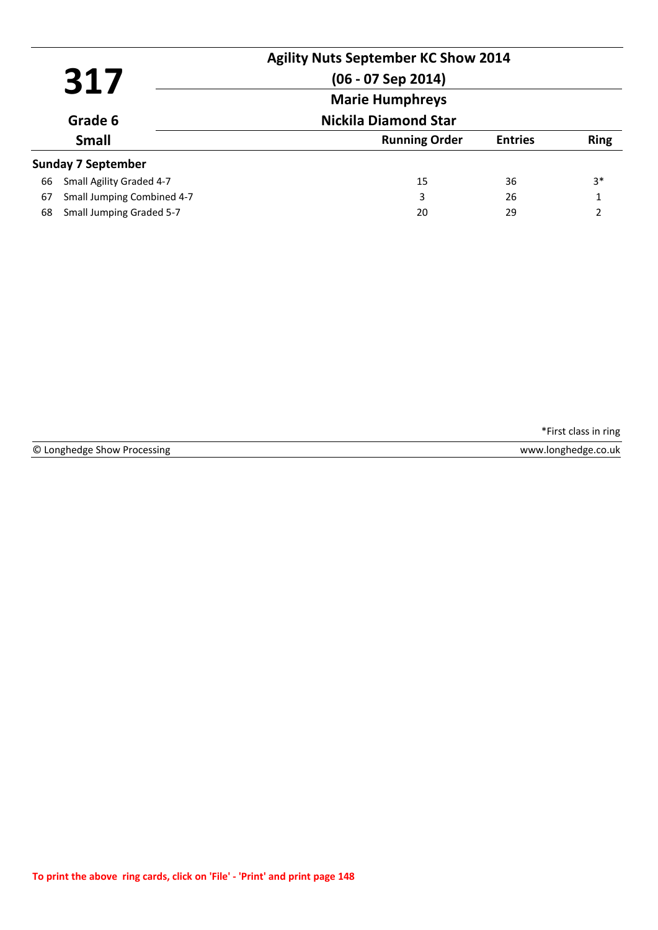|    | 317                        | <b>Agility Nuts September KC Show 2014</b><br>$(06 - 07$ Sep 2014) |                |                |
|----|----------------------------|--------------------------------------------------------------------|----------------|----------------|
|    |                            | <b>Marie Humphreys</b><br><b>Nickila Diamond Star</b>              |                |                |
|    | Grade 6                    |                                                                    |                |                |
|    | <b>Small</b>               | <b>Running Order</b>                                               | <b>Entries</b> | <b>Ring</b>    |
|    | <b>Sunday 7 September</b>  |                                                                    |                |                |
| 66 | Small Agility Graded 4-7   | 15                                                                 | 36             | 3*             |
| 67 | Small Jumping Combined 4-7 | 3                                                                  | 26             | 1              |
| 68 | Small Jumping Graded 5-7   | 20                                                                 | 29             | $\mathfrak{p}$ |

© Longhedge Show Processing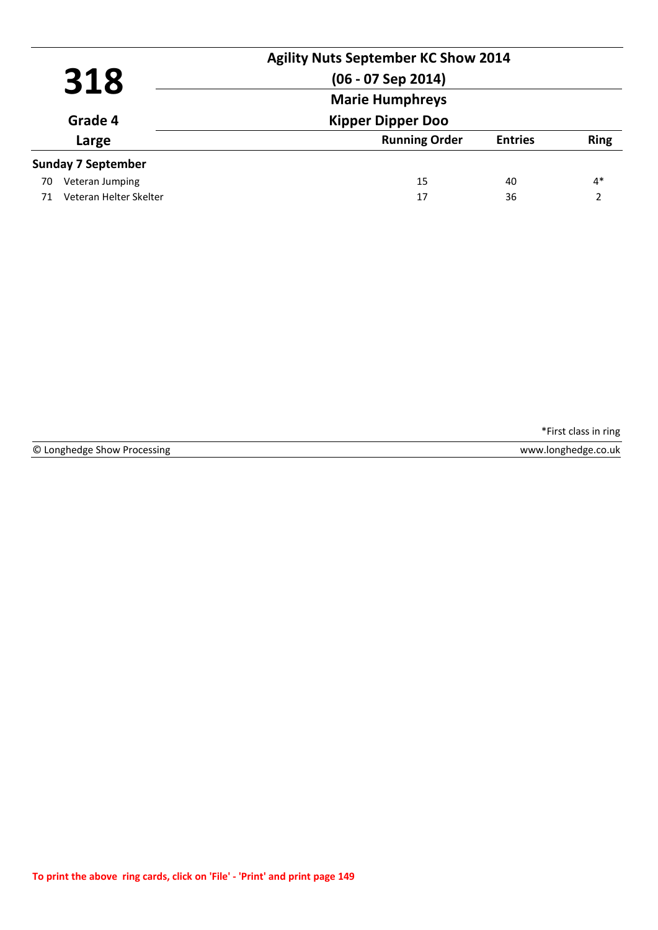|     |                           | <b>Agility Nuts September KC Show 2014</b> |                |                |
|-----|---------------------------|--------------------------------------------|----------------|----------------|
| 318 |                           | $(06 - 07$ Sep 2014)                       |                |                |
|     |                           | <b>Marie Humphreys</b>                     |                |                |
|     | Grade 4                   | <b>Kipper Dipper Doo</b>                   |                |                |
|     | Large                     | <b>Running Order</b>                       | <b>Entries</b> | <b>Ring</b>    |
|     | <b>Sunday 7 September</b> |                                            |                |                |
| 70  | Veteran Jumping           | 15                                         | 40             | $4*$           |
| 71  | Veteran Helter Skelter    | 17                                         | 36             | $\mathfrak{p}$ |

© Longhedge Show Processing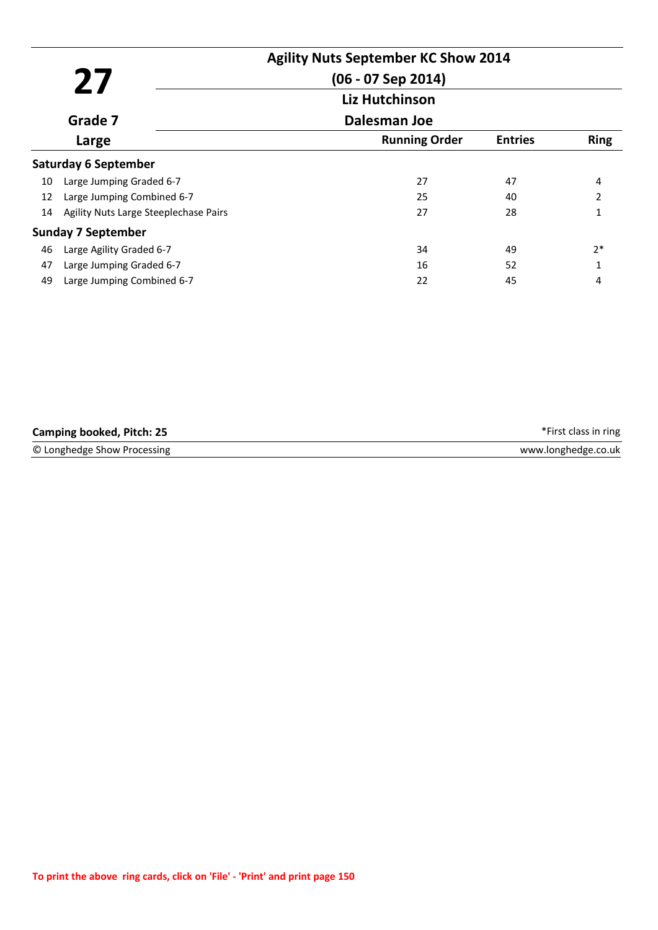|         | 27                                    | <b>Agility Nuts September KC Show 2014</b><br>$(06 - 07$ Sep 2014) |                |                          |
|---------|---------------------------------------|--------------------------------------------------------------------|----------------|--------------------------|
|         |                                       | Liz Hutchinson                                                     |                |                          |
| Grade 7 |                                       | Dalesman Joe                                                       |                |                          |
|         | Large                                 | <b>Running Order</b>                                               | <b>Entries</b> | <b>Ring</b>              |
|         | <b>Saturday 6 September</b>           |                                                                    |                |                          |
| 10      | Large Jumping Graded 6-7              | 27                                                                 | 47             | 4                        |
| 12      | Large Jumping Combined 6-7            | 25                                                                 | 40             | $\overline{\phantom{a}}$ |
| 14      | Agility Nuts Large Steeplechase Pairs | 27                                                                 | 28             | 1                        |
|         | <b>Sunday 7 September</b>             |                                                                    |                |                          |
| 46      | Large Agility Graded 6-7              | 34                                                                 | 49             | $2*$                     |
| 47      | Large Jumping Graded 6-7              | 16                                                                 | 52             |                          |
| 49      | Large Jumping Combined 6-7            | 22                                                                 | 45             | 4                        |

| <b>Camping booked, Pitch: 25</b> | *First class in ring |
|----------------------------------|----------------------|
| © Longhedge Show Processing      | www.longhedge.co.uk  |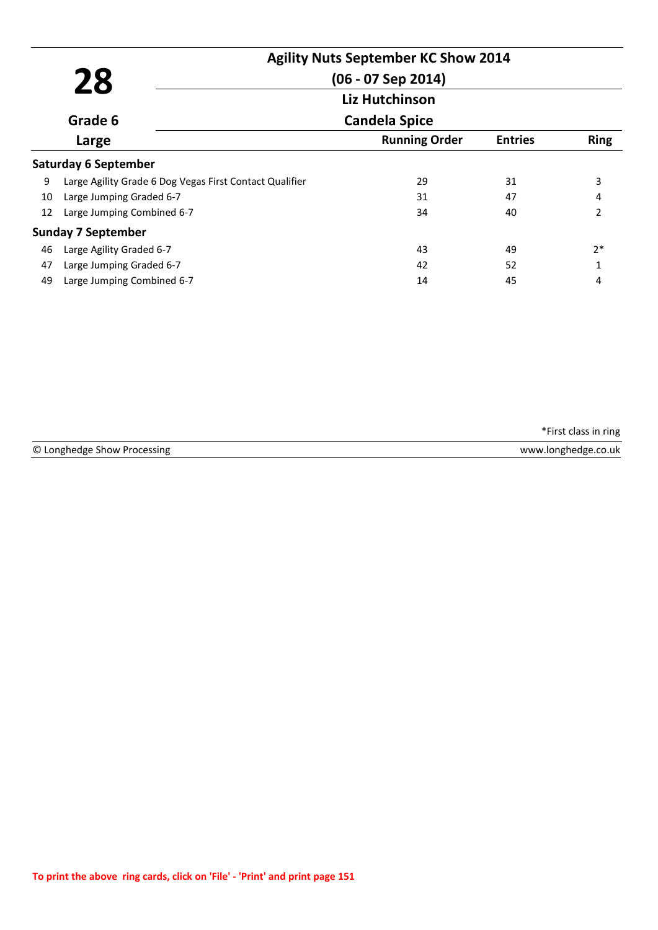|    |                                                         | <b>Agility Nuts September KC Show 2014</b> |                |                |
|----|---------------------------------------------------------|--------------------------------------------|----------------|----------------|
|    | 28                                                      | (06 - 07 Sep 2014)                         |                |                |
|    |                                                         | Liz Hutchinson                             |                |                |
|    | Grade 6                                                 | <b>Candela Spice</b>                       |                |                |
|    | Large                                                   | <b>Running Order</b>                       | <b>Entries</b> | <b>Ring</b>    |
|    | <b>Saturday 6 September</b>                             |                                            |                |                |
| 9  | Large Agility Grade 6 Dog Vegas First Contact Qualifier | 29                                         | 31             | 3              |
| 10 | Large Jumping Graded 6-7                                | 31                                         | 47             | 4              |
| 12 | Large Jumping Combined 6-7                              | 34                                         | 40             | $\mathfrak{p}$ |
|    | <b>Sunday 7 September</b>                               |                                            |                |                |
| 46 | Large Agility Graded 6-7                                | 43                                         | 49             | $2*$           |
| 47 | Large Jumping Graded 6-7                                | 42                                         | 52             |                |
| 49 | Large Jumping Combined 6-7                              | 14                                         | 45             | 4              |

| © Longhedge Show Processing | www.longhedge.co.uk |
|-----------------------------|---------------------|
|                             |                     |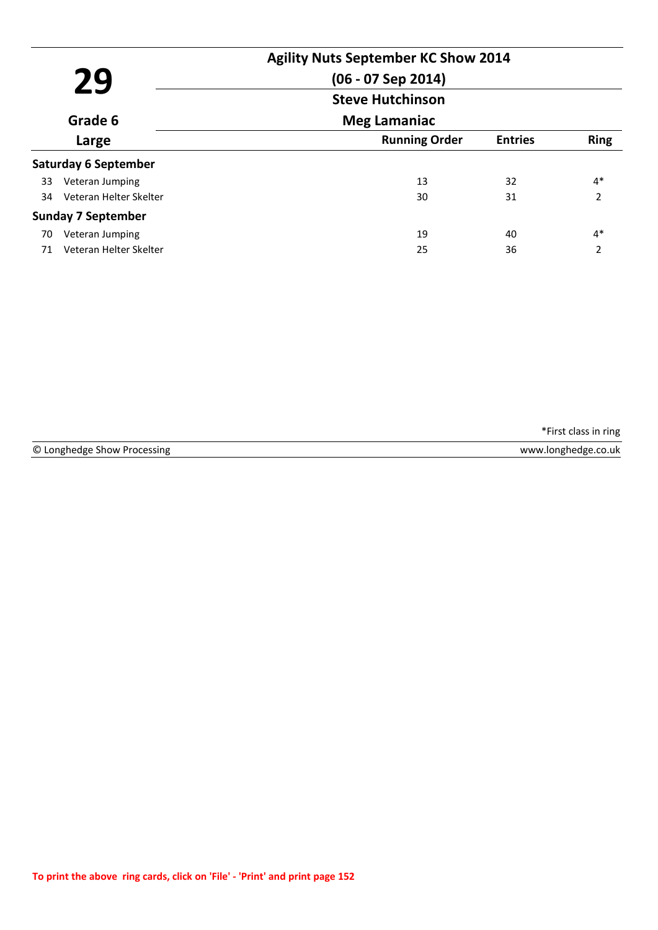|    |                             | <b>Agility Nuts September KC Show 2014</b> |                |                |
|----|-----------------------------|--------------------------------------------|----------------|----------------|
|    | 29                          | $(06 - 07$ Sep 2014)                       |                |                |
|    |                             | <b>Steve Hutchinson</b>                    |                |                |
|    | Grade 6                     | <b>Meg Lamaniac</b>                        |                |                |
|    | Large                       | <b>Running Order</b>                       | <b>Entries</b> | <b>Ring</b>    |
|    | <b>Saturday 6 September</b> |                                            |                |                |
| 33 | Veteran Jumping             | 13                                         | 32             | $4*$           |
| 34 | Veteran Helter Skelter      | 30                                         | 31             | $\overline{2}$ |
|    | <b>Sunday 7 September</b>   |                                            |                |                |
| 70 | Veteran Jumping             | 19                                         | 40             | $4*$           |
| 71 | Veteran Helter Skelter      | 25                                         | 36             | $\mathcal{P}$  |

© Longhedge Show Processing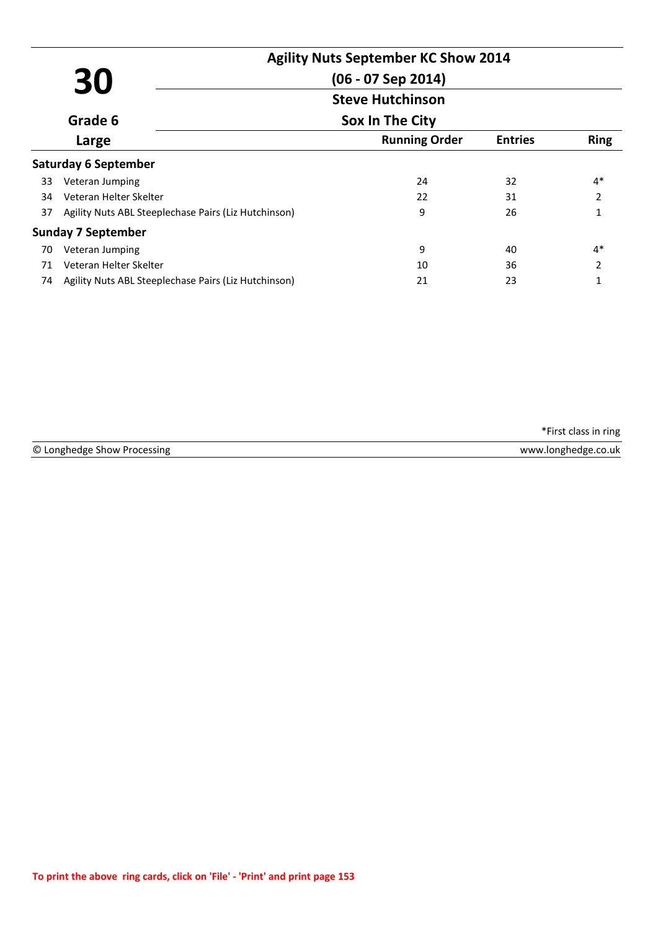|    |                                                      | <b>Agility Nuts September KC Show 2014</b> |                |                |
|----|------------------------------------------------------|--------------------------------------------|----------------|----------------|
|    | 30                                                   | $(06 - 07$ Sep 2014)                       |                |                |
|    |                                                      | <b>Steve Hutchinson</b>                    |                |                |
|    | Grade 6                                              | Sox In The City                            |                |                |
|    | Large                                                | <b>Running Order</b>                       | <b>Entries</b> | <b>Ring</b>    |
|    | <b>Saturday 6 September</b>                          |                                            |                |                |
| 33 | Veteran Jumping                                      | 24                                         | 32             | $4*$           |
| 34 | Veteran Helter Skelter                               | 22                                         | 31             | $\overline{2}$ |
| 37 | Agility Nuts ABL Steeplechase Pairs (Liz Hutchinson) | 9                                          | 26             | 1              |
|    | Sunday 7 September                                   |                                            |                |                |
| 70 | Veteran Jumping                                      | 9                                          | 40             | $4*$           |
| 71 | Veteran Helter Skelter                               | 10                                         | 36             | 2              |
| 74 | Agility Nuts ABL Steeplechase Pairs (Liz Hutchinson) | 21                                         | 23             | 1              |

| ◚<br>----<br>Processing<br>ำ >now .<br>nnønenøe<br>ש | $-1$<br>.co.uk<br>www<br>IONØNANØA |
|------------------------------------------------------|------------------------------------|
|                                                      |                                    |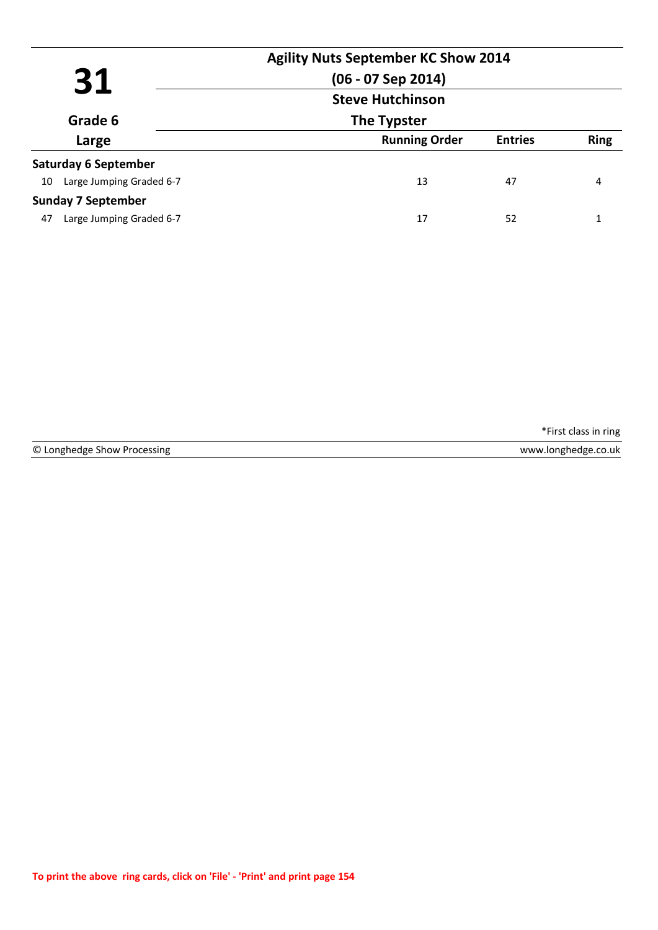|                                | <b>Agility Nuts September KC Show 2014</b><br>$(06 - 07$ Sep 2014) |                |             |
|--------------------------------|--------------------------------------------------------------------|----------------|-------------|
| 31                             | <b>Steve Hutchinson</b><br>The Typster                             |                |             |
| Grade 6                        |                                                                    |                |             |
| Large                          | <b>Running Order</b>                                               | <b>Entries</b> | <b>Ring</b> |
| <b>Saturday 6 September</b>    |                                                                    |                |             |
| Large Jumping Graded 6-7<br>10 | 13                                                                 | 47             | 4           |
| <b>Sunday 7 September</b>      |                                                                    |                |             |
| Large Jumping Graded 6-7<br>47 | 17                                                                 | 52             |             |

© Longhedge Show Processing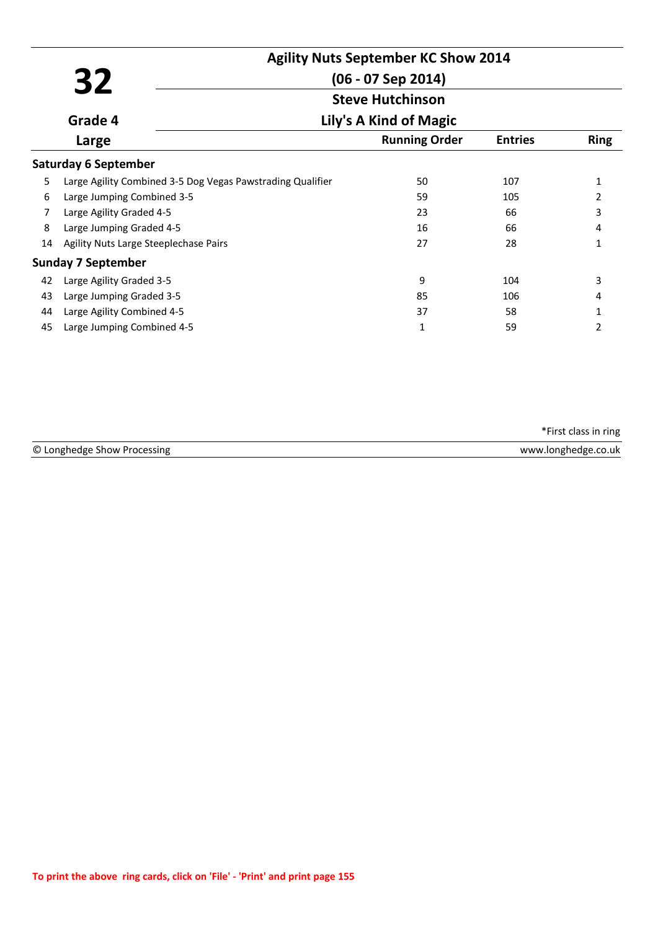|    |                                                            |                                                 | <b>Agility Nuts September KC Show 2014</b> |                |             |  |
|----|------------------------------------------------------------|-------------------------------------------------|--------------------------------------------|----------------|-------------|--|
|    | 32                                                         | $(06 - 07$ Sep 2014)<br><b>Steve Hutchinson</b> |                                            |                |             |  |
|    |                                                            |                                                 |                                            |                |             |  |
|    | Grade 4                                                    | Lily's A Kind of Magic                          |                                            |                |             |  |
|    | Large                                                      |                                                 | <b>Running Order</b>                       | <b>Entries</b> | <b>Ring</b> |  |
|    | <b>Saturday 6 September</b>                                |                                                 |                                            |                |             |  |
| 5  | Large Agility Combined 3-5 Dog Vegas Pawstrading Qualifier |                                                 | 50                                         | 107            | 1           |  |
| 6  | Large Jumping Combined 3-5                                 |                                                 | 59                                         | 105            | 2           |  |
| 7  | Large Agility Graded 4-5                                   |                                                 | 23                                         | 66             | 3           |  |
| 8  | Large Jumping Graded 4-5                                   |                                                 | 16                                         | 66             | 4           |  |
| 14 | Agility Nuts Large Steeplechase Pairs                      |                                                 | 27                                         | 28             | 1           |  |
|    | <b>Sunday 7 September</b>                                  |                                                 |                                            |                |             |  |
| 42 | Large Agility Graded 3-5                                   |                                                 | 9                                          | 104            | 3           |  |
| 43 | Large Jumping Graded 3-5                                   |                                                 | 85                                         | 106            | 4           |  |
| 44 | Large Agility Combined 4-5                                 |                                                 | 37                                         | 58             | 1           |  |
| 45 | Large Jumping Combined 4-5                                 |                                                 | 1                                          | 59             | 2           |  |

| © Longhedge Show Processing | www.longhedge.co.uk |
|-----------------------------|---------------------|
|                             |                     |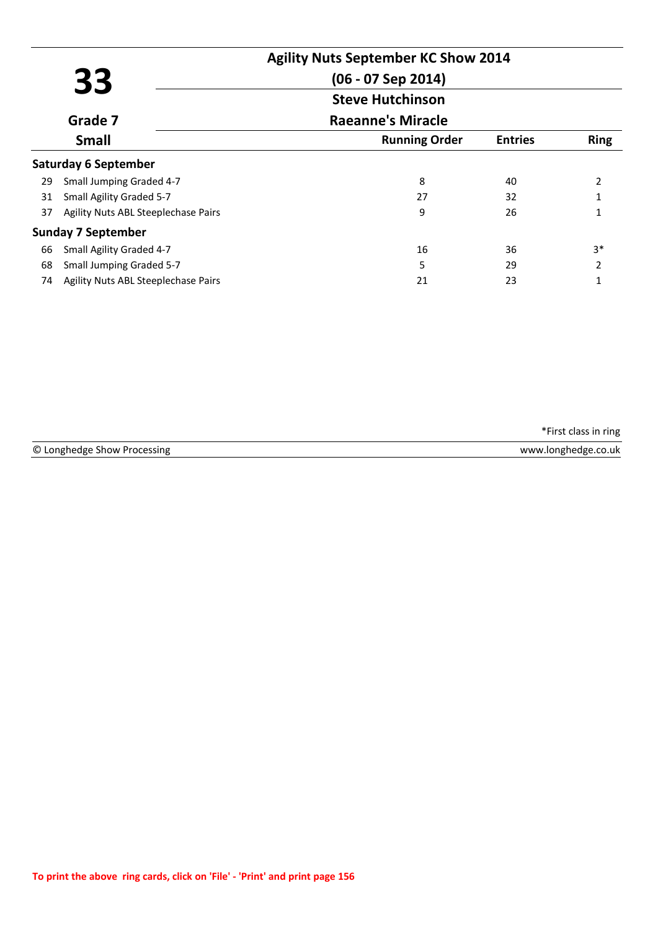|    |                                     | <b>Agility Nuts September KC Show 2014</b> |                |             |
|----|-------------------------------------|--------------------------------------------|----------------|-------------|
|    | 33                                  | (06 - 07 Sep 2014)                         |                |             |
|    |                                     | <b>Steve Hutchinson</b>                    |                |             |
|    | Grade 7                             | <b>Raeanne's Miracle</b>                   |                |             |
|    | <b>Small</b>                        | <b>Running Order</b>                       | <b>Entries</b> | <b>Ring</b> |
|    | <b>Saturday 6 September</b>         |                                            |                |             |
| 29 | Small Jumping Graded 4-7            | 8                                          | 40             | 2           |
| 31 | Small Agility Graded 5-7            | 27                                         | 32             |             |
| 37 | Agility Nuts ABL Steeplechase Pairs | 9                                          | 26             |             |
|    | <b>Sunday 7 September</b>           |                                            |                |             |
| 66 | Small Agility Graded 4-7            | 16                                         | 36             | $3*$        |
| 68 | <b>Small Jumping Graded 5-7</b>     | 5                                          | 29             | 2           |
| 74 | Agility Nuts ABL Steeplechase Pairs | 21                                         | 23             |             |

| © Lo       | .uk      |
|------------|----------|
| 10r        | ៳៸៶៱៸៶៱៸ |
| n pr       | ، مصط    |
| <b>NUM</b> |          |
|            |          |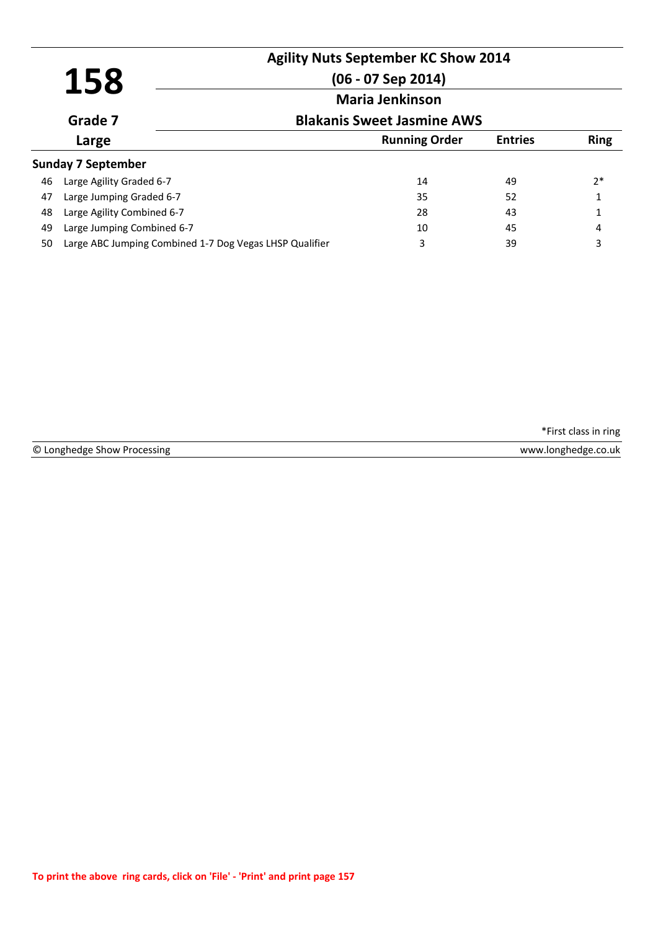|    | 158                                                     | <b>Agility Nuts September KC Show 2014</b><br>$(06 - 07$ Sep 2014) |                |             |  |  |
|----|---------------------------------------------------------|--------------------------------------------------------------------|----------------|-------------|--|--|
|    | Grade 7                                                 | <b>Maria Jenkinson</b><br><b>Blakanis Sweet Jasmine AWS</b>        |                |             |  |  |
|    | Large                                                   | <b>Running Order</b>                                               | <b>Entries</b> | <b>Ring</b> |  |  |
|    | <b>Sunday 7 September</b>                               |                                                                    |                |             |  |  |
| 46 | Large Agility Graded 6-7                                | 14                                                                 | 49             | $2*$        |  |  |
| 47 | Large Jumping Graded 6-7                                | 35                                                                 | 52             |             |  |  |
| 48 | Large Agility Combined 6-7                              | 28                                                                 | 43             | 1           |  |  |
| 49 | Large Jumping Combined 6-7                              | 10                                                                 | 45             | 4           |  |  |
| 50 | Large ABC Jumping Combined 1-7 Dog Vegas LHSP Qualifier | 3                                                                  | 39             | 3           |  |  |

© Longhedge Show Processing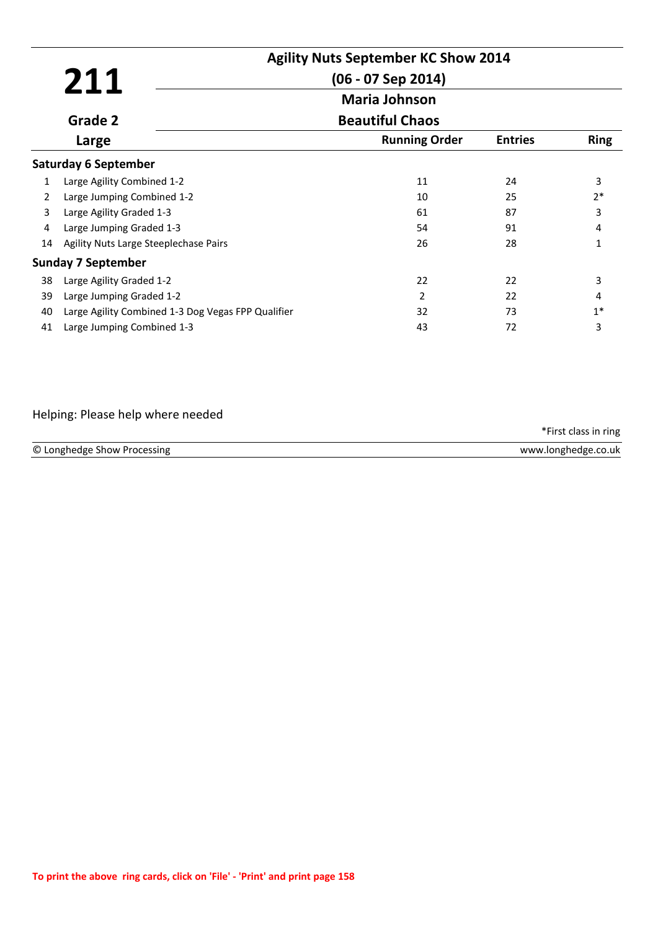|                |                                                    | <b>Agility Nuts September KC Show 2014</b> |                |             |
|----------------|----------------------------------------------------|--------------------------------------------|----------------|-------------|
|                | 211                                                | $(06 - 07$ Sep 2014)                       |                |             |
|                |                                                    | <b>Maria Johnson</b>                       |                |             |
|                | Grade 2                                            | <b>Beautiful Chaos</b>                     |                |             |
|                | Large                                              | <b>Running Order</b>                       | <b>Entries</b> | <b>Ring</b> |
|                | <b>Saturday 6 September</b>                        |                                            |                |             |
| 1              | Large Agility Combined 1-2                         | 11                                         | 24             | 3           |
| $\overline{2}$ | Large Jumping Combined 1-2                         | 10                                         | 25             | $2*$        |
| 3              | Large Agility Graded 1-3                           | 61                                         | 87             | 3           |
| 4              | Large Jumping Graded 1-3                           | 54                                         | 91             | 4           |
| 14             | Agility Nuts Large Steeplechase Pairs              | 26                                         | 28             | 1           |
|                | <b>Sunday 7 September</b>                          |                                            |                |             |
| 38             | Large Agility Graded 1-2                           | 22                                         | 22             | 3           |
| 39             | Large Jumping Graded 1-2                           | 2                                          | 22             | 4           |
| 40             | Large Agility Combined 1-3 Dog Vegas FPP Qualifier | 32                                         | 73             | $1*$        |
| 41             | Large Jumping Combined 1-3                         | 43                                         | 72             | 3           |

# Helping: Please help where needed

|                             | *First class in ring |
|-----------------------------|----------------------|
| © Longhedge Show Processing | www.longhedge.co.uk  |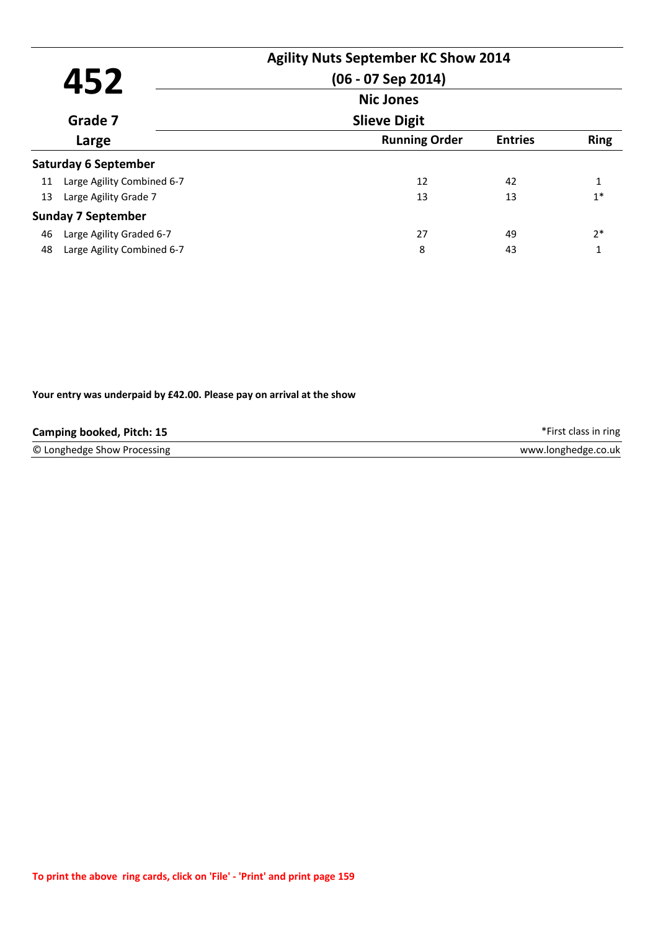|    |                             | <b>Agility Nuts September KC Show 2014</b> |                |             |
|----|-----------------------------|--------------------------------------------|----------------|-------------|
|    | 452                         | $(06 - 07$ Sep 2014)                       |                |             |
|    |                             | <b>Nic Jones</b>                           |                |             |
|    | Grade 7                     | <b>Slieve Digit</b>                        |                |             |
|    | Large                       | <b>Running Order</b>                       | <b>Entries</b> | <b>Ring</b> |
|    | <b>Saturday 6 September</b> |                                            |                |             |
| 11 | Large Agility Combined 6-7  | 12                                         | 42             | 1           |
| 13 | Large Agility Grade 7       | 13                                         | 13             | $1*$        |
|    | <b>Sunday 7 September</b>   |                                            |                |             |
| 46 | Large Agility Graded 6-7    | 27                                         | 49             | $2*$        |
| 48 | Large Agility Combined 6-7  | 8                                          | 43             | 1           |

#### **Your entry was underpaid by £42.00. Please pay on arrival at the show**

| Camping booked, Pitch: 15   | *First class in ring |
|-----------------------------|----------------------|
| © Longhedge Show Processing | www.longhedge.co.uk  |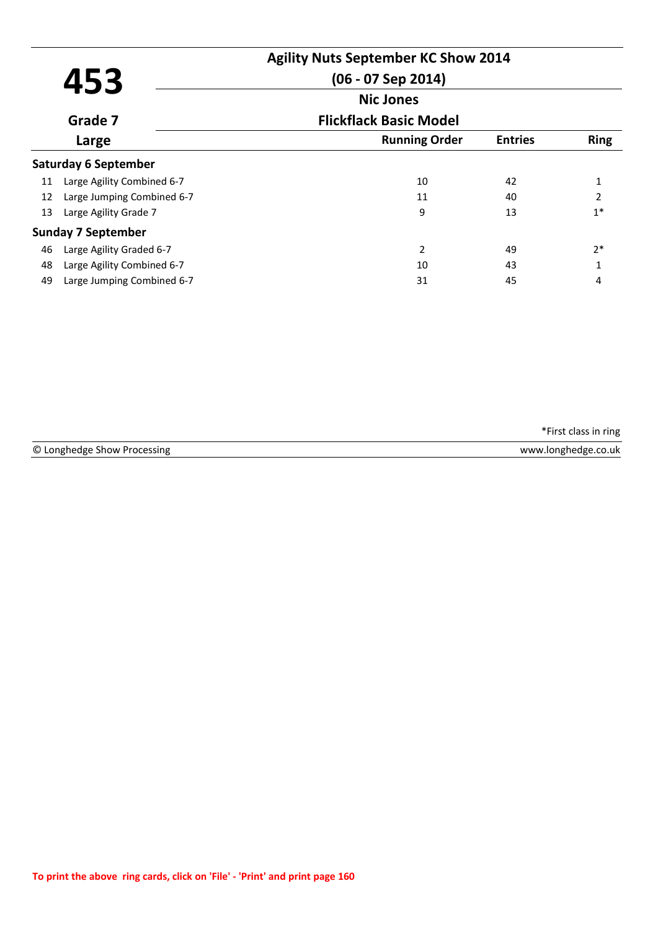| 453 |                            | <b>Agility Nuts September KC Show 2014</b><br>$(06 - 07$ Sep 2014) |                |                |
|-----|----------------------------|--------------------------------------------------------------------|----------------|----------------|
|     |                            | <b>Nic Jones</b>                                                   |                |                |
|     | Grade 7                    | <b>Flickflack Basic Model</b>                                      |                |                |
|     | Large                      | <b>Running Order</b>                                               | <b>Entries</b> | <b>Ring</b>    |
|     | Saturday 6 September       |                                                                    |                |                |
| 11  | Large Agility Combined 6-7 | 10                                                                 | 42             |                |
| 12  | Large Jumping Combined 6-7 | 11                                                                 | 40             | $\overline{2}$ |
| 13  | Large Agility Grade 7      | 9                                                                  | 13             | $1*$           |
|     | <b>Sunday 7 September</b>  |                                                                    |                |                |
| 46  | Large Agility Graded 6-7   | $\overline{2}$                                                     | 49             | $2*$           |
| 48  | Large Agility Combined 6-7 | 10                                                                 | 43             | 1              |
| 49  | Large Jumping Combined 6-7 | 31                                                                 | 45             | 4              |

© Longhedge Show Processing www.longhedge.co.uk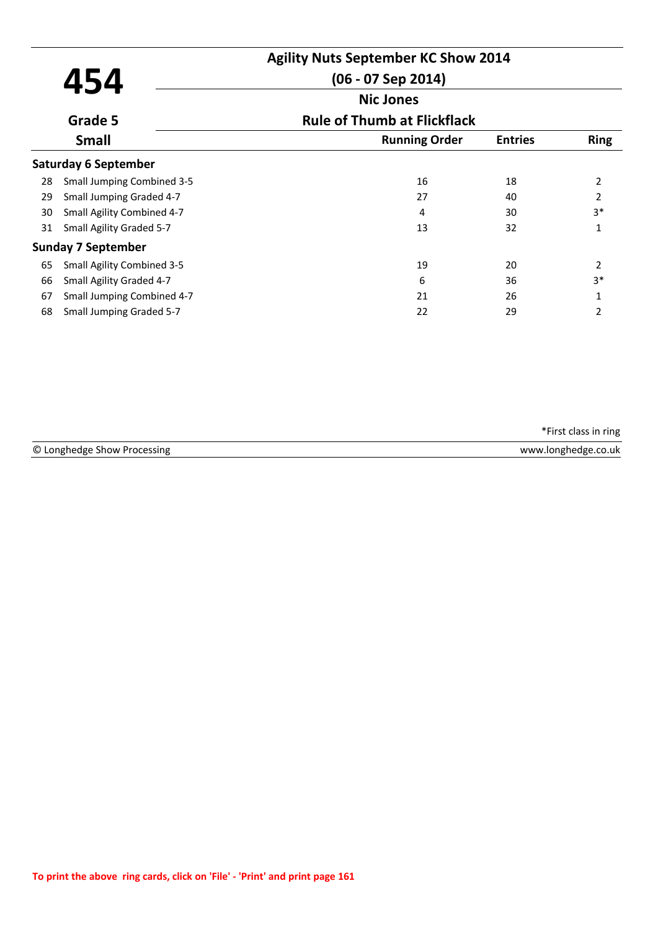|    |                                   | <b>Agility Nuts September KC Show 2014</b> |                |                |
|----|-----------------------------------|--------------------------------------------|----------------|----------------|
|    | 454                               | $(06 - 07$ Sep 2014)                       |                |                |
|    |                                   | <b>Nic Jones</b>                           |                |                |
|    | Grade 5                           | <b>Rule of Thumb at Flickflack</b>         |                |                |
|    | <b>Small</b>                      | <b>Running Order</b>                       | <b>Entries</b> | <b>Ring</b>    |
|    | <b>Saturday 6 September</b>       |                                            |                |                |
| 28 | <b>Small Jumping Combined 3-5</b> | 16                                         | 18             | $\overline{2}$ |
| 29 | Small Jumping Graded 4-7          | 27                                         | 40             | $\overline{2}$ |
| 30 | Small Agility Combined 4-7        | 4                                          | 30             | $3*$           |
| 31 | Small Agility Graded 5-7          | 13                                         | 32             | $\mathbf{1}$   |
|    | <b>Sunday 7 September</b>         |                                            |                |                |
| 65 | <b>Small Agility Combined 3-5</b> | 19                                         | 20             | $\overline{2}$ |
| 66 | Small Agility Graded 4-7          | 6                                          | 36             | $3*$           |
| 67 | Small Jumping Combined 4-7        | 21                                         | 26             | $\mathbf{1}$   |
| 68 | Small Jumping Graded 5-7          | 22                                         | 29             | 2              |

| © Longhedge Show Processing | www.longhedge.co.uk |
|-----------------------------|---------------------|
|                             |                     |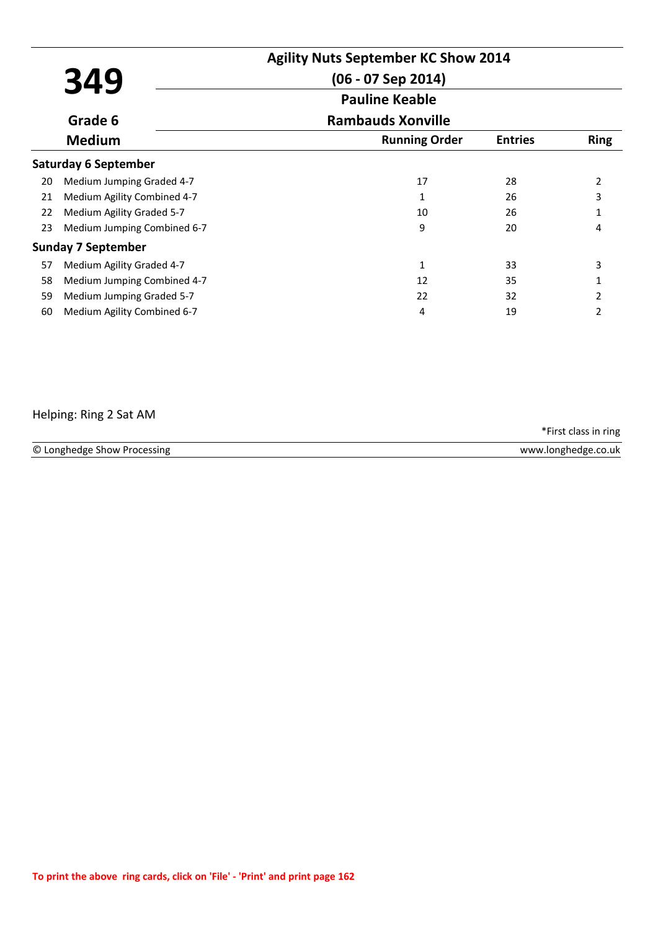|    |                             | <b>Agility Nuts September KC Show 2014</b> |                |               |
|----|-----------------------------|--------------------------------------------|----------------|---------------|
|    | 349                         | $(06 - 07$ Sep 2014)                       |                |               |
|    |                             | <b>Pauline Keable</b>                      |                |               |
|    | Grade 6                     | <b>Rambauds Xonville</b>                   |                |               |
|    | <b>Medium</b>               | <b>Running Order</b>                       | <b>Entries</b> | <b>Ring</b>   |
|    | <b>Saturday 6 September</b> |                                            |                |               |
| 20 | Medium Jumping Graded 4-7   | 17                                         | 28             | 2             |
| 21 | Medium Agility Combined 4-7 | 1                                          | 26             | 3             |
| 22 | Medium Agility Graded 5-7   | 10                                         | 26             |               |
| 23 | Medium Jumping Combined 6-7 | 9                                          | 20             | 4             |
|    | <b>Sunday 7 September</b>   |                                            |                |               |
| 57 | Medium Agility Graded 4-7   | 1                                          | 33             | 3             |
| 58 | Medium Jumping Combined 4-7 | 12                                         | 35             |               |
| 59 | Medium Jumping Graded 5-7   | 22                                         | 32             | $\mathcal{P}$ |
| 60 | Medium Agility Combined 6-7 | 4                                          | 19             | 2             |

### Helping: Ring 2 Sat AM

© Longhedge Show Processing www.longhedge.co.uk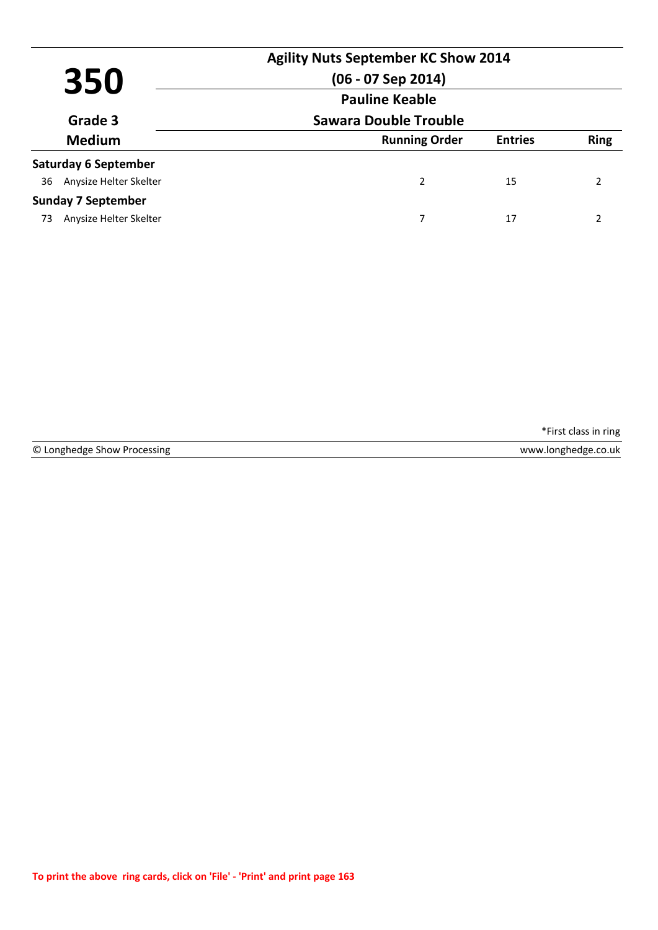| 350<br>Grade 3              |                        |                              | <b>Agility Nuts September KC Show 2014</b><br>$(06 - 07$ Sep 2014)<br><b>Pauline Keable</b> |                |             |
|-----------------------------|------------------------|------------------------------|---------------------------------------------------------------------------------------------|----------------|-------------|
|                             |                        | <b>Sawara Double Trouble</b> |                                                                                             |                |             |
| <b>Medium</b>               |                        |                              | <b>Running Order</b>                                                                        | <b>Entries</b> | <b>Ring</b> |
| <b>Saturday 6 September</b> |                        |                              |                                                                                             |                |             |
| 36                          | Anysize Helter Skelter |                              | $\overline{2}$                                                                              | 15             | 2           |
| <b>Sunday 7 September</b>   |                        |                              |                                                                                             |                |             |
| 73                          | Anysize Helter Skelter |                              | 7                                                                                           | 17             |             |

|  | © Longhedge Show Processing |  |  |
|--|-----------------------------|--|--|
|--|-----------------------------|--|--|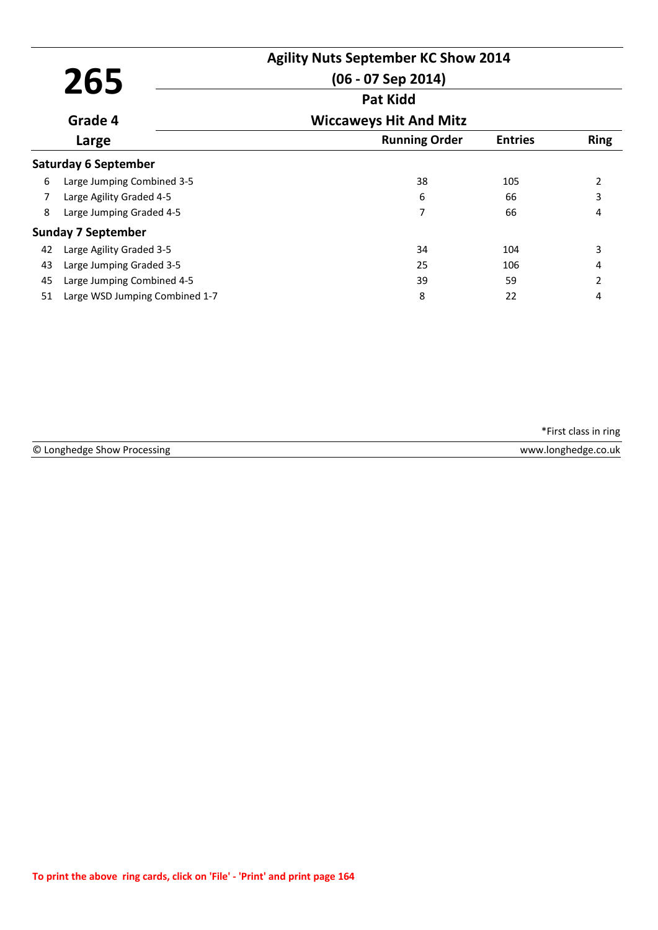|    | 265                            | <b>Agility Nuts September KC Show 2014</b><br>$(06 - 07$ Sep 2014) |                |             |
|----|--------------------------------|--------------------------------------------------------------------|----------------|-------------|
|    |                                | <b>Pat Kidd</b>                                                    |                |             |
|    | Grade 4                        | <b>Wiccaweys Hit And Mitz</b>                                      |                |             |
|    | Large                          | <b>Running Order</b>                                               | <b>Entries</b> | <b>Ring</b> |
|    | <b>Saturday 6 September</b>    |                                                                    |                |             |
| 6  | Large Jumping Combined 3-5     | 38                                                                 | 105            | 2           |
| 7  | Large Agility Graded 4-5       | 6                                                                  | 66             | 3           |
| 8  | Large Jumping Graded 4-5       | 7                                                                  | 66             | 4           |
|    | <b>Sunday 7 September</b>      |                                                                    |                |             |
| 42 | Large Agility Graded 3-5       | 34                                                                 | 104            | 3           |
| 43 | Large Jumping Graded 3-5       | 25                                                                 | 106            | 4           |
| 45 | Large Jumping Combined 4-5     | 39                                                                 | 59             | 2           |
| 51 | Large WSD Jumping Combined 1-7 | 8                                                                  | 22             | 4           |

© Longhedge Show Processing www.longhedge.co.uk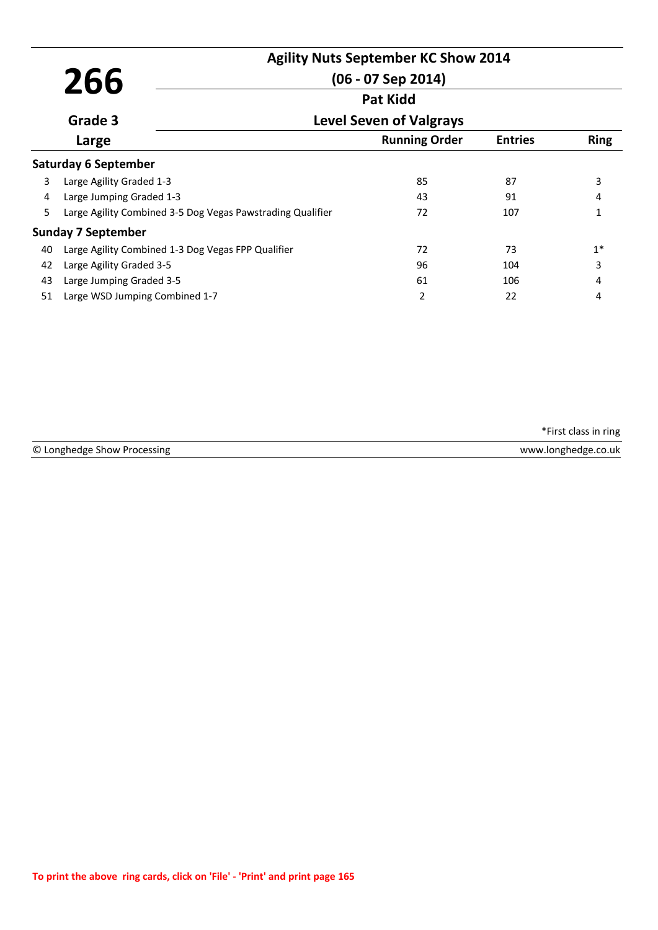|    |                                                            | <b>Agility Nuts September KC Show 2014</b> |                |             |  |
|----|------------------------------------------------------------|--------------------------------------------|----------------|-------------|--|
|    | 266                                                        | $(06 - 07$ Sep 2014)                       |                |             |  |
|    |                                                            | <b>Pat Kidd</b>                            |                |             |  |
|    | Grade 3                                                    | <b>Level Seven of Valgrays</b>             |                |             |  |
|    | Large                                                      | <b>Running Order</b>                       | <b>Entries</b> | <b>Ring</b> |  |
|    | <b>Saturday 6 September</b>                                |                                            |                |             |  |
| 3  | Large Agility Graded 1-3                                   | 85                                         | 87             | 3           |  |
| 4  | Large Jumping Graded 1-3                                   | 43                                         | 91             | 4           |  |
| 5  | Large Agility Combined 3-5 Dog Vegas Pawstrading Qualifier | 72                                         | 107            |             |  |
|    | <b>Sunday 7 September</b>                                  |                                            |                |             |  |
| 40 | Large Agility Combined 1-3 Dog Vegas FPP Qualifier         | 72                                         | 73             | $1*$        |  |
| 42 | Large Agility Graded 3-5                                   | 96                                         | 104            | 3           |  |
| 43 | Large Jumping Graded 3-5                                   | 61                                         | 106            | 4           |  |
| 51 | Large WSD Jumping Combined 1-7                             | 2                                          | 22             | 4           |  |

| © Longhedge Show Processing | www.longhedge.co.uk |
|-----------------------------|---------------------|
|                             |                     |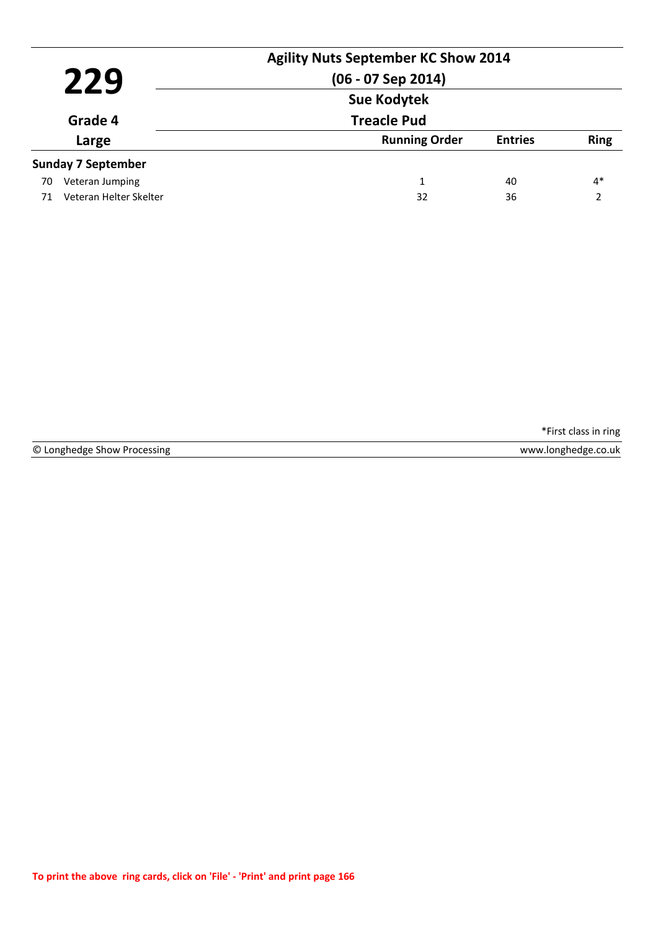|                  | 229                       | <b>Agility Nuts September KC Show 2014</b><br>$(06 - 07$ Sep 2014) |                |             |
|------------------|---------------------------|--------------------------------------------------------------------|----------------|-------------|
| Grade 4<br>Large |                           | <b>Sue Kodytek</b><br><b>Treacle Pud</b>                           |                |             |
|                  |                           | <b>Running Order</b>                                               | <b>Entries</b> | <b>Ring</b> |
|                  | <b>Sunday 7 September</b> |                                                                    |                |             |
| 70               | Veteran Jumping           | 1                                                                  | 40             | $4*$        |
| 71               | Veteran Helter Skelter    | 32                                                                 | 36             | າ           |

© Longhedge Show Processing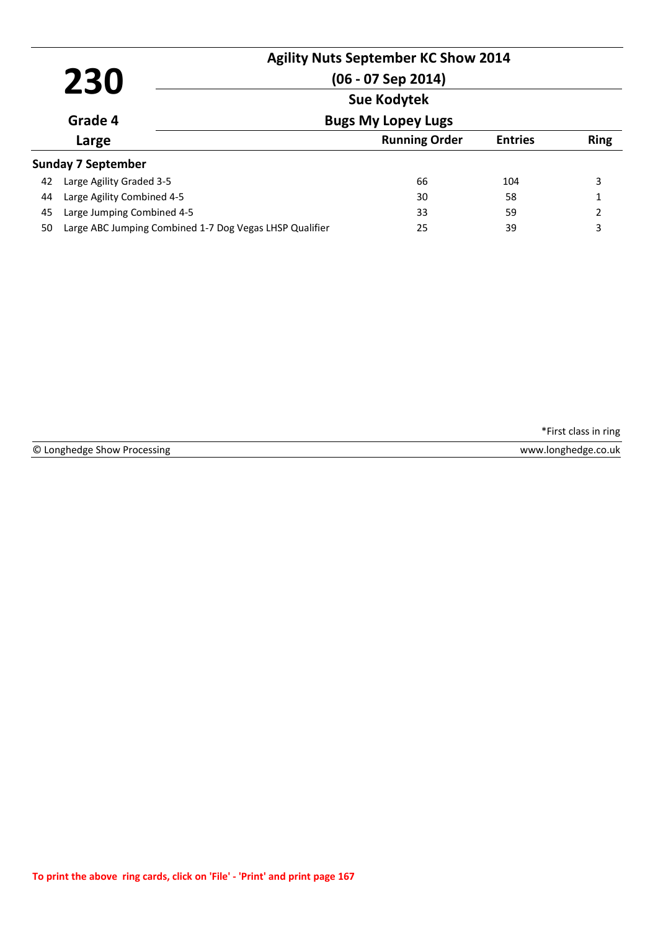|    | 230                                                     | <b>Agility Nuts September KC Show 2014</b><br>$(06 - 07$ Sep 2014)<br><b>Sue Kodytek</b> |                |                |
|----|---------------------------------------------------------|------------------------------------------------------------------------------------------|----------------|----------------|
|    | Grade 4                                                 | <b>Bugs My Lopey Lugs</b>                                                                |                |                |
|    | Large                                                   | <b>Running Order</b>                                                                     | <b>Entries</b> | <b>Ring</b>    |
|    | Sunday 7 September                                      |                                                                                          |                |                |
| 42 | Large Agility Graded 3-5                                | 66                                                                                       | 104            | 3              |
| 44 | Large Agility Combined 4-5                              | 30                                                                                       | 58             | 1              |
| 45 | Large Jumping Combined 4-5                              | 33                                                                                       | 59             | $\overline{2}$ |
| 50 | Large ABC Jumping Combined 1-7 Dog Vegas LHSP Qualifier | 25                                                                                       | 39             | 3              |

© Longhedge Show Processing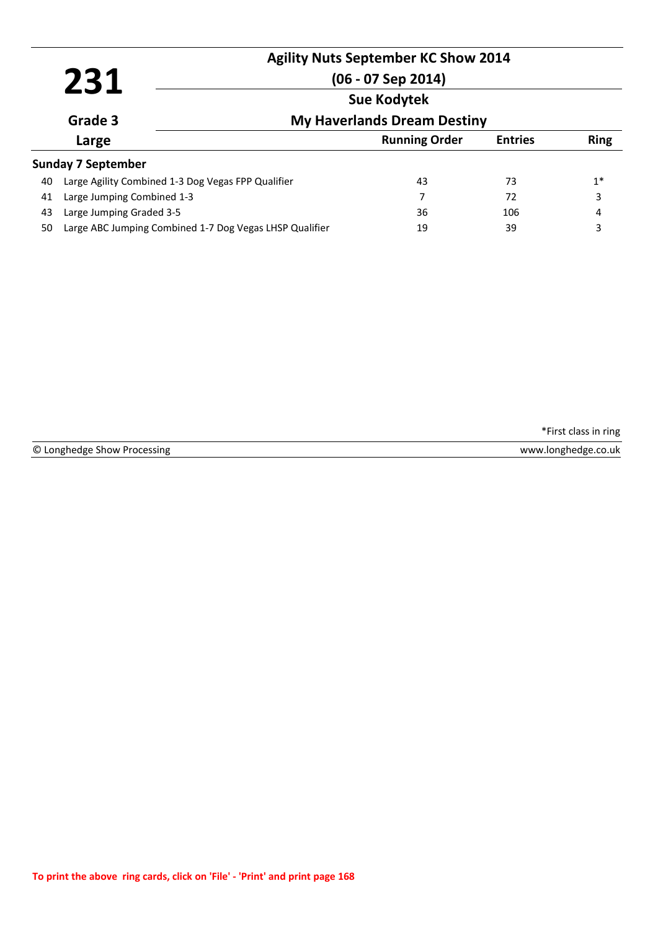|                    |                                                         | <b>Agility Nuts September KC Show 2014</b> |                |             |  |  |
|--------------------|---------------------------------------------------------|--------------------------------------------|----------------|-------------|--|--|
|                    | 231                                                     | $(06 - 07$ Sep 2014)                       |                |             |  |  |
| <b>Sue Kodytek</b> |                                                         |                                            |                |             |  |  |
|                    | Grade 3                                                 | <b>My Haverlands Dream Destiny</b>         |                |             |  |  |
|                    | Large                                                   | <b>Running Order</b>                       | <b>Entries</b> | <b>Ring</b> |  |  |
|                    | <b>Sunday 7 September</b>                               |                                            |                |             |  |  |
| 40                 | Large Agility Combined 1-3 Dog Vegas FPP Qualifier      | 43                                         | 73             | $1^*$       |  |  |
| 41                 | Large Jumping Combined 1-3                              | 7                                          | 72             | 3           |  |  |
| 43                 | Large Jumping Graded 3-5                                | 36                                         | 106            | 4           |  |  |
| 50                 | Large ABC Jumping Combined 1-7 Dog Vegas LHSP Qualifier | 19                                         | 39             | 3           |  |  |

© Longhedge Show Processing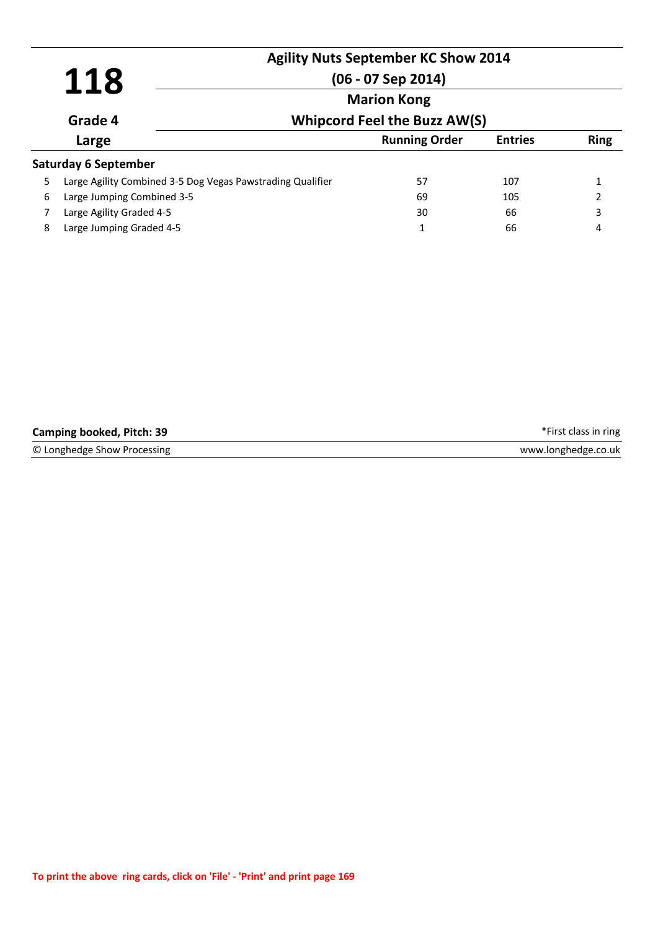|    | 118                                                        | <b>Agility Nuts September KC Show 2014</b><br>$(06 - 07$ Sep 2014) |                |             |  |
|----|------------------------------------------------------------|--------------------------------------------------------------------|----------------|-------------|--|
|    |                                                            | <b>Marion Kong</b>                                                 |                |             |  |
|    | Grade 4                                                    | <b>Whipcord Feel the Buzz AW(S)</b>                                |                |             |  |
|    | Large                                                      | <b>Running Order</b>                                               | <b>Entries</b> | <b>Ring</b> |  |
|    | Saturday 6 September                                       |                                                                    |                |             |  |
| 5. | Large Agility Combined 3-5 Dog Vegas Pawstrading Qualifier | 57                                                                 | 107            |             |  |
| 6  | Large Jumping Combined 3-5                                 | 69                                                                 | 105            | 2           |  |
|    | Large Agility Graded 4-5                                   | 30                                                                 | 66             | 3           |  |
| 8  | Large Jumping Graded 4-5                                   | 1                                                                  | 66             | 4           |  |

| <b>Camping booked, Pitch: 39</b> | *First class in ring |
|----------------------------------|----------------------|
| © Longhedge Show Processing      | www.longhedge.co.uk  |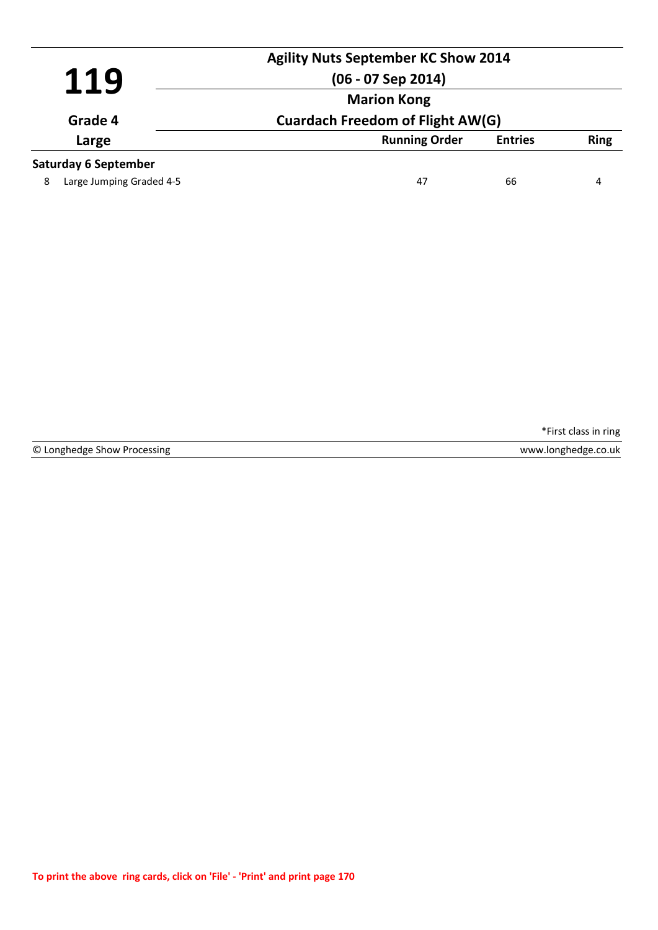| <b>Agility Nuts September KC Show 2014</b> |                             |                                         |                |             |
|--------------------------------------------|-----------------------------|-----------------------------------------|----------------|-------------|
| 119                                        |                             | $(06 - 07$ Sep 2014)                    |                |             |
| Grade 4                                    |                             | <b>Marion Kong</b>                      |                |             |
|                                            |                             | <b>Cuardach Freedom of Flight AW(G)</b> |                |             |
|                                            | Large                       | <b>Running Order</b>                    | <b>Entries</b> | <b>Ring</b> |
|                                            | <b>Saturday 6 September</b> |                                         |                |             |
| 8                                          | Large Jumping Graded 4-5    | 47                                      | 66             | 4           |
|                                            |                             |                                         |                |             |

© Longhedge Show Processing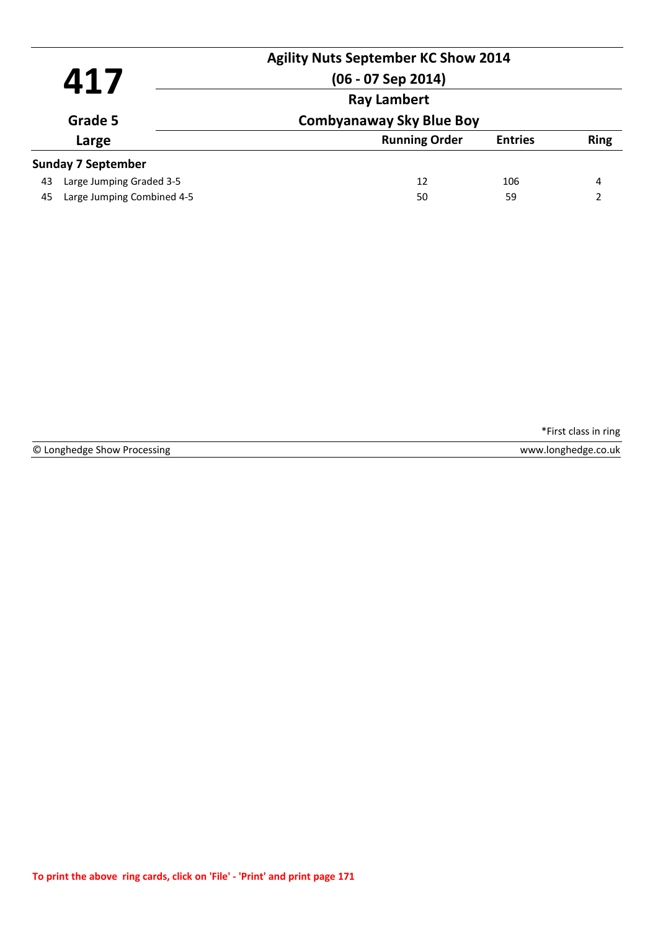|                  |                            | <b>Agility Nuts September KC Show 2014</b> |                |             |
|------------------|----------------------------|--------------------------------------------|----------------|-------------|
| 417              |                            | $(06 - 07$ Sep 2014)                       |                |             |
|                  | <b>Ray Lambert</b>         |                                            |                |             |
| Grade 5<br>Large |                            | <b>Combyanaway Sky Blue Boy</b>            |                |             |
|                  |                            | <b>Running Order</b>                       | <b>Entries</b> | <b>Ring</b> |
|                  | <b>Sunday 7 September</b>  |                                            |                |             |
| 43               | Large Jumping Graded 3-5   | 12                                         | 106            | 4           |
| 45               | Large Jumping Combined 4-5 | 50                                         | 59             | າ           |

© Longhedge Show Processing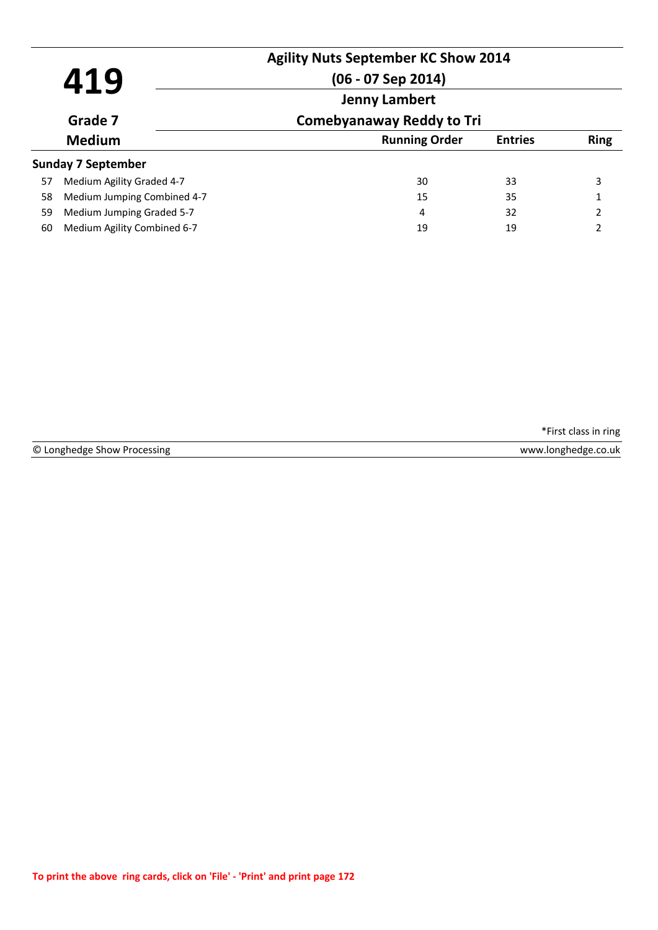| 419<br>Grade 7 |                             | <b>Agility Nuts September KC Show 2014</b><br>$(06 - 07$ Sep 2014)<br><b>Jenny Lambert</b><br><b>Comebyanaway Reddy to Tri</b> |                |                |
|----------------|-----------------------------|--------------------------------------------------------------------------------------------------------------------------------|----------------|----------------|
|                |                             |                                                                                                                                |                |                |
|                | <b>Medium</b>               | <b>Running Order</b>                                                                                                           | <b>Entries</b> | <b>Ring</b>    |
|                | Sunday 7 September          |                                                                                                                                |                |                |
| 57             | Medium Agility Graded 4-7   | 30                                                                                                                             | 33             | 3              |
| 58             | Medium Jumping Combined 4-7 | 15                                                                                                                             | 35             | 1              |
| 59             | Medium Jumping Graded 5-7   | 4                                                                                                                              | 32             | $\mathcal{P}$  |
| 60             | Medium Agility Combined 6-7 | 19                                                                                                                             | 19             | $\mathfrak{p}$ |

|  | © Longhedge Show Processing |  |  |  |
|--|-----------------------------|--|--|--|
|--|-----------------------------|--|--|--|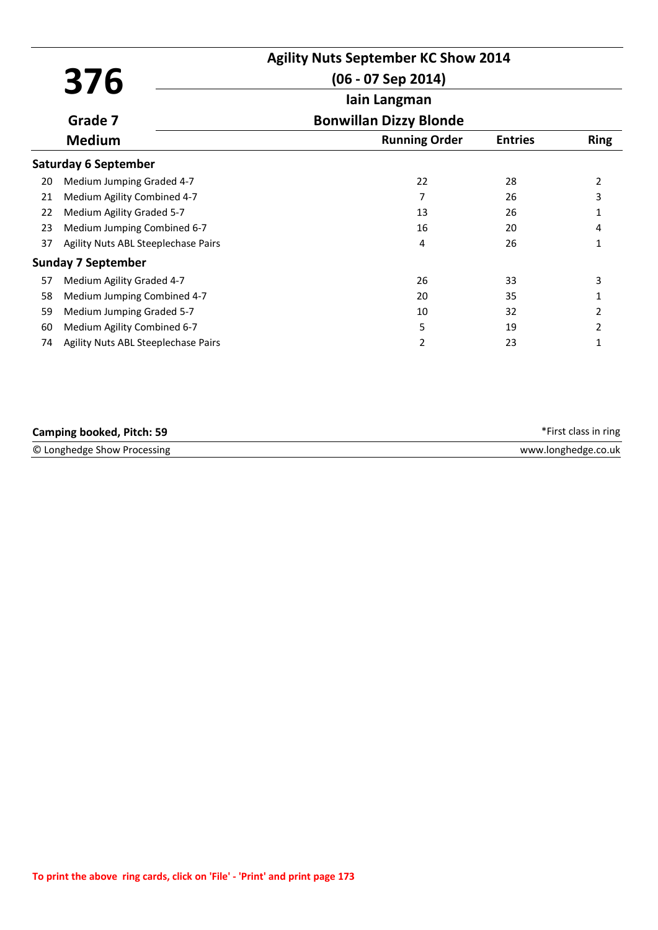|    |                                     | <b>Agility Nuts September KC Show 2014</b> |                |                |
|----|-------------------------------------|--------------------------------------------|----------------|----------------|
|    | 376                                 | $(06 - 07$ Sep 2014)                       |                |                |
|    |                                     | lain Langman                               |                |                |
|    | Grade 7                             | <b>Bonwillan Dizzy Blonde</b>              |                |                |
|    | <b>Medium</b>                       | <b>Running Order</b>                       | <b>Entries</b> | <b>Ring</b>    |
|    | <b>Saturday 6 September</b>         |                                            |                |                |
| 20 | Medium Jumping Graded 4-7           | 22                                         | 28             | $\overline{2}$ |
| 21 | Medium Agility Combined 4-7         |                                            | 26             | 3              |
| 22 | Medium Agility Graded 5-7           | 13                                         | 26             |                |
| 23 | Medium Jumping Combined 6-7         | 16                                         | 20             | 4              |
| 37 | Agility Nuts ABL Steeplechase Pairs | 4                                          | 26             |                |
|    | <b>Sunday 7 September</b>           |                                            |                |                |
| 57 | Medium Agility Graded 4-7           | 26                                         | 33             | 3              |
| 58 | Medium Jumping Combined 4-7         | 20                                         | 35             |                |
| 59 | Medium Jumping Graded 5-7           | 10                                         | 32             | 2              |
| 60 | Medium Agility Combined 6-7         | 5                                          | 19             | 2              |
| 74 | Agility Nuts ABL Steeplechase Pairs | 2                                          | 23             |                |

| <b>Camping booked, Pitch: 59</b> | *First class in ring |
|----------------------------------|----------------------|
| © Longhedge Show Processing      | www.longhedge.co.uk  |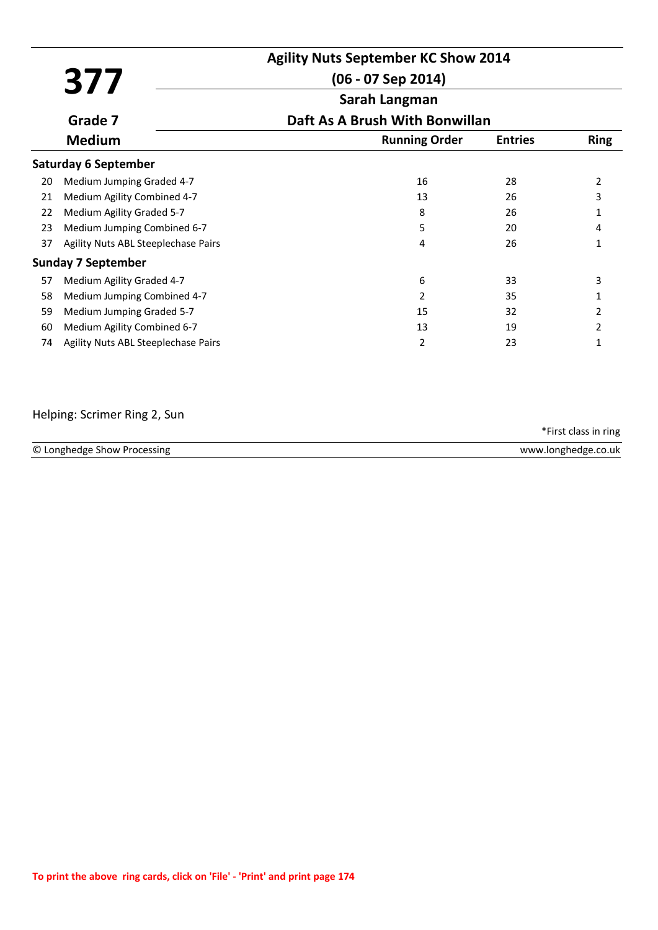|    |                                     | <b>Agility Nuts September KC Show 2014</b> |                |             |
|----|-------------------------------------|--------------------------------------------|----------------|-------------|
|    | 377                                 | $(06 - 07$ Sep 2014)                       |                |             |
|    |                                     | Sarah Langman                              |                |             |
|    | Grade 7                             | Daft As A Brush With Bonwillan             |                |             |
|    | <b>Medium</b>                       | <b>Running Order</b>                       | <b>Entries</b> | <b>Ring</b> |
|    | <b>Saturday 6 September</b>         |                                            |                |             |
| 20 | Medium Jumping Graded 4-7           | 16                                         | 28             | 2           |
| 21 | Medium Agility Combined 4-7         | 13                                         | 26             |             |
| 22 | Medium Agility Graded 5-7           | 8                                          | 26             |             |
| 23 | Medium Jumping Combined 6-7         | 5                                          | 20             | 4           |
| 37 | Agility Nuts ABL Steeplechase Pairs | 4                                          | 26             | 1           |
|    | Sunday 7 September                  |                                            |                |             |
| 57 | Medium Agility Graded 4-7           | 6                                          | 33             | 3           |
| 58 | Medium Jumping Combined 4-7         | 2                                          | 35             |             |
| 59 | Medium Jumping Graded 5-7           | 15                                         | 32             | 2           |
| 60 | Medium Agility Combined 6-7         | 13                                         | 19             | 2           |
| 74 | Agility Nuts ABL Steeplechase Pairs | 2                                          | 23             | 1           |

# Helping: Scrimer Ring 2, Sun

|                             | *First class in ring |
|-----------------------------|----------------------|
| © Longhedge Show Processing | www.longhedge.co.uk  |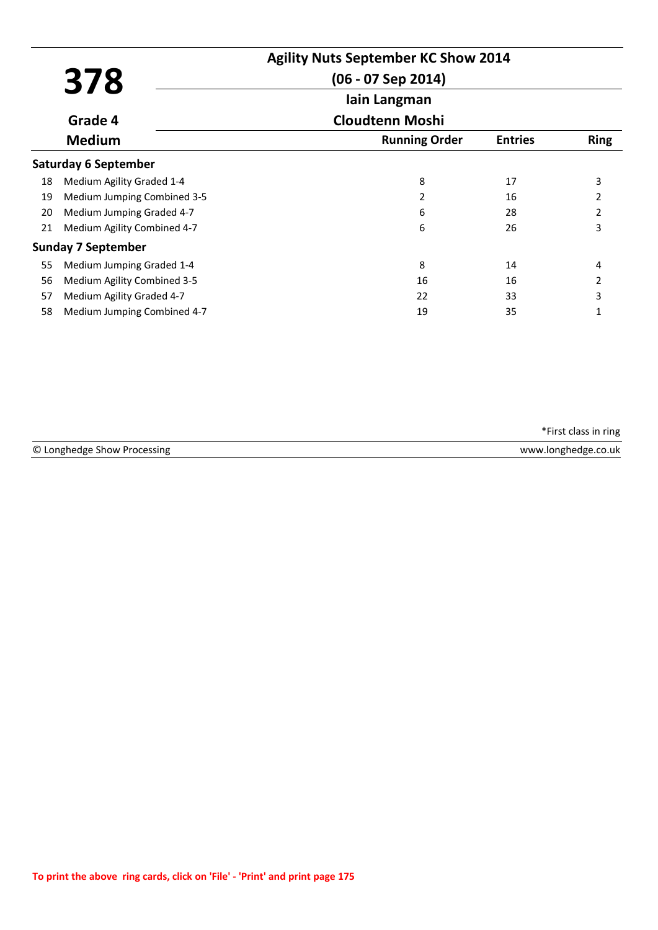|    |                             | <b>Agility Nuts September KC Show 2014</b> |                |                |
|----|-----------------------------|--------------------------------------------|----------------|----------------|
|    | 378                         | $(06 - 07$ Sep 2014)                       |                |                |
|    |                             | lain Langman                               |                |                |
|    | Grade 4                     | <b>Cloudtenn Moshi</b>                     |                |                |
|    | <b>Medium</b>               | <b>Running Order</b>                       | <b>Entries</b> | <b>Ring</b>    |
|    | <b>Saturday 6 September</b> |                                            |                |                |
| 18 | Medium Agility Graded 1-4   | 8                                          | 17             | 3              |
| 19 | Medium Jumping Combined 3-5 | 2                                          | 16             | 2              |
| 20 | Medium Jumping Graded 4-7   | 6                                          | 28             | $\overline{2}$ |
| 21 | Medium Agility Combined 4-7 | 6                                          | 26             | 3              |
|    | <b>Sunday 7 September</b>   |                                            |                |                |
| 55 | Medium Jumping Graded 1-4   | 8                                          | 14             | 4              |
| 56 | Medium Agility Combined 3-5 | 16                                         | 16             | 2              |
| 57 | Medium Agility Graded 4-7   | 22                                         | 33             | 3              |
| 58 | Medium Jumping Combined 4-7 | 19                                         | 35             | 1              |

|                             | *First class in ring |
|-----------------------------|----------------------|
| © Longhedge Show Processing | www.longhedge.co.uk  |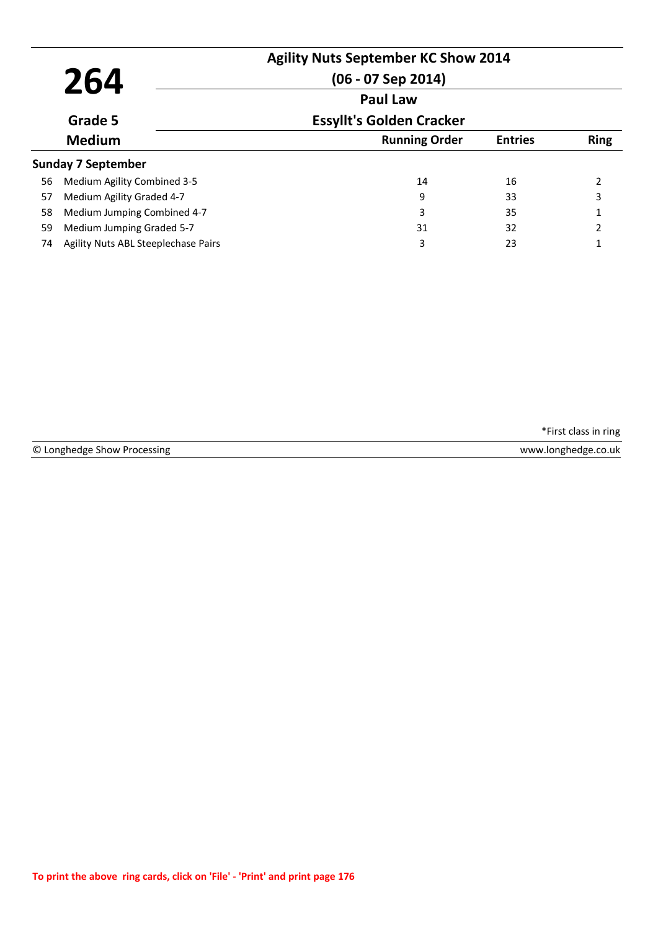| 264 |                                     | <b>Agility Nuts September KC Show 2014</b><br>$(06 - 07$ Sep 2014)<br><b>Paul Law</b> |                |                          |
|-----|-------------------------------------|---------------------------------------------------------------------------------------|----------------|--------------------------|
|     | Grade 5                             | <b>Essyllt's Golden Cracker</b>                                                       |                |                          |
|     | <b>Medium</b>                       | <b>Running Order</b>                                                                  | <b>Entries</b> | <b>Ring</b>              |
|     | <b>Sunday 7 September</b>           |                                                                                       |                |                          |
| 56  | Medium Agility Combined 3-5         | 14                                                                                    | 16             | $\overline{\phantom{a}}$ |
| 57  | Medium Agility Graded 4-7           | 9                                                                                     | 33             | 3                        |
| 58  | Medium Jumping Combined 4-7         | 3                                                                                     | 35             | 1                        |
| 59  | Medium Jumping Graded 5-7           | 31                                                                                    | 32             | $\mathcal{P}$            |
| 74  | Agility Nuts ABL Steeplechase Pairs | 3                                                                                     | 23             |                          |

|  | © Longhedge Show Processing |  |  |  |
|--|-----------------------------|--|--|--|
|--|-----------------------------|--|--|--|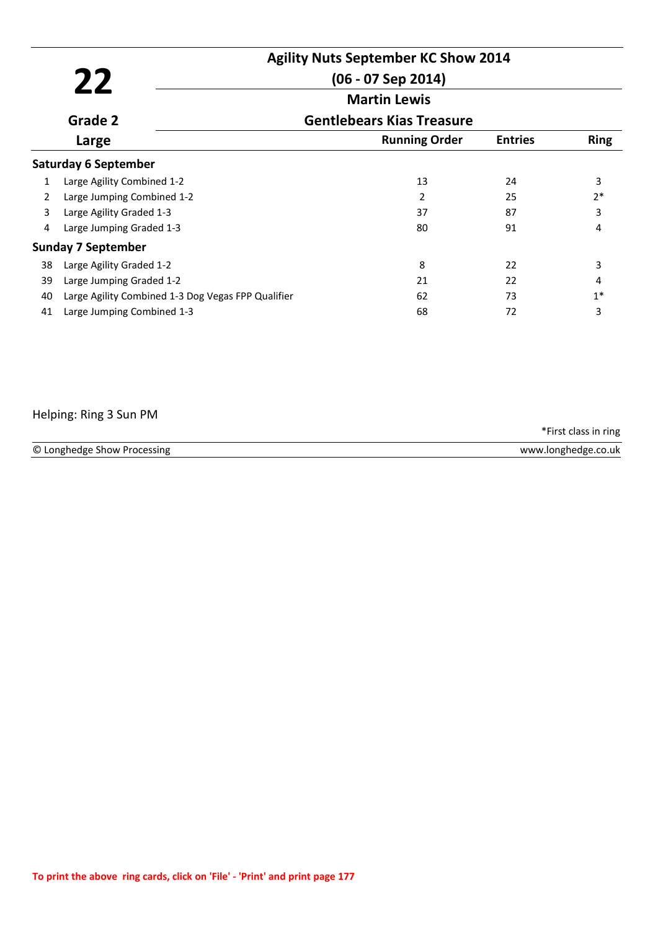|    | <b>Agility Nuts September KC Show 2014</b>         |                                  |                |             |
|----|----------------------------------------------------|----------------------------------|----------------|-------------|
|    | 22                                                 | $(06 - 07$ Sep 2014)             |                |             |
|    |                                                    | <b>Martin Lewis</b>              |                |             |
|    | Grade 2                                            | <b>Gentlebears Kias Treasure</b> |                |             |
|    | Large                                              | <b>Running Order</b>             | <b>Entries</b> | <b>Ring</b> |
|    | <b>Saturday 6 September</b>                        |                                  |                |             |
| 1  | Large Agility Combined 1-2                         | 13                               | 24             | 3           |
| 2  | Large Jumping Combined 1-2                         | 2                                | 25             | $2*$        |
| 3  | Large Agility Graded 1-3                           | 37                               | 87             | 3           |
| 4  | Large Jumping Graded 1-3                           | 80                               | 91             | 4           |
|    | <b>Sunday 7 September</b>                          |                                  |                |             |
| 38 | Large Agility Graded 1-2                           | 8                                | 22             | 3           |
| 39 | Large Jumping Graded 1-2                           | 21                               | 22             | 4           |
| 40 | Large Agility Combined 1-3 Dog Vegas FPP Qualifier | 62                               | 73             | $1*$        |
| 41 | Large Jumping Combined 1-3                         | 68                               | 72             | 3           |

# Helping: Ring 3 Sun PM

| © Longhedge Show Processing | www.longhedge.co.uk |
|-----------------------------|---------------------|
|                             |                     |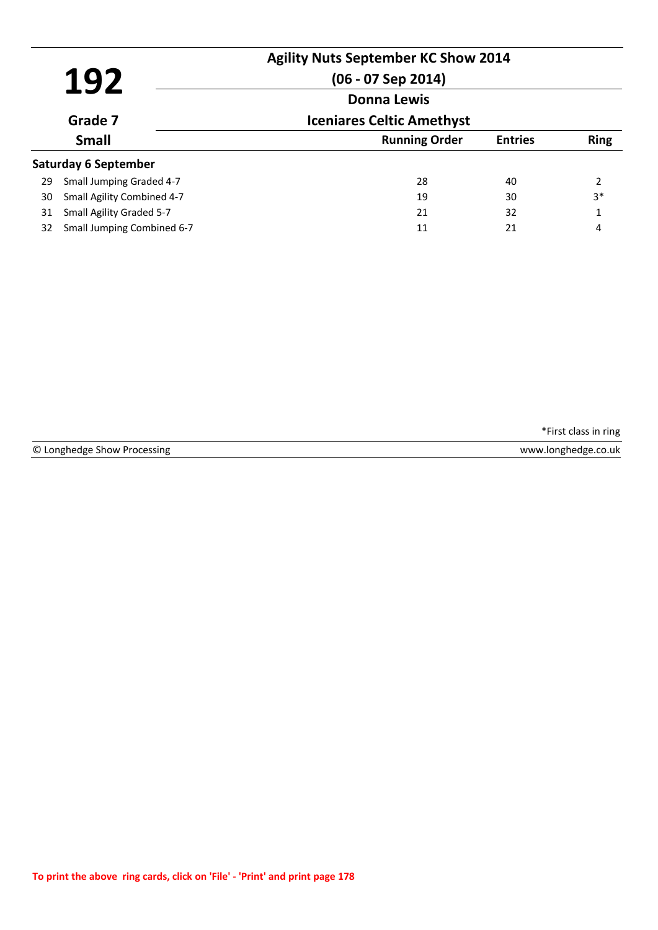| 192<br>Grade 7<br><b>Small</b> |                             | <b>Agility Nuts September KC Show 2014</b><br>$(06 - 07$ Sep 2014) |                |             |
|--------------------------------|-----------------------------|--------------------------------------------------------------------|----------------|-------------|
|                                |                             | <b>Donna Lewis</b><br><b>Iceniares Celtic Amethyst</b>             |                |             |
|                                |                             | <b>Running Order</b>                                               | <b>Entries</b> | <b>Ring</b> |
|                                | <b>Saturday 6 September</b> |                                                                    |                |             |
| 29                             | Small Jumping Graded 4-7    | 28                                                                 | 40             | 2           |
| 30                             | Small Agility Combined 4-7  | 19                                                                 | 30             | $3*$        |
| 31                             | Small Agility Graded 5-7    | 21                                                                 | 32             | 1           |
| 32                             | Small Jumping Combined 6-7  | 11                                                                 | 21             | 4           |

|  | © Longhedge Show Processing |  |  |  |
|--|-----------------------------|--|--|--|
|--|-----------------------------|--|--|--|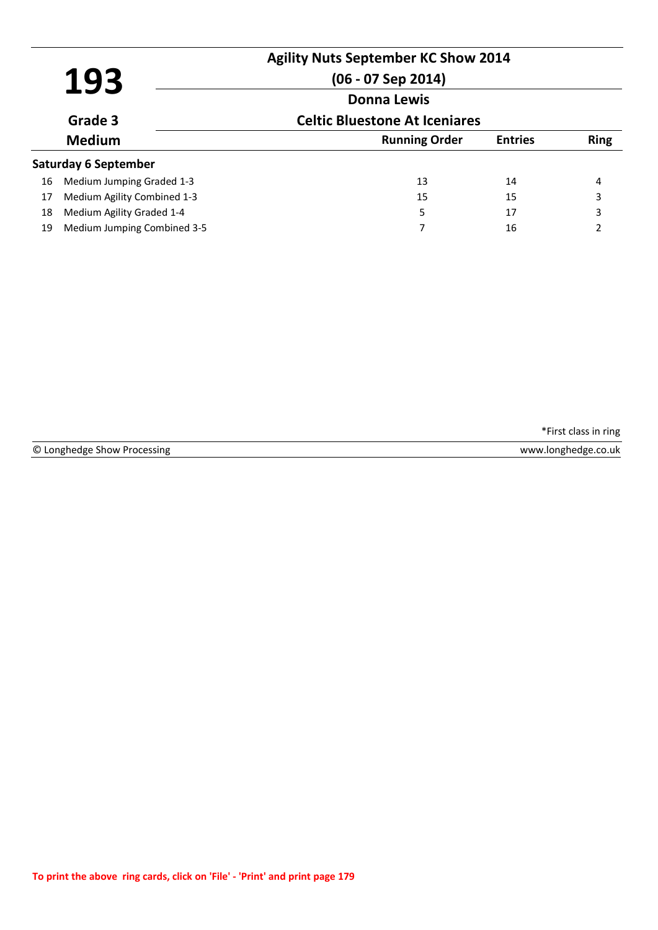|    | 193                         | <b>Agility Nuts September KC Show 2014</b><br>$(06 - 07$ Sep 2014) |                |             |
|----|-----------------------------|--------------------------------------------------------------------|----------------|-------------|
|    |                             | <b>Donna Lewis</b>                                                 |                |             |
|    | Grade 3                     | <b>Celtic Bluestone At Iceniares</b>                               |                |             |
|    | <b>Medium</b>               | <b>Running Order</b>                                               | <b>Entries</b> | <b>Ring</b> |
|    | <b>Saturday 6 September</b> |                                                                    |                |             |
| 16 | Medium Jumping Graded 1-3   | 13                                                                 | 14             | 4           |
| 17 | Medium Agility Combined 1-3 | 15                                                                 | 15             | 3           |
| 18 | Medium Agility Graded 1-4   | 5                                                                  | 17             | 3           |
| 19 | Medium Jumping Combined 3-5 |                                                                    | 16             | 2           |

|  | © Longhedge Show Processing |  |  |
|--|-----------------------------|--|--|
|--|-----------------------------|--|--|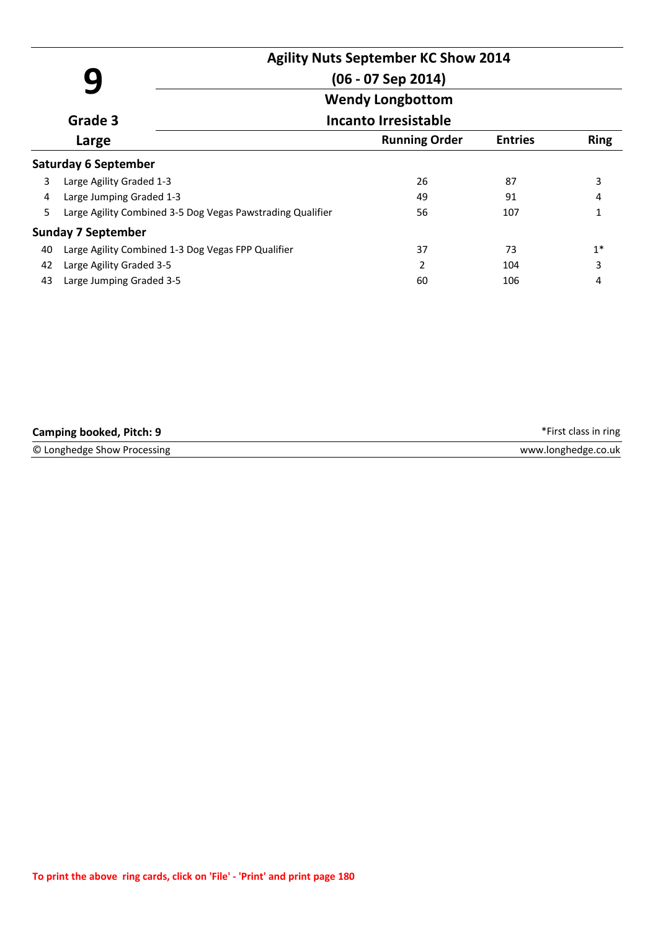|       |                                                            | <b>Agility Nuts September KC Show 2014</b>         |                             |                |             |  |  |  |
|-------|------------------------------------------------------------|----------------------------------------------------|-----------------------------|----------------|-------------|--|--|--|
|       |                                                            |                                                    | $(06 - 07$ Sep 2014)        |                |             |  |  |  |
|       |                                                            |                                                    | <b>Wendy Longbottom</b>     |                |             |  |  |  |
|       | Grade 3                                                    |                                                    | <b>Incanto Irresistable</b> |                |             |  |  |  |
| Large |                                                            |                                                    | <b>Running Order</b>        | <b>Entries</b> | <b>Ring</b> |  |  |  |
|       | <b>Saturday 6 September</b>                                |                                                    |                             |                |             |  |  |  |
| 3     | Large Agility Graded 1-3                                   |                                                    | 26                          | 87             | 3           |  |  |  |
| 4     | Large Jumping Graded 1-3                                   |                                                    | 49                          | 91             | 4           |  |  |  |
| 5     | Large Agility Combined 3-5 Dog Vegas Pawstrading Qualifier |                                                    | 56                          | 107            | 1           |  |  |  |
|       | <b>Sunday 7 September</b>                                  |                                                    |                             |                |             |  |  |  |
| 40    |                                                            | Large Agility Combined 1-3 Dog Vegas FPP Qualifier | 37                          | 73             | $1*$        |  |  |  |
| 42    | Large Agility Graded 3-5                                   |                                                    | $\mathfrak{p}$              | 104            | 3           |  |  |  |
| 43    | Large Jumping Graded 3-5                                   |                                                    | 60                          | 106            | 4           |  |  |  |

| <b>Camping booked, Pitch: 9</b> | *First class in ring |
|---------------------------------|----------------------|
| © Longhedge Show Processing     | www.longhedge.co.uk  |
|                                 |                      |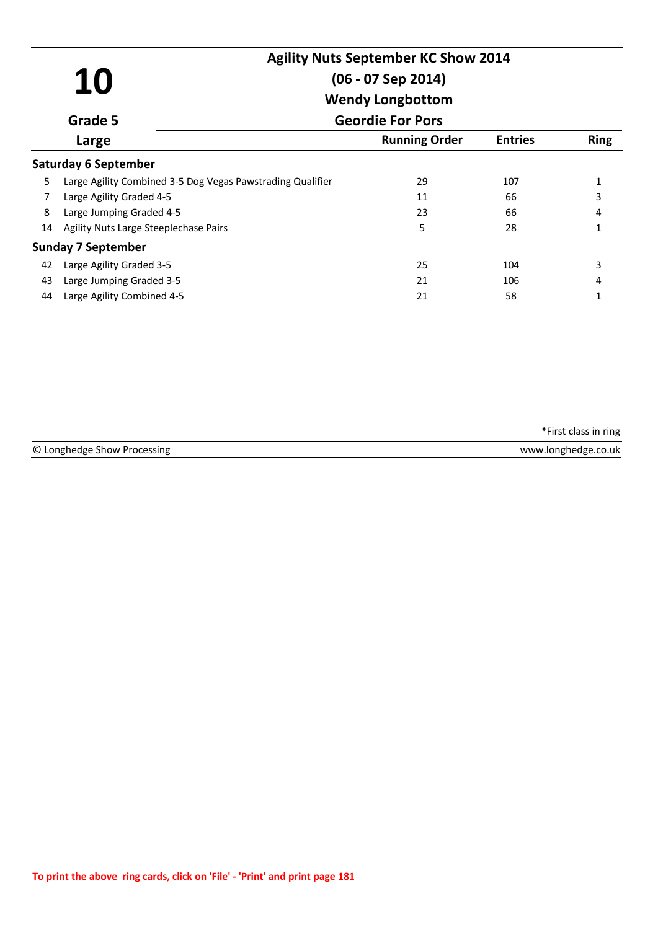|       | 10                                                         | <b>Agility Nuts September KC Show 2014</b><br>$(06 - 07$ Sep 2014) |                |              |  |
|-------|------------------------------------------------------------|--------------------------------------------------------------------|----------------|--------------|--|
|       |                                                            | <b>Wendy Longbottom</b>                                            |                |              |  |
|       | Grade 5                                                    | <b>Geordie For Pors</b>                                            |                |              |  |
| Large |                                                            | <b>Running Order</b>                                               | <b>Entries</b> | <b>Ring</b>  |  |
|       | <b>Saturday 6 September</b>                                |                                                                    |                |              |  |
| 5     | Large Agility Combined 3-5 Dog Vegas Pawstrading Qualifier | 29                                                                 | 107            | 1            |  |
| 7     | Large Agility Graded 4-5                                   | 11                                                                 | 66             | 3            |  |
| 8     | Large Jumping Graded 4-5                                   | 23                                                                 | 66             | 4            |  |
| 14    | Agility Nuts Large Steeplechase Pairs                      | 5                                                                  | 28             | 1            |  |
|       | <b>Sunday 7 September</b>                                  |                                                                    |                |              |  |
| 42    | Large Agility Graded 3-5                                   | 25                                                                 | 104            | 3            |  |
| 43    | Large Jumping Graded 3-5                                   | 21                                                                 | 106            | 4            |  |
| 44    | Large Agility Combined 4-5                                 | 21                                                                 | 58             | $\mathbf{1}$ |  |

© Longhedge Show Processing www.longhedge.co.uk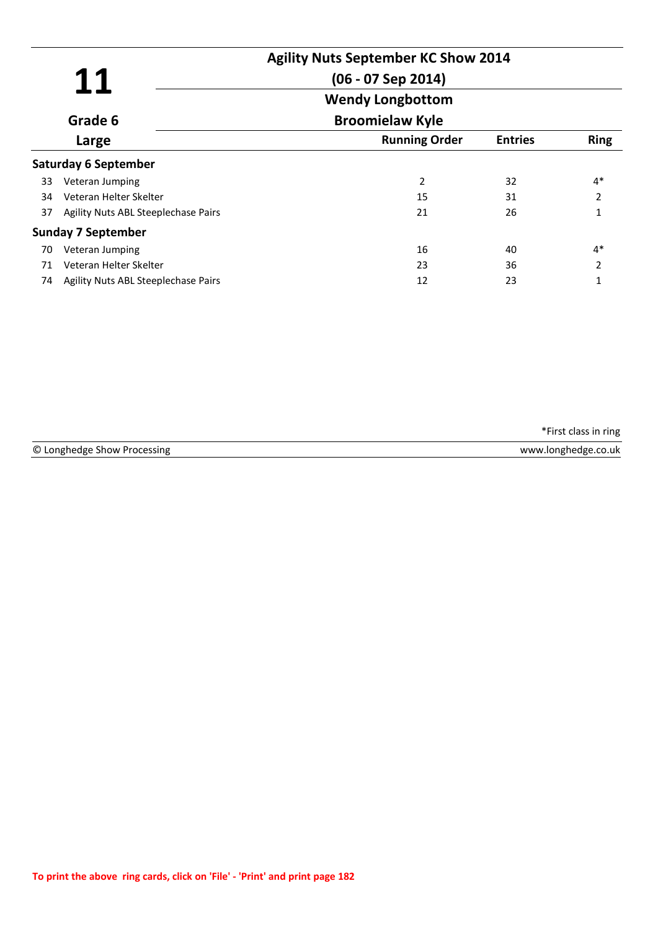| 11               |                                     | <b>Agility Nuts September KC Show 2014</b><br>$(06 - 07$ Sep 2014) |                |                |
|------------------|-------------------------------------|--------------------------------------------------------------------|----------------|----------------|
|                  |                                     | <b>Wendy Longbottom</b>                                            |                |                |
| Grade 6<br>Large |                                     | <b>Broomielaw Kyle</b>                                             |                |                |
|                  |                                     | <b>Running Order</b>                                               | <b>Entries</b> | <b>Ring</b>    |
|                  | <b>Saturday 6 September</b>         |                                                                    |                |                |
| 33               | Veteran Jumping                     | 2                                                                  | 32             | $4*$           |
| 34               | Veteran Helter Skelter              | 15                                                                 | 31             | $\overline{2}$ |
| 37               | Agility Nuts ABL Steeplechase Pairs | 21                                                                 | 26             | 1              |
|                  | <b>Sunday 7 September</b>           |                                                                    |                |                |
| 70               | Veteran Jumping                     | 16                                                                 | 40             | $4*$           |
| 71               | Veteran Helter Skelter              | 23                                                                 | 36             | 2              |
| 74               | Agility Nuts ABL Steeplechase Pairs | 12                                                                 | 23             | 1              |

| © Long        | .uk       |
|---------------|-----------|
| sıng          | ៶៱៸៶៱៸៶៱៸ |
| Πσι           | ו שו      |
| <b>SETCIM</b> |           |
|               |           |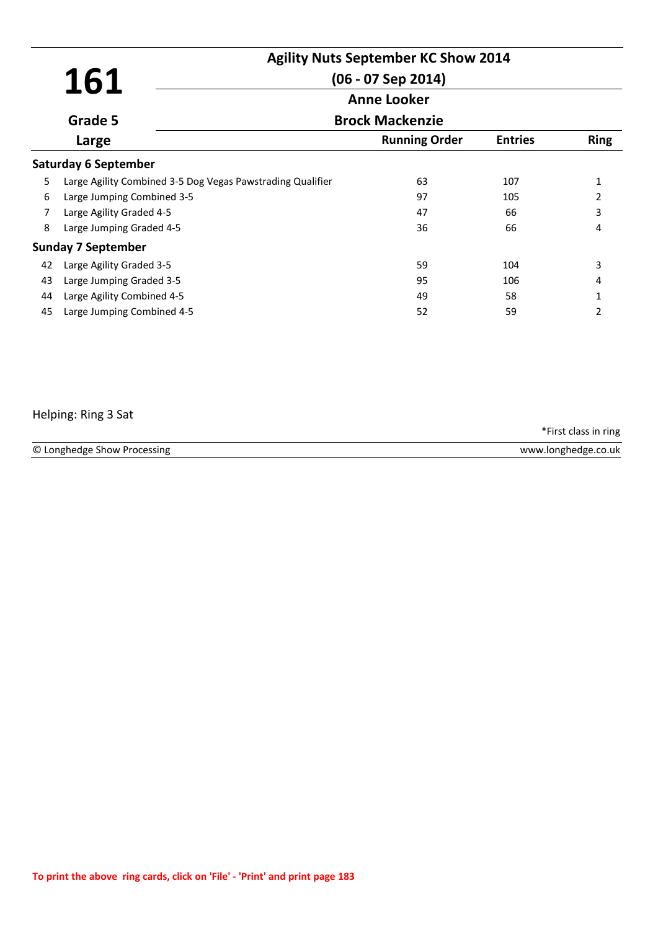|       | 161                                                        | <b>Agility Nuts September KC Show 2014</b><br>$(06 - 07$ Sep 2014) |                |                |  |
|-------|------------------------------------------------------------|--------------------------------------------------------------------|----------------|----------------|--|
|       |                                                            | <b>Anne Looker</b><br><b>Brock Mackenzie</b>                       |                |                |  |
|       | Grade 5                                                    |                                                                    |                |                |  |
| Large |                                                            | <b>Running Order</b>                                               | <b>Entries</b> | <b>Ring</b>    |  |
|       | <b>Saturday 6 September</b>                                |                                                                    |                |                |  |
| 5     | Large Agility Combined 3-5 Dog Vegas Pawstrading Qualifier | 63                                                                 | 107            | $\mathbf{1}$   |  |
| 6     | Large Jumping Combined 3-5                                 | 97                                                                 | 105            | 2              |  |
| 7     | Large Agility Graded 4-5                                   | 47                                                                 | 66             | 3              |  |
| 8     | Large Jumping Graded 4-5                                   | 36                                                                 | 66             | 4              |  |
|       | <b>Sunday 7 September</b>                                  |                                                                    |                |                |  |
| 42    | Large Agility Graded 3-5                                   | 59                                                                 | 104            | 3              |  |
| 43    | Large Jumping Graded 3-5                                   | 95                                                                 | 106            | 4              |  |
| 44    | Large Agility Combined 4-5                                 | 49                                                                 | 58             | 1              |  |
| 45    | Large Jumping Combined 4-5                                 | 52                                                                 | 59             | $\mathfrak{p}$ |  |

## Helping: Ring 3 Sat

© Longhedge Show Processing www.longhedge.co.uk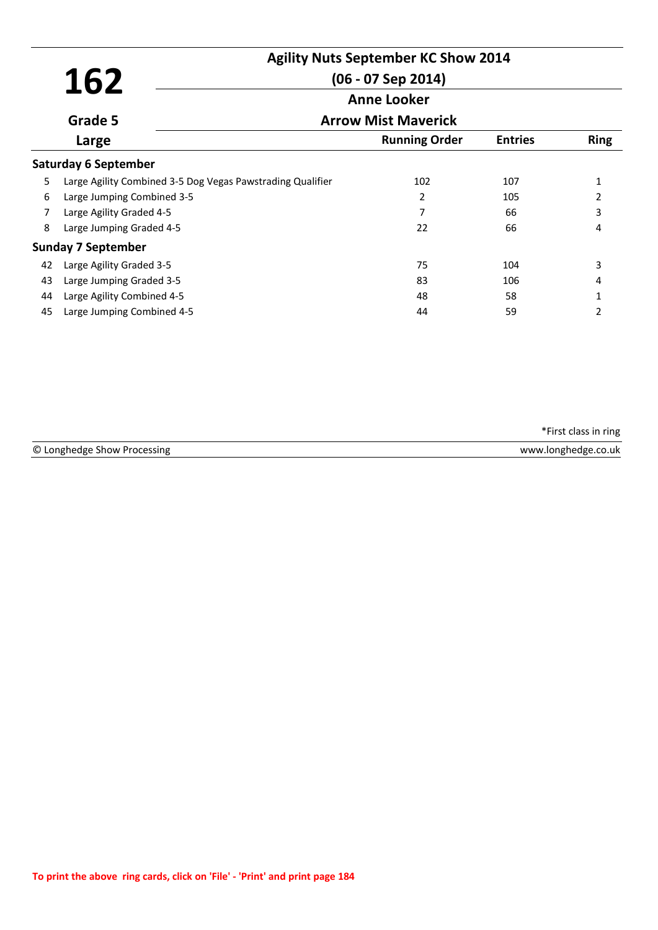|                  |                                                            | <b>Agility Nuts September KC Show 2014</b><br>$(06 - 07$ Sep 2014)<br><b>Anne Looker</b> |                      |                |              |
|------------------|------------------------------------------------------------|------------------------------------------------------------------------------------------|----------------------|----------------|--------------|
|                  | 162                                                        |                                                                                          |                      |                |              |
|                  |                                                            |                                                                                          |                      |                |              |
| Grade 5<br>Large |                                                            | <b>Arrow Mist Maverick</b>                                                               |                      |                |              |
|                  |                                                            |                                                                                          | <b>Running Order</b> | <b>Entries</b> | <b>Ring</b>  |
|                  | <b>Saturday 6 September</b>                                |                                                                                          |                      |                |              |
| 5                | Large Agility Combined 3-5 Dog Vegas Pawstrading Qualifier |                                                                                          | 102                  | 107            | $\mathbf{1}$ |
| 6                | Large Jumping Combined 3-5                                 |                                                                                          | 2                    | 105            | 2            |
| 7                | Large Agility Graded 4-5                                   |                                                                                          | 7                    | 66             | 3            |
| 8                | Large Jumping Graded 4-5                                   |                                                                                          | 22                   | 66             | 4            |
|                  | <b>Sunday 7 September</b>                                  |                                                                                          |                      |                |              |
| 42               | Large Agility Graded 3-5                                   |                                                                                          | 75                   | 104            | 3            |
| 43               | Large Jumping Graded 3-5                                   |                                                                                          | 83                   | 106            | 4            |
| 44               | Large Agility Combined 4-5                                 |                                                                                          | 48                   | 58             | 1            |
| 45               | Large Jumping Combined 4-5                                 |                                                                                          | 44                   | 59             | 2            |

© Longhedge Show Processing www.longhedge.co.uk